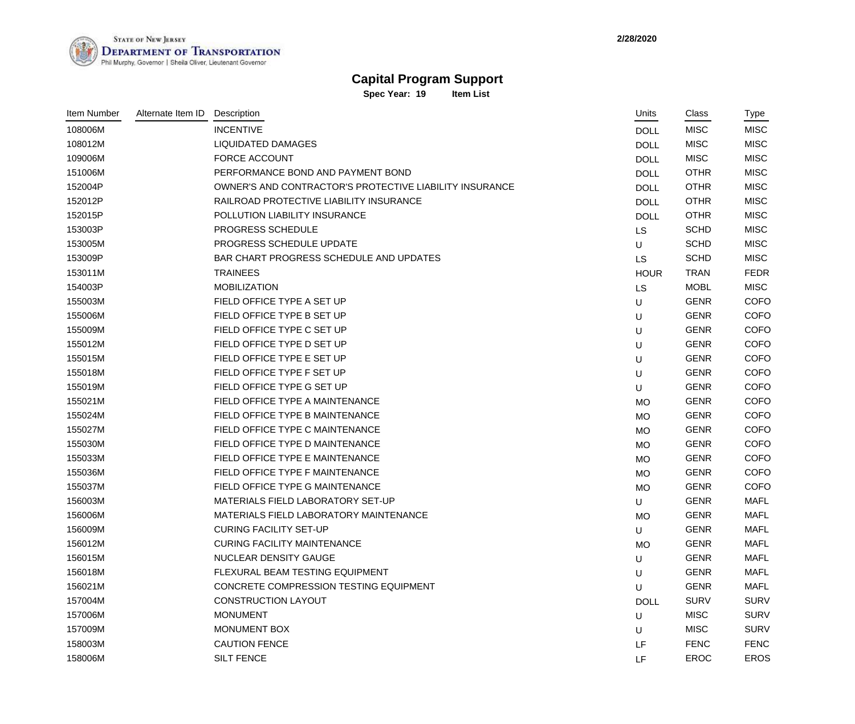**2/28/2020**



## **Capital Program Support**

**Spec Year: 19 Item List**

| <b>Item Number</b> | Alternate Item ID | Description                                             | Units       | Class       | Type        |
|--------------------|-------------------|---------------------------------------------------------|-------------|-------------|-------------|
| 108006M            |                   | <b>INCENTIVE</b>                                        | <b>DOLL</b> | <b>MISC</b> | <b>MISC</b> |
| 108012M            |                   | <b>LIQUIDATED DAMAGES</b>                               | <b>DOLL</b> | <b>MISC</b> | <b>MISC</b> |
| 109006M            |                   | <b>FORCE ACCOUNT</b>                                    | <b>DOLL</b> | <b>MISC</b> | <b>MISC</b> |
| 151006M            |                   | PERFORMANCE BOND AND PAYMENT BOND                       | <b>DOLL</b> | <b>OTHR</b> | <b>MISC</b> |
| 152004P            |                   | OWNER'S AND CONTRACTOR'S PROTECTIVE LIABILITY INSURANCE | <b>DOLL</b> | <b>OTHR</b> | <b>MISC</b> |
| 152012P            |                   | RAILROAD PROTECTIVE LIABILITY INSURANCE                 | <b>DOLL</b> | <b>OTHR</b> | <b>MISC</b> |
| 152015P            |                   | POLLUTION LIABILITY INSURANCE                           | <b>DOLL</b> | <b>OTHR</b> | <b>MISC</b> |
| 153003P            |                   | PROGRESS SCHEDULE                                       | <b>LS</b>   | <b>SCHD</b> | <b>MISC</b> |
| 153005M            |                   | PROGRESS SCHEDULE UPDATE                                | U           | <b>SCHD</b> | <b>MISC</b> |
| 153009P            |                   | BAR CHART PROGRESS SCHEDULE AND UPDATES                 | LS          | <b>SCHD</b> | <b>MISC</b> |
| 153011M            |                   | <b>TRAINEES</b>                                         | <b>HOUR</b> | <b>TRAN</b> | <b>FEDR</b> |
| 154003P            |                   | <b>MOBILIZATION</b>                                     | LS          | <b>MOBL</b> | <b>MISC</b> |
| 155003M            |                   | FIELD OFFICE TYPE A SET UP                              | U           | <b>GENR</b> | <b>COFO</b> |
| 155006M            |                   | FIELD OFFICE TYPE B SET UP                              | U           | <b>GENR</b> | <b>COFO</b> |
| 155009M            |                   | FIELD OFFICE TYPE C SET UP                              | U           | <b>GENR</b> | <b>COFO</b> |
| 155012M            |                   | FIELD OFFICE TYPE D SET UP                              | U           | <b>GENR</b> | <b>COFO</b> |
| 155015M            |                   | FIELD OFFICE TYPE E SET UP                              | U           | <b>GENR</b> | <b>COFO</b> |
| 155018M            |                   | FIELD OFFICE TYPE F SET UP                              | U           | <b>GENR</b> | <b>COFO</b> |
| 155019M            |                   | FIELD OFFICE TYPE G SET UP                              | U           | <b>GENR</b> | <b>COFO</b> |
| 155021M            |                   | FIELD OFFICE TYPE A MAINTENANCE                         | <b>MO</b>   | <b>GENR</b> | <b>COFO</b> |
| 155024M            |                   | FIELD OFFICE TYPE B MAINTENANCE                         | <b>MO</b>   | <b>GENR</b> | <b>COFO</b> |
| 155027M            |                   | FIELD OFFICE TYPE C MAINTENANCE                         | <b>MO</b>   | <b>GENR</b> | <b>COFO</b> |
| 155030M            |                   | FIELD OFFICE TYPE D MAINTENANCE                         | <b>MO</b>   | <b>GENR</b> | <b>COFO</b> |
| 155033M            |                   | FIELD OFFICE TYPE E MAINTENANCE                         | <b>MO</b>   | <b>GENR</b> | <b>COFO</b> |
| 155036M            |                   | FIELD OFFICE TYPE F MAINTENANCE                         | <b>MO</b>   | <b>GENR</b> | <b>COFO</b> |
| 155037M            |                   | FIELD OFFICE TYPE G MAINTENANCE                         | <b>MO</b>   | <b>GENR</b> | <b>COFO</b> |
| 156003M            |                   | MATERIALS FIELD LABORATORY SET-UP                       | U           | <b>GENR</b> | <b>MAFL</b> |
| 156006M            |                   | MATERIALS FIELD LABORATORY MAINTENANCE                  | <b>MO</b>   | <b>GENR</b> | <b>MAFL</b> |
| 156009M            |                   | <b>CURING FACILITY SET-UP</b>                           | U           | <b>GENR</b> | <b>MAFL</b> |
| 156012M            |                   | <b>CURING FACILITY MAINTENANCE</b>                      | <b>MO</b>   | <b>GENR</b> | <b>MAFL</b> |
| 156015M            |                   | NUCLEAR DENSITY GAUGE                                   | U           | <b>GENR</b> | <b>MAFL</b> |
| 156018M            |                   | FLEXURAL BEAM TESTING EQUIPMENT                         | U           | <b>GENR</b> | <b>MAFL</b> |
| 156021M            |                   | CONCRETE COMPRESSION TESTING EQUIPMENT                  | U           | <b>GENR</b> | <b>MAFL</b> |
| 157004M            |                   | <b>CONSTRUCTION LAYOUT</b>                              | <b>DOLL</b> | <b>SURV</b> | <b>SURV</b> |
| 157006M            |                   | <b>MONUMENT</b>                                         | U           | <b>MISC</b> | <b>SURV</b> |
| 157009M            |                   | MONUMENT BOX                                            | U           | <b>MISC</b> | <b>SURV</b> |
| 158003M            |                   | <b>CAUTION FENCE</b>                                    | LF          | <b>FENC</b> | <b>FENC</b> |
| 158006M            |                   | SILT FENCE                                              | LF          | <b>EROC</b> | <b>EROS</b> |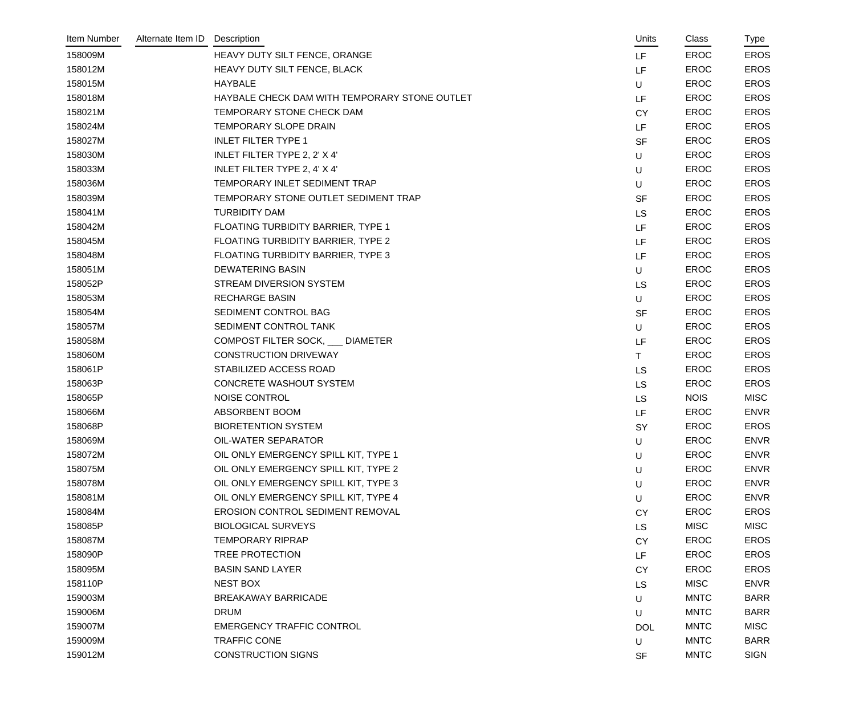| Item Number | Alternate Item ID | Description                                   | Units      | Class       | Type        |
|-------------|-------------------|-----------------------------------------------|------------|-------------|-------------|
| 158009M     |                   | HEAVY DUTY SILT FENCE, ORANGE                 | LF         | <b>EROC</b> | <b>EROS</b> |
| 158012M     |                   | HEAVY DUTY SILT FENCE, BLACK                  | LF         | EROC        | <b>EROS</b> |
| 158015M     |                   | <b>HAYBALE</b>                                | U          | <b>EROC</b> | <b>EROS</b> |
| 158018M     |                   | HAYBALE CHECK DAM WITH TEMPORARY STONE OUTLET | LF         | <b>EROC</b> | <b>EROS</b> |
| 158021M     |                   | TEMPORARY STONE CHECK DAM                     | <b>CY</b>  | <b>EROC</b> | <b>EROS</b> |
| 158024M     |                   | TEMPORARY SLOPE DRAIN                         | LF         | EROC        | <b>EROS</b> |
| 158027M     |                   | <b>INLET FILTER TYPE 1</b>                    | <b>SF</b>  | EROC        | <b>EROS</b> |
| 158030M     |                   | INLET FILTER TYPE 2, 2' X 4'                  | U          | <b>EROC</b> | <b>EROS</b> |
| 158033M     |                   | INLET FILTER TYPE 2, 4' X 4'                  | U          | EROC        | <b>EROS</b> |
| 158036M     |                   | TEMPORARY INLET SEDIMENT TRAP                 | U          | <b>EROC</b> | <b>EROS</b> |
| 158039M     |                   | TEMPORARY STONE OUTLET SEDIMENT TRAP          | <b>SF</b>  | EROC        | <b>EROS</b> |
| 158041M     |                   | <b>TURBIDITY DAM</b>                          | LS         | EROC        | <b>EROS</b> |
| 158042M     |                   | FLOATING TURBIDITY BARRIER, TYPE 1            | LF         | EROC        | <b>EROS</b> |
| 158045M     |                   | FLOATING TURBIDITY BARRIER, TYPE 2            | LF         | EROC        | <b>EROS</b> |
| 158048M     |                   | FLOATING TURBIDITY BARRIER, TYPE 3            | LF         | EROC        | <b>EROS</b> |
| 158051M     |                   | <b>DEWATERING BASIN</b>                       | U          | EROC        | <b>EROS</b> |
| 158052P     |                   | <b>STREAM DIVERSION SYSTEM</b>                | LS         | EROC        | <b>EROS</b> |
| 158053M     |                   | <b>RECHARGE BASIN</b>                         | U          | <b>EROC</b> | <b>EROS</b> |
| 158054M     |                   | SEDIMENT CONTROL BAG                          | <b>SF</b>  | <b>EROC</b> | <b>EROS</b> |
| 158057M     |                   | SEDIMENT CONTROL TANK                         | U          | <b>EROC</b> | <b>EROS</b> |
| 158058M     |                   | COMPOST FILTER SOCK, ONLINETER                | LF         | <b>EROC</b> | <b>EROS</b> |
| 158060M     |                   | <b>CONSTRUCTION DRIVEWAY</b>                  | T.         | EROC        | <b>EROS</b> |
| 158061P     |                   | STABILIZED ACCESS ROAD                        | LS         | EROC        | <b>EROS</b> |
| 158063P     |                   | <b>CONCRETE WASHOUT SYSTEM</b>                | <b>LS</b>  | <b>EROC</b> | <b>EROS</b> |
| 158065P     |                   | NOISE CONTROL                                 | <b>LS</b>  | <b>NOIS</b> | <b>MISC</b> |
| 158066M     |                   | ABSORBENT BOOM                                | LF         | EROC        | <b>ENVR</b> |
| 158068P     |                   | <b>BIORETENTION SYSTEM</b>                    | <b>SY</b>  | <b>EROC</b> | <b>EROS</b> |
| 158069M     |                   | OIL-WATER SEPARATOR                           | U          | <b>EROC</b> | <b>ENVR</b> |
| 158072M     |                   | OIL ONLY EMERGENCY SPILL KIT, TYPE 1          | U          | <b>EROC</b> | <b>ENVR</b> |
| 158075M     |                   | OIL ONLY EMERGENCY SPILL KIT, TYPE 2          | U          | <b>EROC</b> | <b>ENVR</b> |
| 158078M     |                   | OIL ONLY EMERGENCY SPILL KIT, TYPE 3          | U          | <b>EROC</b> | <b>ENVR</b> |
| 158081M     |                   | OIL ONLY EMERGENCY SPILL KIT, TYPE 4          | U          | <b>EROC</b> | <b>ENVR</b> |
| 158084M     |                   | <b>EROSION CONTROL SEDIMENT REMOVAL</b>       | <b>CY</b>  | <b>EROC</b> | <b>EROS</b> |
| 158085P     |                   | <b>BIOLOGICAL SURVEYS</b>                     | <b>LS</b>  | <b>MISC</b> | <b>MISC</b> |
| 158087M     |                   | <b>TEMPORARY RIPRAP</b>                       | <b>CY</b>  | <b>EROC</b> | <b>EROS</b> |
| 158090P     |                   | <b>TREE PROTECTION</b>                        | LF         | <b>EROC</b> | <b>EROS</b> |
| 158095M     |                   | <b>BASIN SAND LAYER</b>                       | <b>CY</b>  | <b>EROC</b> | <b>EROS</b> |
| 158110P     |                   | NEST BOX                                      | LS         | <b>MISC</b> | <b>ENVR</b> |
| 159003M     |                   | <b>BREAKAWAY BARRICADE</b>                    | U          | <b>MNTC</b> | <b>BARR</b> |
| 159006M     |                   | <b>DRUM</b>                                   | U          | <b>MNTC</b> | <b>BARR</b> |
| 159007M     |                   | <b>EMERGENCY TRAFFIC CONTROL</b>              | <b>DOL</b> | <b>MNTC</b> | <b>MISC</b> |
| 159009M     |                   | <b>TRAFFIC CONE</b>                           | U          | <b>MNTC</b> | <b>BARR</b> |
| 159012M     |                   | <b>CONSTRUCTION SIGNS</b>                     | <b>SF</b>  | <b>MNTC</b> | <b>SIGN</b> |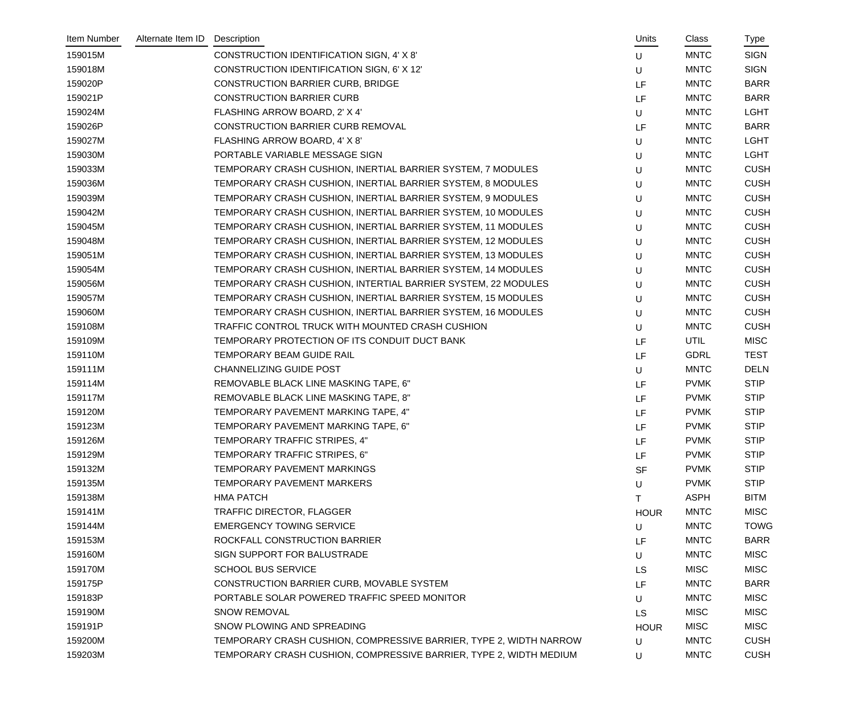| Item Number | Alternate Item ID | Description                                                        | Units       | Class       | <u>Type</u> |
|-------------|-------------------|--------------------------------------------------------------------|-------------|-------------|-------------|
| 159015M     |                   | CONSTRUCTION IDENTIFICATION SIGN, 4' X 8'                          | U           | <b>MNTC</b> | <b>SIGN</b> |
| 159018M     |                   | CONSTRUCTION IDENTIFICATION SIGN, 6' X 12'                         | U           | <b>MNTC</b> | <b>SIGN</b> |
| 159020P     |                   | <b>CONSTRUCTION BARRIER CURB, BRIDGE</b>                           | LF          | <b>MNTC</b> | <b>BARR</b> |
| 159021P     |                   | <b>CONSTRUCTION BARRIER CURB</b>                                   | LF          | <b>MNTC</b> | <b>BARR</b> |
| 159024M     |                   | FLASHING ARROW BOARD, 2' X 4'                                      | U           | <b>MNTC</b> | <b>LGHT</b> |
| 159026P     |                   | <b>CONSTRUCTION BARRIER CURB REMOVAL</b>                           | LF          | <b>MNTC</b> | <b>BARR</b> |
| 159027M     |                   | FLASHING ARROW BOARD, 4' X 8'                                      | U           | <b>MNTC</b> | <b>LGHT</b> |
| 159030M     |                   | PORTABLE VARIABLE MESSAGE SIGN                                     | U           | <b>MNTC</b> | <b>LGHT</b> |
| 159033M     |                   | TEMPORARY CRASH CUSHION, INERTIAL BARRIER SYSTEM, 7 MODULES        | U           | <b>MNTC</b> | <b>CUSH</b> |
| 159036M     |                   | TEMPORARY CRASH CUSHION, INERTIAL BARRIER SYSTEM, 8 MODULES        | U           | <b>MNTC</b> | <b>CUSH</b> |
| 159039M     |                   | TEMPORARY CRASH CUSHION, INERTIAL BARRIER SYSTEM, 9 MODULES        | U           | <b>MNTC</b> | <b>CUSH</b> |
| 159042M     |                   | TEMPORARY CRASH CUSHION, INERTIAL BARRIER SYSTEM, 10 MODULES       | U           | <b>MNTC</b> | <b>CUSH</b> |
| 159045M     |                   | TEMPORARY CRASH CUSHION, INERTIAL BARRIER SYSTEM, 11 MODULES       | U           | <b>MNTC</b> | <b>CUSH</b> |
| 159048M     |                   | TEMPORARY CRASH CUSHION, INERTIAL BARRIER SYSTEM, 12 MODULES       | U           | <b>MNTC</b> | <b>CUSH</b> |
| 159051M     |                   | TEMPORARY CRASH CUSHION, INERTIAL BARRIER SYSTEM, 13 MODULES       | U           | <b>MNTC</b> | <b>CUSH</b> |
| 159054M     |                   | TEMPORARY CRASH CUSHION, INERTIAL BARRIER SYSTEM, 14 MODULES       | U           | <b>MNTC</b> | <b>CUSH</b> |
| 159056M     |                   | TEMPORARY CRASH CUSHION, INTERTIAL BARRIER SYSTEM, 22 MODULES      | U           | <b>MNTC</b> | <b>CUSH</b> |
| 159057M     |                   | TEMPORARY CRASH CUSHION, INERTIAL BARRIER SYSTEM, 15 MODULES       | U           | <b>MNTC</b> | <b>CUSH</b> |
| 159060M     |                   | TEMPORARY CRASH CUSHION, INERTIAL BARRIER SYSTEM, 16 MODULES       | U           | <b>MNTC</b> | <b>CUSH</b> |
| 159108M     |                   | TRAFFIC CONTROL TRUCK WITH MOUNTED CRASH CUSHION                   | U           | <b>MNTC</b> | <b>CUSH</b> |
| 159109M     |                   | TEMPORARY PROTECTION OF ITS CONDUIT DUCT BANK                      | LF          | <b>UTIL</b> | <b>MISC</b> |
| 159110M     |                   | TEMPORARY BEAM GUIDE RAIL                                          | LF          | <b>GDRL</b> | <b>TEST</b> |
| 159111M     |                   | <b>CHANNELIZING GUIDE POST</b>                                     | U           | <b>MNTC</b> | <b>DELN</b> |
| 159114M     |                   | REMOVABLE BLACK LINE MASKING TAPE, 6"                              | LF          | <b>PVMK</b> | <b>STIP</b> |
| 159117M     |                   | REMOVABLE BLACK LINE MASKING TAPE, 8"                              | LF          | <b>PVMK</b> | <b>STIP</b> |
| 159120M     |                   | TEMPORARY PAVEMENT MARKING TAPE, 4"                                | LF          | <b>PVMK</b> | <b>STIP</b> |
| 159123M     |                   | TEMPORARY PAVEMENT MARKING TAPE, 6"                                | LF          | <b>PVMK</b> | <b>STIP</b> |
| 159126M     |                   | TEMPORARY TRAFFIC STRIPES, 4"                                      | LF          | <b>PVMK</b> | <b>STIP</b> |
| 159129M     |                   | TEMPORARY TRAFFIC STRIPES, 6"                                      | LF          | <b>PVMK</b> | <b>STIP</b> |
| 159132M     |                   | TEMPORARY PAVEMENT MARKINGS                                        | <b>SF</b>   | <b>PVMK</b> | <b>STIP</b> |
| 159135M     |                   | <b>TEMPORARY PAVEMENT MARKERS</b>                                  | U           | <b>PVMK</b> | <b>STIP</b> |
| 159138M     |                   | <b>HMA PATCH</b>                                                   | т           | <b>ASPH</b> | <b>BITM</b> |
| 159141M     |                   | TRAFFIC DIRECTOR, FLAGGER                                          | <b>HOUR</b> | <b>MNTC</b> | <b>MISC</b> |
| 159144M     |                   | <b>EMERGENCY TOWING SERVICE</b>                                    | U           | <b>MNTC</b> | <b>TOWG</b> |
| 159153M     |                   | ROCKFALL CONSTRUCTION BARRIER                                      | LF          | <b>MNTC</b> | <b>BARR</b> |
| 159160M     |                   | SIGN SUPPORT FOR BALUSTRADE                                        | U           | <b>MNTC</b> | <b>MISC</b> |
| 159170M     |                   | <b>SCHOOL BUS SERVICE</b>                                          | LS          | <b>MISC</b> | <b>MISC</b> |
| 159175P     |                   | CONSTRUCTION BARRIER CURB, MOVABLE SYSTEM                          | LF          | <b>MNTC</b> | <b>BARR</b> |
| 159183P     |                   | PORTABLE SOLAR POWERED TRAFFIC SPEED MONITOR                       | U           | <b>MNTC</b> | <b>MISC</b> |
| 159190M     |                   | <b>SNOW REMOVAL</b>                                                | <b>LS</b>   | <b>MISC</b> | <b>MISC</b> |
| 159191P     |                   | SNOW PLOWING AND SPREADING                                         | <b>HOUR</b> | <b>MISC</b> | <b>MISC</b> |
| 159200M     |                   | TEMPORARY CRASH CUSHION, COMPRESSIVE BARRIER, TYPE 2, WIDTH NARROW | U           | <b>MNTC</b> | <b>CUSH</b> |
| 159203M     |                   | TEMPORARY CRASH CUSHION, COMPRESSIVE BARRIER, TYPE 2, WIDTH MEDIUM | U           | <b>MNTC</b> | <b>CUSH</b> |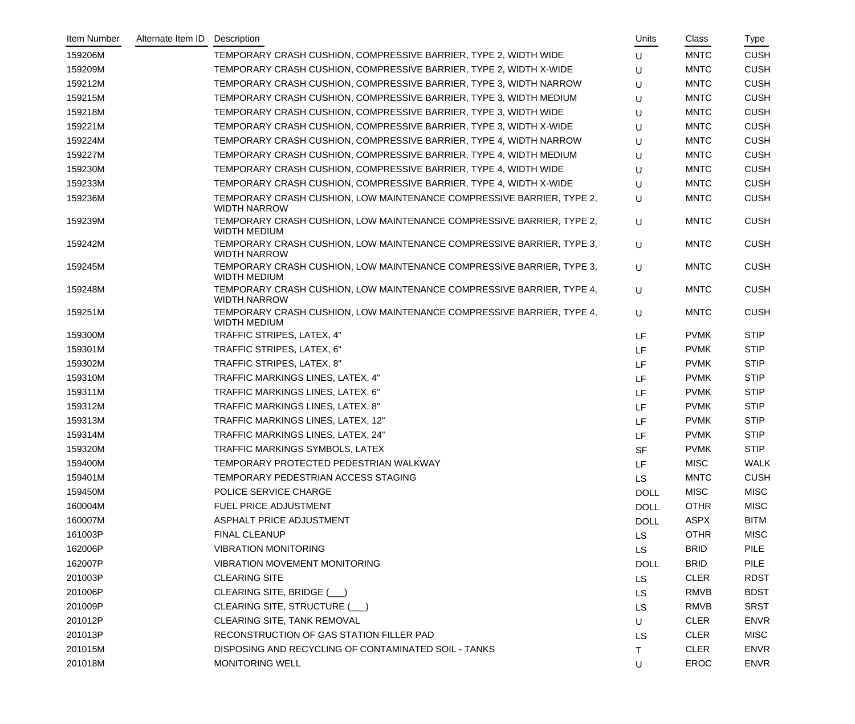| Item Number | Alternate Item ID | Description                                                                                  | Units       | Class       | Type        |
|-------------|-------------------|----------------------------------------------------------------------------------------------|-------------|-------------|-------------|
| 159206M     |                   | TEMPORARY CRASH CUSHION, COMPRESSIVE BARRIER, TYPE 2, WIDTH WIDE                             | U           | <b>MNTC</b> | <b>CUSH</b> |
| 159209M     |                   | TEMPORARY CRASH CUSHION, COMPRESSIVE BARRIER, TYPE 2, WIDTH X-WIDE                           | U           | <b>MNTC</b> | <b>CUSH</b> |
| 159212M     |                   | TEMPORARY CRASH CUSHION, COMPRESSIVE BARRIER, TYPE 3, WIDTH NARROW                           | U           | <b>MNTC</b> | <b>CUSH</b> |
| 159215M     |                   | TEMPORARY CRASH CUSHION, COMPRESSIVE BARRIER, TYPE 3, WIDTH MEDIUM                           | U           | <b>MNTC</b> | <b>CUSH</b> |
| 159218M     |                   | TEMPORARY CRASH CUSHION, COMPRESSIVE BARRIER, TYPE 3, WIDTH WIDE                             | U           | <b>MNTC</b> | <b>CUSH</b> |
| 159221M     |                   | TEMPORARY CRASH CUSHION, COMPRESSIVE BARRIER, TYPE 3, WIDTH X-WIDE                           | U           | <b>MNTC</b> | <b>CUSH</b> |
| 159224M     |                   | TEMPORARY CRASH CUSHION, COMPRESSIVE BARRIER, TYPE 4, WIDTH NARROW                           | U           | <b>MNTC</b> | <b>CUSH</b> |
| 159227M     |                   | TEMPORARY CRASH CUSHION, COMPRESSIVE BARRIER, TYPE 4, WIDTH MEDIUM                           | U           | <b>MNTC</b> | <b>CUSH</b> |
| 159230M     |                   | TEMPORARY CRASH CUSHION, COMPRESSIVE BARRIER, TYPE 4, WIDTH WIDE                             | U           | <b>MNTC</b> | <b>CUSH</b> |
| 159233M     |                   | TEMPORARY CRASH CUSHION, COMPRESSIVE BARRIER, TYPE 4, WIDTH X-WIDE                           | U           | <b>MNTC</b> | <b>CUSH</b> |
| 159236M     |                   | TEMPORARY CRASH CUSHION, LOW MAINTENANCE COMPRESSIVE BARRIER, TYPE 2,<br><b>WIDTH NARROW</b> | U           | <b>MNTC</b> | <b>CUSH</b> |
| 159239M     |                   | TEMPORARY CRASH CUSHION, LOW MAINTENANCE COMPRESSIVE BARRIER, TYPE 2,<br><b>WIDTH MEDIUM</b> | U           | <b>MNTC</b> | <b>CUSH</b> |
| 159242M     |                   | TEMPORARY CRASH CUSHION, LOW MAINTENANCE COMPRESSIVE BARRIER, TYPE 3,<br><b>WIDTH NARROW</b> | U           | <b>MNTC</b> | <b>CUSH</b> |
| 159245M     |                   | TEMPORARY CRASH CUSHION, LOW MAINTENANCE COMPRESSIVE BARRIER, TYPE 3,<br><b>WIDTH MEDIUM</b> | $\cup$      | <b>MNTC</b> | <b>CUSH</b> |
| 159248M     |                   | TEMPORARY CRASH CUSHION, LOW MAINTENANCE COMPRESSIVE BARRIER, TYPE 4,<br><b>WIDTH NARROW</b> | U           | <b>MNTC</b> | <b>CUSH</b> |
| 159251M     |                   | TEMPORARY CRASH CUSHION, LOW MAINTENANCE COMPRESSIVE BARRIER, TYPE 4,<br><b>WIDTH MEDIUM</b> | U           | <b>MNTC</b> | <b>CUSH</b> |
| 159300M     |                   | TRAFFIC STRIPES, LATEX, 4"                                                                   | LF          | <b>PVMK</b> | <b>STIP</b> |
| 159301M     |                   | TRAFFIC STRIPES, LATEX, 6"                                                                   | LF          | <b>PVMK</b> | <b>STIP</b> |
| 159302M     |                   | TRAFFIC STRIPES, LATEX, 8"                                                                   | LF          | <b>PVMK</b> | <b>STIP</b> |
| 159310M     |                   | TRAFFIC MARKINGS LINES, LATEX, 4"                                                            | LF          | <b>PVMK</b> | <b>STIP</b> |
| 159311M     |                   | TRAFFIC MARKINGS LINES, LATEX, 6"                                                            | LF          | <b>PVMK</b> | <b>STIP</b> |
| 159312M     |                   | TRAFFIC MARKINGS LINES, LATEX, 8"                                                            | LF          | <b>PVMK</b> | <b>STIP</b> |
| 159313M     |                   | TRAFFIC MARKINGS LINES, LATEX, 12"                                                           | LF          | <b>PVMK</b> | <b>STIP</b> |
| 159314M     |                   | TRAFFIC MARKINGS LINES, LATEX, 24"                                                           | <b>LF</b>   | <b>PVMK</b> | <b>STIP</b> |
| 159320M     |                   | TRAFFIC MARKINGS SYMBOLS, LATEX                                                              | <b>SF</b>   | <b>PVMK</b> | <b>STIP</b> |
| 159400M     |                   | TEMPORARY PROTECTED PEDESTRIAN WALKWAY                                                       | LF          | <b>MISC</b> | <b>WALK</b> |
| 159401M     |                   | TEMPORARY PEDESTRIAN ACCESS STAGING                                                          | <b>LS</b>   | <b>MNTC</b> | <b>CUSH</b> |
| 159450M     |                   | POLICE SERVICE CHARGE                                                                        | <b>DOLL</b> | <b>MISC</b> | <b>MISC</b> |
| 160004M     |                   | FUEL PRICE ADJUSTMENT                                                                        | <b>DOLL</b> | <b>OTHR</b> | <b>MISC</b> |
| 160007M     |                   | ASPHALT PRICE ADJUSTMENT                                                                     | <b>DOLL</b> | <b>ASPX</b> | <b>BITM</b> |
| 161003P     |                   | <b>FINAL CLEANUP</b>                                                                         | <b>LS</b>   | <b>OTHR</b> | <b>MISC</b> |
| 162006P     |                   | <b>VIBRATION MONITORING</b>                                                                  | <b>LS</b>   | <b>BRID</b> | <b>PILE</b> |
| 162007P     |                   | <b>VIBRATION MOVEMENT MONITORING</b>                                                         | <b>DOLL</b> | <b>BRID</b> | <b>PILE</b> |
| 201003P     |                   | <b>CLEARING SITE</b>                                                                         | <b>LS</b>   | <b>CLER</b> | <b>RDST</b> |
| 201006P     |                   | CLEARING SITE, BRIDGE (__)                                                                   | <b>LS</b>   | <b>RMVB</b> | <b>BDST</b> |
| 201009P     |                   | CLEARING SITE, STRUCTURE (                                                                   | <b>LS</b>   | <b>RMVB</b> | <b>SRST</b> |
| 201012P     |                   | CLEARING SITE, TANK REMOVAL                                                                  | U           | <b>CLER</b> | <b>ENVR</b> |
| 201013P     |                   | RECONSTRUCTION OF GAS STATION FILLER PAD                                                     | LS          | <b>CLER</b> | <b>MISC</b> |
| 201015M     |                   | DISPOSING AND RECYCLING OF CONTAMINATED SOIL - TANKS                                         | T.          | <b>CLER</b> | <b>ENVR</b> |
| 201018M     |                   | <b>MONITORING WELL</b>                                                                       | U           | <b>EROC</b> | <b>ENVR</b> |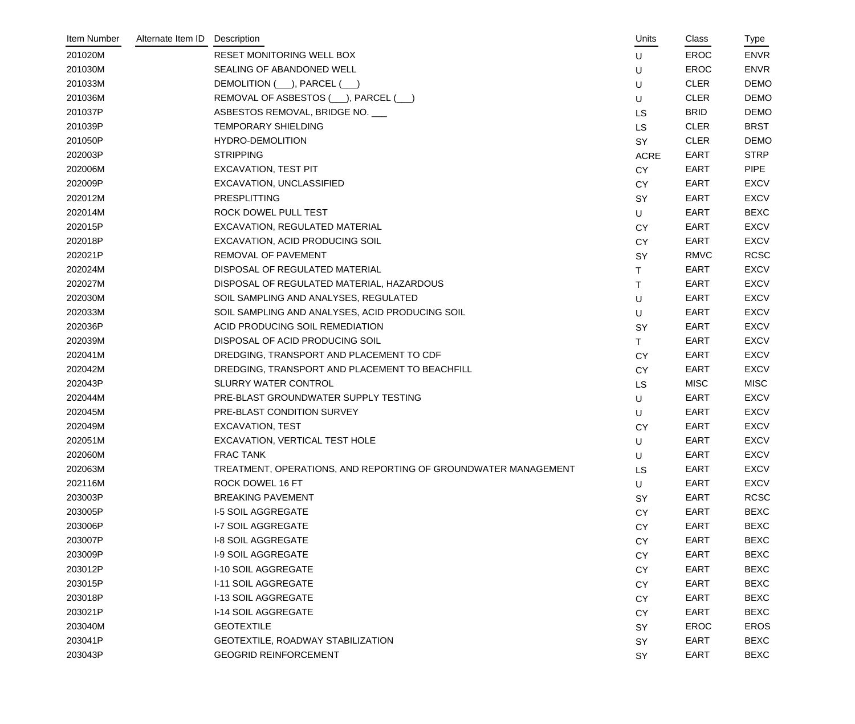| Item Number | Alternate Item ID | Description                                                    | Units       | Class       | Type        |
|-------------|-------------------|----------------------------------------------------------------|-------------|-------------|-------------|
| 201020M     |                   | RESET MONITORING WELL BOX                                      | U           | <b>EROC</b> | <b>ENVR</b> |
| 201030M     |                   | SEALING OF ABANDONED WELL                                      | U           | <b>EROC</b> | <b>ENVR</b> |
| 201033M     |                   | DEMOLITION (___), PARCEL (__)                                  | U           | <b>CLER</b> | <b>DEMO</b> |
| 201036M     |                   | REMOVAL OF ASBESTOS (), PARCEL ()                              | U           | <b>CLER</b> | <b>DEMO</b> |
| 201037P     |                   | ASBESTOS REMOVAL, BRIDGE NO.                                   | <b>LS</b>   | <b>BRID</b> | <b>DEMO</b> |
| 201039P     |                   | <b>TEMPORARY SHIELDING</b>                                     | <b>LS</b>   | <b>CLER</b> | <b>BRST</b> |
| 201050P     |                   | <b>HYDRO-DEMOLITION</b>                                        | SY          | <b>CLER</b> | <b>DEMO</b> |
| 202003P     |                   | <b>STRIPPING</b>                                               | <b>ACRE</b> | EART        | <b>STRP</b> |
| 202006M     |                   | <b>EXCAVATION, TEST PIT</b>                                    | <b>CY</b>   | EART        | <b>PIPE</b> |
| 202009P     |                   | EXCAVATION, UNCLASSIFIED                                       | <b>CY</b>   | <b>EART</b> | <b>EXCV</b> |
| 202012M     |                   | <b>PRESPLITTING</b>                                            | SY          | EART        | <b>EXCV</b> |
| 202014M     |                   | ROCK DOWEL PULL TEST                                           | $\cup$      | EART        | <b>BEXC</b> |
| 202015P     |                   | EXCAVATION, REGULATED MATERIAL                                 | <b>CY</b>   | EART        | <b>EXCV</b> |
| 202018P     |                   | EXCAVATION, ACID PRODUCING SOIL                                | <b>CY</b>   | EART        | <b>EXCV</b> |
| 202021P     |                   | REMOVAL OF PAVEMENT                                            | <b>SY</b>   | <b>RMVC</b> | <b>RCSC</b> |
| 202024M     |                   | DISPOSAL OF REGULATED MATERIAL                                 | Τ           | <b>EART</b> | <b>EXCV</b> |
| 202027M     |                   | DISPOSAL OF REGULATED MATERIAL, HAZARDOUS                      | $\top$      | EART        | <b>EXCV</b> |
| 202030M     |                   | SOIL SAMPLING AND ANALYSES, REGULATED                          | $\sf U$     | EART        | <b>EXCV</b> |
| 202033M     |                   | SOIL SAMPLING AND ANALYSES, ACID PRODUCING SOIL                | U           | EART        | <b>EXCV</b> |
| 202036P     |                   | ACID PRODUCING SOIL REMEDIATION                                | SY          | EART        | <b>EXCV</b> |
| 202039M     |                   | DISPOSAL OF ACID PRODUCING SOIL                                | $\mathsf T$ | <b>EART</b> | <b>EXCV</b> |
| 202041M     |                   | DREDGING, TRANSPORT AND PLACEMENT TO CDF                       | <b>CY</b>   | EART        | <b>EXCV</b> |
| 202042M     |                   | DREDGING, TRANSPORT AND PLACEMENT TO BEACHFILL                 | <b>CY</b>   | EART        | <b>EXCV</b> |
| 202043P     |                   | <b>SLURRY WATER CONTROL</b>                                    | <b>LS</b>   | <b>MISC</b> | <b>MISC</b> |
| 202044M     |                   | PRE-BLAST GROUNDWATER SUPPLY TESTING                           | U           | EART        | <b>EXCV</b> |
| 202045M     |                   | PRE-BLAST CONDITION SURVEY                                     | U           | EART        | <b>EXCV</b> |
| 202049M     |                   | <b>EXCAVATION, TEST</b>                                        | <b>CY</b>   | EART        | <b>EXCV</b> |
| 202051M     |                   | EXCAVATION, VERTICAL TEST HOLE                                 | U           | <b>EART</b> | <b>EXCV</b> |
| 202060M     |                   | <b>FRAC TANK</b>                                               | U           | <b>EART</b> | <b>EXCV</b> |
| 202063M     |                   | TREATMENT, OPERATIONS, AND REPORTING OF GROUNDWATER MANAGEMENT | LS          | <b>EART</b> | <b>EXCV</b> |
| 202116M     |                   | ROCK DOWEL 16 FT                                               | U           | <b>EART</b> | <b>EXCV</b> |
| 203003P     |                   | <b>BREAKING PAVEMENT</b>                                       | SY          | <b>EART</b> | <b>RCSC</b> |
| 203005P     |                   | <b>I-5 SOIL AGGREGATE</b>                                      | <b>CY</b>   | <b>EART</b> | <b>BEXC</b> |
| 203006P     |                   | <b>I-7 SOIL AGGREGATE</b>                                      | <b>CY</b>   | <b>EART</b> | <b>BEXC</b> |
| 203007P     |                   | <b>I-8 SOIL AGGREGATE</b>                                      | <b>CY</b>   | <b>EART</b> | <b>BEXC</b> |
| 203009P     |                   | <b>I-9 SOIL AGGREGATE</b>                                      | <b>CY</b>   | <b>EART</b> | <b>BEXC</b> |
| 203012P     |                   | I-10 SOIL AGGREGATE                                            | <b>CY</b>   | <b>EART</b> | <b>BEXC</b> |
| 203015P     |                   | <b>I-11 SOIL AGGREGATE</b>                                     | <b>CY</b>   | <b>EART</b> | <b>BEXC</b> |
| 203018P     |                   | I-13 SOIL AGGREGATE                                            | <b>CY</b>   | <b>EART</b> | <b>BEXC</b> |
| 203021P     |                   | <b>I-14 SOIL AGGREGATE</b>                                     | <b>CY</b>   | <b>EART</b> | <b>BEXC</b> |
| 203040M     |                   | <b>GEOTEXTILE</b>                                              | <b>SY</b>   | <b>EROC</b> | <b>EROS</b> |
| 203041P     |                   | <b>GEOTEXTILE, ROADWAY STABILIZATION</b>                       | SY          | <b>EART</b> | <b>BEXC</b> |
| 203043P     |                   | <b>GEOGRID REINFORCEMENT</b>                                   | SY          | <b>EART</b> | <b>BEXC</b> |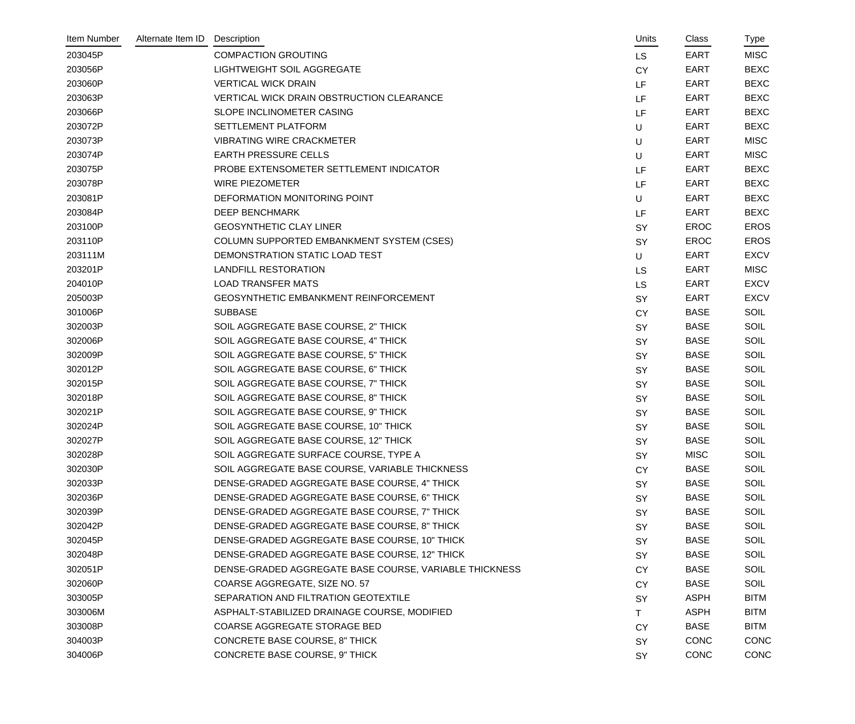| Item Number | Alternate Item ID | Description                                            | Units     | Class       | Type        |
|-------------|-------------------|--------------------------------------------------------|-----------|-------------|-------------|
| 203045P     |                   | <b>COMPACTION GROUTING</b>                             | <b>LS</b> | <b>EART</b> | <b>MISC</b> |
| 203056P     |                   | LIGHTWEIGHT SOIL AGGREGATE                             | <b>CY</b> | <b>EART</b> | <b>BEXC</b> |
| 203060P     |                   | <b>VERTICAL WICK DRAIN</b>                             | LF        | <b>EART</b> | <b>BEXC</b> |
| 203063P     |                   | VERTICAL WICK DRAIN OBSTRUCTION CLEARANCE              | LF        | <b>EART</b> | <b>BEXC</b> |
| 203066P     |                   | SLOPE INCLINOMETER CASING                              | LF        | <b>EART</b> | <b>BEXC</b> |
| 203072P     |                   | SETTLEMENT PLATFORM                                    | U         | <b>EART</b> | <b>BEXC</b> |
| 203073P     |                   | <b>VIBRATING WIRE CRACKMETER</b>                       | U         | <b>EART</b> | <b>MISC</b> |
| 203074P     |                   | <b>EARTH PRESSURE CELLS</b>                            | U         | <b>EART</b> | <b>MISC</b> |
| 203075P     |                   | PROBE EXTENSOMETER SETTLEMENT INDICATOR                | LF        | <b>EART</b> | <b>BEXC</b> |
| 203078P     |                   | <b>WIRE PIEZOMETER</b>                                 | LF        | <b>EART</b> | <b>BEXC</b> |
| 203081P     |                   | DEFORMATION MONITORING POINT                           | U         | <b>EART</b> | <b>BEXC</b> |
| 203084P     |                   | <b>DEEP BENCHMARK</b>                                  | LF        | <b>EART</b> | <b>BEXC</b> |
| 203100P     |                   | <b>GEOSYNTHETIC CLAY LINER</b>                         | SY        | <b>EROC</b> | <b>EROS</b> |
| 203110P     |                   | COLUMN SUPPORTED EMBANKMENT SYSTEM (CSES)              | SY        | <b>EROC</b> | <b>EROS</b> |
| 203111M     |                   | DEMONSTRATION STATIC LOAD TEST                         | $\cup$    | EART        | <b>EXCV</b> |
| 203201P     |                   | <b>LANDFILL RESTORATION</b>                            | LS        | <b>EART</b> | <b>MISC</b> |
| 204010P     |                   | <b>LOAD TRANSFER MATS</b>                              | LS        | <b>EART</b> | <b>EXCV</b> |
| 205003P     |                   | <b>GEOSYNTHETIC EMBANKMENT REINFORCEMENT</b>           | SY        | <b>EART</b> | <b>EXCV</b> |
| 301006P     |                   | <b>SUBBASE</b>                                         | <b>CY</b> | <b>BASE</b> | <b>SOIL</b> |
| 302003P     |                   | SOIL AGGREGATE BASE COURSE, 2" THICK                   | SY        | <b>BASE</b> | SOIL        |
| 302006P     |                   | SOIL AGGREGATE BASE COURSE, 4" THICK                   | <b>SY</b> | <b>BASE</b> | <b>SOIL</b> |
| 302009P     |                   | SOIL AGGREGATE BASE COURSE, 5" THICK                   | SY        | <b>BASE</b> | SOIL        |
| 302012P     |                   | SOIL AGGREGATE BASE COURSE, 6" THICK                   | SY        | <b>BASE</b> | <b>SOIL</b> |
| 302015P     |                   | SOIL AGGREGATE BASE COURSE, 7" THICK                   | SY        | <b>BASE</b> | SOIL        |
| 302018P     |                   | SOIL AGGREGATE BASE COURSE, 8" THICK                   | SY        | <b>BASE</b> | SOIL        |
| 302021P     |                   | SOIL AGGREGATE BASE COURSE, 9" THICK                   | SY        | <b>BASE</b> | <b>SOIL</b> |
| 302024P     |                   | SOIL AGGREGATE BASE COURSE, 10" THICK                  | <b>SY</b> | <b>BASE</b> | SOIL        |
| 302027P     |                   | SOIL AGGREGATE BASE COURSE, 12" THICK                  | SY        | <b>BASE</b> | SOIL        |
| 302028P     |                   | SOIL AGGREGATE SURFACE COURSE, TYPE A                  | <b>SY</b> | <b>MISC</b> | <b>SOIL</b> |
| 302030P     |                   | SOIL AGGREGATE BASE COURSE, VARIABLE THICKNESS         | <b>CY</b> | <b>BASE</b> | SOIL        |
| 302033P     |                   | DENSE-GRADED AGGREGATE BASE COURSE, 4" THICK           | <b>SY</b> | <b>BASE</b> | <b>SOIL</b> |
| 302036P     |                   | DENSE-GRADED AGGREGATE BASE COURSE, 6" THICK           | <b>SY</b> | <b>BASE</b> | <b>SOIL</b> |
| 302039P     |                   | DENSE-GRADED AGGREGATE BASE COURSE, 7" THICK           | SY        | <b>BASE</b> | SOIL        |
| 302042P     |                   | DENSE-GRADED AGGREGATE BASE COURSE, 8" THICK           | <b>SY</b> | <b>BASE</b> | <b>SOIL</b> |
| 302045P     |                   | DENSE-GRADED AGGREGATE BASE COURSE, 10" THICK          | <b>SY</b> | <b>BASE</b> | <b>SOIL</b> |
| 302048P     |                   | DENSE-GRADED AGGREGATE BASE COURSE, 12" THICK          | <b>SY</b> | <b>BASE</b> | SOIL        |
| 302051P     |                   | DENSE-GRADED AGGREGATE BASE COURSE, VARIABLE THICKNESS | <b>CY</b> | <b>BASE</b> | <b>SOIL</b> |
| 302060P     |                   | COARSE AGGREGATE, SIZE NO. 57                          | <b>CY</b> | <b>BASE</b> | <b>SOIL</b> |
| 303005P     |                   | SEPARATION AND FILTRATION GEOTEXTILE                   | <b>SY</b> | <b>ASPH</b> | <b>BITM</b> |
| 303006M     |                   | ASPHALT-STABILIZED DRAINAGE COURSE, MODIFIED           | T.        | <b>ASPH</b> | <b>BITM</b> |
| 303008P     |                   | COARSE AGGREGATE STORAGE BED                           | <b>CY</b> | <b>BASE</b> | <b>BITM</b> |
| 304003P     |                   | <b>CONCRETE BASE COURSE, 8" THICK</b>                  | <b>SY</b> | <b>CONC</b> | <b>CONC</b> |
| 304006P     |                   | CONCRETE BASE COURSE, 9" THICK                         | SY        | CONC        | <b>CONC</b> |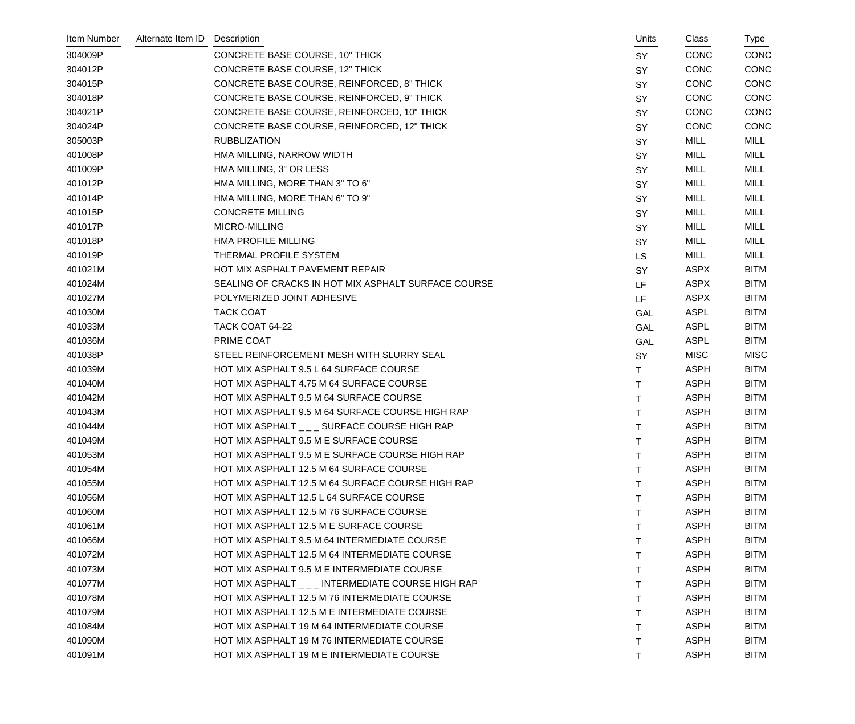| Item Number | Alternate Item ID | Description                                         | Units     | Class       | Type        |
|-------------|-------------------|-----------------------------------------------------|-----------|-------------|-------------|
| 304009P     |                   | <b>CONCRETE BASE COURSE, 10" THICK</b>              | <b>SY</b> | <b>CONC</b> | CONC        |
| 304012P     |                   | <b>CONCRETE BASE COURSE, 12" THICK</b>              | SY        | <b>CONC</b> | CONC        |
| 304015P     |                   | CONCRETE BASE COURSE, REINFORCED, 8" THICK          | SY        | <b>CONC</b> | CONC        |
| 304018P     |                   | CONCRETE BASE COURSE, REINFORCED, 9" THICK          | SY        | <b>CONC</b> | CONC        |
| 304021P     |                   | CONCRETE BASE COURSE, REINFORCED, 10" THICK         | SY        | <b>CONC</b> | CONC        |
| 304024P     |                   | CONCRETE BASE COURSE, REINFORCED, 12" THICK         | <b>SY</b> | <b>CONC</b> | CONC        |
| 305003P     |                   | <b>RUBBLIZATION</b>                                 | SY        | MILL        | MILL        |
| 401008P     |                   | HMA MILLING, NARROW WIDTH                           | SY        | MILL        | MILL        |
| 401009P     |                   | HMA MILLING, 3" OR LESS                             | SY        | <b>MILL</b> | MILL        |
| 401012P     |                   | HMA MILLING, MORE THAN 3" TO 6"                     | SY        | <b>MILL</b> | MILL        |
| 401014P     |                   | HMA MILLING, MORE THAN 6" TO 9"                     | <b>SY</b> | <b>MILL</b> | <b>MILL</b> |
| 401015P     |                   | <b>CONCRETE MILLING</b>                             | SY        | MILL        | MILL        |
| 401017P     |                   | MICRO-MILLING                                       | SY        | <b>MILL</b> | MILL        |
| 401018P     |                   | <b>HMA PROFILE MILLING</b>                          | SY        | <b>MILL</b> | MILL        |
| 401019P     |                   | THERMAL PROFILE SYSTEM                              | <b>LS</b> | MILL        | MILL        |
| 401021M     |                   | HOT MIX ASPHALT PAVEMENT REPAIR                     | <b>SY</b> | <b>ASPX</b> | <b>BITM</b> |
| 401024M     |                   | SEALING OF CRACKS IN HOT MIX ASPHALT SURFACE COURSE | LF        | ASPX        | <b>BITM</b> |
| 401027M     |                   | POLYMERIZED JOINT ADHESIVE                          | LF        | <b>ASPX</b> | <b>BITM</b> |
| 401030M     |                   | <b>TACK COAT</b>                                    | GAL       | <b>ASPL</b> | <b>BITM</b> |
| 401033M     |                   | TACK COAT 64-22                                     | GAL       | <b>ASPL</b> | <b>BITM</b> |
| 401036M     |                   | PRIME COAT                                          | GAL       | <b>ASPL</b> | <b>BITM</b> |
| 401038P     |                   | STEEL REINFORCEMENT MESH WITH SLURRY SEAL           | <b>SY</b> | <b>MISC</b> | <b>MISC</b> |
| 401039M     |                   | HOT MIX ASPHALT 9.5 L 64 SURFACE COURSE             | Τ         | <b>ASPH</b> | <b>BITM</b> |
| 401040M     |                   | HOT MIX ASPHALT 4.75 M 64 SURFACE COURSE            | Τ         | <b>ASPH</b> | <b>BITM</b> |
| 401042M     |                   | HOT MIX ASPHALT 9.5 M 64 SURFACE COURSE             | Τ         | <b>ASPH</b> | <b>BITM</b> |
| 401043M     |                   | HOT MIX ASPHALT 9.5 M 64 SURFACE COURSE HIGH RAP    |           | <b>ASPH</b> | <b>BITM</b> |
| 401044M     |                   | HOT MIX ASPHALT _ _ _ SURFACE COURSE HIGH RAP       | Τ         | <b>ASPH</b> | <b>BITM</b> |
| 401049M     |                   | HOT MIX ASPHALT 9.5 M E SURFACE COURSE              | $\top$    | <b>ASPH</b> | <b>BITM</b> |
| 401053M     |                   | HOT MIX ASPHALT 9.5 M E SURFACE COURSE HIGH RAP     | т         | <b>ASPH</b> | <b>BITM</b> |
| 401054M     |                   | HOT MIX ASPHALT 12.5 M 64 SURFACE COURSE            |           | <b>ASPH</b> | <b>BITM</b> |
| 401055M     |                   | HOT MIX ASPHALT 12.5 M 64 SURFACE COURSE HIGH RAP   |           | <b>ASPH</b> | <b>BITM</b> |
| 401056M     |                   | HOT MIX ASPHALT 12.5 L 64 SURFACE COURSE            |           | <b>ASPH</b> | <b>BITM</b> |
| 401060M     |                   | HOT MIX ASPHALT 12.5 M 76 SURFACE COURSE            | т         | <b>ASPH</b> | <b>BITM</b> |
| 401061M     |                   | HOT MIX ASPHALT 12.5 M E SURFACE COURSE             |           | <b>ASPH</b> | <b>BITM</b> |
| 401066M     |                   | HOT MIX ASPHALT 9.5 M 64 INTERMEDIATE COURSE        |           | <b>ASPH</b> | <b>BITM</b> |
| 401072M     |                   | HOT MIX ASPHALT 12.5 M 64 INTERMEDIATE COURSE       |           | <b>ASPH</b> | <b>BITM</b> |
| 401073M     |                   | HOT MIX ASPHALT 9.5 M E INTERMEDIATE COURSE         |           | <b>ASPH</b> | <b>BITM</b> |
| 401077M     |                   | HOT MIX ASPHALT _ _ _ INTERMEDIATE COURSE HIGH RAP  |           | <b>ASPH</b> | <b>BITM</b> |
| 401078M     |                   | HOT MIX ASPHALT 12.5 M 76 INTERMEDIATE COURSE       |           | <b>ASPH</b> | <b>BITM</b> |
| 401079M     |                   | HOT MIX ASPHALT 12.5 M E INTERMEDIATE COURSE        |           | <b>ASPH</b> | <b>BITM</b> |
| 401084M     |                   | HOT MIX ASPHALT 19 M 64 INTERMEDIATE COURSE         |           | <b>ASPH</b> | <b>BITM</b> |
| 401090M     |                   | HOT MIX ASPHALT 19 M 76 INTERMEDIATE COURSE         | т         | <b>ASPH</b> | <b>BITM</b> |
| 401091M     |                   | HOT MIX ASPHALT 19 M E INTERMEDIATE COURSE          |           | <b>ASPH</b> | <b>BITM</b> |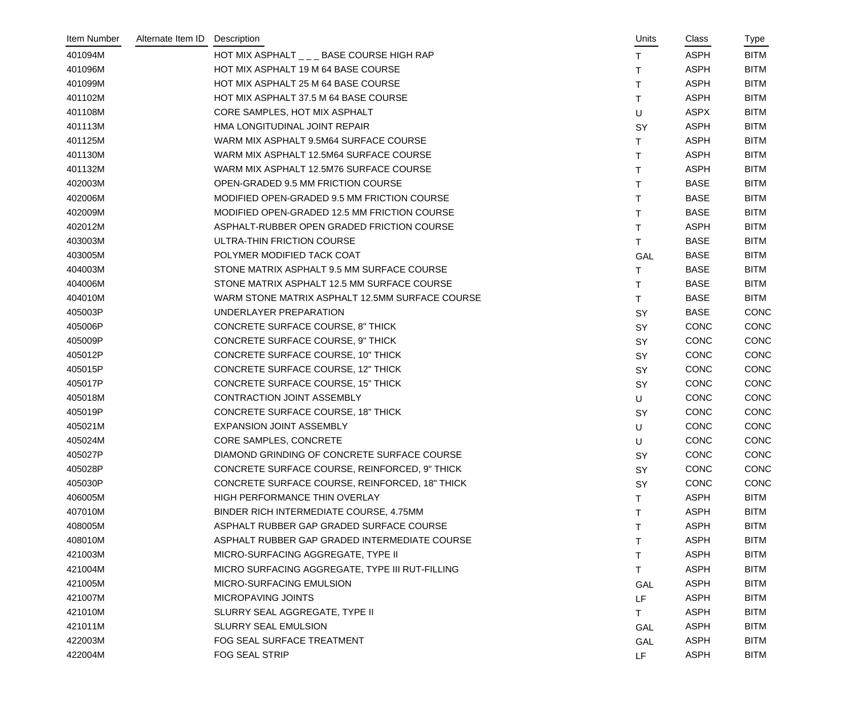| Item Number | Alternate Item ID Description |                                                 | Units      | Class       | Type        |
|-------------|-------------------------------|-------------------------------------------------|------------|-------------|-------------|
| 401094M     |                               | HOT MIX ASPHALT _ _ _ BASE COURSE HIGH RAP      | Τ          | <b>ASPH</b> | <b>BITM</b> |
| 401096M     |                               | HOT MIX ASPHALT 19 M 64 BASE COURSE             | T          | <b>ASPH</b> | <b>BITM</b> |
| 401099M     |                               | HOT MIX ASPHALT 25 M 64 BASE COURSE             | Τ          | <b>ASPH</b> | <b>BITM</b> |
| 401102M     |                               | HOT MIX ASPHALT 37.5 M 64 BASE COURSE           | T          | <b>ASPH</b> | <b>BITM</b> |
| 401108M     |                               | CORE SAMPLES, HOT MIX ASPHALT                   | U          | <b>ASPX</b> | <b>BITM</b> |
| 401113M     |                               | HMA LONGITUDINAL JOINT REPAIR                   | SY         | <b>ASPH</b> | <b>BITM</b> |
| 401125M     |                               | WARM MIX ASPHALT 9.5M64 SURFACE COURSE          | T.         | <b>ASPH</b> | <b>BITM</b> |
| 401130M     |                               | WARM MIX ASPHALT 12.5M64 SURFACE COURSE         | Τ          | <b>ASPH</b> | <b>BITM</b> |
| 401132M     |                               | WARM MIX ASPHALT 12.5M76 SURFACE COURSE         | Τ          | <b>ASPH</b> | <b>BITM</b> |
| 402003M     |                               | OPEN-GRADED 9.5 MM FRICTION COURSE              | Τ          | <b>BASE</b> | <b>BITM</b> |
| 402006M     |                               | MODIFIED OPEN-GRADED 9.5 MM FRICTION COURSE     | T.         | <b>BASE</b> | <b>BITM</b> |
| 402009M     |                               | MODIFIED OPEN-GRADED 12.5 MM FRICTION COURSE    | T.         | <b>BASE</b> | <b>BITM</b> |
| 402012M     |                               | ASPHALT-RUBBER OPEN GRADED FRICTION COURSE      | T.         | <b>ASPH</b> | <b>BITM</b> |
| 403003M     |                               | ULTRA-THIN FRICTION COURSE                      | T.         | <b>BASE</b> | <b>BITM</b> |
| 403005M     |                               | POLYMER MODIFIED TACK COAT                      | GAL        | <b>BASE</b> | <b>BITM</b> |
| 404003M     |                               | STONE MATRIX ASPHALT 9.5 MM SURFACE COURSE      | Τ          | <b>BASE</b> | <b>BITM</b> |
| 404006M     |                               | STONE MATRIX ASPHALT 12.5 MM SURFACE COURSE     | T.         | <b>BASE</b> | <b>BITM</b> |
| 404010M     |                               | WARM STONE MATRIX ASPHALT 12.5MM SURFACE COURSE | T.         | <b>BASE</b> | <b>BITM</b> |
| 405003P     |                               | UNDERLAYER PREPARATION                          | SY         | <b>BASE</b> | <b>CONC</b> |
| 405006P     |                               | CONCRETE SURFACE COURSE, 8" THICK               | SY         | <b>CONC</b> | CONC        |
| 405009P     |                               | CONCRETE SURFACE COURSE, 9" THICK               | SY         | <b>CONC</b> | <b>CONC</b> |
| 405012P     |                               | CONCRETE SURFACE COURSE, 10" THICK              | SY         | <b>CONC</b> | CONC        |
| 405015P     |                               | CONCRETE SURFACE COURSE, 12" THICK              | SY         | <b>CONC</b> | CONC        |
| 405017P     |                               | <b>CONCRETE SURFACE COURSE, 15" THICK</b>       | SY         | <b>CONC</b> | CONC        |
| 405018M     |                               | CONTRACTION JOINT ASSEMBLY                      | U          | <b>CONC</b> | CONC        |
| 405019P     |                               | CONCRETE SURFACE COURSE, 18" THICK              | SY         | <b>CONC</b> | <b>CONC</b> |
| 405021M     |                               | <b>EXPANSION JOINT ASSEMBLY</b>                 | U          | <b>CONC</b> | CONC        |
| 405024M     |                               | CORE SAMPLES, CONCRETE                          | U          | <b>CONC</b> | CONC        |
| 405027P     |                               | DIAMOND GRINDING OF CONCRETE SURFACE COURSE     | SY         | <b>CONC</b> | <b>CONC</b> |
| 405028P     |                               | CONCRETE SURFACE COURSE, REINFORCED, 9" THICK   | SY         | <b>CONC</b> | CONC        |
| 405030P     |                               | CONCRETE SURFACE COURSE, REINFORCED, 18" THICK  | SY         | <b>CONC</b> | <b>CONC</b> |
| 406005M     |                               | HIGH PERFORMANCE THIN OVERLAY                   | т          | <b>ASPH</b> | <b>BITM</b> |
| 407010M     |                               | BINDER RICH INTERMEDIATE COURSE, 4.75MM         |            | <b>ASPH</b> | <b>BITM</b> |
| 408005M     |                               | ASPHALT RUBBER GAP GRADED SURFACE COURSE        |            | <b>ASPH</b> | <b>BITM</b> |
| 408010M     |                               | ASPHALT RUBBER GAP GRADED INTERMEDIATE COURSE   |            | <b>ASPH</b> | <b>BITM</b> |
| 421003M     |                               | MICRO-SURFACING AGGREGATE, TYPE II              | т          | <b>ASPH</b> | <b>BITM</b> |
| 421004M     |                               | MICRO SURFACING AGGREGATE, TYPE III RUT-FILLING | T.         | <b>ASPH</b> | <b>BITM</b> |
| 421005M     |                               | MICRO-SURFACING EMULSION                        | GAL        | <b>ASPH</b> | <b>BITM</b> |
| 421007M     |                               | MICROPAVING JOINTS                              | LF         | <b>ASPH</b> | <b>BITM</b> |
| 421010M     |                               | SLURRY SEAL AGGREGATE, TYPE II                  | T.         | <b>ASPH</b> | <b>BITM</b> |
| 421011M     |                               | SLURRY SEAL EMULSION                            | <b>GAL</b> | <b>ASPH</b> | <b>BITM</b> |
| 422003M     |                               | FOG SEAL SURFACE TREATMENT                      | GAL        | <b>ASPH</b> | <b>BITM</b> |
| 422004M     |                               | FOG SEAL STRIP                                  | LF         | <b>ASPH</b> | <b>BITM</b> |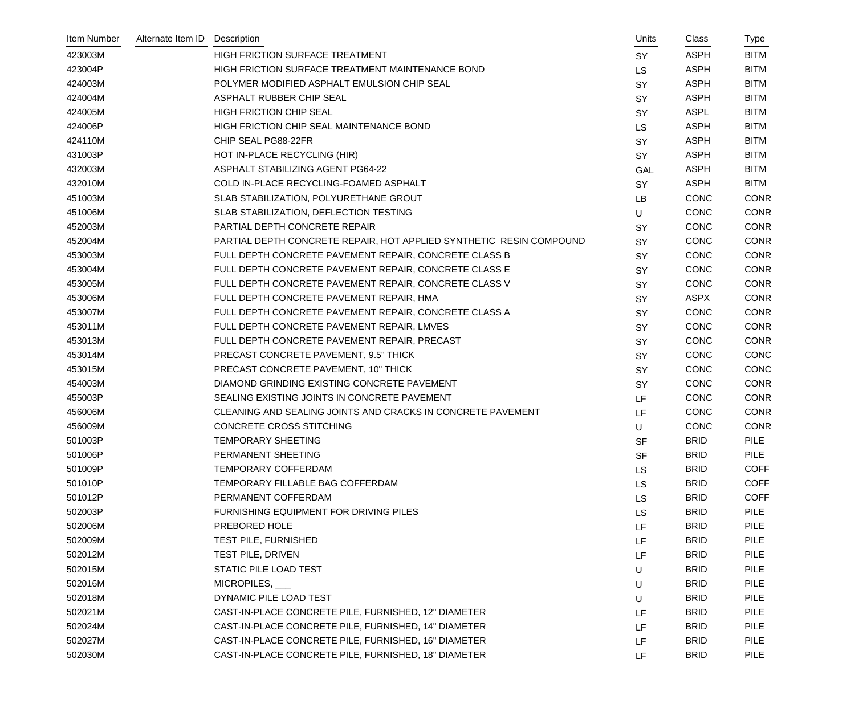| Item Number | Alternate Item ID | Description                                                         | Units     | Class       | Type        |
|-------------|-------------------|---------------------------------------------------------------------|-----------|-------------|-------------|
| 423003M     |                   | HIGH FRICTION SURFACE TREATMENT                                     | <b>SY</b> | <b>ASPH</b> | <b>BITM</b> |
| 423004P     |                   | HIGH FRICTION SURFACE TREATMENT MAINTENANCE BOND                    | <b>LS</b> | <b>ASPH</b> | <b>BITM</b> |
| 424003M     |                   | POLYMER MODIFIED ASPHALT EMULSION CHIP SEAL                         | <b>SY</b> | <b>ASPH</b> | <b>BITM</b> |
| 424004M     |                   | ASPHALT RUBBER CHIP SEAL                                            | <b>SY</b> | <b>ASPH</b> | <b>BITM</b> |
| 424005M     |                   | <b>HIGH FRICTION CHIP SEAL</b>                                      | <b>SY</b> | <b>ASPL</b> | <b>BITM</b> |
| 424006P     |                   | HIGH FRICTION CHIP SEAL MAINTENANCE BOND                            | <b>LS</b> | <b>ASPH</b> | <b>BITM</b> |
| 424110M     |                   | CHIP SEAL PG88-22FR                                                 | <b>SY</b> | <b>ASPH</b> | <b>BITM</b> |
| 431003P     |                   | HOT IN-PLACE RECYCLING (HIR)                                        | SY        | <b>ASPH</b> | <b>BITM</b> |
| 432003M     |                   | ASPHALT STABILIZING AGENT PG64-22                                   | GAL       | <b>ASPH</b> | <b>BITM</b> |
| 432010M     |                   | COLD IN-PLACE RECYCLING-FOAMED ASPHALT                              | SY        | <b>ASPH</b> | <b>BITM</b> |
| 451003M     |                   | SLAB STABILIZATION, POLYURETHANE GROUT                              | LB        | CONC        | <b>CONR</b> |
| 451006M     |                   | SLAB STABILIZATION, DEFLECTION TESTING                              | U         | CONC        | <b>CONR</b> |
| 452003M     |                   | PARTIAL DEPTH CONCRETE REPAIR                                       | <b>SY</b> | CONC        | <b>CONR</b> |
| 452004M     |                   | PARTIAL DEPTH CONCRETE REPAIR, HOT APPLIED SYNTHETIC RESIN COMPOUND | <b>SY</b> | <b>CONC</b> | <b>CONR</b> |
| 453003M     |                   | FULL DEPTH CONCRETE PAVEMENT REPAIR, CONCRETE CLASS B               | <b>SY</b> | CONC        | <b>CONR</b> |
| 453004M     |                   | FULL DEPTH CONCRETE PAVEMENT REPAIR, CONCRETE CLASS E               | SY        | CONC        | <b>CONR</b> |
| 453005M     |                   | FULL DEPTH CONCRETE PAVEMENT REPAIR, CONCRETE CLASS V               | <b>SY</b> | CONC        | <b>CONR</b> |
| 453006M     |                   | FULL DEPTH CONCRETE PAVEMENT REPAIR, HMA                            | <b>SY</b> | <b>ASPX</b> | <b>CONR</b> |
| 453007M     |                   | FULL DEPTH CONCRETE PAVEMENT REPAIR, CONCRETE CLASS A               | SY        | CONC        | <b>CONR</b> |
| 453011M     |                   | FULL DEPTH CONCRETE PAVEMENT REPAIR, LMVES                          | <b>SY</b> | CONC        | <b>CONR</b> |
| 453013M     |                   | FULL DEPTH CONCRETE PAVEMENT REPAIR, PRECAST                        | <b>SY</b> | CONC        | <b>CONR</b> |
| 453014M     |                   | PRECAST CONCRETE PAVEMENT, 9.5" THICK                               | <b>SY</b> | CONC        | CONC        |
| 453015M     |                   | PRECAST CONCRETE PAVEMENT, 10" THICK                                | SY        | CONC        | CONC        |
| 454003M     |                   | DIAMOND GRINDING EXISTING CONCRETE PAVEMENT                         | <b>SY</b> | CONC        | <b>CONR</b> |
| 455003P     |                   | SEALING EXISTING JOINTS IN CONCRETE PAVEMENT                        | <b>LF</b> | CONC        | <b>CONR</b> |
| 456006M     |                   | CLEANING AND SEALING JOINTS AND CRACKS IN CONCRETE PAVEMENT         | <b>LF</b> | <b>CONC</b> | <b>CONR</b> |
| 456009M     |                   | <b>CONCRETE CROSS STITCHING</b>                                     | U         | CONC        | <b>CONR</b> |
| 501003P     |                   | TEMPORARY SHEETING                                                  | <b>SF</b> | <b>BRID</b> | <b>PILE</b> |
| 501006P     |                   | PERMANENT SHEETING                                                  | SF        | <b>BRID</b> | PILE        |
| 501009P     |                   | TEMPORARY COFFERDAM                                                 | LS        | <b>BRID</b> | <b>COFF</b> |
| 501010P     |                   | TEMPORARY FILLABLE BAG COFFERDAM                                    | <b>LS</b> | <b>BRID</b> | <b>COFF</b> |
| 501012P     |                   | PERMANENT COFFERDAM                                                 | <b>LS</b> | <b>BRID</b> | <b>COFF</b> |
| 502003P     |                   | FURNISHING EQUIPMENT FOR DRIVING PILES                              | <b>LS</b> | <b>BRID</b> | PILE        |
| 502006M     |                   | PREBORED HOLE                                                       | LF        | <b>BRID</b> | <b>PILE</b> |
| 502009M     |                   | TEST PILE, FURNISHED                                                | LF.       | <b>BRID</b> | PILE        |
| 502012M     |                   | <b>TEST PILE, DRIVEN</b>                                            | LF        | <b>BRID</b> | <b>PILE</b> |
| 502015M     |                   | STATIC PILE LOAD TEST                                               | U         | <b>BRID</b> | PILE        |
| 502016M     |                   | MICROPILES, ___                                                     | U         | <b>BRID</b> | <b>PILE</b> |
| 502018M     |                   | DYNAMIC PILE LOAD TEST                                              | U         | <b>BRID</b> | <b>PILE</b> |
| 502021M     |                   | CAST-IN-PLACE CONCRETE PILE, FURNISHED, 12" DIAMETER                | LF        | <b>BRID</b> | PILE        |
| 502024M     |                   | CAST-IN-PLACE CONCRETE PILE, FURNISHED, 14" DIAMETER                | LF.       | <b>BRID</b> | <b>PILE</b> |
| 502027M     |                   | CAST-IN-PLACE CONCRETE PILE, FURNISHED, 16" DIAMETER                | LF        | <b>BRID</b> | PILE        |
| 502030M     |                   | CAST-IN-PLACE CONCRETE PILE, FURNISHED, 18" DIAMETER                | LF        | <b>BRID</b> | <b>PILE</b> |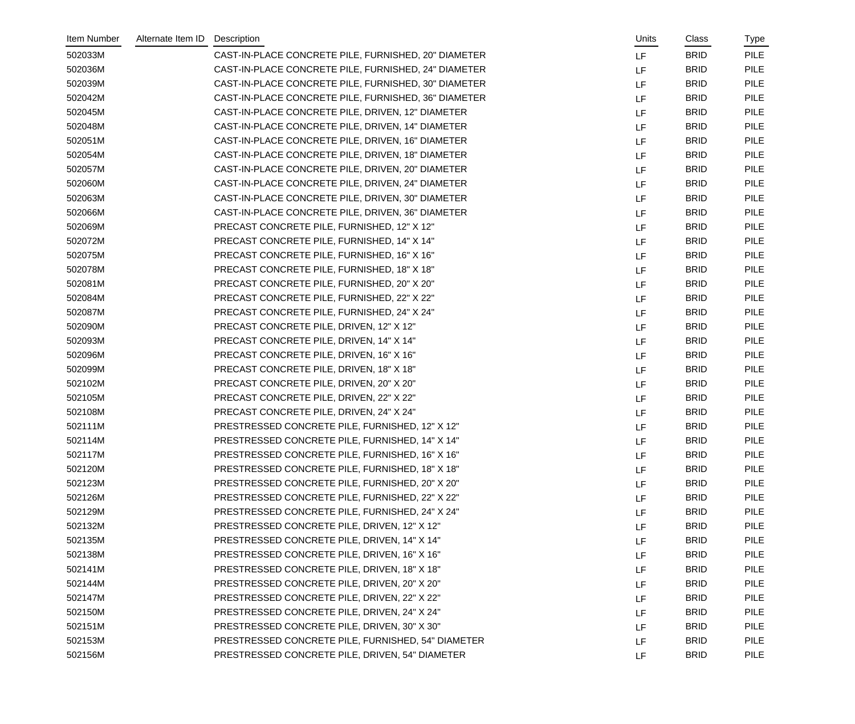| Item Number | Alternate Item ID | Description                                          | Units     | Class       | Type        |
|-------------|-------------------|------------------------------------------------------|-----------|-------------|-------------|
| 502033M     |                   | CAST-IN-PLACE CONCRETE PILE, FURNISHED, 20" DIAMETER | LF        | <b>BRID</b> | <b>PILE</b> |
| 502036M     |                   | CAST-IN-PLACE CONCRETE PILE, FURNISHED, 24" DIAMETER | <b>LF</b> | <b>BRID</b> | <b>PILE</b> |
| 502039M     |                   | CAST-IN-PLACE CONCRETE PILE, FURNISHED, 30" DIAMETER | <b>LF</b> | <b>BRID</b> | <b>PILE</b> |
| 502042M     |                   | CAST-IN-PLACE CONCRETE PILE, FURNISHED, 36" DIAMETER | LF        | <b>BRID</b> | <b>PILE</b> |
| 502045M     |                   | CAST-IN-PLACE CONCRETE PILE, DRIVEN, 12" DIAMETER    | LF        | <b>BRID</b> | <b>PILE</b> |
| 502048M     |                   | CAST-IN-PLACE CONCRETE PILE, DRIVEN, 14" DIAMETER    | LF        | <b>BRID</b> | <b>PILE</b> |
| 502051M     |                   | CAST-IN-PLACE CONCRETE PILE, DRIVEN, 16" DIAMETER    | <b>LF</b> | <b>BRID</b> | <b>PILE</b> |
| 502054M     |                   | CAST-IN-PLACE CONCRETE PILE, DRIVEN, 18" DIAMETER    | LF        | <b>BRID</b> | <b>PILE</b> |
| 502057M     |                   | CAST-IN-PLACE CONCRETE PILE, DRIVEN, 20" DIAMETER    | LF        | <b>BRID</b> | <b>PILE</b> |
| 502060M     |                   | CAST-IN-PLACE CONCRETE PILE, DRIVEN, 24" DIAMETER    | LF        | <b>BRID</b> | <b>PILE</b> |
| 502063M     |                   | CAST-IN-PLACE CONCRETE PILE, DRIVEN, 30" DIAMETER    | LF        | <b>BRID</b> | <b>PILE</b> |
| 502066M     |                   | CAST-IN-PLACE CONCRETE PILE, DRIVEN, 36" DIAMETER    | LF        | <b>BRID</b> | <b>PILE</b> |
| 502069M     |                   | PRECAST CONCRETE PILE, FURNISHED, 12" X 12"          | <b>LF</b> | <b>BRID</b> | <b>PILE</b> |
| 502072M     |                   | PRECAST CONCRETE PILE, FURNISHED, 14" X 14"          | LF        | <b>BRID</b> | <b>PILE</b> |
| 502075M     |                   | PRECAST CONCRETE PILE, FURNISHED, 16" X 16"          | LF        | <b>BRID</b> | <b>PILE</b> |
| 502078M     |                   | PRECAST CONCRETE PILE, FURNISHED, 18" X 18"          | LF        | <b>BRID</b> | <b>PILE</b> |
| 502081M     |                   | PRECAST CONCRETE PILE, FURNISHED, 20" X 20"          | <b>LF</b> | <b>BRID</b> | <b>PILE</b> |
| 502084M     |                   | PRECAST CONCRETE PILE, FURNISHED, 22" X 22"          | LF        | <b>BRID</b> | <b>PILE</b> |
| 502087M     |                   | PRECAST CONCRETE PILE, FURNISHED, 24" X 24"          | LF        | <b>BRID</b> | <b>PILE</b> |
| 502090M     |                   | PRECAST CONCRETE PILE, DRIVEN, 12" X 12"             | <b>LF</b> | <b>BRID</b> | <b>PILE</b> |
| 502093M     |                   | PRECAST CONCRETE PILE, DRIVEN, 14" X 14"             | LF        | <b>BRID</b> | <b>PILE</b> |
| 502096M     |                   | PRECAST CONCRETE PILE, DRIVEN, 16" X 16"             | LF        | <b>BRID</b> | <b>PILE</b> |
| 502099M     |                   | PRECAST CONCRETE PILE, DRIVEN, 18" X 18"             | LF        | <b>BRID</b> | <b>PILE</b> |
| 502102M     |                   | PRECAST CONCRETE PILE, DRIVEN, 20" X 20"             | LF        | <b>BRID</b> | <b>PILE</b> |
| 502105M     |                   | PRECAST CONCRETE PILE, DRIVEN, 22" X 22"             | LF        | <b>BRID</b> | <b>PILE</b> |
| 502108M     |                   | PRECAST CONCRETE PILE, DRIVEN, 24" X 24"             | <b>LF</b> | <b>BRID</b> | <b>PILE</b> |
| 502111M     |                   | PRESTRESSED CONCRETE PILE, FURNISHED, 12" X 12"      | LF        | <b>BRID</b> | <b>PILE</b> |
| 502114M     |                   | PRESTRESSED CONCRETE PILE, FURNISHED, 14" X 14"      | LF        | <b>BRID</b> | <b>PILE</b> |
| 502117M     |                   | PRESTRESSED CONCRETE PILE, FURNISHED, 16" X 16"      | LF        | <b>BRID</b> | <b>PILE</b> |
| 502120M     |                   | PRESTRESSED CONCRETE PILE, FURNISHED, 18" X 18"      | LF        | <b>BRID</b> | <b>PILE</b> |
| 502123M     |                   | PRESTRESSED CONCRETE PILE, FURNISHED, 20" X 20"      | LF        | <b>BRID</b> | <b>PILE</b> |
| 502126M     |                   | PRESTRESSED CONCRETE PILE, FURNISHED, 22" X 22"      | LF        | <b>BRID</b> | <b>PILE</b> |
| 502129M     |                   | PRESTRESSED CONCRETE PILE, FURNISHED, 24" X 24"      | LF        | <b>BRID</b> | <b>PILE</b> |
| 502132M     |                   | PRESTRESSED CONCRETE PILE, DRIVEN, 12" X 12"         | LF        | <b>BRID</b> | <b>PILE</b> |
| 502135M     |                   | PRESTRESSED CONCRETE PILE, DRIVEN, 14" X 14"         | LF        | <b>BRID</b> | <b>PILE</b> |
| 502138M     |                   | PRESTRESSED CONCRETE PILE, DRIVEN, 16" X 16"         | LF        | <b>BRID</b> | <b>PILE</b> |
| 502141M     |                   | PRESTRESSED CONCRETE PILE, DRIVEN, 18" X 18"         | LF        | <b>BRID</b> | <b>PILE</b> |
| 502144M     |                   | PRESTRESSED CONCRETE PILE, DRIVEN, 20" X 20"         | LF        | <b>BRID</b> | <b>PILE</b> |
| 502147M     |                   | PRESTRESSED CONCRETE PILE, DRIVEN, 22" X 22"         | LF        | <b>BRID</b> | <b>PILE</b> |
| 502150M     |                   | PRESTRESSED CONCRETE PILE, DRIVEN, 24" X 24"         | LF        | <b>BRID</b> | <b>PILE</b> |
| 502151M     |                   | PRESTRESSED CONCRETE PILE, DRIVEN, 30" X 30"         | LF        | <b>BRID</b> | <b>PILE</b> |
| 502153M     |                   | PRESTRESSED CONCRETE PILE, FURNISHED, 54" DIAMETER   | LF        | <b>BRID</b> | <b>PILE</b> |
| 502156M     |                   | PRESTRESSED CONCRETE PILE, DRIVEN, 54" DIAMETER      | LF        | <b>BRID</b> | <b>PILE</b> |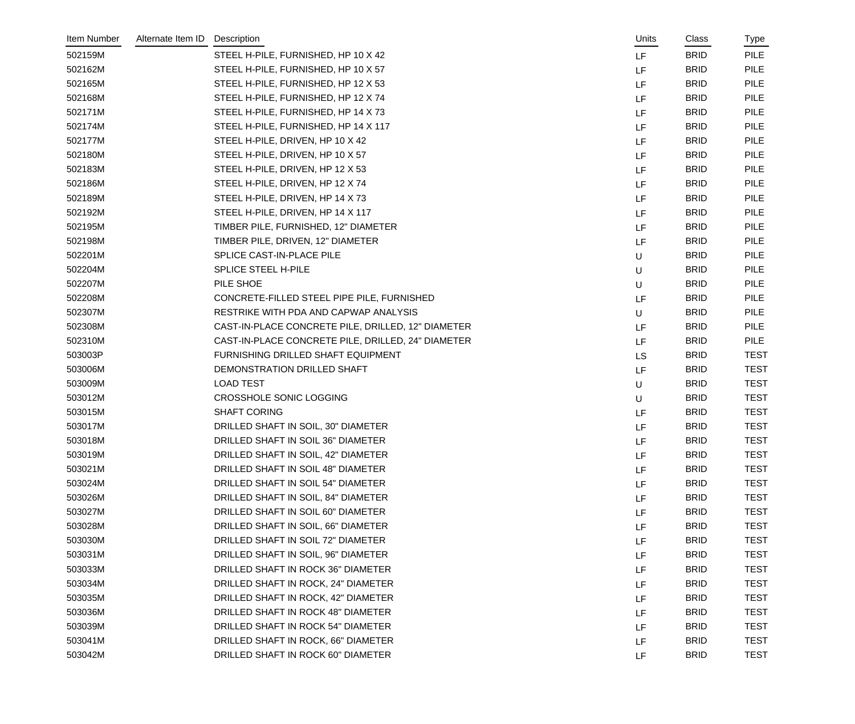| Item Number | Alternate Item ID | Description                                        | Units     | Class       | Type        |
|-------------|-------------------|----------------------------------------------------|-----------|-------------|-------------|
| 502159M     |                   | STEEL H-PILE, FURNISHED, HP 10 X 42                | LF        | <b>BRID</b> | <b>PILE</b> |
| 502162M     |                   | STEEL H-PILE, FURNISHED, HP 10 X 57                | LF        | <b>BRID</b> | <b>PILE</b> |
| 502165M     |                   | STEEL H-PILE, FURNISHED, HP 12 X 53                | LF        | <b>BRID</b> | <b>PILE</b> |
| 502168M     |                   | STEEL H-PILE, FURNISHED, HP 12 X 74                | LF        | <b>BRID</b> | <b>PILE</b> |
| 502171M     |                   | STEEL H-PILE, FURNISHED, HP 14 X 73                | LF        | <b>BRID</b> | <b>PILE</b> |
| 502174M     |                   | STEEL H-PILE, FURNISHED, HP 14 X 117               | LF        | <b>BRID</b> | <b>PILE</b> |
| 502177M     |                   | STEEL H-PILE, DRIVEN, HP 10 X 42                   | LF        | <b>BRID</b> | <b>PILE</b> |
| 502180M     |                   | STEEL H-PILE, DRIVEN, HP 10 X 57                   | LF        | <b>BRID</b> | <b>PILE</b> |
| 502183M     |                   | STEEL H-PILE, DRIVEN, HP 12 X 53                   | LF        | <b>BRID</b> | <b>PILE</b> |
| 502186M     |                   | STEEL H-PILE, DRIVEN, HP 12 X 74                   | LF        | <b>BRID</b> | <b>PILE</b> |
| 502189M     |                   | STEEL H-PILE, DRIVEN, HP 14 X 73                   | LF        | <b>BRID</b> | <b>PILE</b> |
| 502192M     |                   | STEEL H-PILE, DRIVEN, HP 14 X 117                  | LF        | <b>BRID</b> | <b>PILE</b> |
| 502195M     |                   | TIMBER PILE, FURNISHED, 12" DIAMETER               | LF        | <b>BRID</b> | <b>PILE</b> |
| 502198M     |                   | TIMBER PILE, DRIVEN, 12" DIAMETER                  | LF        | <b>BRID</b> | <b>PILE</b> |
| 502201M     |                   | SPLICE CAST-IN-PLACE PILE                          | U         | <b>BRID</b> | <b>PILE</b> |
| 502204M     |                   | SPLICE STEEL H-PILE                                | U         | <b>BRID</b> | <b>PILE</b> |
| 502207M     |                   | PILE SHOE                                          | U         | <b>BRID</b> | <b>PILE</b> |
| 502208M     |                   | CONCRETE-FILLED STEEL PIPE PILE, FURNISHED         | LF        | <b>BRID</b> | <b>PILE</b> |
| 502307M     |                   | RESTRIKE WITH PDA AND CAPWAP ANALYSIS              | U         | <b>BRID</b> | <b>PILE</b> |
| 502308M     |                   | CAST-IN-PLACE CONCRETE PILE, DRILLED, 12" DIAMETER | LF        | <b>BRID</b> | <b>PILE</b> |
| 502310M     |                   | CAST-IN-PLACE CONCRETE PILE, DRILLED, 24" DIAMETER | LF        | <b>BRID</b> | <b>PILE</b> |
| 503003P     |                   | FURNISHING DRILLED SHAFT EQUIPMENT                 | <b>LS</b> | <b>BRID</b> | <b>TEST</b> |
| 503006M     |                   | DEMONSTRATION DRILLED SHAFT                        | LF        | <b>BRID</b> | <b>TEST</b> |
| 503009M     |                   | <b>LOAD TEST</b>                                   | U         | <b>BRID</b> | <b>TEST</b> |
| 503012M     |                   | <b>CROSSHOLE SONIC LOGGING</b>                     | U         | <b>BRID</b> | <b>TEST</b> |
| 503015M     |                   | <b>SHAFT CORING</b>                                | LF        | <b>BRID</b> | <b>TEST</b> |
| 503017M     |                   | DRILLED SHAFT IN SOIL, 30" DIAMETER                | LF        | <b>BRID</b> | <b>TEST</b> |
| 503018M     |                   | DRILLED SHAFT IN SOIL 36" DIAMETER                 | LF        | <b>BRID</b> | <b>TEST</b> |
| 503019M     |                   | DRILLED SHAFT IN SOIL, 42" DIAMETER                | LF        | <b>BRID</b> | <b>TEST</b> |
| 503021M     |                   | DRILLED SHAFT IN SOIL 48" DIAMETER                 | LF        | <b>BRID</b> | <b>TEST</b> |
| 503024M     |                   | DRILLED SHAFT IN SOIL 54" DIAMETER                 | LF        | <b>BRID</b> | <b>TEST</b> |
| 503026M     |                   | DRILLED SHAFT IN SOIL, 84" DIAMETER                | LF        | <b>BRID</b> | <b>TEST</b> |
| 503027M     |                   | DRILLED SHAFT IN SOIL 60" DIAMETER                 | LF        | <b>BRID</b> | <b>TEST</b> |
| 503028M     |                   | DRILLED SHAFT IN SOIL, 66" DIAMETER                | LF        | <b>BRID</b> | <b>TEST</b> |
| 503030M     |                   | DRILLED SHAFT IN SOIL 72" DIAMETER                 | LF        | <b>BRID</b> | <b>TEST</b> |
| 503031M     |                   | DRILLED SHAFT IN SOIL, 96" DIAMETER                | LF        | <b>BRID</b> | <b>TEST</b> |
| 503033M     |                   | DRILLED SHAFT IN ROCK 36" DIAMETER                 | LF        | <b>BRID</b> | <b>TEST</b> |
| 503034M     |                   | DRILLED SHAFT IN ROCK, 24" DIAMETER                | LF        | <b>BRID</b> | <b>TEST</b> |
| 503035M     |                   | DRILLED SHAFT IN ROCK, 42" DIAMETER                | LF        | <b>BRID</b> | <b>TEST</b> |
| 503036M     |                   | DRILLED SHAFT IN ROCK 48" DIAMETER                 | LF        | <b>BRID</b> | <b>TEST</b> |
| 503039M     |                   | DRILLED SHAFT IN ROCK 54" DIAMETER                 | LF        | <b>BRID</b> | <b>TEST</b> |
| 503041M     |                   | DRILLED SHAFT IN ROCK, 66" DIAMETER                | LF        | <b>BRID</b> | <b>TEST</b> |
| 503042M     |                   | DRILLED SHAFT IN ROCK 60" DIAMETER                 | LF        | <b>BRID</b> | <b>TEST</b> |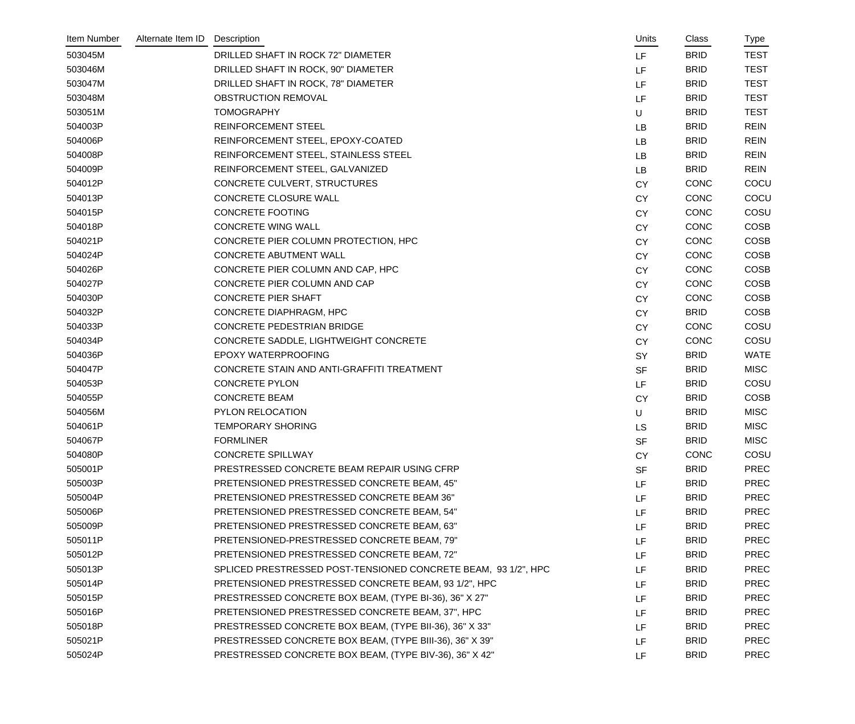| Item Number | Alternate Item ID | Description                                                    | Units     | Class       | Type        |
|-------------|-------------------|----------------------------------------------------------------|-----------|-------------|-------------|
| 503045M     |                   | DRILLED SHAFT IN ROCK 72" DIAMETER                             | LF.       | <b>BRID</b> | <b>TEST</b> |
| 503046M     |                   | DRILLED SHAFT IN ROCK, 90" DIAMETER                            | LF        | <b>BRID</b> | <b>TEST</b> |
| 503047M     |                   | DRILLED SHAFT IN ROCK, 78" DIAMETER                            | LF        | <b>BRID</b> | <b>TEST</b> |
| 503048M     |                   | OBSTRUCTION REMOVAL                                            | LF        | <b>BRID</b> | <b>TEST</b> |
| 503051M     |                   | <b>TOMOGRAPHY</b>                                              | U         | <b>BRID</b> | <b>TEST</b> |
| 504003P     |                   | <b>REINFORCEMENT STEEL</b>                                     | LB        | <b>BRID</b> | <b>REIN</b> |
| 504006P     |                   | REINFORCEMENT STEEL, EPOXY-COATED                              | LB        | <b>BRID</b> | <b>REIN</b> |
| 504008P     |                   | REINFORCEMENT STEEL, STAINLESS STEEL                           | LB        | <b>BRID</b> | <b>REIN</b> |
| 504009P     |                   | REINFORCEMENT STEEL, GALVANIZED                                | LB        | <b>BRID</b> | <b>REIN</b> |
| 504012P     |                   | CONCRETE CULVERT, STRUCTURES                                   | <b>CY</b> | <b>CONC</b> | COCU        |
| 504013P     |                   | <b>CONCRETE CLOSURE WALL</b>                                   | <b>CY</b> | <b>CONC</b> | COCU        |
| 504015P     |                   | <b>CONCRETE FOOTING</b>                                        | <b>CY</b> | <b>CONC</b> | COSU        |
| 504018P     |                   | <b>CONCRETE WING WALL</b>                                      | <b>CY</b> | <b>CONC</b> | <b>COSB</b> |
| 504021P     |                   | CONCRETE PIER COLUMN PROTECTION, HPC                           | <b>CY</b> | <b>CONC</b> | <b>COSB</b> |
| 504024P     |                   | <b>CONCRETE ABUTMENT WALL</b>                                  | <b>CY</b> | <b>CONC</b> | <b>COSB</b> |
| 504026P     |                   | CONCRETE PIER COLUMN AND CAP, HPC                              | <b>CY</b> | <b>CONC</b> | <b>COSB</b> |
| 504027P     |                   | CONCRETE PIER COLUMN AND CAP                                   | <b>CY</b> | <b>CONC</b> | <b>COSB</b> |
| 504030P     |                   | <b>CONCRETE PIER SHAFT</b>                                     | <b>CY</b> | <b>CONC</b> | <b>COSB</b> |
| 504032P     |                   | CONCRETE DIAPHRAGM, HPC                                        | <b>CY</b> | <b>BRID</b> | <b>COSB</b> |
| 504033P     |                   | CONCRETE PEDESTRIAN BRIDGE                                     | <b>CY</b> | <b>CONC</b> | COSU        |
| 504034P     |                   | CONCRETE SADDLE, LIGHTWEIGHT CONCRETE                          | <b>CY</b> | CONC        | COSU        |
| 504036P     |                   | EPOXY WATERPROOFING                                            | SY        | <b>BRID</b> | <b>WATE</b> |
| 504047P     |                   | CONCRETE STAIN AND ANTI-GRAFFITI TREATMENT                     | <b>SF</b> | <b>BRID</b> | <b>MISC</b> |
| 504053P     |                   | <b>CONCRETE PYLON</b>                                          | LF        | <b>BRID</b> | COSU        |
| 504055P     |                   | <b>CONCRETE BEAM</b>                                           | <b>CY</b> | <b>BRID</b> | <b>COSB</b> |
| 504056M     |                   | PYLON RELOCATION                                               | U         | <b>BRID</b> | <b>MISC</b> |
| 504061P     |                   | <b>TEMPORARY SHORING</b>                                       | LS        | <b>BRID</b> | <b>MISC</b> |
| 504067P     |                   | <b>FORMLINER</b>                                               | <b>SF</b> | <b>BRID</b> | <b>MISC</b> |
| 504080P     |                   | <b>CONCRETE SPILLWAY</b>                                       | <b>CY</b> | <b>CONC</b> | COSU        |
| 505001P     |                   | PRESTRESSED CONCRETE BEAM REPAIR USING CFRP                    | <b>SF</b> | <b>BRID</b> | <b>PREC</b> |
| 505003P     |                   | PRETENSIONED PRESTRESSED CONCRETE BEAM, 45"                    | LF.       | <b>BRID</b> | <b>PREC</b> |
| 505004P     |                   | PRETENSIONED PRESTRESSED CONCRETE BEAM 36"                     | <b>LF</b> | <b>BRID</b> | <b>PREC</b> |
| 505006P     |                   | PRETENSIONED PRESTRESSED CONCRETE BEAM, 54"                    | LF.       | <b>BRID</b> | <b>PREC</b> |
| 505009P     |                   | PRETENSIONED PRESTRESSED CONCRETE BEAM, 63"                    | LF.       | <b>BRID</b> | <b>PREC</b> |
| 505011P     |                   | PRETENSIONED-PRESTRESSED CONCRETE BEAM, 79"                    | <b>LF</b> | <b>BRID</b> | <b>PREC</b> |
| 505012P     |                   | PRETENSIONED PRESTRESSED CONCRETE BEAM, 72"                    | LF        | <b>BRID</b> | <b>PREC</b> |
| 505013P     |                   | SPLICED PRESTRESSED POST-TENSIONED CONCRETE BEAM, 93 1/2", HPC | LF.       | <b>BRID</b> | <b>PREC</b> |
| 505014P     |                   | PRETENSIONED PRESTRESSED CONCRETE BEAM, 93 1/2", HPC           | LF        | <b>BRID</b> | <b>PREC</b> |
| 505015P     |                   | PRESTRESSED CONCRETE BOX BEAM, (TYPE BI-36), 36" X 27"         | LF.       | <b>BRID</b> | <b>PREC</b> |
| 505016P     |                   | PRETENSIONED PRESTRESSED CONCRETE BEAM, 37", HPC               | <b>LF</b> | <b>BRID</b> | <b>PREC</b> |
| 505018P     |                   | PRESTRESSED CONCRETE BOX BEAM, (TYPE BII-36), 36" X 33"        | LF.       | <b>BRID</b> | <b>PREC</b> |
| 505021P     |                   | PRESTRESSED CONCRETE BOX BEAM, (TYPE BIII-36), 36" X 39"       | LF        | <b>BRID</b> | <b>PREC</b> |
| 505024P     |                   | PRESTRESSED CONCRETE BOX BEAM, (TYPE BIV-36), 36" X 42"        | LF.       | <b>BRID</b> | <b>PREC</b> |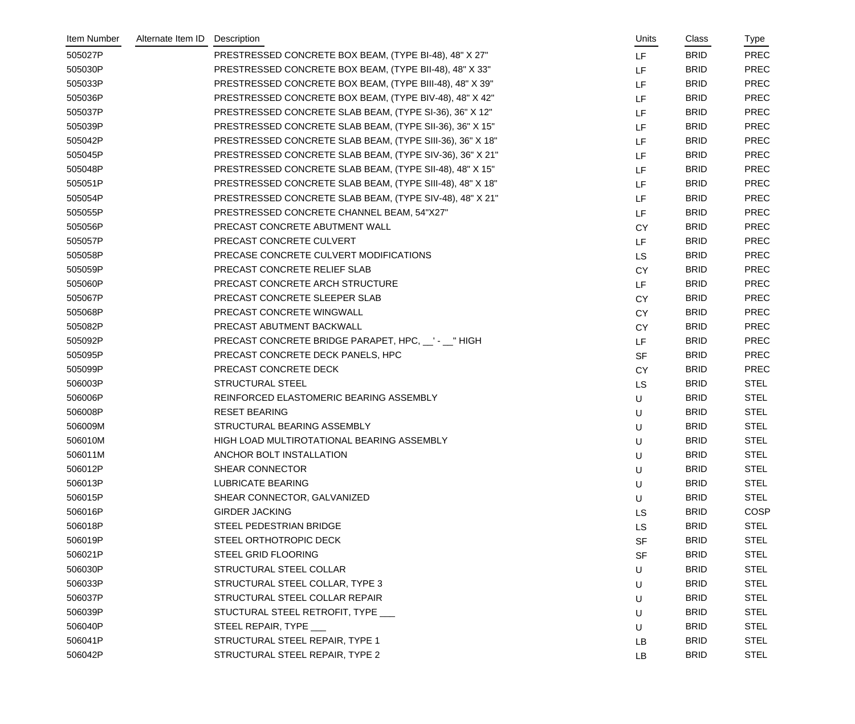| Item Number | Alternate Item ID | Description                                               | Units     | Class       | Type        |
|-------------|-------------------|-----------------------------------------------------------|-----------|-------------|-------------|
| 505027P     |                   | PRESTRESSED CONCRETE BOX BEAM, (TYPE BI-48), 48" X 27"    | LF        | <b>BRID</b> | <b>PREC</b> |
| 505030P     |                   | PRESTRESSED CONCRETE BOX BEAM, (TYPE BII-48), 48" X 33"   | LF        | <b>BRID</b> | <b>PREC</b> |
| 505033P     |                   | PRESTRESSED CONCRETE BOX BEAM, (TYPE BIII-48), 48" X 39"  | LF        | <b>BRID</b> | <b>PREC</b> |
| 505036P     |                   | PRESTRESSED CONCRETE BOX BEAM, (TYPE BIV-48), 48" X 42"   | LF        | <b>BRID</b> | <b>PREC</b> |
| 505037P     |                   | PRESTRESSED CONCRETE SLAB BEAM, (TYPE SI-36), 36" X 12"   | LF        | <b>BRID</b> | <b>PREC</b> |
| 505039P     |                   | PRESTRESSED CONCRETE SLAB BEAM, (TYPE SII-36), 36" X 15"  | LF        | <b>BRID</b> | <b>PREC</b> |
| 505042P     |                   | PRESTRESSED CONCRETE SLAB BEAM, (TYPE SIII-36), 36" X 18" | LF        | <b>BRID</b> | <b>PREC</b> |
| 505045P     |                   | PRESTRESSED CONCRETE SLAB BEAM, (TYPE SIV-36), 36" X 21"  | LF        | <b>BRID</b> | <b>PREC</b> |
| 505048P     |                   | PRESTRESSED CONCRETE SLAB BEAM, (TYPE SII-48), 48" X 15"  | LF        | <b>BRID</b> | <b>PREC</b> |
| 505051P     |                   | PRESTRESSED CONCRETE SLAB BEAM, (TYPE SIII-48), 48" X 18" | LF        | <b>BRID</b> | <b>PREC</b> |
| 505054P     |                   | PRESTRESSED CONCRETE SLAB BEAM, (TYPE SIV-48), 48" X 21"  | LF        | <b>BRID</b> | <b>PREC</b> |
| 505055P     |                   | PRESTRESSED CONCRETE CHANNEL BEAM, 54"X27"                | LF        | <b>BRID</b> | <b>PREC</b> |
| 505056P     |                   | PRECAST CONCRETE ABUTMENT WALL                            | <b>CY</b> | <b>BRID</b> | <b>PREC</b> |
| 505057P     |                   | PRECAST CONCRETE CULVERT                                  | LF        | <b>BRID</b> | <b>PREC</b> |
| 505058P     |                   | PRECASE CONCRETE CULVERT MODIFICATIONS                    | <b>LS</b> | <b>BRID</b> | <b>PREC</b> |
| 505059P     |                   | PRECAST CONCRETE RELIEF SLAB                              | <b>CY</b> | <b>BRID</b> | <b>PREC</b> |
| 505060P     |                   | PRECAST CONCRETE ARCH STRUCTURE                           | LF        | <b>BRID</b> | <b>PREC</b> |
| 505067P     |                   | PRECAST CONCRETE SLEEPER SLAB                             | <b>CY</b> | <b>BRID</b> | <b>PREC</b> |
| 505068P     |                   | PRECAST CONCRETE WINGWALL                                 | <b>CY</b> | <b>BRID</b> | <b>PREC</b> |
| 505082P     |                   | PRECAST ABUTMENT BACKWALL                                 | <b>CY</b> | <b>BRID</b> | PREC        |
| 505092P     |                   | PRECAST CONCRETE BRIDGE PARAPET, HPC, __' - __" HIGH      | LF        | <b>BRID</b> | <b>PREC</b> |
| 505095P     |                   | PRECAST CONCRETE DECK PANELS, HPC                         | <b>SF</b> | <b>BRID</b> | <b>PREC</b> |
| 505099P     |                   | PRECAST CONCRETE DECK                                     | <b>CY</b> | <b>BRID</b> | PREC        |
| 506003P     |                   | <b>STRUCTURAL STEEL</b>                                   | <b>LS</b> | <b>BRID</b> | <b>STEL</b> |
| 506006P     |                   | REINFORCED ELASTOMERIC BEARING ASSEMBLY                   | U         | <b>BRID</b> | <b>STEL</b> |
| 506008P     |                   | <b>RESET BEARING</b>                                      | U         | <b>BRID</b> | <b>STEL</b> |
| 506009M     |                   | STRUCTURAL BEARING ASSEMBLY                               | U         | <b>BRID</b> | <b>STEL</b> |
| 506010M     |                   | HIGH LOAD MULTIROTATIONAL BEARING ASSEMBLY                | U         | <b>BRID</b> | <b>STEL</b> |
| 506011M     |                   | ANCHOR BOLT INSTALLATION                                  | U         | <b>BRID</b> | <b>STEL</b> |
| 506012P     |                   | SHEAR CONNECTOR                                           | U         | <b>BRID</b> | <b>STEL</b> |
| 506013P     |                   | <b>LUBRICATE BEARING</b>                                  | U         | <b>BRID</b> | <b>STEL</b> |
| 506015P     |                   | SHEAR CONNECTOR, GALVANIZED                               | U         | <b>BRID</b> | <b>STEL</b> |
| 506016P     |                   | <b>GIRDER JACKING</b>                                     | <b>LS</b> | <b>BRID</b> | COSP        |
| 506018P     |                   | STEEL PEDESTRIAN BRIDGE                                   | <b>LS</b> | <b>BRID</b> | <b>STEL</b> |
| 506019P     |                   | STEEL ORTHOTROPIC DECK                                    | <b>SF</b> | <b>BRID</b> | <b>STEL</b> |
| 506021P     |                   | STEEL GRID FLOORING                                       | <b>SF</b> | <b>BRID</b> | <b>STEL</b> |
| 506030P     |                   | STRUCTURAL STEEL COLLAR                                   | U         | <b>BRID</b> | <b>STEL</b> |
| 506033P     |                   | STRUCTURAL STEEL COLLAR, TYPE 3                           | U         | <b>BRID</b> | <b>STEL</b> |
| 506037P     |                   | STRUCTURAL STEEL COLLAR REPAIR                            | U         | <b>BRID</b> | <b>STEL</b> |
| 506039P     |                   | STUCTURAL STEEL RETROFIT, TYPE ___                        | U         | <b>BRID</b> | <b>STEL</b> |
| 506040P     |                   | STEEL REPAIR, TYPE ___                                    | U         | <b>BRID</b> | <b>STEL</b> |
| 506041P     |                   | STRUCTURAL STEEL REPAIR, TYPE 1                           | LB        | <b>BRID</b> | <b>STEL</b> |
| 506042P     |                   | STRUCTURAL STEEL REPAIR, TYPE 2                           | LB        | <b>BRID</b> | <b>STEL</b> |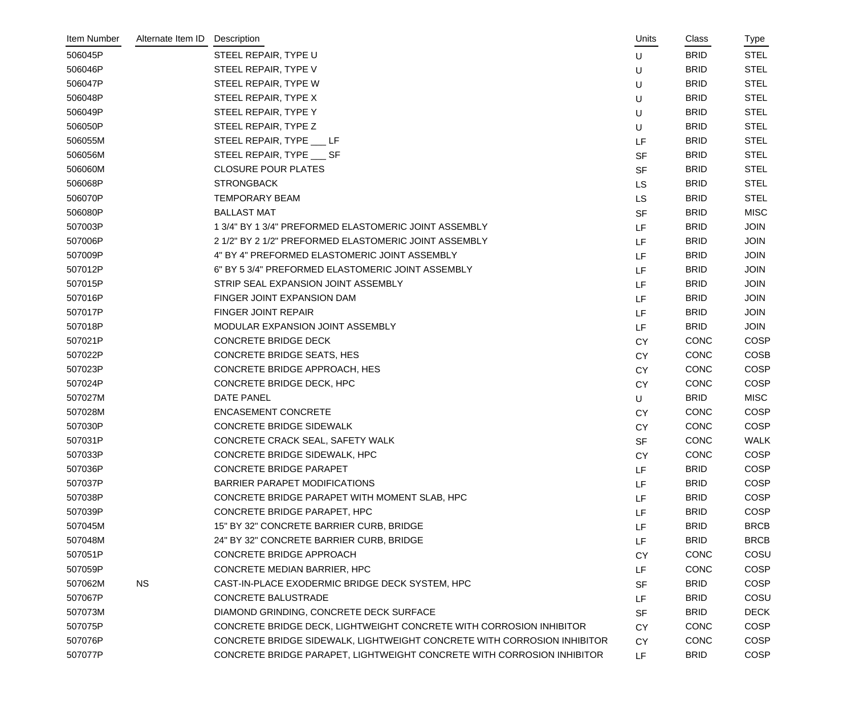| Item Number | Alternate Item ID | Description                                                             | Units     | Class       | Type        |
|-------------|-------------------|-------------------------------------------------------------------------|-----------|-------------|-------------|
| 506045P     |                   | STEEL REPAIR, TYPE U                                                    | U         | <b>BRID</b> | <b>STEL</b> |
| 506046P     |                   | STEEL REPAIR, TYPE V                                                    | U         | <b>BRID</b> | <b>STEL</b> |
| 506047P     |                   | STEEL REPAIR, TYPE W                                                    | U         | <b>BRID</b> | <b>STEL</b> |
| 506048P     |                   | STEEL REPAIR, TYPE X                                                    | U         | <b>BRID</b> | <b>STEL</b> |
| 506049P     |                   | STEEL REPAIR, TYPE Y                                                    | U         | <b>BRID</b> | <b>STEL</b> |
| 506050P     |                   | STEEL REPAIR, TYPE Z                                                    | U         | <b>BRID</b> | <b>STEL</b> |
| 506055M     |                   | STEEL REPAIR, TYPE ___ LF                                               | LF        | <b>BRID</b> | <b>STEL</b> |
| 506056M     |                   | STEEL REPAIR, TYPE ____ SF                                              | <b>SF</b> | <b>BRID</b> | <b>STEL</b> |
| 506060M     |                   | <b>CLOSURE POUR PLATES</b>                                              | <b>SF</b> | <b>BRID</b> | <b>STEL</b> |
| 506068P     |                   | <b>STRONGBACK</b>                                                       | <b>LS</b> | <b>BRID</b> | <b>STEL</b> |
| 506070P     |                   | <b>TEMPORARY BEAM</b>                                                   | <b>LS</b> | <b>BRID</b> | <b>STEL</b> |
| 506080P     |                   | <b>BALLAST MAT</b>                                                      | <b>SF</b> | <b>BRID</b> | <b>MISC</b> |
| 507003P     |                   | 1 3/4" BY 1 3/4" PREFORMED ELASTOMERIC JOINT ASSEMBLY                   | LF        | <b>BRID</b> | <b>JOIN</b> |
| 507006P     |                   | 2 1/2" BY 2 1/2" PREFORMED ELASTOMERIC JOINT ASSEMBLY                   | LF        | <b>BRID</b> | <b>JOIN</b> |
| 507009P     |                   | 4" BY 4" PREFORMED ELASTOMERIC JOINT ASSEMBLY                           | LF        | <b>BRID</b> | <b>JOIN</b> |
| 507012P     |                   | 6" BY 5 3/4" PREFORMED ELASTOMERIC JOINT ASSEMBLY                       | LF        | <b>BRID</b> | <b>JOIN</b> |
| 507015P     |                   | STRIP SEAL EXPANSION JOINT ASSEMBLY                                     | LF        | <b>BRID</b> | <b>JOIN</b> |
| 507016P     |                   | FINGER JOINT EXPANSION DAM                                              | LF        | <b>BRID</b> | <b>JOIN</b> |
| 507017P     |                   | <b>FINGER JOINT REPAIR</b>                                              | LF        | <b>BRID</b> | <b>JOIN</b> |
| 507018P     |                   | MODULAR EXPANSION JOINT ASSEMBLY                                        | LF        | <b>BRID</b> | <b>JOIN</b> |
| 507021P     |                   | <b>CONCRETE BRIDGE DECK</b>                                             | <b>CY</b> | CONC        | <b>COSP</b> |
| 507022P     |                   | <b>CONCRETE BRIDGE SEATS, HES</b>                                       | <b>CY</b> | <b>CONC</b> | <b>COSB</b> |
| 507023P     |                   | CONCRETE BRIDGE APPROACH, HES                                           | <b>CY</b> | <b>CONC</b> | <b>COSP</b> |
| 507024P     |                   | CONCRETE BRIDGE DECK, HPC                                               | <b>CY</b> | <b>CONC</b> | <b>COSP</b> |
| 507027M     |                   | <b>DATE PANEL</b>                                                       | U         | <b>BRID</b> | <b>MISC</b> |
| 507028M     |                   | <b>ENCASEMENT CONCRETE</b>                                              | <b>CY</b> | CONC        | <b>COSP</b> |
| 507030P     |                   | <b>CONCRETE BRIDGE SIDEWALK</b>                                         | <b>CY</b> | CONC        | COSP        |
| 507031P     |                   | CONCRETE CRACK SEAL, SAFETY WALK                                        | <b>SF</b> | <b>CONC</b> | <b>WALK</b> |
| 507033P     |                   | CONCRETE BRIDGE SIDEWALK, HPC                                           | <b>CY</b> | CONC        | <b>COSP</b> |
| 507036P     |                   | <b>CONCRETE BRIDGE PARAPET</b>                                          | LF        | <b>BRID</b> | COSP        |
| 507037P     |                   | <b>BARRIER PARAPET MODIFICATIONS</b>                                    | LF        | <b>BRID</b> | <b>COSP</b> |
| 507038P     |                   | CONCRETE BRIDGE PARAPET WITH MOMENT SLAB, HPC                           | LF        | <b>BRID</b> | <b>COSP</b> |
| 507039P     |                   | CONCRETE BRIDGE PARAPET, HPC                                            | LF        | <b>BRID</b> | <b>COSP</b> |
| 507045M     |                   | 15" BY 32" CONCRETE BARRIER CURB, BRIDGE                                | LF        | <b>BRID</b> | <b>BRCB</b> |
| 507048M     |                   | 24" BY 32" CONCRETE BARRIER CURB, BRIDGE                                | LF        | <b>BRID</b> | <b>BRCB</b> |
| 507051P     |                   | CONCRETE BRIDGE APPROACH                                                | <b>CY</b> | <b>CONC</b> | COSU        |
| 507059P     |                   | CONCRETE MEDIAN BARRIER, HPC                                            | LF        | <b>CONC</b> | <b>COSP</b> |
| 507062M     | <b>NS</b>         | CAST-IN-PLACE EXODERMIC BRIDGE DECK SYSTEM, HPC                         | <b>SF</b> | <b>BRID</b> | <b>COSP</b> |
| 507067P     |                   | <b>CONCRETE BALUSTRADE</b>                                              | LF        | <b>BRID</b> | COSU        |
| 507073M     |                   | DIAMOND GRINDING, CONCRETE DECK SURFACE                                 | <b>SF</b> | <b>BRID</b> | <b>DECK</b> |
| 507075P     |                   | CONCRETE BRIDGE DECK, LIGHTWEIGHT CONCRETE WITH CORROSION INHIBITOR     | <b>CY</b> | CONC        | <b>COSP</b> |
| 507076P     |                   | CONCRETE BRIDGE SIDEWALK, LIGHTWEIGHT CONCRETE WITH CORROSION INHIBITOR | <b>CY</b> | <b>CONC</b> | <b>COSP</b> |
| 507077P     |                   | CONCRETE BRIDGE PARAPET, LIGHTWEIGHT CONCRETE WITH CORROSION INHIBITOR  | LF.       | <b>BRID</b> | <b>COSP</b> |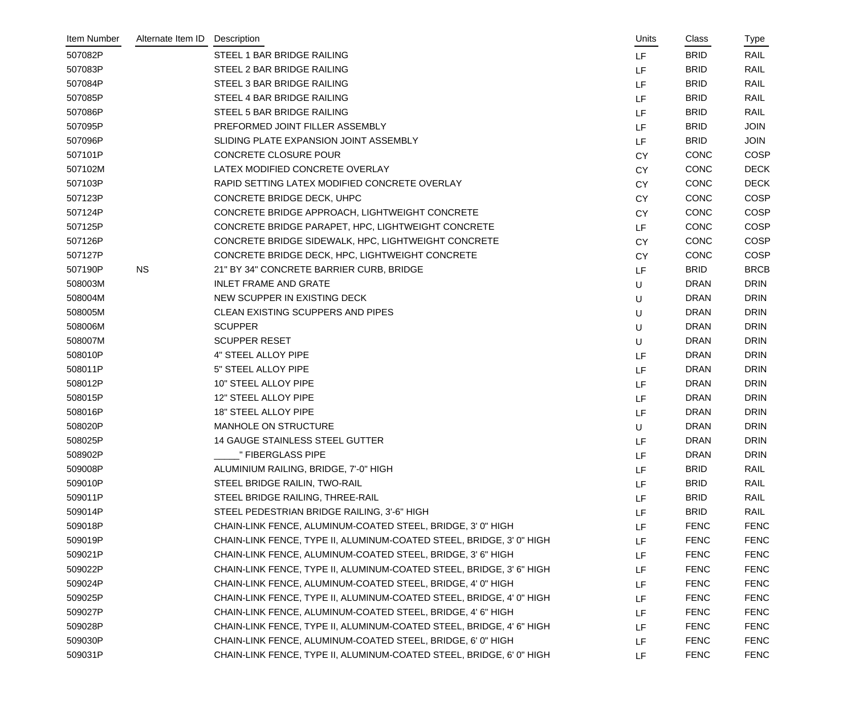| Item Number | Alternate Item ID | Description                                                          | Units     | Class       | Type        |
|-------------|-------------------|----------------------------------------------------------------------|-----------|-------------|-------------|
| 507082P     |                   | STEEL 1 BAR BRIDGE RAILING                                           | <b>LF</b> | <b>BRID</b> | <b>RAIL</b> |
| 507083P     |                   | STEEL 2 BAR BRIDGE RAILING                                           | <b>LF</b> | <b>BRID</b> | <b>RAIL</b> |
| 507084P     |                   | STEEL 3 BAR BRIDGE RAILING                                           | LF        | <b>BRID</b> | RAIL        |
| 507085P     |                   | STEEL 4 BAR BRIDGE RAILING                                           | LF        | <b>BRID</b> | RAIL        |
| 507086P     |                   | STEEL 5 BAR BRIDGE RAILING                                           | LF        | <b>BRID</b> | RAIL        |
| 507095P     |                   | PREFORMED JOINT FILLER ASSEMBLY                                      | LF        | <b>BRID</b> | <b>JOIN</b> |
| 507096P     |                   | SLIDING PLATE EXPANSION JOINT ASSEMBLY                               | LF        | <b>BRID</b> | <b>JOIN</b> |
| 507101P     |                   | <b>CONCRETE CLOSURE POUR</b>                                         | <b>CY</b> | <b>CONC</b> | <b>COSP</b> |
| 507102M     |                   | LATEX MODIFIED CONCRETE OVERLAY                                      | <b>CY</b> | <b>CONC</b> | <b>DECK</b> |
| 507103P     |                   | RAPID SETTING LATEX MODIFIED CONCRETE OVERLAY                        | <b>CY</b> | <b>CONC</b> | <b>DECK</b> |
| 507123P     |                   | CONCRETE BRIDGE DECK, UHPC                                           | <b>CY</b> | <b>CONC</b> | <b>COSP</b> |
| 507124P     |                   | CONCRETE BRIDGE APPROACH, LIGHTWEIGHT CONCRETE                       | <b>CY</b> | <b>CONC</b> | <b>COSP</b> |
| 507125P     |                   | CONCRETE BRIDGE PARAPET, HPC, LIGHTWEIGHT CONCRETE                   | LF        | <b>CONC</b> | <b>COSP</b> |
| 507126P     |                   | CONCRETE BRIDGE SIDEWALK, HPC, LIGHTWEIGHT CONCRETE                  | <b>CY</b> | <b>CONC</b> | <b>COSP</b> |
| 507127P     |                   | CONCRETE BRIDGE DECK, HPC, LIGHTWEIGHT CONCRETE                      | <b>CY</b> | <b>CONC</b> | <b>COSP</b> |
| 507190P     | <b>NS</b>         | 21" BY 34" CONCRETE BARRIER CURB, BRIDGE                             | LF        | <b>BRID</b> | <b>BRCB</b> |
| 508003M     |                   | <b>INLET FRAME AND GRATE</b>                                         | U         | <b>DRAN</b> | <b>DRIN</b> |
| 508004M     |                   | NEW SCUPPER IN EXISTING DECK                                         | U         | <b>DRAN</b> | <b>DRIN</b> |
| 508005M     |                   | CLEAN EXISTING SCUPPERS AND PIPES                                    | U         | <b>DRAN</b> | <b>DRIN</b> |
| 508006M     |                   | <b>SCUPPER</b>                                                       | U         | <b>DRAN</b> | <b>DRIN</b> |
| 508007M     |                   | <b>SCUPPER RESET</b>                                                 | U         | <b>DRAN</b> | <b>DRIN</b> |
| 508010P     |                   | 4" STEEL ALLOY PIPE                                                  | LF        | <b>DRAN</b> | <b>DRIN</b> |
| 508011P     |                   | 5" STEEL ALLOY PIPE                                                  | LF        | <b>DRAN</b> | <b>DRIN</b> |
| 508012P     |                   | 10" STEEL ALLOY PIPE                                                 | LF        | <b>DRAN</b> | <b>DRIN</b> |
| 508015P     |                   | 12" STEEL ALLOY PIPE                                                 | LF        | <b>DRAN</b> | <b>DRIN</b> |
| 508016P     |                   | 18" STEEL ALLOY PIPE                                                 | LF        | <b>DRAN</b> | <b>DRIN</b> |
| 508020P     |                   | <b>MANHOLE ON STRUCTURE</b>                                          | U         | <b>DRAN</b> | <b>DRIN</b> |
| 508025P     |                   | <b>14 GAUGE STAINLESS STEEL GUTTER</b>                               | LF        | <b>DRAN</b> | <b>DRIN</b> |
| 508902P     |                   | " FIBERGLASS PIPE                                                    | LF        | <b>DRAN</b> | <b>DRIN</b> |
| 509008P     |                   | ALUMINIUM RAILING, BRIDGE, 7'-0" HIGH                                | LF        | <b>BRID</b> | RAIL        |
| 509010P     |                   | STEEL BRIDGE RAILIN, TWO-RAIL                                        | LF        | <b>BRID</b> | RAIL        |
| 509011P     |                   | STEEL BRIDGE RAILING, THREE-RAIL                                     | LF        | <b>BRID</b> | RAIL        |
| 509014P     |                   | STEEL PEDESTRIAN BRIDGE RAILING, 3'-6" HIGH                          | LF        | <b>BRID</b> | RAIL        |
| 509018P     |                   | CHAIN-LINK FENCE, ALUMINUM-COATED STEEL, BRIDGE, 3' 0" HIGH          | LF        | <b>FENC</b> | <b>FENC</b> |
| 509019P     |                   | CHAIN-LINK FENCE, TYPE II, ALUMINUM-COATED STEEL, BRIDGE, 3' 0" HIGH | LF        | <b>FENC</b> | <b>FENC</b> |
| 509021P     |                   | CHAIN-LINK FENCE, ALUMINUM-COATED STEEL, BRIDGE, 3' 6" HIGH          | LF        | <b>FENC</b> | <b>FENC</b> |
| 509022P     |                   | CHAIN-LINK FENCE, TYPE II, ALUMINUM-COATED STEEL, BRIDGE, 3' 6" HIGH | LF        | <b>FENC</b> | <b>FENC</b> |
| 509024P     |                   | CHAIN-LINK FENCE, ALUMINUM-COATED STEEL, BRIDGE, 4' 0" HIGH          | LF        | <b>FENC</b> | <b>FENC</b> |
| 509025P     |                   | CHAIN-LINK FENCE, TYPE II, ALUMINUM-COATED STEEL, BRIDGE, 4' 0" HIGH | LF        | <b>FENC</b> | <b>FENC</b> |
| 509027P     |                   | CHAIN-LINK FENCE, ALUMINUM-COATED STEEL, BRIDGE, 4' 6" HIGH          | LF        | <b>FENC</b> | <b>FENC</b> |
| 509028P     |                   | CHAIN-LINK FENCE, TYPE II, ALUMINUM-COATED STEEL, BRIDGE, 4' 6" HIGH | LF        | <b>FENC</b> | <b>FENC</b> |
| 509030P     |                   | CHAIN-LINK FENCE, ALUMINUM-COATED STEEL, BRIDGE, 6' 0" HIGH          | LF        | <b>FENC</b> | <b>FENC</b> |
| 509031P     |                   | CHAIN-LINK FENCE, TYPE II, ALUMINUM-COATED STEEL, BRIDGE, 6' 0" HIGH | LF.       | <b>FENC</b> | <b>FENC</b> |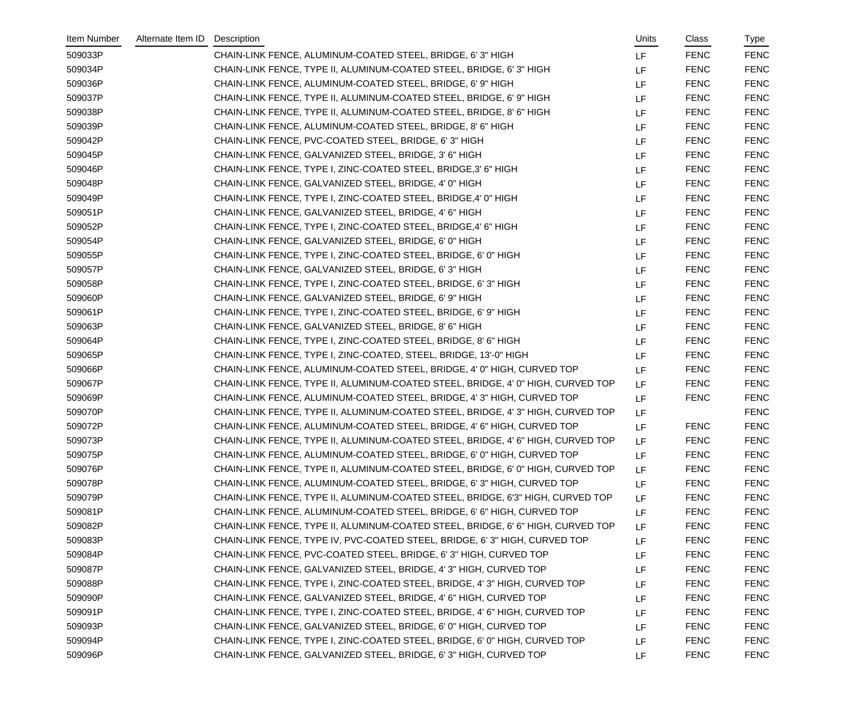| Item Number | Alternate Item ID | Description                                                                      | Units     | Class       | Type        |
|-------------|-------------------|----------------------------------------------------------------------------------|-----------|-------------|-------------|
| 509033P     |                   | CHAIN-LINK FENCE, ALUMINUM-COATED STEEL, BRIDGE, 6'3" HIGH                       | <b>LF</b> | <b>FENC</b> | <b>FENC</b> |
| 509034P     |                   | CHAIN-LINK FENCE, TYPE II, ALUMINUM-COATED STEEL, BRIDGE, 6'3" HIGH              | <b>LF</b> | <b>FENC</b> | <b>FENC</b> |
| 509036P     |                   | CHAIN-LINK FENCE, ALUMINUM-COATED STEEL, BRIDGE, 6' 9" HIGH                      | <b>LF</b> | <b>FENC</b> | <b>FENC</b> |
| 509037P     |                   | CHAIN-LINK FENCE, TYPE II, ALUMINUM-COATED STEEL, BRIDGE, 6' 9" HIGH             | <b>LF</b> | <b>FENC</b> | <b>FENC</b> |
| 509038P     |                   | CHAIN-LINK FENCE, TYPE II, ALUMINUM-COATED STEEL, BRIDGE, 8' 6" HIGH             | LF        | <b>FENC</b> | <b>FENC</b> |
| 509039P     |                   | CHAIN-LINK FENCE, ALUMINUM-COATED STEEL, BRIDGE, 8' 6" HIGH                      | <b>LF</b> | <b>FENC</b> | <b>FENC</b> |
| 509042P     |                   | CHAIN-LINK FENCE, PVC-COATED STEEL, BRIDGE, 6'3" HIGH                            | LF        | <b>FENC</b> | <b>FENC</b> |
| 509045P     |                   | CHAIN-LINK FENCE, GALVANIZED STEEL, BRIDGE, 3' 6" HIGH                           | LF        | <b>FENC</b> | <b>FENC</b> |
| 509046P     |                   | CHAIN-LINK FENCE, TYPE I, ZINC-COATED STEEL, BRIDGE, 3' 6" HIGH                  | <b>LF</b> | <b>FENC</b> | <b>FENC</b> |
| 509048P     |                   | CHAIN-LINK FENCE, GALVANIZED STEEL, BRIDGE, 4' 0" HIGH                           | LF        | <b>FENC</b> | <b>FENC</b> |
| 509049P     |                   | CHAIN-LINK FENCE, TYPE I, ZINC-COATED STEEL, BRIDGE, 4' 0" HIGH                  | LF        | <b>FENC</b> | <b>FENC</b> |
| 509051P     |                   | CHAIN-LINK FENCE, GALVANIZED STEEL, BRIDGE, 4' 6" HIGH                           | LF        | <b>FENC</b> | <b>FENC</b> |
| 509052P     |                   | CHAIN-LINK FENCE, TYPE I, ZINC-COATED STEEL, BRIDGE, 4' 6" HIGH                  | LF        | <b>FENC</b> | <b>FENC</b> |
| 509054P     |                   | CHAIN-LINK FENCE, GALVANIZED STEEL, BRIDGE, 6' 0" HIGH                           | LF        | <b>FENC</b> | <b>FENC</b> |
| 509055P     |                   | CHAIN-LINK FENCE, TYPE I, ZINC-COATED STEEL, BRIDGE, 6' 0" HIGH                  | LF        | <b>FENC</b> | <b>FENC</b> |
| 509057P     |                   | CHAIN-LINK FENCE, GALVANIZED STEEL, BRIDGE, 6'3" HIGH                            | LF        | <b>FENC</b> | <b>FENC</b> |
| 509058P     |                   | CHAIN-LINK FENCE, TYPE I, ZINC-COATED STEEL, BRIDGE, 6' 3" HIGH                  | <b>LF</b> | <b>FENC</b> | <b>FENC</b> |
| 509060P     |                   | CHAIN-LINK FENCE, GALVANIZED STEEL, BRIDGE, 6'9" HIGH                            | LF        | <b>FENC</b> | <b>FENC</b> |
| 509061P     |                   | CHAIN-LINK FENCE, TYPE I, ZINC-COATED STEEL, BRIDGE, 6' 9" HIGH                  | LF        | <b>FENC</b> | <b>FENC</b> |
| 509063P     |                   | CHAIN-LINK FENCE, GALVANIZED STEEL, BRIDGE, 8' 6" HIGH                           | LF        | <b>FENC</b> | <b>FENC</b> |
| 509064P     |                   | CHAIN-LINK FENCE, TYPE I, ZINC-COATED STEEL, BRIDGE, 8' 6" HIGH                  | LF        | <b>FENC</b> | <b>FENC</b> |
| 509065P     |                   | CHAIN-LINK FENCE, TYPE I, ZINC-COATED, STEEL, BRIDGE, 13'-0" HIGH                | LF        | <b>FENC</b> | <b>FENC</b> |
| 509066P     |                   | CHAIN-LINK FENCE, ALUMINUM-COATED STEEL, BRIDGE, 4' 0" HIGH, CURVED TOP          | LF        | <b>FENC</b> | <b>FENC</b> |
| 509067P     |                   | CHAIN-LINK FENCE, TYPE II, ALUMINUM-COATED STEEL, BRIDGE, 4' 0" HIGH, CURVED TOP | LF        | <b>FENC</b> | <b>FENC</b> |
| 509069P     |                   | CHAIN-LINK FENCE, ALUMINUM-COATED STEEL, BRIDGE, 4' 3" HIGH, CURVED TOP          | LF        | <b>FENC</b> | <b>FENC</b> |
| 509070P     |                   | CHAIN-LINK FENCE, TYPE II, ALUMINUM-COATED STEEL, BRIDGE, 4' 3" HIGH, CURVED TOP | LF        |             | <b>FENC</b> |
| 509072P     |                   | CHAIN-LINK FENCE, ALUMINUM-COATED STEEL, BRIDGE, 4' 6" HIGH, CURVED TOP          | LF        | <b>FENC</b> | <b>FENC</b> |
| 509073P     |                   | CHAIN-LINK FENCE, TYPE II, ALUMINUM-COATED STEEL, BRIDGE, 4' 6" HIGH, CURVED TOP | <b>LF</b> | <b>FENC</b> | <b>FENC</b> |
| 509075P     |                   | CHAIN-LINK FENCE, ALUMINUM-COATED STEEL, BRIDGE, 6' 0" HIGH, CURVED TOP          | <b>LF</b> | <b>FENC</b> | <b>FENC</b> |
| 509076P     |                   | CHAIN-LINK FENCE, TYPE II, ALUMINUM-COATED STEEL, BRIDGE, 6' 0" HIGH, CURVED TOP | <b>LF</b> | <b>FENC</b> | <b>FENC</b> |
| 509078P     |                   | CHAIN-LINK FENCE, ALUMINUM-COATED STEEL, BRIDGE, 6' 3" HIGH, CURVED TOP          | LF        | <b>FENC</b> | <b>FENC</b> |
| 509079P     |                   | CHAIN-LINK FENCE, TYPE II, ALUMINUM-COATED STEEL, BRIDGE, 6'3" HIGH, CURVED TOP  | <b>LF</b> | <b>FENC</b> | <b>FENC</b> |
| 509081P     |                   | CHAIN-LINK FENCE, ALUMINUM-COATED STEEL, BRIDGE, 6' 6" HIGH, CURVED TOP          | LF        | <b>FENC</b> | <b>FENC</b> |
| 509082P     |                   | CHAIN-LINK FENCE, TYPE II, ALUMINUM-COATED STEEL, BRIDGE, 6' 6" HIGH, CURVED TOP | LF        | <b>FENC</b> | <b>FENC</b> |
| 509083P     |                   | CHAIN-LINK FENCE, TYPE IV, PVC-COATED STEEL, BRIDGE, 6' 3" HIGH, CURVED TOP      | <b>LF</b> | <b>FENC</b> | <b>FENC</b> |
| 509084P     |                   | CHAIN-LINK FENCE, PVC-COATED STEEL, BRIDGE, 6' 3" HIGH, CURVED TOP               | LF        | <b>FENC</b> | <b>FENC</b> |
| 509087P     |                   | CHAIN-LINK FENCE, GALVANIZED STEEL, BRIDGE, 4' 3" HIGH, CURVED TOP               | LF        | <b>FENC</b> | <b>FENC</b> |
| 509088P     |                   | CHAIN-LINK FENCE, TYPE I, ZINC-COATED STEEL, BRIDGE, 4' 3" HIGH, CURVED TOP      | LF        | <b>FENC</b> | <b>FENC</b> |
| 509090P     |                   | CHAIN-LINK FENCE, GALVANIZED STEEL, BRIDGE, 4' 6" HIGH, CURVED TOP               | LF        | <b>FENC</b> | <b>FENC</b> |
| 509091P     |                   | CHAIN-LINK FENCE, TYPE I, ZINC-COATED STEEL, BRIDGE, 4' 6" HIGH, CURVED TOP      | LF        | <b>FENC</b> | <b>FENC</b> |
| 509093P     |                   | CHAIN-LINK FENCE, GALVANIZED STEEL, BRIDGE, 6' 0" HIGH, CURVED TOP               | LF        | <b>FENC</b> | <b>FENC</b> |
| 509094P     |                   | CHAIN-LINK FENCE, TYPE I, ZINC-COATED STEEL, BRIDGE, 6' 0" HIGH, CURVED TOP      | LF        | <b>FENC</b> | <b>FENC</b> |
| 509096P     |                   | CHAIN-LINK FENCE, GALVANIZED STEEL, BRIDGE, 6' 3" HIGH, CURVED TOP               | LF        | <b>FENC</b> | <b>FENC</b> |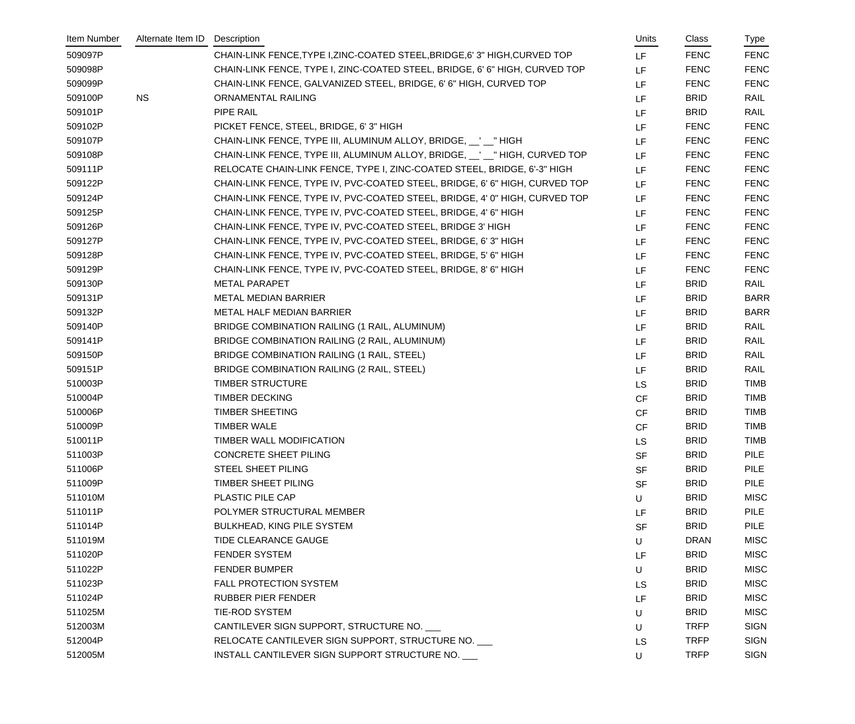| Item Number | Alternate Item ID | Description                                                                  | Units     | Class       | Type        |
|-------------|-------------------|------------------------------------------------------------------------------|-----------|-------------|-------------|
| 509097P     |                   | CHAIN-LINK FENCE, TYPE I, ZINC-COATED STEEL, BRIDGE, 6' 3" HIGH, CURVED TOP  | <b>LF</b> | <b>FENC</b> | <b>FENC</b> |
| 509098P     |                   | CHAIN-LINK FENCE, TYPE I, ZINC-COATED STEEL, BRIDGE, 6' 6" HIGH, CURVED TOP  | LF        | <b>FENC</b> | <b>FENC</b> |
| 509099P     |                   | CHAIN-LINK FENCE, GALVANIZED STEEL, BRIDGE, 6' 6" HIGH, CURVED TOP           | LF        | <b>FENC</b> | <b>FENC</b> |
| 509100P     | <b>NS</b>         | ORNAMENTAL RAILING                                                           | <b>LF</b> | <b>BRID</b> | RAIL        |
| 509101P     |                   | PIPE RAIL                                                                    | LF        | <b>BRID</b> | <b>RAIL</b> |
| 509102P     |                   | PICKET FENCE, STEEL, BRIDGE, 6'3" HIGH                                       | LF        | <b>FENC</b> | <b>FENC</b> |
| 509107P     |                   | CHAIN-LINK FENCE, TYPE III, ALUMINUM ALLOY, BRIDGE, \[1 \]                   | LF        | <b>FENC</b> | <b>FENC</b> |
| 509108P     |                   | CHAIN-LINK FENCE, TYPE III, ALUMINUM ALLOY, BRIDGE, __' __" HIGH, CURVED TOP | <b>LF</b> | <b>FENC</b> | <b>FENC</b> |
| 509111P     |                   | RELOCATE CHAIN-LINK FENCE, TYPE I, ZINC-COATED STEEL, BRIDGE, 6'-3" HIGH     | <b>LF</b> | <b>FENC</b> | <b>FENC</b> |
| 509122P     |                   | CHAIN-LINK FENCE, TYPE IV, PVC-COATED STEEL, BRIDGE, 6' 6" HIGH, CURVED TOP  | LF        | <b>FENC</b> | <b>FENC</b> |
| 509124P     |                   | CHAIN-LINK FENCE, TYPE IV, PVC-COATED STEEL, BRIDGE, 4' 0" HIGH, CURVED TOP  | <b>LF</b> | <b>FENC</b> | <b>FENC</b> |
| 509125P     |                   | CHAIN-LINK FENCE, TYPE IV, PVC-COATED STEEL, BRIDGE, 4' 6" HIGH              | LF        | <b>FENC</b> | <b>FENC</b> |
| 509126P     |                   | CHAIN-LINK FENCE, TYPE IV, PVC-COATED STEEL, BRIDGE 3' HIGH                  | LF        | <b>FENC</b> | <b>FENC</b> |
| 509127P     |                   | CHAIN-LINK FENCE, TYPE IV, PVC-COATED STEEL, BRIDGE, 6' 3" HIGH              | LF        | <b>FENC</b> | <b>FENC</b> |
| 509128P     |                   | CHAIN-LINK FENCE, TYPE IV, PVC-COATED STEEL, BRIDGE, 5' 6" HIGH              | LF        | <b>FENC</b> | <b>FENC</b> |
| 509129P     |                   | CHAIN-LINK FENCE, TYPE IV, PVC-COATED STEEL, BRIDGE, 8' 6" HIGH              | LF        | <b>FENC</b> | <b>FENC</b> |
| 509130P     |                   | <b>METAL PARAPET</b>                                                         | LF        | <b>BRID</b> | RAIL        |
| 509131P     |                   | <b>METAL MEDIAN BARRIER</b>                                                  | LF        | <b>BRID</b> | <b>BARR</b> |
| 509132P     |                   | METAL HALF MEDIAN BARRIER                                                    | LF        | <b>BRID</b> | <b>BARR</b> |
| 509140P     |                   | BRIDGE COMBINATION RAILING (1 RAIL, ALUMINUM)                                | LF        | <b>BRID</b> | RAIL        |
| 509141P     |                   | BRIDGE COMBINATION RAILING (2 RAIL, ALUMINUM)                                | LF        | <b>BRID</b> | RAIL        |
| 509150P     |                   | BRIDGE COMBINATION RAILING (1 RAIL, STEEL)                                   | LF        | <b>BRID</b> | RAIL        |
| 509151P     |                   | BRIDGE COMBINATION RAILING (2 RAIL, STEEL)                                   | LF        | <b>BRID</b> | RAIL        |
| 510003P     |                   | <b>TIMBER STRUCTURE</b>                                                      | <b>LS</b> | <b>BRID</b> | <b>TIMB</b> |
| 510004P     |                   | <b>TIMBER DECKING</b>                                                        | <b>CF</b> | <b>BRID</b> | <b>TIMB</b> |
| 510006P     |                   | <b>TIMBER SHEETING</b>                                                       | <b>CF</b> | <b>BRID</b> | <b>TIMB</b> |
| 510009P     |                   | <b>TIMBER WALE</b>                                                           | <b>CF</b> | <b>BRID</b> | <b>TIMB</b> |
| 510011P     |                   | TIMBER WALL MODIFICATION                                                     | <b>LS</b> | <b>BRID</b> | <b>TIMB</b> |
| 511003P     |                   | <b>CONCRETE SHEET PILING</b>                                                 | <b>SF</b> | <b>BRID</b> | PILE        |
| 511006P     |                   | STEEL SHEET PILING                                                           | <b>SF</b> | <b>BRID</b> | <b>PILE</b> |
| 511009P     |                   | TIMBER SHEET PILING                                                          | <b>SF</b> | <b>BRID</b> | <b>PILE</b> |
| 511010M     |                   | PLASTIC PILE CAP                                                             | U         | <b>BRID</b> | <b>MISC</b> |
| 511011P     |                   | POLYMER STRUCTURAL MEMBER                                                    | LF        | <b>BRID</b> | <b>PILE</b> |
| 511014P     |                   | <b>BULKHEAD, KING PILE SYSTEM</b>                                            | <b>SF</b> | <b>BRID</b> | <b>PILE</b> |
| 511019M     |                   | TIDE CLEARANCE GAUGE                                                         | U         | <b>DRAN</b> | <b>MISC</b> |
| 511020P     |                   | FENDER SYSTEM                                                                | LF        | <b>BRID</b> | <b>MISC</b> |
| 511022P     |                   | <b>FENDER BUMPER</b>                                                         | U         | <b>BRID</b> | <b>MISC</b> |
| 511023P     |                   | FALL PROTECTION SYSTEM                                                       | <b>LS</b> | <b>BRID</b> | <b>MISC</b> |
| 511024P     |                   | <b>RUBBER PIER FENDER</b>                                                    | LF        | <b>BRID</b> | <b>MISC</b> |
| 511025M     |                   | TIE-ROD SYSTEM                                                               | U         | <b>BRID</b> | <b>MISC</b> |
| 512003M     |                   | CANTILEVER SIGN SUPPORT, STRUCTURE NO.                                       | U         | <b>TRFP</b> | <b>SIGN</b> |
| 512004P     |                   | RELOCATE CANTILEVER SIGN SUPPORT, STRUCTURE NO.                              | <b>LS</b> | <b>TRFP</b> | <b>SIGN</b> |
| 512005M     |                   | INSTALL CANTILEVER SIGN SUPPORT STRUCTURE NO.                                | U         | <b>TRFP</b> | <b>SIGN</b> |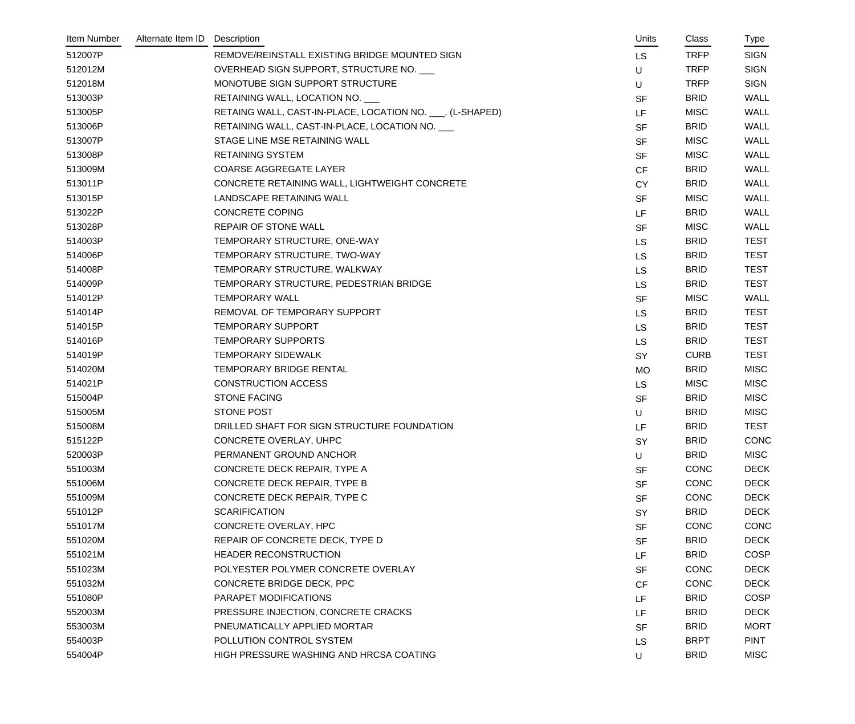| Item Number | Alternate Item ID | Description                                               | Units     | Class       | Type        |
|-------------|-------------------|-----------------------------------------------------------|-----------|-------------|-------------|
| 512007P     |                   | REMOVE/REINSTALL EXISTING BRIDGE MOUNTED SIGN             | <b>LS</b> | <b>TRFP</b> | <b>SIGN</b> |
| 512012M     |                   | OVERHEAD SIGN SUPPORT, STRUCTURE NO.                      | U         | <b>TRFP</b> | <b>SIGN</b> |
| 512018M     |                   | MONOTUBE SIGN SUPPORT STRUCTURE                           | U         | <b>TRFP</b> | <b>SIGN</b> |
| 513003P     |                   | RETAINING WALL, LOCATION NO.                              | <b>SF</b> | <b>BRID</b> | <b>WALL</b> |
| 513005P     |                   | RETAING WALL, CAST-IN-PLACE, LOCATION NO. ___, (L-SHAPED) | LF        | <b>MISC</b> | <b>WALL</b> |
| 513006P     |                   | RETAINING WALL, CAST-IN-PLACE, LOCATION NO.               | <b>SF</b> | <b>BRID</b> | <b>WALL</b> |
| 513007P     |                   | STAGE LINE MSE RETAINING WALL                             | <b>SF</b> | <b>MISC</b> | <b>WALL</b> |
| 513008P     |                   | <b>RETAINING SYSTEM</b>                                   | <b>SF</b> | <b>MISC</b> | <b>WALL</b> |
| 513009M     |                   | <b>COARSE AGGREGATE LAYER</b>                             | <b>CF</b> | <b>BRID</b> | <b>WALL</b> |
| 513011P     |                   | CONCRETE RETAINING WALL, LIGHTWEIGHT CONCRETE             | <b>CY</b> | <b>BRID</b> | <b>WALL</b> |
| 513015P     |                   | LANDSCAPE RETAINING WALL                                  | <b>SF</b> | <b>MISC</b> | <b>WALL</b> |
| 513022P     |                   | <b>CONCRETE COPING</b>                                    | LF        | <b>BRID</b> | <b>WALL</b> |
| 513028P     |                   | <b>REPAIR OF STONE WALL</b>                               | <b>SF</b> | <b>MISC</b> | <b>WALL</b> |
| 514003P     |                   | TEMPORARY STRUCTURE, ONE-WAY                              | <b>LS</b> | <b>BRID</b> | <b>TEST</b> |
| 514006P     |                   | TEMPORARY STRUCTURE, TWO-WAY                              | <b>LS</b> | <b>BRID</b> | <b>TEST</b> |
| 514008P     |                   | TEMPORARY STRUCTURE, WALKWAY                              | <b>LS</b> | <b>BRID</b> | <b>TEST</b> |
| 514009P     |                   | TEMPORARY STRUCTURE, PEDESTRIAN BRIDGE                    | <b>LS</b> | <b>BRID</b> | <b>TEST</b> |
| 514012P     |                   | <b>TEMPORARY WALL</b>                                     | <b>SF</b> | <b>MISC</b> | <b>WALL</b> |
| 514014P     |                   | REMOVAL OF TEMPORARY SUPPORT                              | <b>LS</b> | <b>BRID</b> | <b>TEST</b> |
| 514015P     |                   | <b>TEMPORARY SUPPORT</b>                                  | <b>LS</b> | <b>BRID</b> | <b>TEST</b> |
| 514016P     |                   | <b>TEMPORARY SUPPORTS</b>                                 | <b>LS</b> | <b>BRID</b> | <b>TEST</b> |
| 514019P     |                   | <b>TEMPORARY SIDEWALK</b>                                 | <b>SY</b> | <b>CURB</b> | <b>TEST</b> |
| 514020M     |                   | <b>TEMPORARY BRIDGE RENTAL</b>                            | <b>MO</b> | <b>BRID</b> | <b>MISC</b> |
| 514021P     |                   | <b>CONSTRUCTION ACCESS</b>                                | <b>LS</b> | <b>MISC</b> | <b>MISC</b> |
| 515004P     |                   | <b>STONE FACING</b>                                       | <b>SF</b> | <b>BRID</b> | <b>MISC</b> |
| 515005M     |                   | STONE POST                                                | U         | <b>BRID</b> | <b>MISC</b> |
| 515008M     |                   | DRILLED SHAFT FOR SIGN STRUCTURE FOUNDATION               | LF        | <b>BRID</b> | <b>TEST</b> |
| 515122P     |                   | CONCRETE OVERLAY, UHPC                                    | SY        | <b>BRID</b> | CONC        |
| 520003P     |                   | PERMANENT GROUND ANCHOR                                   | U         | <b>BRID</b> | <b>MISC</b> |
| 551003M     |                   | CONCRETE DECK REPAIR, TYPE A                              | <b>SF</b> | <b>CONC</b> | <b>DECK</b> |
| 551006M     |                   | CONCRETE DECK REPAIR, TYPE B                              | <b>SF</b> | <b>CONC</b> | <b>DECK</b> |
| 551009M     |                   | CONCRETE DECK REPAIR, TYPE C                              | <b>SF</b> | CONC        | <b>DECK</b> |
| 551012P     |                   | <b>SCARIFICATION</b>                                      | SY        | <b>BRID</b> | <b>DECK</b> |
| 551017M     |                   | CONCRETE OVERLAY, HPC                                     | <b>SF</b> | CONC        | <b>CONC</b> |
| 551020M     |                   | REPAIR OF CONCRETE DECK, TYPE D                           | <b>SF</b> | <b>BRID</b> | <b>DECK</b> |
| 551021M     |                   | HEADER RECONSTRUCTION                                     | LF        | <b>BRID</b> | <b>COSP</b> |
| 551023M     |                   | POLYESTER POLYMER CONCRETE OVERLAY                        | <b>SF</b> | CONC        | <b>DECK</b> |
| 551032M     |                   | CONCRETE BRIDGE DECK, PPC                                 | <b>CF</b> | CONC        | <b>DECK</b> |
| 551080P     |                   | PARAPET MODIFICATIONS                                     | LF        | <b>BRID</b> | <b>COSP</b> |
| 552003M     |                   | PRESSURE INJECTION, CONCRETE CRACKS                       | LF        | <b>BRID</b> | <b>DECK</b> |
| 553003M     |                   | PNEUMATICALLY APPLIED MORTAR                              | <b>SF</b> | <b>BRID</b> | <b>MORT</b> |
| 554003P     |                   | POLLUTION CONTROL SYSTEM                                  | LS        | <b>BRPT</b> | <b>PINT</b> |
| 554004P     |                   | HIGH PRESSURE WASHING AND HRCSA COATING                   | U         | <b>BRID</b> | <b>MISC</b> |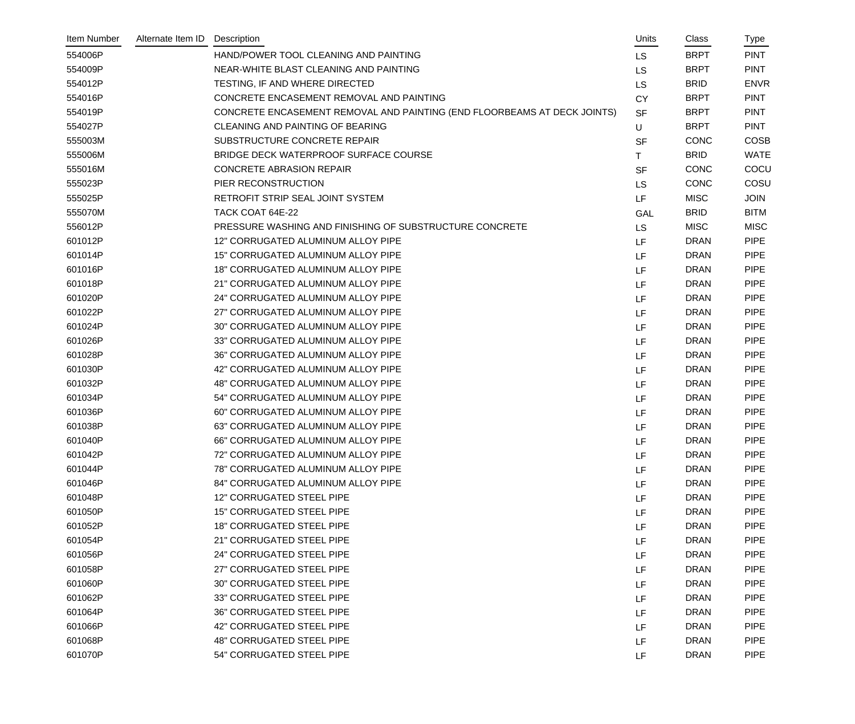| Item Number | Alternate Item ID | Description                                                              | Units     | Class       | Type        |
|-------------|-------------------|--------------------------------------------------------------------------|-----------|-------------|-------------|
| 554006P     |                   | HAND/POWER TOOL CLEANING AND PAINTING                                    | <b>LS</b> | <b>BRPT</b> | <b>PINT</b> |
| 554009P     |                   | NEAR-WHITE BLAST CLEANING AND PAINTING                                   | <b>LS</b> | <b>BRPT</b> | <b>PINT</b> |
| 554012P     |                   | TESTING, IF AND WHERE DIRECTED                                           | <b>LS</b> | <b>BRID</b> | <b>ENVR</b> |
| 554016P     |                   | CONCRETE ENCASEMENT REMOVAL AND PAINTING                                 | <b>CY</b> | <b>BRPT</b> | <b>PINT</b> |
| 554019P     |                   | CONCRETE ENCASEMENT REMOVAL AND PAINTING (END FLOORBEAMS AT DECK JOINTS) | <b>SF</b> | <b>BRPT</b> | <b>PINT</b> |
| 554027P     |                   | <b>CLEANING AND PAINTING OF BEARING</b>                                  | U         | <b>BRPT</b> | <b>PINT</b> |
| 555003M     |                   | SUBSTRUCTURE CONCRETE REPAIR                                             | <b>SF</b> | <b>CONC</b> | <b>COSB</b> |
| 555006M     |                   | BRIDGE DECK WATERPROOF SURFACE COURSE                                    | T.        | <b>BRID</b> | <b>WATE</b> |
| 555016M     |                   | <b>CONCRETE ABRASION REPAIR</b>                                          | <b>SF</b> | CONC        | COCU        |
| 555023P     |                   | PIER RECONSTRUCTION                                                      | LS        | CONC        | COSU        |
| 555025P     |                   | RETROFIT STRIP SEAL JOINT SYSTEM                                         | LF        | <b>MISC</b> | <b>JOIN</b> |
| 555070M     |                   | TACK COAT 64E-22                                                         | GAL       | <b>BRID</b> | <b>BITM</b> |
| 556012P     |                   | PRESSURE WASHING AND FINISHING OF SUBSTRUCTURE CONCRETE                  | LS        | <b>MISC</b> | <b>MISC</b> |
| 601012P     |                   | 12" CORRUGATED ALUMINUM ALLOY PIPE                                       | LF        | <b>DRAN</b> | <b>PIPE</b> |
| 601014P     |                   | 15" CORRUGATED ALUMINUM ALLOY PIPE                                       | LF        | <b>DRAN</b> | <b>PIPE</b> |
| 601016P     |                   | 18" CORRUGATED ALUMINUM ALLOY PIPE                                       | LF        | <b>DRAN</b> | <b>PIPE</b> |
| 601018P     |                   | 21" CORRUGATED ALUMINUM ALLOY PIPE                                       | LF        | <b>DRAN</b> | <b>PIPE</b> |
| 601020P     |                   | 24" CORRUGATED ALUMINUM ALLOY PIPE                                       | LF        | <b>DRAN</b> | <b>PIPE</b> |
| 601022P     |                   | 27" CORRUGATED ALUMINUM ALLOY PIPE                                       | LF        | <b>DRAN</b> | <b>PIPE</b> |
| 601024P     |                   | 30" CORRUGATED ALUMINUM ALLOY PIPE                                       | LF        | <b>DRAN</b> | <b>PIPE</b> |
| 601026P     |                   | 33" CORRUGATED ALUMINUM ALLOY PIPE                                       | LF        | <b>DRAN</b> | <b>PIPE</b> |
| 601028P     |                   | 36" CORRUGATED ALUMINUM ALLOY PIPE                                       | LF        | <b>DRAN</b> | <b>PIPE</b> |
| 601030P     |                   | 42" CORRUGATED ALUMINUM ALLOY PIPE                                       | LF        | <b>DRAN</b> | <b>PIPE</b> |
| 601032P     |                   | 48" CORRUGATED ALUMINUM ALLOY PIPE                                       | LF        | <b>DRAN</b> | <b>PIPE</b> |
| 601034P     |                   | 54" CORRUGATED ALUMINUM ALLOY PIPE                                       | LF        | <b>DRAN</b> | <b>PIPE</b> |
| 601036P     |                   | 60" CORRUGATED ALUMINUM ALLOY PIPE                                       | LF        | <b>DRAN</b> | <b>PIPE</b> |
| 601038P     |                   | 63" CORRUGATED ALUMINUM ALLOY PIPE                                       | LF        | <b>DRAN</b> | <b>PIPE</b> |
| 601040P     |                   | 66" CORRUGATED ALUMINUM ALLOY PIPE                                       | LF        | <b>DRAN</b> | <b>PIPE</b> |
| 601042P     |                   | 72" CORRUGATED ALUMINUM ALLOY PIPE                                       | LF        | <b>DRAN</b> | <b>PIPE</b> |
| 601044P     |                   | 78" CORRUGATED ALUMINUM ALLOY PIPE                                       | LF        | <b>DRAN</b> | <b>PIPE</b> |
| 601046P     |                   | 84" CORRUGATED ALUMINUM ALLOY PIPE                                       | LF        | <b>DRAN</b> | <b>PIPE</b> |
| 601048P     |                   | 12" CORRUGATED STEEL PIPE                                                | LF        | <b>DRAN</b> | <b>PIPE</b> |
| 601050P     |                   | <b>15" CORRUGATED STEEL PIPE</b>                                         | LF        | <b>DRAN</b> | <b>PIPE</b> |
| 601052P     |                   | <b>18" CORRUGATED STEEL PIPE</b>                                         | LF        | <b>DRAN</b> | <b>PIPE</b> |
| 601054P     |                   | 21" CORRUGATED STEEL PIPE                                                | LF        | <b>DRAN</b> | <b>PIPE</b> |
| 601056P     |                   | 24" CORRUGATED STEEL PIPE                                                | LF        | <b>DRAN</b> | <b>PIPE</b> |
| 601058P     |                   | 27" CORRUGATED STEEL PIPE                                                | LF        | <b>DRAN</b> | <b>PIPE</b> |
| 601060P     |                   | 30" CORRUGATED STEEL PIPE                                                | LF        | <b>DRAN</b> | <b>PIPE</b> |
| 601062P     |                   | 33" CORRUGATED STEEL PIPE                                                | LF        | <b>DRAN</b> | <b>PIPE</b> |
| 601064P     |                   | 36" CORRUGATED STEEL PIPE                                                | LF        | <b>DRAN</b> | <b>PIPE</b> |
| 601066P     |                   | 42" CORRUGATED STEEL PIPE                                                | LF        | <b>DRAN</b> | <b>PIPE</b> |
| 601068P     |                   | <b>48" CORRUGATED STEEL PIPE</b>                                         | LF        | <b>DRAN</b> | <b>PIPE</b> |
| 601070P     |                   | 54" CORRUGATED STEEL PIPE                                                | LF        | <b>DRAN</b> | <b>PIPE</b> |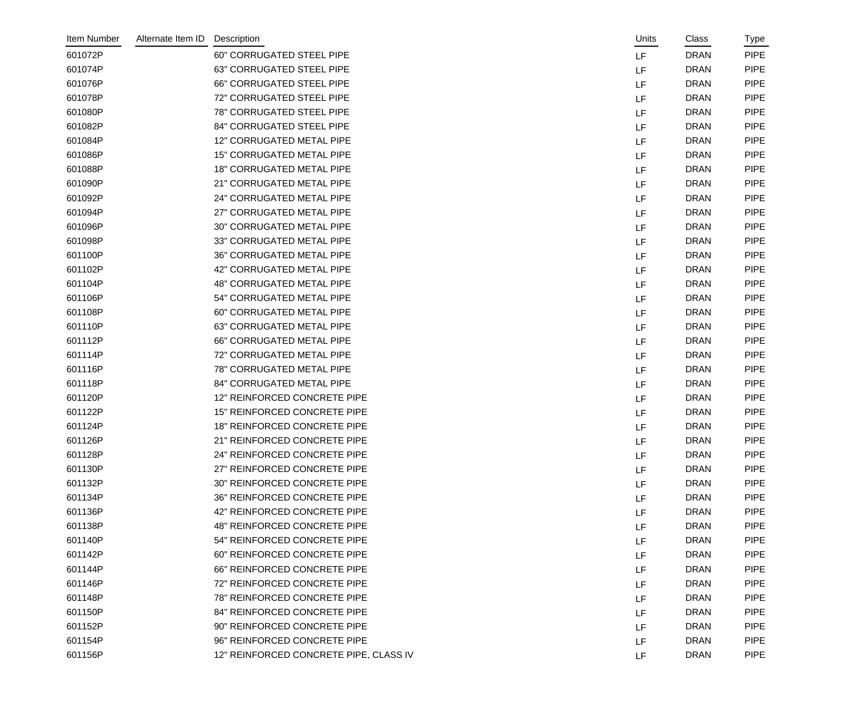| Item Number | Alternate Item ID | Description                            | Units | Class       | <b>Type</b> |
|-------------|-------------------|----------------------------------------|-------|-------------|-------------|
| 601072P     |                   | 60" CORRUGATED STEEL PIPE              | LF    | <b>DRAN</b> | <b>PIPE</b> |
| 601074P     |                   | 63" CORRUGATED STEEL PIPE              | LF    | <b>DRAN</b> | <b>PIPE</b> |
| 601076P     |                   | <b>66" CORRUGATED STEEL PIPE</b>       | LF    | <b>DRAN</b> | <b>PIPE</b> |
| 601078P     |                   | 72" CORRUGATED STEEL PIPE              | LF    | <b>DRAN</b> | <b>PIPE</b> |
| 601080P     |                   | 78" CORRUGATED STEEL PIPE              | LF    | <b>DRAN</b> | <b>PIPE</b> |
| 601082P     |                   | 84" CORRUGATED STEEL PIPE              | LF    | <b>DRAN</b> | <b>PIPE</b> |
| 601084P     |                   | 12" CORRUGATED METAL PIPE              | LF    | <b>DRAN</b> | <b>PIPE</b> |
| 601086P     |                   | <b>15" CORRUGATED METAL PIPE</b>       | LF    | <b>DRAN</b> | <b>PIPE</b> |
| 601088P     |                   | <b>18" CORRUGATED METAL PIPE</b>       | LF    | <b>DRAN</b> | <b>PIPE</b> |
| 601090P     |                   | 21" CORRUGATED METAL PIPE              | LF    | <b>DRAN</b> | <b>PIPE</b> |
| 601092P     |                   | 24" CORRUGATED METAL PIPE              | LF    | <b>DRAN</b> | <b>PIPE</b> |
| 601094P     |                   | 27" CORRUGATED METAL PIPE              | LF    | <b>DRAN</b> | <b>PIPE</b> |
| 601096P     |                   | 30" CORRUGATED METAL PIPE              | LF    | <b>DRAN</b> | <b>PIPE</b> |
| 601098P     |                   | 33" CORRUGATED METAL PIPE              | LF    | <b>DRAN</b> | <b>PIPE</b> |
| 601100P     |                   | 36" CORRUGATED METAL PIPE              | LF    | <b>DRAN</b> | <b>PIPE</b> |
| 601102P     |                   | 42" CORRUGATED METAL PIPE              | LF    | <b>DRAN</b> | <b>PIPE</b> |
| 601104P     |                   | <b>48" CORRUGATED METAL PIPE</b>       | LF    | <b>DRAN</b> | <b>PIPE</b> |
| 601106P     |                   | 54" CORRUGATED METAL PIPE              | LF    | <b>DRAN</b> | <b>PIPE</b> |
| 601108P     |                   | 60" CORRUGATED METAL PIPE              | LF    | <b>DRAN</b> | <b>PIPE</b> |
| 601110P     |                   | 63" CORRUGATED METAL PIPE              | LF    | <b>DRAN</b> | <b>PIPE</b> |
| 601112P     |                   | <b>66" CORRUGATED METAL PIPE</b>       | LF    | <b>DRAN</b> | <b>PIPE</b> |
| 601114P     |                   | 72" CORRUGATED METAL PIPE              | LF    | <b>DRAN</b> | <b>PIPE</b> |
| 601116P     |                   | <b>78" CORRUGATED METAL PIPE</b>       | LF    | <b>DRAN</b> | <b>PIPE</b> |
| 601118P     |                   | 84" CORRUGATED METAL PIPE              | LF    | <b>DRAN</b> | <b>PIPE</b> |
| 601120P     |                   | 12" REINFORCED CONCRETE PIPE           | LF    | <b>DRAN</b> | <b>PIPE</b> |
| 601122P     |                   | 15" REINFORCED CONCRETE PIPE           | LF    | <b>DRAN</b> | <b>PIPE</b> |
| 601124P     |                   | <b>18" REINFORCED CONCRETE PIPE</b>    | LF    | <b>DRAN</b> | <b>PIPE</b> |
| 601126P     |                   | 21" REINFORCED CONCRETE PIPE           | LF.   | <b>DRAN</b> | <b>PIPE</b> |
| 601128P     |                   | 24" REINFORCED CONCRETE PIPE           | LF    | <b>DRAN</b> | <b>PIPE</b> |
| 601130P     |                   | 27" REINFORCED CONCRETE PIPE           | LF    | <b>DRAN</b> | <b>PIPE</b> |
| 601132P     |                   | 30" REINFORCED CONCRETE PIPE           | LF    | <b>DRAN</b> | <b>PIPE</b> |
| 601134P     |                   | 36" REINFORCED CONCRETE PIPE           | LF    | <b>DRAN</b> | <b>PIPE</b> |
| 601136P     |                   | 42" REINFORCED CONCRETE PIPE           | LF    | <b>DRAN</b> | <b>PIPE</b> |
| 601138P     |                   | <b>48" REINFORCED CONCRETE PIPE</b>    | LF    | <b>DRAN</b> | <b>PIPE</b> |
| 601140P     |                   | 54" REINFORCED CONCRETE PIPE           | LF    | <b>DRAN</b> | <b>PIPE</b> |
| 601142P     |                   | 60" REINFORCED CONCRETE PIPE           | LF    | <b>DRAN</b> | <b>PIPE</b> |
| 601144P     |                   | 66" REINFORCED CONCRETE PIPE           | LF    | <b>DRAN</b> | <b>PIPE</b> |
| 601146P     |                   | 72" REINFORCED CONCRETE PIPE           | LF    | <b>DRAN</b> | <b>PIPE</b> |
| 601148P     |                   | 78" REINFORCED CONCRETE PIPE           | LF    | <b>DRAN</b> | <b>PIPE</b> |
| 601150P     |                   | 84" REINFORCED CONCRETE PIPE           | LF    | <b>DRAN</b> | <b>PIPE</b> |
| 601152P     |                   | 90" REINFORCED CONCRETE PIPE           | LF    | <b>DRAN</b> | <b>PIPE</b> |
| 601154P     |                   | 96" REINFORCED CONCRETE PIPE           | LF    | <b>DRAN</b> | <b>PIPE</b> |
| 601156P     |                   | 12" REINFORCED CONCRETE PIPE, CLASS IV | LF    | <b>DRAN</b> | <b>PIPE</b> |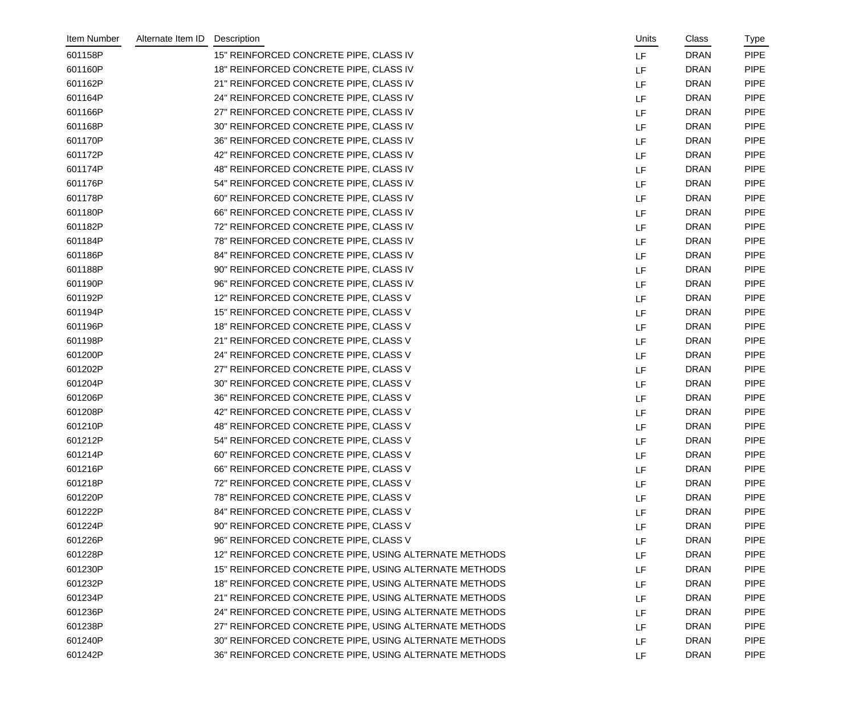| Item Number | Alternate Item ID | Description                                           |           | Units | Class       | Type        |
|-------------|-------------------|-------------------------------------------------------|-----------|-------|-------------|-------------|
| 601158P     |                   | 15" REINFORCED CONCRETE PIPE, CLASS IV                | LF        |       | <b>DRAN</b> | <b>PIPE</b> |
| 601160P     |                   | 18" REINFORCED CONCRETE PIPE, CLASS IV                | LF        |       | <b>DRAN</b> | <b>PIPE</b> |
| 601162P     |                   | 21" REINFORCED CONCRETE PIPE, CLASS IV                | LF        |       | <b>DRAN</b> | <b>PIPE</b> |
| 601164P     |                   | 24" REINFORCED CONCRETE PIPE, CLASS IV                | LF        |       | <b>DRAN</b> | <b>PIPE</b> |
| 601166P     |                   | 27" REINFORCED CONCRETE PIPE, CLASS IV                | LF        |       | <b>DRAN</b> | <b>PIPE</b> |
| 601168P     |                   | 30" REINFORCED CONCRETE PIPE, CLASS IV                | LF        |       | <b>DRAN</b> | <b>PIPE</b> |
| 601170P     |                   | 36" REINFORCED CONCRETE PIPE, CLASS IV                | LF        |       | <b>DRAN</b> | <b>PIPE</b> |
| 601172P     |                   | 42" REINFORCED CONCRETE PIPE, CLASS IV                | LF        |       | <b>DRAN</b> | <b>PIPE</b> |
| 601174P     |                   | 48" REINFORCED CONCRETE PIPE, CLASS IV                | LF        |       | <b>DRAN</b> | <b>PIPE</b> |
| 601176P     |                   | 54" REINFORCED CONCRETE PIPE, CLASS IV                | LF        |       | <b>DRAN</b> | <b>PIPE</b> |
| 601178P     |                   | 60" REINFORCED CONCRETE PIPE, CLASS IV                | LF        |       | <b>DRAN</b> | <b>PIPE</b> |
| 601180P     |                   | 66" REINFORCED CONCRETE PIPE, CLASS IV                | LF        |       | <b>DRAN</b> | <b>PIPE</b> |
| 601182P     |                   | 72" REINFORCED CONCRETE PIPE, CLASS IV                | LF        |       | <b>DRAN</b> | <b>PIPE</b> |
| 601184P     |                   | 78" REINFORCED CONCRETE PIPE, CLASS IV                | LF        |       | <b>DRAN</b> | <b>PIPE</b> |
| 601186P     |                   | 84" REINFORCED CONCRETE PIPE, CLASS IV                | LF        |       | <b>DRAN</b> | <b>PIPE</b> |
| 601188P     |                   | 90" REINFORCED CONCRETE PIPE, CLASS IV                | LF        |       | <b>DRAN</b> | <b>PIPE</b> |
| 601190P     |                   | 96" REINFORCED CONCRETE PIPE, CLASS IV                | LF        |       | <b>DRAN</b> | <b>PIPE</b> |
| 601192P     |                   | 12" REINFORCED CONCRETE PIPE, CLASS V                 | LF        |       | <b>DRAN</b> | <b>PIPE</b> |
| 601194P     |                   | 15" REINFORCED CONCRETE PIPE, CLASS V                 | LF        |       | <b>DRAN</b> | <b>PIPE</b> |
| 601196P     |                   | 18" REINFORCED CONCRETE PIPE, CLASS V                 | LF        |       | <b>DRAN</b> | <b>PIPE</b> |
| 601198P     |                   | 21" REINFORCED CONCRETE PIPE, CLASS V                 | LF        |       | <b>DRAN</b> | <b>PIPE</b> |
| 601200P     |                   | 24" REINFORCED CONCRETE PIPE, CLASS V                 | LF        |       | <b>DRAN</b> | <b>PIPE</b> |
| 601202P     |                   | 27" REINFORCED CONCRETE PIPE, CLASS V                 | LF        |       | <b>DRAN</b> | <b>PIPE</b> |
| 601204P     |                   | 30" REINFORCED CONCRETE PIPE, CLASS V                 | LF        |       | <b>DRAN</b> | <b>PIPE</b> |
| 601206P     |                   | 36" REINFORCED CONCRETE PIPE, CLASS V                 | LF        |       | <b>DRAN</b> | <b>PIPE</b> |
| 601208P     |                   | 42" REINFORCED CONCRETE PIPE, CLASS V                 | LF        |       | <b>DRAN</b> | <b>PIPE</b> |
| 601210P     |                   | 48" REINFORCED CONCRETE PIPE, CLASS V                 | LF        |       | <b>DRAN</b> | <b>PIPE</b> |
| 601212P     |                   | 54" REINFORCED CONCRETE PIPE, CLASS V                 | LF        |       | <b>DRAN</b> | <b>PIPE</b> |
| 601214P     |                   | 60" REINFORCED CONCRETE PIPE, CLASS V                 | LF        |       | <b>DRAN</b> | <b>PIPE</b> |
| 601216P     |                   | 66" REINFORCED CONCRETE PIPE, CLASS V                 | LF        |       | <b>DRAN</b> | <b>PIPE</b> |
| 601218P     |                   | 72" REINFORCED CONCRETE PIPE, CLASS V                 | LF        |       | <b>DRAN</b> | <b>PIPE</b> |
| 601220P     |                   | 78" REINFORCED CONCRETE PIPE, CLASS V                 | LF        |       | <b>DRAN</b> | <b>PIPE</b> |
| 601222P     |                   | 84" REINFORCED CONCRETE PIPE, CLASS V                 | LF        |       | <b>DRAN</b> | <b>PIPE</b> |
| 601224P     |                   | 90" REINFORCED CONCRETE PIPE, CLASS V                 | LF        |       | <b>DRAN</b> | <b>PIPE</b> |
| 601226P     |                   | 96" REINFORCED CONCRETE PIPE, CLASS V                 | LF        |       | <b>DRAN</b> | <b>PIPE</b> |
| 601228P     |                   | 12" REINFORCED CONCRETE PIPE, USING ALTERNATE METHODS | LF        |       | <b>DRAN</b> | <b>PIPE</b> |
| 601230P     |                   | 15" REINFORCED CONCRETE PIPE, USING ALTERNATE METHODS | LF        |       | <b>DRAN</b> | <b>PIPE</b> |
| 601232P     |                   | 18" REINFORCED CONCRETE PIPE, USING ALTERNATE METHODS | LF        |       | <b>DRAN</b> | <b>PIPE</b> |
| 601234P     |                   | 21" REINFORCED CONCRETE PIPE, USING ALTERNATE METHODS | LF        |       | <b>DRAN</b> | <b>PIPE</b> |
| 601236P     |                   | 24" REINFORCED CONCRETE PIPE, USING ALTERNATE METHODS | LF        |       | <b>DRAN</b> | <b>PIPE</b> |
| 601238P     |                   | 27" REINFORCED CONCRETE PIPE, USING ALTERNATE METHODS | <b>LF</b> |       | <b>DRAN</b> | <b>PIPE</b> |
| 601240P     |                   | 30" REINFORCED CONCRETE PIPE, USING ALTERNATE METHODS | LF.       |       | <b>DRAN</b> | <b>PIPE</b> |
| 601242P     |                   | 36" REINFORCED CONCRETE PIPE, USING ALTERNATE METHODS | LF        |       | <b>DRAN</b> | <b>PIPE</b> |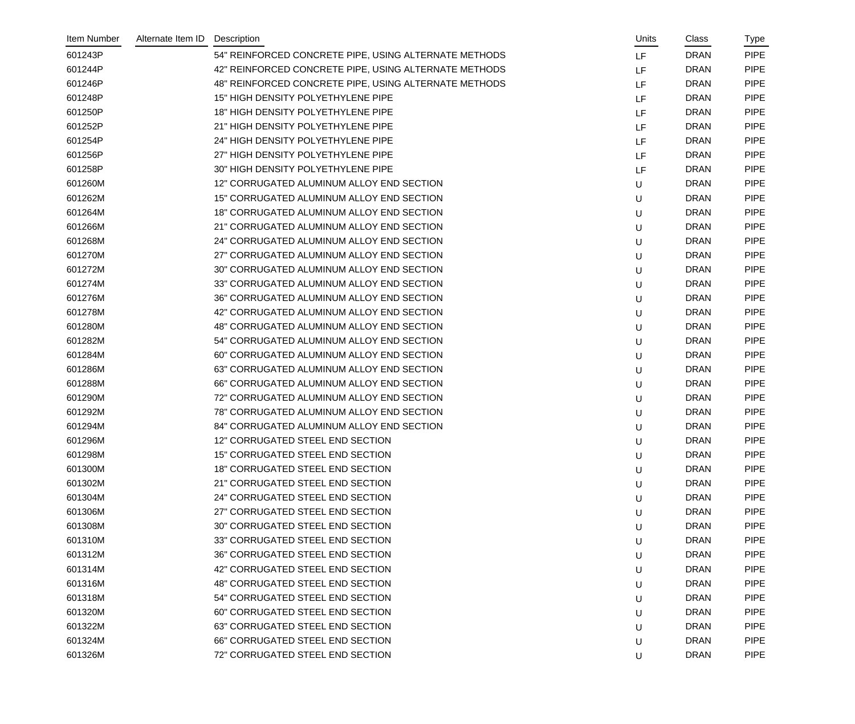| Item Number | Alternate Item ID | Description                                           | Units | Class       | Type        |
|-------------|-------------------|-------------------------------------------------------|-------|-------------|-------------|
| 601243P     |                   | 54" REINFORCED CONCRETE PIPE, USING ALTERNATE METHODS | LF    | <b>DRAN</b> | <b>PIPE</b> |
| 601244P     |                   | 42" REINFORCED CONCRETE PIPE, USING ALTERNATE METHODS | LF    | <b>DRAN</b> | <b>PIPE</b> |
| 601246P     |                   | 48" REINFORCED CONCRETE PIPE, USING ALTERNATE METHODS | LF    | <b>DRAN</b> | <b>PIPE</b> |
| 601248P     |                   | 15" HIGH DENSITY POLYETHYLENE PIPE                    | LF    | <b>DRAN</b> | <b>PIPE</b> |
| 601250P     |                   | 18" HIGH DENSITY POLYETHYLENE PIPE                    | LF    | <b>DRAN</b> | <b>PIPE</b> |
| 601252P     |                   | 21" HIGH DENSITY POLYETHYLENE PIPE                    | LF    | <b>DRAN</b> | <b>PIPE</b> |
| 601254P     |                   | 24" HIGH DENSITY POLYETHYLENE PIPE                    | LF    | <b>DRAN</b> | <b>PIPE</b> |
| 601256P     |                   | 27" HIGH DENSITY POLYETHYLENE PIPE                    | LF    | <b>DRAN</b> | <b>PIPE</b> |
| 601258P     |                   | 30" HIGH DENSITY POLYETHYLENE PIPE                    | LF    | <b>DRAN</b> | <b>PIPE</b> |
| 601260M     |                   | 12" CORRUGATED ALUMINUM ALLOY END SECTION             | U     | <b>DRAN</b> | <b>PIPE</b> |
| 601262M     |                   | 15" CORRUGATED ALUMINUM ALLOY END SECTION             | U     | <b>DRAN</b> | <b>PIPE</b> |
| 601264M     |                   | 18" CORRUGATED ALUMINUM ALLOY END SECTION             | U     | <b>DRAN</b> | <b>PIPE</b> |
| 601266M     |                   | 21" CORRUGATED ALUMINUM ALLOY END SECTION             | U     | <b>DRAN</b> | <b>PIPE</b> |
| 601268M     |                   | 24" CORRUGATED ALUMINUM ALLOY END SECTION             | U     | <b>DRAN</b> | <b>PIPE</b> |
| 601270M     |                   | 27" CORRUGATED ALUMINUM ALLOY END SECTION             | U     | <b>DRAN</b> | <b>PIPE</b> |
| 601272M     |                   | 30" CORRUGATED ALUMINUM ALLOY END SECTION             | U     | <b>DRAN</b> | <b>PIPE</b> |
| 601274M     |                   | 33" CORRUGATED ALUMINUM ALLOY END SECTION             | U     | <b>DRAN</b> | <b>PIPE</b> |
| 601276M     |                   | 36" CORRUGATED ALUMINUM ALLOY END SECTION             | U     | <b>DRAN</b> | <b>PIPE</b> |
| 601278M     |                   | 42" CORRUGATED ALUMINUM ALLOY END SECTION             | U     | <b>DRAN</b> | <b>PIPE</b> |
| 601280M     |                   | 48" CORRUGATED ALUMINUM ALLOY END SECTION             | U     | <b>DRAN</b> | <b>PIPE</b> |
| 601282M     |                   | 54" CORRUGATED ALUMINUM ALLOY END SECTION             | U     | <b>DRAN</b> | <b>PIPE</b> |
| 601284M     |                   | 60" CORRUGATED ALUMINUM ALLOY END SECTION             | U     | <b>DRAN</b> | <b>PIPE</b> |
| 601286M     |                   | 63" CORRUGATED ALUMINUM ALLOY END SECTION             | U     | <b>DRAN</b> | <b>PIPE</b> |
| 601288M     |                   | 66" CORRUGATED ALUMINUM ALLOY END SECTION             | U     | <b>DRAN</b> | <b>PIPE</b> |
| 601290M     |                   | 72" CORRUGATED ALUMINUM ALLOY END SECTION             | U     | <b>DRAN</b> | <b>PIPE</b> |
| 601292M     |                   | 78" CORRUGATED ALUMINUM ALLOY END SECTION             | U     | <b>DRAN</b> | <b>PIPE</b> |
| 601294M     |                   | 84" CORRUGATED ALUMINUM ALLOY END SECTION             | U     | <b>DRAN</b> | <b>PIPE</b> |
| 601296M     |                   | 12" CORRUGATED STEEL END SECTION                      | U     | <b>DRAN</b> | <b>PIPE</b> |
| 601298M     |                   | 15" CORRUGATED STEEL END SECTION                      | U     | <b>DRAN</b> | <b>PIPE</b> |
| 601300M     |                   | <b>18" CORRUGATED STEEL END SECTION</b>               | U     | <b>DRAN</b> | <b>PIPE</b> |
| 601302M     |                   | 21" CORRUGATED STEEL END SECTION                      | U     | <b>DRAN</b> | <b>PIPE</b> |
| 601304M     |                   | 24" CORRUGATED STEEL END SECTION                      | U     | <b>DRAN</b> | <b>PIPE</b> |
| 601306M     |                   | 27" CORRUGATED STEEL END SECTION                      | U     | <b>DRAN</b> | <b>PIPE</b> |
| 601308M     |                   | 30" CORRUGATED STEEL END SECTION                      | U     | <b>DRAN</b> | <b>PIPE</b> |
| 601310M     |                   | 33" CORRUGATED STEEL END SECTION                      | U     | <b>DRAN</b> | <b>PIPE</b> |
| 601312M     |                   | 36" CORRUGATED STEEL END SECTION                      | U     | <b>DRAN</b> | <b>PIPE</b> |
| 601314M     |                   | 42" CORRUGATED STEEL END SECTION                      | U     | <b>DRAN</b> | <b>PIPE</b> |
| 601316M     |                   | 48" CORRUGATED STEEL END SECTION                      | U     | <b>DRAN</b> | <b>PIPE</b> |
| 601318M     |                   | 54" CORRUGATED STEEL END SECTION                      | U     | <b>DRAN</b> | <b>PIPE</b> |
| 601320M     |                   | 60" CORRUGATED STEEL END SECTION                      | U     | <b>DRAN</b> | <b>PIPE</b> |
| 601322M     |                   | 63" CORRUGATED STEEL END SECTION                      | U     | <b>DRAN</b> | <b>PIPE</b> |
| 601324M     |                   | 66" CORRUGATED STEEL END SECTION                      | U     | <b>DRAN</b> | <b>PIPE</b> |
| 601326M     |                   | 72" CORRUGATED STEEL END SECTION                      | U     | <b>DRAN</b> | <b>PIPE</b> |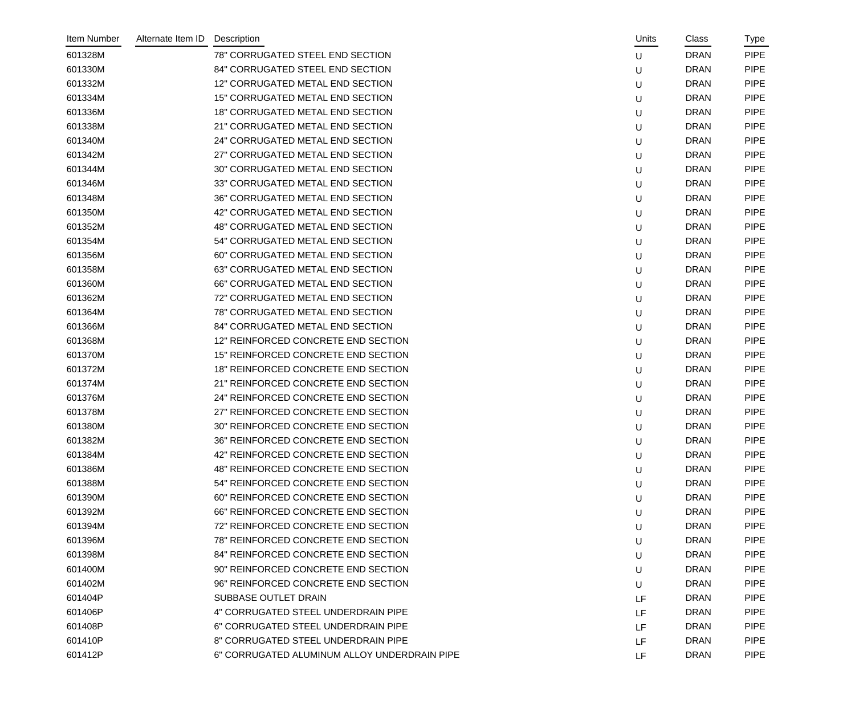| Item Number | Alternate Item ID | Description                                  | Units | Class       | <b>Type</b> |
|-------------|-------------------|----------------------------------------------|-------|-------------|-------------|
| 601328M     |                   | 78" CORRUGATED STEEL END SECTION             | U     | <b>DRAN</b> | <b>PIPE</b> |
| 601330M     |                   | 84" CORRUGATED STEEL END SECTION             | U     | <b>DRAN</b> | <b>PIPE</b> |
| 601332M     |                   | 12" CORRUGATED METAL END SECTION             | U     | <b>DRAN</b> | <b>PIPE</b> |
| 601334M     |                   | 15" CORRUGATED METAL END SECTION             | U     | <b>DRAN</b> | <b>PIPE</b> |
| 601336M     |                   | <b>18" CORRUGATED METAL END SECTION</b>      | U     | <b>DRAN</b> | <b>PIPE</b> |
| 601338M     |                   | 21" CORRUGATED METAL END SECTION             | U     | <b>DRAN</b> | <b>PIPE</b> |
| 601340M     |                   | 24" CORRUGATED METAL END SECTION             | U     | <b>DRAN</b> | <b>PIPE</b> |
| 601342M     |                   | 27" CORRUGATED METAL END SECTION             | U     | <b>DRAN</b> | <b>PIPE</b> |
| 601344M     |                   | 30" CORRUGATED METAL END SECTION             | U     | <b>DRAN</b> | <b>PIPE</b> |
| 601346M     |                   | 33" CORRUGATED METAL END SECTION             | U     | <b>DRAN</b> | <b>PIPE</b> |
| 601348M     |                   | 36" CORRUGATED METAL END SECTION             | U     | <b>DRAN</b> | <b>PIPE</b> |
| 601350M     |                   | 42" CORRUGATED METAL END SECTION             | U     | <b>DRAN</b> | <b>PIPE</b> |
| 601352M     |                   | 48" CORRUGATED METAL END SECTION             | U     | <b>DRAN</b> | <b>PIPE</b> |
| 601354M     |                   | 54" CORRUGATED METAL END SECTION             | U     | <b>DRAN</b> | <b>PIPE</b> |
| 601356M     |                   | 60" CORRUGATED METAL END SECTION             | U     | <b>DRAN</b> | <b>PIPE</b> |
| 601358M     |                   | 63" CORRUGATED METAL END SECTION             | U     | <b>DRAN</b> | <b>PIPE</b> |
| 601360M     |                   | 66" CORRUGATED METAL END SECTION             | U     | <b>DRAN</b> | <b>PIPE</b> |
| 601362M     |                   | 72" CORRUGATED METAL END SECTION             | U     | <b>DRAN</b> | <b>PIPE</b> |
| 601364M     |                   | 78" CORRUGATED METAL END SECTION             | U     | <b>DRAN</b> | <b>PIPE</b> |
| 601366M     |                   | 84" CORRUGATED METAL END SECTION             | U     | <b>DRAN</b> | <b>PIPE</b> |
| 601368M     |                   | 12" REINFORCED CONCRETE END SECTION          | U     | <b>DRAN</b> | <b>PIPE</b> |
| 601370M     |                   | 15" REINFORCED CONCRETE END SECTION          | U     | <b>DRAN</b> | <b>PIPE</b> |
| 601372M     |                   | 18" REINFORCED CONCRETE END SECTION          | U     | <b>DRAN</b> | <b>PIPE</b> |
| 601374M     |                   | 21" REINFORCED CONCRETE END SECTION          | U     | <b>DRAN</b> | <b>PIPE</b> |
| 601376M     |                   | 24" REINFORCED CONCRETE END SECTION          | U     | <b>DRAN</b> | <b>PIPE</b> |
| 601378M     |                   | 27" REINFORCED CONCRETE END SECTION          | U     | <b>DRAN</b> | <b>PIPE</b> |
| 601380M     |                   | 30" REINFORCED CONCRETE END SECTION          | U     | <b>DRAN</b> | <b>PIPE</b> |
| 601382M     |                   | 36" REINFORCED CONCRETE END SECTION          | U     | <b>DRAN</b> | <b>PIPE</b> |
| 601384M     |                   | 42" REINFORCED CONCRETE END SECTION          | U     | <b>DRAN</b> | <b>PIPE</b> |
| 601386M     |                   | 48" REINFORCED CONCRETE END SECTION          | U     | <b>DRAN</b> | <b>PIPE</b> |
| 601388M     |                   | 54" REINFORCED CONCRETE END SECTION          | U     | <b>DRAN</b> | <b>PIPE</b> |
| 601390M     |                   | 60" REINFORCED CONCRETE END SECTION          | U     | <b>DRAN</b> | <b>PIPE</b> |
| 601392M     |                   | 66" REINFORCED CONCRETE END SECTION          | U     | <b>DRAN</b> | <b>PIPE</b> |
| 601394M     |                   | 72" REINFORCED CONCRETE END SECTION          | U     | <b>DRAN</b> | <b>PIPE</b> |
| 601396M     |                   | 78" REINFORCED CONCRETE END SECTION          | U     | <b>DRAN</b> | <b>PIPE</b> |
| 601398M     |                   | 84" REINFORCED CONCRETE END SECTION          | U     | <b>DRAN</b> | <b>PIPE</b> |
| 601400M     |                   | 90" REINFORCED CONCRETE END SECTION          | U     | <b>DRAN</b> | <b>PIPE</b> |
| 601402M     |                   | 96" REINFORCED CONCRETE END SECTION          | U     | <b>DRAN</b> | <b>PIPE</b> |
| 601404P     |                   | <b>SUBBASE OUTLET DRAIN</b>                  | LF    | <b>DRAN</b> | <b>PIPE</b> |
| 601406P     |                   | 4" CORRUGATED STEEL UNDERDRAIN PIPE          | LF    | <b>DRAN</b> | <b>PIPE</b> |
| 601408P     |                   | 6" CORRUGATED STEEL UNDERDRAIN PIPE          | LF    | <b>DRAN</b> | <b>PIPE</b> |
| 601410P     |                   | 8" CORRUGATED STEEL UNDERDRAIN PIPE          | LF    | <b>DRAN</b> | <b>PIPE</b> |
| 601412P     |                   | 6" CORRUGATED ALUMINUM ALLOY UNDERDRAIN PIPE | LF.   | <b>DRAN</b> | <b>PIPE</b> |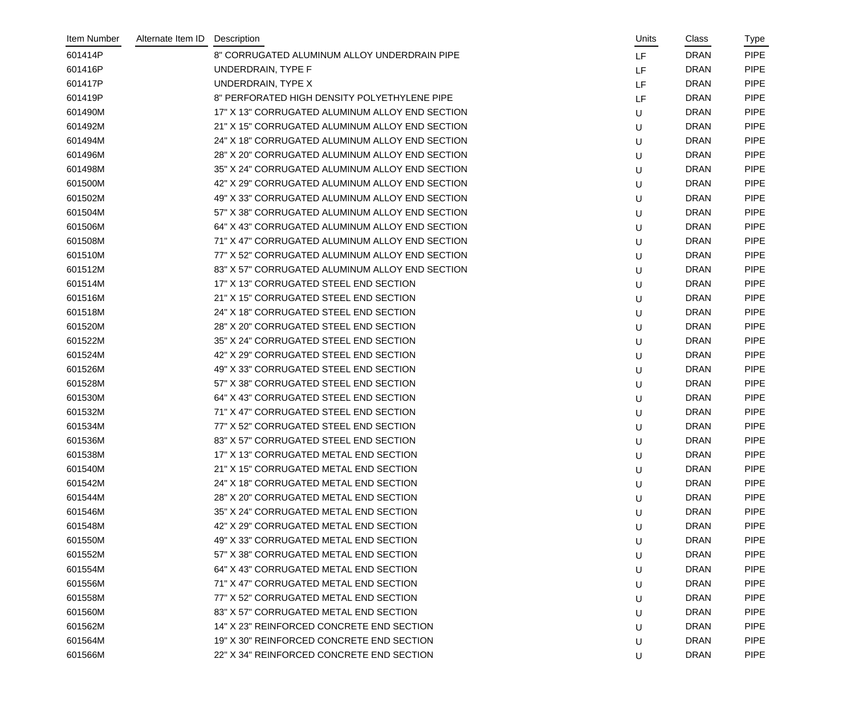| Item Number | Alternate Item ID | Description                                     | Units | Class       | Type        |
|-------------|-------------------|-------------------------------------------------|-------|-------------|-------------|
| 601414P     |                   | 8" CORRUGATED ALUMINUM ALLOY UNDERDRAIN PIPE    | LF    | <b>DRAN</b> | <b>PIPE</b> |
| 601416P     |                   | UNDERDRAIN, TYPE F                              | LF    | <b>DRAN</b> | <b>PIPE</b> |
| 601417P     |                   | UNDERDRAIN, TYPE X                              | LF    | <b>DRAN</b> | <b>PIPE</b> |
| 601419P     |                   | 8" PERFORATED HIGH DENSITY POLYETHYLENE PIPE    | LF    | <b>DRAN</b> | <b>PIPE</b> |
| 601490M     |                   | 17" X 13" CORRUGATED ALUMINUM ALLOY END SECTION | U     | <b>DRAN</b> | <b>PIPE</b> |
| 601492M     |                   | 21" X 15" CORRUGATED ALUMINUM ALLOY END SECTION | U     | <b>DRAN</b> | <b>PIPE</b> |
| 601494M     |                   | 24" X 18" CORRUGATED ALUMINUM ALLOY END SECTION | U     | <b>DRAN</b> | <b>PIPE</b> |
| 601496M     |                   | 28" X 20" CORRUGATED ALUMINUM ALLOY END SECTION | U     | <b>DRAN</b> | <b>PIPE</b> |
| 601498M     |                   | 35" X 24" CORRUGATED ALUMINUM ALLOY END SECTION | U     | <b>DRAN</b> | <b>PIPE</b> |
| 601500M     |                   | 42" X 29" CORRUGATED ALUMINUM ALLOY END SECTION | U     | <b>DRAN</b> | <b>PIPE</b> |
| 601502M     |                   | 49" X 33" CORRUGATED ALUMINUM ALLOY END SECTION | U     | <b>DRAN</b> | <b>PIPE</b> |
| 601504M     |                   | 57" X 38" CORRUGATED ALUMINUM ALLOY END SECTION | U     | <b>DRAN</b> | <b>PIPE</b> |
| 601506M     |                   | 64" X 43" CORRUGATED ALUMINUM ALLOY END SECTION | U     | <b>DRAN</b> | <b>PIPE</b> |
| 601508M     |                   | 71" X 47" CORRUGATED ALUMINUM ALLOY END SECTION | U     | <b>DRAN</b> | <b>PIPE</b> |
| 601510M     |                   | 77" X 52" CORRUGATED ALUMINUM ALLOY END SECTION | U     | <b>DRAN</b> | <b>PIPE</b> |
| 601512M     |                   | 83" X 57" CORRUGATED ALUMINUM ALLOY END SECTION | U     | <b>DRAN</b> | <b>PIPE</b> |
| 601514M     |                   | 17" X 13" CORRUGATED STEEL END SECTION          | U     | <b>DRAN</b> | <b>PIPE</b> |
| 601516M     |                   | 21" X 15" CORRUGATED STEEL END SECTION          | U     | <b>DRAN</b> | <b>PIPE</b> |
| 601518M     |                   | 24" X 18" CORRUGATED STEEL END SECTION          | U     | <b>DRAN</b> | <b>PIPE</b> |
| 601520M     |                   | 28" X 20" CORRUGATED STEEL END SECTION          | U     | <b>DRAN</b> | <b>PIPE</b> |
| 601522M     |                   | 35" X 24" CORRUGATED STEEL END SECTION          | U     | <b>DRAN</b> | <b>PIPE</b> |
| 601524M     |                   | 42" X 29" CORRUGATED STEEL END SECTION          | U     | <b>DRAN</b> | <b>PIPE</b> |
| 601526M     |                   | 49" X 33" CORRUGATED STEEL END SECTION          | U     | <b>DRAN</b> | <b>PIPE</b> |
| 601528M     |                   | 57" X 38" CORRUGATED STEEL END SECTION          | U     | <b>DRAN</b> | <b>PIPE</b> |
| 601530M     |                   | 64" X 43" CORRUGATED STEEL END SECTION          | U     | <b>DRAN</b> | <b>PIPE</b> |
| 601532M     |                   | 71" X 47" CORRUGATED STEEL END SECTION          | U     | <b>DRAN</b> | <b>PIPE</b> |
| 601534M     |                   | 77" X 52" CORRUGATED STEEL END SECTION          | U     | <b>DRAN</b> | <b>PIPE</b> |
| 601536M     |                   | 83" X 57" CORRUGATED STEEL END SECTION          | U     | <b>DRAN</b> | <b>PIPE</b> |
| 601538M     |                   | 17" X 13" CORRUGATED METAL END SECTION          | U     | <b>DRAN</b> | <b>PIPE</b> |
| 601540M     |                   | 21" X 15" CORRUGATED METAL END SECTION          | U     | <b>DRAN</b> | <b>PIPE</b> |
| 601542M     |                   | 24" X 18" CORRUGATED METAL END SECTION          | U     | <b>DRAN</b> | <b>PIPE</b> |
| 601544M     |                   | 28" X 20" CORRUGATED METAL END SECTION          | U     | <b>DRAN</b> | <b>PIPE</b> |
| 601546M     |                   | 35" X 24" CORRUGATED METAL END SECTION          | U     | <b>DRAN</b> | <b>PIPE</b> |
| 601548M     |                   | 42" X 29" CORRUGATED METAL END SECTION          | U     | <b>DRAN</b> | <b>PIPE</b> |
| 601550M     |                   | 49" X 33" CORRUGATED METAL END SECTION          | U     | <b>DRAN</b> | <b>PIPE</b> |
| 601552M     |                   | 57" X 38" CORRUGATED METAL END SECTION          | U     | <b>DRAN</b> | <b>PIPE</b> |
| 601554M     |                   | 64" X 43" CORRUGATED METAL END SECTION          | U     | <b>DRAN</b> | <b>PIPE</b> |
| 601556M     |                   | 71" X 47" CORRUGATED METAL END SECTION          | U     | <b>DRAN</b> | <b>PIPE</b> |
| 601558M     |                   | 77" X 52" CORRUGATED METAL END SECTION          | U     | <b>DRAN</b> | <b>PIPE</b> |
| 601560M     |                   | 83" X 57" CORRUGATED METAL END SECTION          | U     | <b>DRAN</b> | <b>PIPE</b> |
| 601562M     |                   | 14" X 23" REINFORCED CONCRETE END SECTION       | U     | <b>DRAN</b> | <b>PIPE</b> |
| 601564M     |                   | 19" X 30" REINFORCED CONCRETE END SECTION       | U     | <b>DRAN</b> | <b>PIPE</b> |
| 601566M     |                   | 22" X 34" REINFORCED CONCRETE END SECTION       | U     | <b>DRAN</b> | <b>PIPE</b> |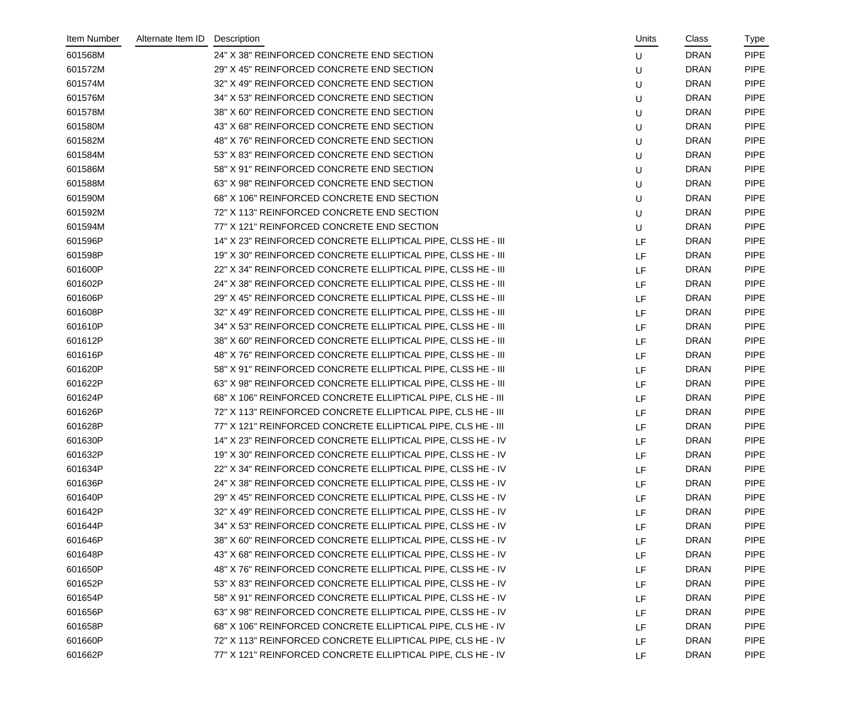| Item Number | Alternate Item ID Description |                                                              | Units | Class       | Type        |
|-------------|-------------------------------|--------------------------------------------------------------|-------|-------------|-------------|
| 601568M     |                               | 24" X 38" REINFORCED CONCRETE END SECTION                    | U     | <b>DRAN</b> | <b>PIPE</b> |
| 601572M     |                               | 29" X 45" REINFORCED CONCRETE END SECTION                    | U     | <b>DRAN</b> | <b>PIPE</b> |
| 601574M     |                               | 32" X 49" REINFORCED CONCRETE END SECTION                    | U     | <b>DRAN</b> | <b>PIPE</b> |
| 601576M     |                               | 34" X 53" REINFORCED CONCRETE END SECTION                    | U     | <b>DRAN</b> | <b>PIPE</b> |
| 601578M     |                               | 38" X 60" REINFORCED CONCRETE END SECTION                    | U     | <b>DRAN</b> | <b>PIPE</b> |
| 601580M     |                               | 43" X 68" REINFORCED CONCRETE END SECTION                    | U     | <b>DRAN</b> | <b>PIPE</b> |
| 601582M     |                               | 48" X 76" REINFORCED CONCRETE END SECTION                    | U     | <b>DRAN</b> | <b>PIPE</b> |
| 601584M     |                               | 53" X 83" REINFORCED CONCRETE END SECTION                    | U     | <b>DRAN</b> | <b>PIPE</b> |
| 601586M     |                               | 58" X 91" REINFORCED CONCRETE END SECTION                    | U     | <b>DRAN</b> | <b>PIPE</b> |
| 601588M     |                               | 63" X 98" REINFORCED CONCRETE END SECTION                    | U     | <b>DRAN</b> | <b>PIPE</b> |
| 601590M     |                               | 68" X 106" REINFORCED CONCRETE END SECTION                   | U     | <b>DRAN</b> | <b>PIPE</b> |
| 601592M     |                               | 72" X 113" REINFORCED CONCRETE END SECTION                   | U     | <b>DRAN</b> | <b>PIPE</b> |
| 601594M     |                               | 77" X 121" REINFORCED CONCRETE END SECTION                   | U     | <b>DRAN</b> | <b>PIPE</b> |
| 601596P     |                               | 14" X 23" REINFORCED CONCRETE ELLIPTICAL PIPE, CLSS HE - III | LF    | <b>DRAN</b> | <b>PIPE</b> |
| 601598P     |                               | 19" X 30" REINFORCED CONCRETE ELLIPTICAL PIPE, CLSS HE - III | LF    | <b>DRAN</b> | <b>PIPE</b> |
| 601600P     |                               | 22" X 34" REINFORCED CONCRETE ELLIPTICAL PIPE, CLSS HE - III | LF    | <b>DRAN</b> | <b>PIPE</b> |
| 601602P     |                               | 24" X 38" REINFORCED CONCRETE ELLIPTICAL PIPE, CLSS HE - III | LF    | <b>DRAN</b> | <b>PIPE</b> |
| 601606P     |                               | 29" X 45" REINFORCED CONCRETE ELLIPTICAL PIPE, CLSS HE - III | LF    | <b>DRAN</b> | <b>PIPE</b> |
| 601608P     |                               | 32" X 49" REINFORCED CONCRETE ELLIPTICAL PIPE, CLSS HE - III | LF    | <b>DRAN</b> | <b>PIPE</b> |
| 601610P     |                               | 34" X 53" REINFORCED CONCRETE ELLIPTICAL PIPE, CLSS HE - III | LF    | <b>DRAN</b> | <b>PIPE</b> |
| 601612P     |                               | 38" X 60" REINFORCED CONCRETE ELLIPTICAL PIPE, CLSS HE - III | LF    | <b>DRAN</b> | <b>PIPE</b> |
| 601616P     |                               | 48" X 76" REINFORCED CONCRETE ELLIPTICAL PIPE, CLSS HE - III | LF    | <b>DRAN</b> | <b>PIPE</b> |
| 601620P     |                               | 58" X 91" REINFORCED CONCRETE ELLIPTICAL PIPE, CLSS HE - III | LF    | <b>DRAN</b> | <b>PIPE</b> |
| 601622P     |                               | 63" X 98" REINFORCED CONCRETE ELLIPTICAL PIPE, CLSS HE - III | LF    | <b>DRAN</b> | <b>PIPE</b> |
| 601624P     |                               | 68" X 106" REINFORCED CONCRETE ELLIPTICAL PIPE, CLS HE - III | LF    | <b>DRAN</b> | <b>PIPE</b> |
| 601626P     |                               | 72" X 113" REINFORCED CONCRETE ELLIPTICAL PIPE, CLS HE - III | LF    | <b>DRAN</b> | <b>PIPE</b> |
| 601628P     |                               | 77" X 121" REINFORCED CONCRETE ELLIPTICAL PIPE, CLS HE - III | LF    | <b>DRAN</b> | <b>PIPE</b> |
| 601630P     |                               | 14" X 23" REINFORCED CONCRETE ELLIPTICAL PIPE, CLSS HE - IV  | LF    | <b>DRAN</b> | <b>PIPE</b> |
| 601632P     |                               | 19" X 30" REINFORCED CONCRETE ELLIPTICAL PIPE, CLSS HE - IV  | LF    | <b>DRAN</b> | <b>PIPE</b> |
| 601634P     |                               | 22" X 34" REINFORCED CONCRETE ELLIPTICAL PIPE, CLSS HE - IV  | LF    | <b>DRAN</b> | <b>PIPE</b> |
| 601636P     |                               | 24" X 38" REINFORCED CONCRETE ELLIPTICAL PIPE, CLSS HE - IV  | LF    | <b>DRAN</b> | <b>PIPE</b> |
| 601640P     |                               | 29" X 45" REINFORCED CONCRETE ELLIPTICAL PIPE, CLSS HE - IV  | LF    | <b>DRAN</b> | <b>PIPE</b> |
| 601642P     |                               | 32" X 49" REINFORCED CONCRETE ELLIPTICAL PIPE, CLSS HE - IV  | LF    | <b>DRAN</b> | <b>PIPE</b> |
| 601644P     |                               | 34" X 53" REINFORCED CONCRETE ELLIPTICAL PIPE, CLSS HE - IV  | LF    | <b>DRAN</b> | <b>PIPE</b> |
| 601646P     |                               | 38" X 60" REINFORCED CONCRETE ELLIPTICAL PIPE, CLSS HE - IV  | LF    | <b>DRAN</b> | <b>PIPE</b> |
| 601648P     |                               | 43" X 68" REINFORCED CONCRETE ELLIPTICAL PIPE, CLSS HE - IV  | LF    | <b>DRAN</b> | <b>PIPE</b> |
| 601650P     |                               | 48" X 76" REINFORCED CONCRETE ELLIPTICAL PIPE, CLSS HE - IV  | LF    | <b>DRAN</b> | <b>PIPE</b> |
| 601652P     |                               | 53" X 83" REINFORCED CONCRETE ELLIPTICAL PIPE, CLSS HE - IV  | LF    | <b>DRAN</b> | <b>PIPE</b> |
| 601654P     |                               | 58" X 91" REINFORCED CONCRETE ELLIPTICAL PIPE, CLSS HE - IV  | LF    | <b>DRAN</b> | <b>PIPE</b> |
| 601656P     |                               | 63" X 98" REINFORCED CONCRETE ELLIPTICAL PIPE, CLSS HE - IV  | LF    | <b>DRAN</b> | <b>PIPE</b> |
| 601658P     |                               | 68" X 106" REINFORCED CONCRETE ELLIPTICAL PIPE, CLS HE - IV  | LF    | <b>DRAN</b> | <b>PIPE</b> |
| 601660P     |                               | 72" X 113" REINFORCED CONCRETE ELLIPTICAL PIPE, CLS HE - IV  | LF    | <b>DRAN</b> | <b>PIPE</b> |
| 601662P     |                               | 77" X 121" REINFORCED CONCRETE ELLIPTICAL PIPE, CLS HE - IV  | LF    | <b>DRAN</b> | <b>PIPE</b> |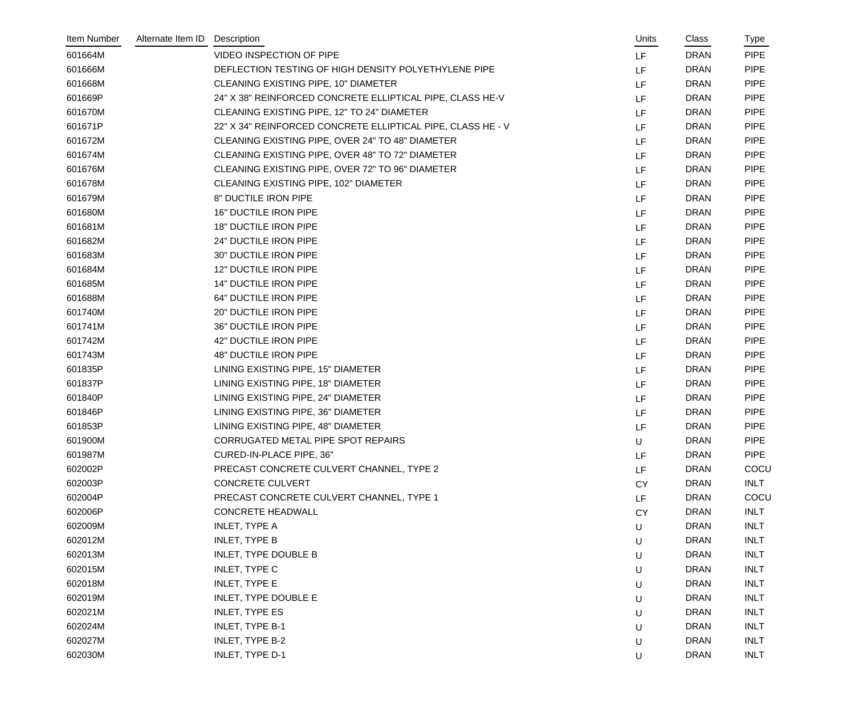| Item Number | Alternate Item ID | Description                                                 | Units     | Class       | Type        |
|-------------|-------------------|-------------------------------------------------------------|-----------|-------------|-------------|
| 601664M     |                   | <b>VIDEO INSPECTION OF PIPE</b>                             | LF        | <b>DRAN</b> | <b>PIPE</b> |
| 601666M     |                   | DEFLECTION TESTING OF HIGH DENSITY POLYETHYLENE PIPE        | LF        | <b>DRAN</b> | <b>PIPE</b> |
| 601668M     |                   | CLEANING EXISTING PIPE, 10" DIAMETER                        | LF        | <b>DRAN</b> | <b>PIPE</b> |
| 601669P     |                   | 24" X 38" REINFORCED CONCRETE ELLIPTICAL PIPE, CLASS HE-V   | LF        | <b>DRAN</b> | <b>PIPE</b> |
| 601670M     |                   | CLEANING EXISTING PIPE, 12" TO 24" DIAMETER                 | LF        | <b>DRAN</b> | <b>PIPE</b> |
| 601671P     |                   | 22" X 34" REINFORCED CONCRETE ELLIPTICAL PIPE, CLASS HE - V | LF        | <b>DRAN</b> | <b>PIPE</b> |
| 601672M     |                   | CLEANING EXISTING PIPE, OVER 24" TO 48" DIAMETER            | LF        | <b>DRAN</b> | <b>PIPE</b> |
| 601674M     |                   | CLEANING EXISTING PIPE, OVER 48" TO 72" DIAMETER            | LF        | <b>DRAN</b> | <b>PIPE</b> |
| 601676M     |                   | CLEANING EXISTING PIPE, OVER 72" TO 96" DIAMETER            | LF        | <b>DRAN</b> | <b>PIPE</b> |
| 601678M     |                   | CLEANING EXISTING PIPE, 102" DIAMETER                       | LF        | <b>DRAN</b> | <b>PIPE</b> |
| 601679M     |                   | 8" DUCTILE IRON PIPE                                        | LF        | <b>DRAN</b> | <b>PIPE</b> |
| 601680M     |                   | <b>16" DUCTILE IRON PIPE</b>                                | LF        | <b>DRAN</b> | <b>PIPE</b> |
| 601681M     |                   | <b>18" DUCTILE IRON PIPE</b>                                | LF        | <b>DRAN</b> | <b>PIPE</b> |
| 601682M     |                   | 24" DUCTILE IRON PIPE                                       | LF        | <b>DRAN</b> | <b>PIPE</b> |
| 601683M     |                   | 30" DUCTILE IRON PIPE                                       | LF        | <b>DRAN</b> | <b>PIPE</b> |
| 601684M     |                   | 12" DUCTILE IRON PIPE                                       | LF        | <b>DRAN</b> | <b>PIPE</b> |
| 601685M     |                   | 14" DUCTILE IRON PIPE                                       | LF        | <b>DRAN</b> | <b>PIPE</b> |
| 601688M     |                   | 64" DUCTILE IRON PIPE                                       | LF        | <b>DRAN</b> | <b>PIPE</b> |
| 601740M     |                   | 20" DUCTILE IRON PIPE                                       | LF        | <b>DRAN</b> | <b>PIPE</b> |
| 601741M     |                   | 36" DUCTILE IRON PIPE                                       | LF        | <b>DRAN</b> | <b>PIPE</b> |
| 601742M     |                   | 42" DUCTILE IRON PIPE                                       | LF        | <b>DRAN</b> | <b>PIPE</b> |
| 601743M     |                   | 48" DUCTILE IRON PIPE                                       | LF        | <b>DRAN</b> | <b>PIPE</b> |
| 601835P     |                   | LINING EXISTING PIPE, 15" DIAMETER                          | LF        | <b>DRAN</b> | <b>PIPE</b> |
| 601837P     |                   | LINING EXISTING PIPE, 18" DIAMETER                          | LF        | <b>DRAN</b> | <b>PIPE</b> |
| 601840P     |                   | LINING EXISTING PIPE, 24" DIAMETER                          | LF        | <b>DRAN</b> | <b>PIPE</b> |
| 601846P     |                   | LINING EXISTING PIPE, 36" DIAMETER                          | LF        | <b>DRAN</b> | <b>PIPE</b> |
| 601853P     |                   | LINING EXISTING PIPE, 48" DIAMETER                          | LF        | <b>DRAN</b> | <b>PIPE</b> |
| 601900M     |                   | CORRUGATED METAL PIPE SPOT REPAIRS                          | U         | <b>DRAN</b> | <b>PIPE</b> |
| 601987M     |                   | CURED-IN-PLACE PIPE, 36"                                    | LF        | <b>DRAN</b> | <b>PIPE</b> |
| 602002P     |                   | PRECAST CONCRETE CULVERT CHANNEL, TYPE 2                    | LF        | <b>DRAN</b> | COCU        |
| 602003P     |                   | <b>CONCRETE CULVERT</b>                                     | <b>CY</b> | <b>DRAN</b> | INLT        |
| 602004P     |                   | PRECAST CONCRETE CULVERT CHANNEL, TYPE 1                    | LF        | <b>DRAN</b> | COCU        |
| 602006P     |                   | <b>CONCRETE HEADWALL</b>                                    | <b>CY</b> | <b>DRAN</b> | <b>INLT</b> |
| 602009M     |                   | <b>INLET, TYPE A</b>                                        | U         | <b>DRAN</b> | <b>INLT</b> |
| 602012M     |                   | <b>INLET, TYPE B</b>                                        | U         | <b>DRAN</b> | <b>INLT</b> |
| 602013M     |                   | INLET, TYPE DOUBLE B                                        | U         | <b>DRAN</b> | <b>INLT</b> |
| 602015M     |                   | <b>INLET, TYPE C</b>                                        | U         | <b>DRAN</b> | <b>INLT</b> |
| 602018M     |                   | <b>INLET, TYPE E</b>                                        | U         | <b>DRAN</b> | <b>INLT</b> |
| 602019M     |                   | INLET, TYPE DOUBLE E                                        | U         | <b>DRAN</b> | <b>INLT</b> |
| 602021M     |                   | <b>INLET, TYPE ES</b>                                       | U         | <b>DRAN</b> | <b>INLT</b> |
| 602024M     |                   | INLET, TYPE B-1                                             | U         | <b>DRAN</b> | <b>INLT</b> |
| 602027M     |                   | INLET, TYPE B-2                                             | U         | <b>DRAN</b> | <b>INLT</b> |
| 602030M     |                   | INLET, TYPE D-1                                             | U         | <b>DRAN</b> | <b>INLT</b> |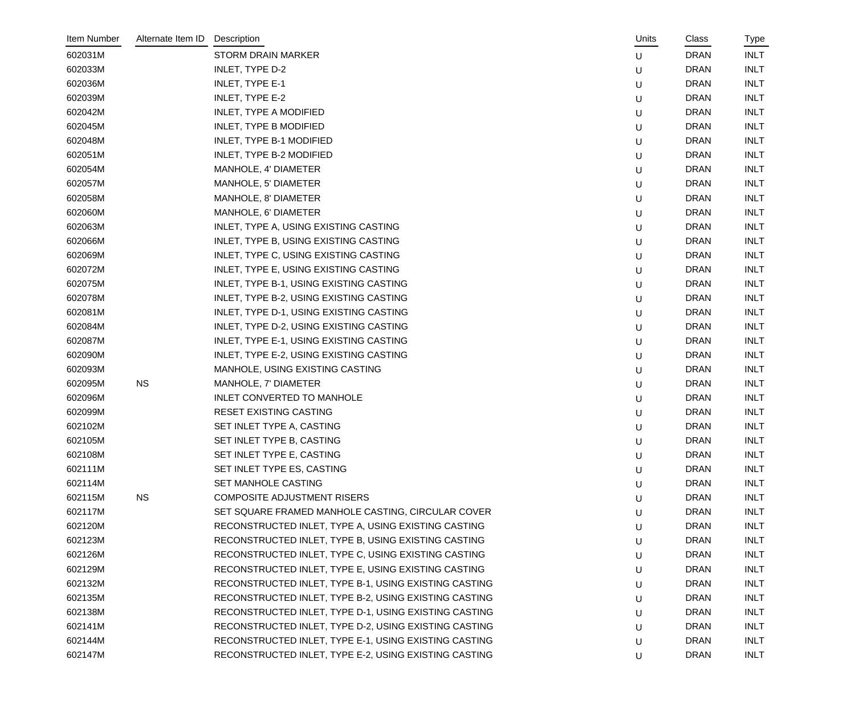| Item Number | Alternate Item ID | Description                                           | Units | Class       | Type        |
|-------------|-------------------|-------------------------------------------------------|-------|-------------|-------------|
| 602031M     |                   | <b>STORM DRAIN MARKER</b>                             | U     | <b>DRAN</b> | <b>INLT</b> |
| 602033M     |                   | INLET, TYPE D-2                                       | U     | <b>DRAN</b> | <b>INLT</b> |
| 602036M     |                   | <b>INLET, TYPE E-1</b>                                | U     | <b>DRAN</b> | <b>INLT</b> |
| 602039M     |                   | <b>INLET, TYPE E-2</b>                                | U     | <b>DRAN</b> | <b>INLT</b> |
| 602042M     |                   | INLET, TYPE A MODIFIED                                | U     | <b>DRAN</b> | <b>INLT</b> |
| 602045M     |                   | INLET, TYPE B MODIFIED                                | U     | <b>DRAN</b> | <b>INLT</b> |
| 602048M     |                   | INLET, TYPE B-1 MODIFIED                              | U     | <b>DRAN</b> | <b>INLT</b> |
| 602051M     |                   | INLET, TYPE B-2 MODIFIED                              | U     | <b>DRAN</b> | <b>INLT</b> |
| 602054M     |                   | MANHOLE, 4' DIAMETER                                  | U     | <b>DRAN</b> | <b>INLT</b> |
| 602057M     |                   | MANHOLE, 5' DIAMETER                                  | U     | <b>DRAN</b> | <b>INLT</b> |
| 602058M     |                   | MANHOLE, 8' DIAMETER                                  | U     | <b>DRAN</b> | <b>INLT</b> |
| 602060M     |                   | MANHOLE, 6' DIAMETER                                  | U     | <b>DRAN</b> | <b>INLT</b> |
| 602063M     |                   | INLET, TYPE A, USING EXISTING CASTING                 | U     | <b>DRAN</b> | <b>INLT</b> |
| 602066M     |                   | INLET, TYPE B, USING EXISTING CASTING                 | U     | <b>DRAN</b> | <b>INLT</b> |
| 602069M     |                   | INLET, TYPE C, USING EXISTING CASTING                 | U     | <b>DRAN</b> | <b>INLT</b> |
| 602072M     |                   | INLET, TYPE E, USING EXISTING CASTING                 | U     | <b>DRAN</b> | <b>INLT</b> |
| 602075M     |                   | INLET, TYPE B-1, USING EXISTING CASTING               | U     | <b>DRAN</b> | <b>INLT</b> |
| 602078M     |                   | INLET, TYPE B-2, USING EXISTING CASTING               | U     | <b>DRAN</b> | <b>INLT</b> |
| 602081M     |                   | INLET, TYPE D-1, USING EXISTING CASTING               | U     | <b>DRAN</b> | <b>INLT</b> |
| 602084M     |                   | INLET, TYPE D-2, USING EXISTING CASTING               | U     | <b>DRAN</b> | <b>INLT</b> |
| 602087M     |                   | INLET, TYPE E-1, USING EXISTING CASTING               | U     | <b>DRAN</b> | <b>INLT</b> |
| 602090M     |                   | INLET, TYPE E-2, USING EXISTING CASTING               | U     | <b>DRAN</b> | <b>INLT</b> |
| 602093M     |                   | MANHOLE, USING EXISTING CASTING                       | U     | <b>DRAN</b> | <b>INLT</b> |
| 602095M     | <b>NS</b>         | MANHOLE, 7' DIAMETER                                  | U     | <b>DRAN</b> | <b>INLT</b> |
| 602096M     |                   | <b>INLET CONVERTED TO MANHOLE</b>                     | U     | <b>DRAN</b> | <b>INLT</b> |
| 602099M     |                   | RESET EXISTING CASTING                                | U     | <b>DRAN</b> | <b>INLT</b> |
| 602102M     |                   | SET INLET TYPE A, CASTING                             | U     | <b>DRAN</b> | <b>INLT</b> |
| 602105M     |                   | SET INLET TYPE B, CASTING                             | U     | <b>DRAN</b> | <b>INLT</b> |
| 602108M     |                   | SET INLET TYPE E, CASTING                             | U     | <b>DRAN</b> | <b>INLT</b> |
| 602111M     |                   | SET INLET TYPE ES, CASTING                            | U     | <b>DRAN</b> | <b>INLT</b> |
| 602114M     |                   | SET MANHOLE CASTING                                   | U     | <b>DRAN</b> | <b>INLT</b> |
| 602115M     | <b>NS</b>         | <b>COMPOSITE ADJUSTMENT RISERS</b>                    | U     | <b>DRAN</b> | <b>INLT</b> |
| 602117M     |                   | SET SQUARE FRAMED MANHOLE CASTING, CIRCULAR COVER     | U     | <b>DRAN</b> | <b>INLT</b> |
| 602120M     |                   | RECONSTRUCTED INLET, TYPE A, USING EXISTING CASTING   | U     | <b>DRAN</b> | <b>INLT</b> |
| 602123M     |                   | RECONSTRUCTED INLET, TYPE B, USING EXISTING CASTING   | U     | <b>DRAN</b> | <b>INLT</b> |
| 602126M     |                   | RECONSTRUCTED INLET, TYPE C, USING EXISTING CASTING   | U     | <b>DRAN</b> | <b>INLT</b> |
| 602129M     |                   | RECONSTRUCTED INLET, TYPE E, USING EXISTING CASTING   | U     | <b>DRAN</b> | <b>INLT</b> |
| 602132M     |                   | RECONSTRUCTED INLET, TYPE B-1, USING EXISTING CASTING | U     | <b>DRAN</b> | <b>INLT</b> |
| 602135M     |                   | RECONSTRUCTED INLET, TYPE B-2, USING EXISTING CASTING | U     | <b>DRAN</b> | <b>INLT</b> |
| 602138M     |                   | RECONSTRUCTED INLET, TYPE D-1, USING EXISTING CASTING | U     | <b>DRAN</b> | <b>INLT</b> |
| 602141M     |                   | RECONSTRUCTED INLET, TYPE D-2, USING EXISTING CASTING | U     | <b>DRAN</b> | <b>INLT</b> |
| 602144M     |                   | RECONSTRUCTED INLET, TYPE E-1, USING EXISTING CASTING | U     | <b>DRAN</b> | <b>INLT</b> |
| 602147M     |                   | RECONSTRUCTED INLET, TYPE E-2, USING EXISTING CASTING | U     | <b>DRAN</b> | <b>INLT</b> |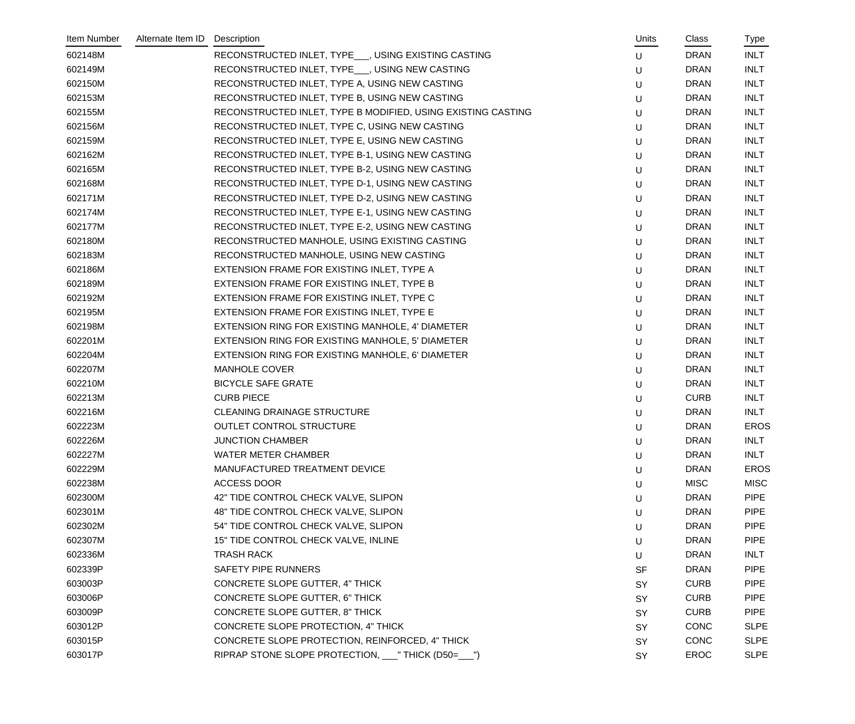| Item Number | Alternate Item ID | Description                                                  | Units     | Class       | Type        |
|-------------|-------------------|--------------------------------------------------------------|-----------|-------------|-------------|
| 602148M     |                   | RECONSTRUCTED INLET, TYPE___, USING EXISTING CASTING         | U         | <b>DRAN</b> | <b>INLT</b> |
| 602149M     |                   | RECONSTRUCTED INLET, TYPE___, USING NEW CASTING              | U         | <b>DRAN</b> | <b>INLT</b> |
| 602150M     |                   | RECONSTRUCTED INLET, TYPE A, USING NEW CASTING               | U         | <b>DRAN</b> | <b>INLT</b> |
| 602153M     |                   | RECONSTRUCTED INLET, TYPE B, USING NEW CASTING               | U         | <b>DRAN</b> | <b>INLT</b> |
| 602155M     |                   | RECONSTRUCTED INLET, TYPE B MODIFIED, USING EXISTING CASTING | U         | <b>DRAN</b> | <b>INLT</b> |
| 602156M     |                   | RECONSTRUCTED INLET, TYPE C, USING NEW CASTING               | U         | <b>DRAN</b> | <b>INLT</b> |
| 602159M     |                   | RECONSTRUCTED INLET, TYPE E, USING NEW CASTING               | U         | <b>DRAN</b> | <b>INLT</b> |
| 602162M     |                   | RECONSTRUCTED INLET, TYPE B-1, USING NEW CASTING             | U         | <b>DRAN</b> | <b>INLT</b> |
| 602165M     |                   | RECONSTRUCTED INLET, TYPE B-2, USING NEW CASTING             | U         | <b>DRAN</b> | <b>INLT</b> |
| 602168M     |                   | RECONSTRUCTED INLET, TYPE D-1, USING NEW CASTING             | U         | <b>DRAN</b> | <b>INLT</b> |
| 602171M     |                   | RECONSTRUCTED INLET, TYPE D-2, USING NEW CASTING             | U         | <b>DRAN</b> | <b>INLT</b> |
| 602174M     |                   | RECONSTRUCTED INLET, TYPE E-1, USING NEW CASTING             | U         | <b>DRAN</b> | <b>INLT</b> |
| 602177M     |                   | RECONSTRUCTED INLET, TYPE E-2, USING NEW CASTING             | U         | <b>DRAN</b> | <b>INLT</b> |
| 602180M     |                   | RECONSTRUCTED MANHOLE, USING EXISTING CASTING                | U         | <b>DRAN</b> | <b>INLT</b> |
| 602183M     |                   | RECONSTRUCTED MANHOLE, USING NEW CASTING                     | U         | <b>DRAN</b> | <b>INLT</b> |
| 602186M     |                   | EXTENSION FRAME FOR EXISTING INLET, TYPE A                   | U         | <b>DRAN</b> | <b>INLT</b> |
| 602189M     |                   | EXTENSION FRAME FOR EXISTING INLET, TYPE B                   | U         | <b>DRAN</b> | <b>INLT</b> |
| 602192M     |                   | EXTENSION FRAME FOR EXISTING INLET, TYPE C                   | U         | <b>DRAN</b> | <b>INLT</b> |
| 602195M     |                   | EXTENSION FRAME FOR EXISTING INLET, TYPE E                   | U         | <b>DRAN</b> | <b>INLT</b> |
| 602198M     |                   | EXTENSION RING FOR EXISTING MANHOLE, 4' DIAMETER             | U         | <b>DRAN</b> | <b>INLT</b> |
| 602201M     |                   | EXTENSION RING FOR EXISTING MANHOLE, 5' DIAMETER             | U         | <b>DRAN</b> | <b>INLT</b> |
| 602204M     |                   | EXTENSION RING FOR EXISTING MANHOLE, 6' DIAMETER             | U         | <b>DRAN</b> | <b>INLT</b> |
| 602207M     |                   | <b>MANHOLE COVER</b>                                         | U         | <b>DRAN</b> | <b>INLT</b> |
| 602210M     |                   | <b>BICYCLE SAFE GRATE</b>                                    | U         | <b>DRAN</b> | <b>INLT</b> |
| 602213M     |                   | <b>CURB PIECE</b>                                            | U         | <b>CURB</b> | <b>INLT</b> |
| 602216M     |                   | <b>CLEANING DRAINAGE STRUCTURE</b>                           | U         | <b>DRAN</b> | <b>INLT</b> |
| 602223M     |                   | <b>OUTLET CONTROL STRUCTURE</b>                              | U         | <b>DRAN</b> | <b>EROS</b> |
| 602226M     |                   | <b>JUNCTION CHAMBER</b>                                      | U         | <b>DRAN</b> | <b>INLT</b> |
| 602227M     |                   | <b>WATER METER CHAMBER</b>                                   | U         | <b>DRAN</b> | <b>INLT</b> |
| 602229M     |                   | MANUFACTURED TREATMENT DEVICE                                | U         | <b>DRAN</b> | <b>EROS</b> |
| 602238M     |                   | <b>ACCESS DOOR</b>                                           | U         | <b>MISC</b> | <b>MISC</b> |
| 602300M     |                   | 42" TIDE CONTROL CHECK VALVE, SLIPON                         | U         | <b>DRAN</b> | <b>PIPE</b> |
| 602301M     |                   | 48" TIDE CONTROL CHECK VALVE, SLIPON                         | U         | <b>DRAN</b> | <b>PIPE</b> |
| 602302M     |                   | 54" TIDE CONTROL CHECK VALVE, SLIPON                         | U         | <b>DRAN</b> | <b>PIPE</b> |
| 602307M     |                   | 15" TIDE CONTROL CHECK VALVE, INLINE                         | U         | <b>DRAN</b> | <b>PIPE</b> |
| 602336M     |                   | <b>TRASH RACK</b>                                            | U         | <b>DRAN</b> | <b>INLT</b> |
| 602339P     |                   | SAFETY PIPE RUNNERS                                          | <b>SF</b> | <b>DRAN</b> | <b>PIPE</b> |
| 603003P     |                   | CONCRETE SLOPE GUTTER, 4" THICK                              | SY        | <b>CURB</b> | <b>PIPE</b> |
| 603006P     |                   | CONCRETE SLOPE GUTTER, 6" THICK                              | SY        | <b>CURB</b> | <b>PIPE</b> |
| 603009P     |                   | CONCRETE SLOPE GUTTER, 8" THICK                              | SY        | <b>CURB</b> | <b>PIPE</b> |
| 603012P     |                   | CONCRETE SLOPE PROTECTION, 4" THICK                          | SY        | <b>CONC</b> | <b>SLPE</b> |
| 603015P     |                   | CONCRETE SLOPE PROTECTION, REINFORCED, 4" THICK              | SY        | <b>CONC</b> | <b>SLPE</b> |
| 603017P     |                   | RIPRAP STONE SLOPE PROTECTION, ___ "THICK (D50=___")         | SY        | <b>EROC</b> | <b>SLPE</b> |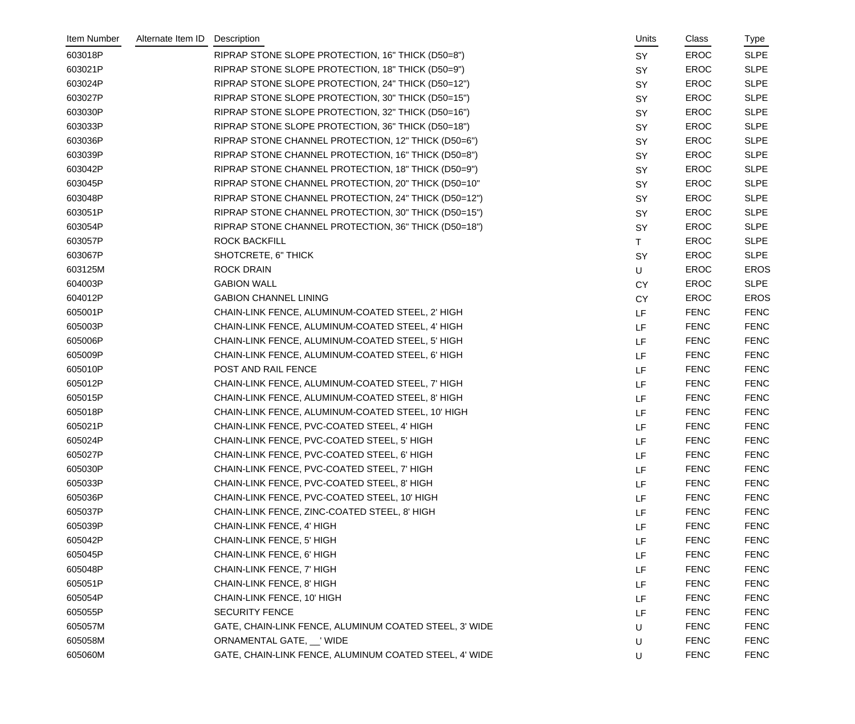| Item Number | Alternate Item ID | Description                                            | Units     | Class       | Type        |
|-------------|-------------------|--------------------------------------------------------|-----------|-------------|-------------|
| 603018P     |                   | RIPRAP STONE SLOPE PROTECTION, 16" THICK (D50=8")      | SY        | <b>EROC</b> | <b>SLPE</b> |
| 603021P     |                   | RIPRAP STONE SLOPE PROTECTION, 18" THICK (D50=9")      | SY        | <b>EROC</b> | <b>SLPE</b> |
| 603024P     |                   | RIPRAP STONE SLOPE PROTECTION, 24" THICK (D50=12")     | SY        | <b>EROC</b> | <b>SLPE</b> |
| 603027P     |                   | RIPRAP STONE SLOPE PROTECTION, 30" THICK (D50=15")     | SY        | <b>EROC</b> | <b>SLPE</b> |
| 603030P     |                   | RIPRAP STONE SLOPE PROTECTION, 32" THICK (D50=16")     | SY        | <b>EROC</b> | <b>SLPE</b> |
| 603033P     |                   | RIPRAP STONE SLOPE PROTECTION, 36" THICK (D50=18")     | SY        | <b>EROC</b> | <b>SLPE</b> |
| 603036P     |                   | RIPRAP STONE CHANNEL PROTECTION, 12" THICK (D50=6")    | <b>SY</b> | <b>EROC</b> | <b>SLPE</b> |
| 603039P     |                   | RIPRAP STONE CHANNEL PROTECTION, 16" THICK (D50=8")    | SY        | <b>EROC</b> | <b>SLPE</b> |
| 603042P     |                   | RIPRAP STONE CHANNEL PROTECTION, 18" THICK (D50=9")    | SY        | <b>EROC</b> | <b>SLPE</b> |
| 603045P     |                   | RIPRAP STONE CHANNEL PROTECTION, 20" THICK (D50=10"    | SY        | <b>EROC</b> | <b>SLPE</b> |
| 603048P     |                   | RIPRAP STONE CHANNEL PROTECTION, 24" THICK (D50=12")   | SY        | <b>EROC</b> | <b>SLPE</b> |
| 603051P     |                   | RIPRAP STONE CHANNEL PROTECTION, 30" THICK (D50=15")   | SY        | <b>EROC</b> | <b>SLPE</b> |
| 603054P     |                   | RIPRAP STONE CHANNEL PROTECTION, 36" THICK (D50=18")   | SY        | <b>EROC</b> | <b>SLPE</b> |
| 603057P     |                   | <b>ROCK BACKFILL</b>                                   | T.        | <b>EROC</b> | <b>SLPE</b> |
| 603067P     |                   | SHOTCRETE, 6" THICK                                    | SY        | <b>EROC</b> | <b>SLPE</b> |
| 603125M     |                   | <b>ROCK DRAIN</b>                                      | U         | <b>EROC</b> | <b>EROS</b> |
| 604003P     |                   | <b>GABION WALL</b>                                     | <b>CY</b> | <b>EROC</b> | <b>SLPE</b> |
| 604012P     |                   | <b>GABION CHANNEL LINING</b>                           | <b>CY</b> | <b>EROC</b> | <b>EROS</b> |
| 605001P     |                   | CHAIN-LINK FENCE, ALUMINUM-COATED STEEL, 2' HIGH       | LF        | <b>FENC</b> | <b>FENC</b> |
| 605003P     |                   | CHAIN-LINK FENCE, ALUMINUM-COATED STEEL, 4' HIGH       | LF        | <b>FENC</b> | <b>FENC</b> |
| 605006P     |                   | CHAIN-LINK FENCE, ALUMINUM-COATED STEEL, 5' HIGH       | LF        | <b>FENC</b> | <b>FENC</b> |
| 605009P     |                   | CHAIN-LINK FENCE, ALUMINUM-COATED STEEL, 6' HIGH       | LF        | <b>FENC</b> | <b>FENC</b> |
| 605010P     |                   | POST AND RAIL FENCE                                    | LF        | <b>FENC</b> | <b>FENC</b> |
| 605012P     |                   | CHAIN-LINK FENCE, ALUMINUM-COATED STEEL, 7' HIGH       | LF        | <b>FENC</b> | <b>FENC</b> |
| 605015P     |                   | CHAIN-LINK FENCE, ALUMINUM-COATED STEEL, 8' HIGH       | LF        | <b>FENC</b> | <b>FENC</b> |
| 605018P     |                   | CHAIN-LINK FENCE, ALUMINUM-COATED STEEL, 10' HIGH      | LF        | <b>FENC</b> | <b>FENC</b> |
| 605021P     |                   | CHAIN-LINK FENCE, PVC-COATED STEEL, 4' HIGH            | LF        | <b>FENC</b> | <b>FENC</b> |
| 605024P     |                   | CHAIN-LINK FENCE, PVC-COATED STEEL, 5' HIGH            | LF.       | <b>FENC</b> | <b>FENC</b> |
| 605027P     |                   | CHAIN-LINK FENCE, PVC-COATED STEEL, 6' HIGH            | LF        | <b>FENC</b> | <b>FENC</b> |
| 605030P     |                   | CHAIN-LINK FENCE, PVC-COATED STEEL, 7' HIGH            | LF        | <b>FENC</b> | <b>FENC</b> |
| 605033P     |                   | CHAIN-LINK FENCE, PVC-COATED STEEL, 8' HIGH            | LF        | <b>FENC</b> | <b>FENC</b> |
| 605036P     |                   | CHAIN-LINK FENCE, PVC-COATED STEEL, 10' HIGH           | LF        | <b>FENC</b> | <b>FENC</b> |
| 605037P     |                   | CHAIN-LINK FENCE, ZINC-COATED STEEL, 8' HIGH           | LF        | <b>FENC</b> | <b>FENC</b> |
| 605039P     |                   | <b>CHAIN-LINK FENCE, 4' HIGH</b>                       | LF        | <b>FENC</b> | <b>FENC</b> |
| 605042P     |                   | <b>CHAIN-LINK FENCE, 5' HIGH</b>                       | LF        | <b>FENC</b> | <b>FENC</b> |
| 605045P     |                   | CHAIN-LINK FENCE, 6' HIGH                              | LF        | <b>FENC</b> | <b>FENC</b> |
| 605048P     |                   | CHAIN-LINK FENCE, 7' HIGH                              | LF        | <b>FENC</b> | <b>FENC</b> |
| 605051P     |                   | CHAIN-LINK FENCE, 8' HIGH                              | LF        | <b>FENC</b> | <b>FENC</b> |
| 605054P     |                   | CHAIN-LINK FENCE, 10' HIGH                             | LF        | <b>FENC</b> | <b>FENC</b> |
| 605055P     |                   | <b>SECURITY FENCE</b>                                  | LF        | <b>FENC</b> | <b>FENC</b> |
| 605057M     |                   | GATE, CHAIN-LINK FENCE, ALUMINUM COATED STEEL, 3' WIDE | U         | <b>FENC</b> | <b>FENC</b> |
| 605058M     |                   | ORNAMENTAL GATE, VIIDE                                 | U         | <b>FENC</b> | <b>FENC</b> |
| 605060M     |                   | GATE, CHAIN-LINK FENCE, ALUMINUM COATED STEEL, 4' WIDE | U         | <b>FENC</b> | <b>FENC</b> |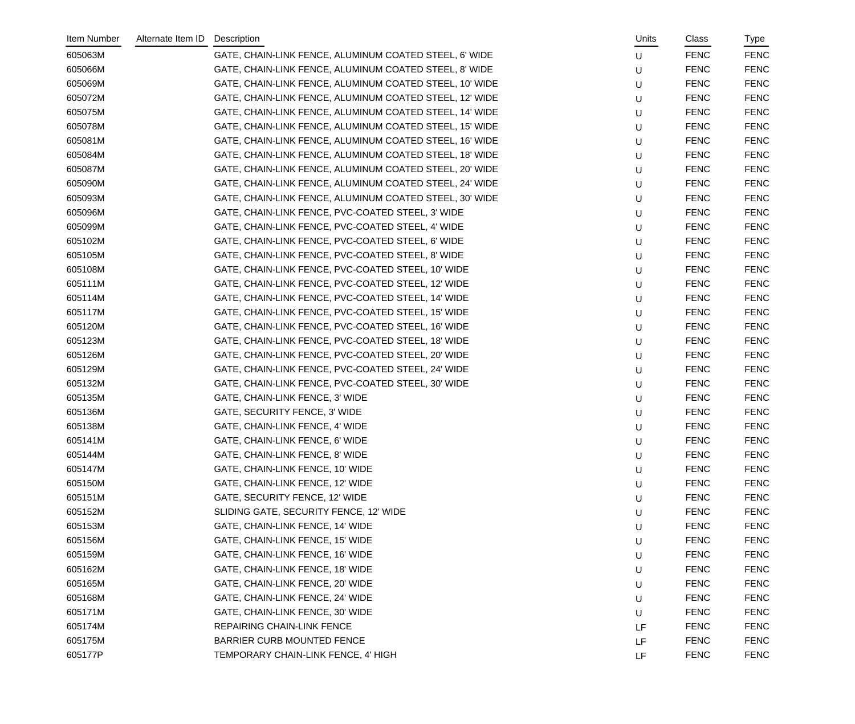| Item Number | Alternate Item ID | Description                                             | Units | Class       | Type        |
|-------------|-------------------|---------------------------------------------------------|-------|-------------|-------------|
| 605063M     |                   | GATE, CHAIN-LINK FENCE, ALUMINUM COATED STEEL, 6' WIDE  | U     | <b>FENC</b> | <b>FENC</b> |
| 605066M     |                   | GATE, CHAIN-LINK FENCE, ALUMINUM COATED STEEL, 8' WIDE  | U     | <b>FENC</b> | <b>FENC</b> |
| 605069M     |                   | GATE, CHAIN-LINK FENCE, ALUMINUM COATED STEEL, 10' WIDE | U     | <b>FENC</b> | <b>FENC</b> |
| 605072M     |                   | GATE, CHAIN-LINK FENCE, ALUMINUM COATED STEEL, 12' WIDE | U     | <b>FENC</b> | <b>FENC</b> |
| 605075M     |                   | GATE, CHAIN-LINK FENCE, ALUMINUM COATED STEEL, 14' WIDE | U     | <b>FENC</b> | <b>FENC</b> |
| 605078M     |                   | GATE, CHAIN-LINK FENCE, ALUMINUM COATED STEEL, 15' WIDE | U     | <b>FENC</b> | <b>FENC</b> |
| 605081M     |                   | GATE, CHAIN-LINK FENCE, ALUMINUM COATED STEEL, 16' WIDE | U     | <b>FENC</b> | <b>FENC</b> |
| 605084M     |                   | GATE, CHAIN-LINK FENCE, ALUMINUM COATED STEEL, 18' WIDE | U     | <b>FENC</b> | <b>FENC</b> |
| 605087M     |                   | GATE, CHAIN-LINK FENCE, ALUMINUM COATED STEEL, 20' WIDE | U     | <b>FENC</b> | <b>FENC</b> |
| 605090M     |                   | GATE, CHAIN-LINK FENCE, ALUMINUM COATED STEEL, 24' WIDE | U     | <b>FENC</b> | <b>FENC</b> |
| 605093M     |                   | GATE, CHAIN-LINK FENCE, ALUMINUM COATED STEEL, 30' WIDE | U     | <b>FENC</b> | <b>FENC</b> |
| 605096M     |                   | GATE, CHAIN-LINK FENCE, PVC-COATED STEEL, 3' WIDE       | U     | <b>FENC</b> | <b>FENC</b> |
| 605099M     |                   | GATE, CHAIN-LINK FENCE, PVC-COATED STEEL, 4' WIDE       | U     | <b>FENC</b> | <b>FENC</b> |
| 605102M     |                   | GATE, CHAIN-LINK FENCE, PVC-COATED STEEL, 6' WIDE       | U     | <b>FENC</b> | <b>FENC</b> |
| 605105M     |                   | GATE, CHAIN-LINK FENCE, PVC-COATED STEEL, 8' WIDE       | U     | <b>FENC</b> | <b>FENC</b> |
| 605108M     |                   | GATE, CHAIN-LINK FENCE, PVC-COATED STEEL, 10' WIDE      | U     | <b>FENC</b> | <b>FENC</b> |
| 605111M     |                   | GATE, CHAIN-LINK FENCE, PVC-COATED STEEL, 12' WIDE      | U     | <b>FENC</b> | <b>FENC</b> |
| 605114M     |                   | GATE, CHAIN-LINK FENCE, PVC-COATED STEEL, 14' WIDE      | U     | <b>FENC</b> | <b>FENC</b> |
| 605117M     |                   | GATE, CHAIN-LINK FENCE, PVC-COATED STEEL, 15' WIDE      | U     | <b>FENC</b> | <b>FENC</b> |
| 605120M     |                   | GATE, CHAIN-LINK FENCE, PVC-COATED STEEL, 16' WIDE      | U     | <b>FENC</b> | <b>FENC</b> |
| 605123M     |                   | GATE, CHAIN-LINK FENCE, PVC-COATED STEEL, 18' WIDE      | U     | <b>FENC</b> | <b>FENC</b> |
| 605126M     |                   | GATE, CHAIN-LINK FENCE, PVC-COATED STEEL, 20' WIDE      | U     | <b>FENC</b> | <b>FENC</b> |
| 605129M     |                   | GATE, CHAIN-LINK FENCE, PVC-COATED STEEL, 24' WIDE      | U     | <b>FENC</b> | <b>FENC</b> |
| 605132M     |                   | GATE, CHAIN-LINK FENCE, PVC-COATED STEEL, 30' WIDE      | U     | <b>FENC</b> | <b>FENC</b> |
| 605135M     |                   | GATE, CHAIN-LINK FENCE, 3' WIDE                         | U     | <b>FENC</b> | <b>FENC</b> |
| 605136M     |                   | GATE, SECURITY FENCE, 3' WIDE                           | U     | <b>FENC</b> | <b>FENC</b> |
| 605138M     |                   | GATE, CHAIN-LINK FENCE, 4' WIDE                         | U     | <b>FENC</b> | <b>FENC</b> |
| 605141M     |                   | GATE, CHAIN-LINK FENCE, 6' WIDE                         | U     | <b>FENC</b> | <b>FENC</b> |
| 605144M     |                   | GATE, CHAIN-LINK FENCE, 8' WIDE                         | U     | <b>FENC</b> | <b>FENC</b> |
| 605147M     |                   | GATE, CHAIN-LINK FENCE, 10' WIDE                        | U     | <b>FENC</b> | <b>FENC</b> |
| 605150M     |                   | GATE, CHAIN-LINK FENCE, 12' WIDE                        | U     | <b>FENC</b> | <b>FENC</b> |
| 605151M     |                   | GATE, SECURITY FENCE, 12' WIDE                          | U     | <b>FENC</b> | <b>FENC</b> |
| 605152M     |                   | SLIDING GATE, SECURITY FENCE, 12' WIDE                  | U     | <b>FENC</b> | <b>FENC</b> |
| 605153M     |                   | GATE, CHAIN-LINK FENCE, 14' WIDE                        | U     | <b>FENC</b> | <b>FENC</b> |
| 605156M     |                   | GATE, CHAIN-LINK FENCE, 15' WIDE                        | U     | <b>FENC</b> | <b>FENC</b> |
| 605159M     |                   | GATE, CHAIN-LINK FENCE, 16' WIDE                        | U     | <b>FENC</b> | <b>FENC</b> |
| 605162M     |                   | GATE, CHAIN-LINK FENCE, 18' WIDE                        | U     | <b>FENC</b> | <b>FENC</b> |
| 605165M     |                   | GATE, CHAIN-LINK FENCE, 20' WIDE                        | U     | <b>FENC</b> | <b>FENC</b> |
| 605168M     |                   | GATE, CHAIN-LINK FENCE, 24' WIDE                        | U     | <b>FENC</b> | <b>FENC</b> |
| 605171M     |                   | GATE, CHAIN-LINK FENCE, 30' WIDE                        | U     | <b>FENC</b> | <b>FENC</b> |
| 605174M     |                   | <b>REPAIRING CHAIN-LINK FENCE</b>                       | LF    | <b>FENC</b> | <b>FENC</b> |
| 605175M     |                   | BARRIER CURB MOUNTED FENCE                              | LF    | <b>FENC</b> | <b>FENC</b> |
| 605177P     |                   | TEMPORARY CHAIN-LINK FENCE, 4' HIGH                     | LF    | <b>FENC</b> | <b>FENC</b> |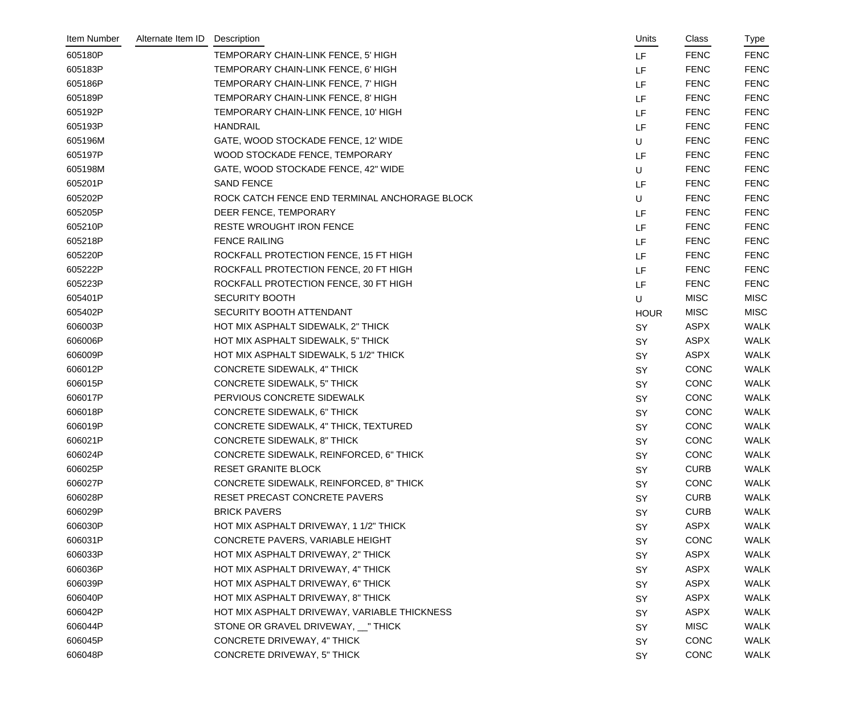| Item Number | Alternate Item ID | Description                                   |   | Units       | Class       | Type        |
|-------------|-------------------|-----------------------------------------------|---|-------------|-------------|-------------|
| 605180P     |                   | TEMPORARY CHAIN-LINK FENCE, 5' HIGH           |   | LF          | <b>FENC</b> | <b>FENC</b> |
| 605183P     |                   | TEMPORARY CHAIN-LINK FENCE, 6' HIGH           |   | LF          | <b>FENC</b> | <b>FENC</b> |
| 605186P     |                   | TEMPORARY CHAIN-LINK FENCE, 7' HIGH           |   | LF          | <b>FENC</b> | <b>FENC</b> |
| 605189P     |                   | TEMPORARY CHAIN-LINK FENCE, 8' HIGH           |   | LF          | <b>FENC</b> | <b>FENC</b> |
| 605192P     |                   | TEMPORARY CHAIN-LINK FENCE, 10' HIGH          |   | LF          | <b>FENC</b> | <b>FENC</b> |
| 605193P     |                   | <b>HANDRAIL</b>                               |   | LF          | <b>FENC</b> | <b>FENC</b> |
| 605196M     |                   | GATE, WOOD STOCKADE FENCE, 12' WIDE           | U |             | <b>FENC</b> | <b>FENC</b> |
| 605197P     |                   | WOOD STOCKADE FENCE, TEMPORARY                |   | LF          | <b>FENC</b> | <b>FENC</b> |
| 605198M     |                   | GATE, WOOD STOCKADE FENCE, 42" WIDE           | U |             | <b>FENC</b> | <b>FENC</b> |
| 605201P     |                   | <b>SAND FENCE</b>                             |   | LF          | <b>FENC</b> | <b>FENC</b> |
| 605202P     |                   | ROCK CATCH FENCE END TERMINAL ANCHORAGE BLOCK | U |             | <b>FENC</b> | <b>FENC</b> |
| 605205P     |                   | DEER FENCE, TEMPORARY                         |   | LF          | <b>FENC</b> | <b>FENC</b> |
| 605210P     |                   | <b>RESTE WROUGHT IRON FENCE</b>               |   | LF          | <b>FENC</b> | <b>FENC</b> |
| 605218P     |                   | <b>FENCE RAILING</b>                          |   | LF          | <b>FENC</b> | <b>FENC</b> |
| 605220P     |                   | ROCKFALL PROTECTION FENCE, 15 FT HIGH         |   | LF          | <b>FENC</b> | <b>FENC</b> |
| 605222P     |                   | ROCKFALL PROTECTION FENCE, 20 FT HIGH         |   | LF          | <b>FENC</b> | <b>FENC</b> |
| 605223P     |                   | ROCKFALL PROTECTION FENCE, 30 FT HIGH         |   | LF          | <b>FENC</b> | <b>FENC</b> |
| 605401P     |                   | <b>SECURITY BOOTH</b>                         | U |             | <b>MISC</b> | <b>MISC</b> |
| 605402P     |                   | SECURITY BOOTH ATTENDANT                      |   | <b>HOUR</b> | <b>MISC</b> | <b>MISC</b> |
| 606003P     |                   | HOT MIX ASPHALT SIDEWALK, 2" THICK            |   | SY          | <b>ASPX</b> | <b>WALK</b> |
| 606006P     |                   | HOT MIX ASPHALT SIDEWALK, 5" THICK            |   | SY          | <b>ASPX</b> | <b>WALK</b> |
| 606009P     |                   | HOT MIX ASPHALT SIDEWALK, 5 1/2" THICK        |   | SY          | <b>ASPX</b> | <b>WALK</b> |
| 606012P     |                   | <b>CONCRETE SIDEWALK, 4" THICK</b>            |   | SY          | <b>CONC</b> | <b>WALK</b> |
| 606015P     |                   | <b>CONCRETE SIDEWALK, 5" THICK</b>            |   | <b>SY</b>   | <b>CONC</b> | <b>WALK</b> |
| 606017P     |                   | PERVIOUS CONCRETE SIDEWALK                    |   | SY          | <b>CONC</b> | <b>WALK</b> |
| 606018P     |                   | <b>CONCRETE SIDEWALK, 6" THICK</b>            |   | SY          | <b>CONC</b> | <b>WALK</b> |
| 606019P     |                   | CONCRETE SIDEWALK, 4" THICK, TEXTURED         |   | SY          | <b>CONC</b> | <b>WALK</b> |
| 606021P     |                   | <b>CONCRETE SIDEWALK, 8" THICK</b>            |   | SY          | CONC        | WALK        |
| 606024P     |                   | CONCRETE SIDEWALK, REINFORCED, 6" THICK       |   | SY          | <b>CONC</b> | <b>WALK</b> |
| 606025P     |                   | <b>RESET GRANITE BLOCK</b>                    |   | SY          | <b>CURB</b> | <b>WALK</b> |
| 606027P     |                   | CONCRETE SIDEWALK, REINFORCED, 8" THICK       |   | <b>SY</b>   | <b>CONC</b> | <b>WALK</b> |
| 606028P     |                   | RESET PRECAST CONCRETE PAVERS                 |   | SY          | <b>CURB</b> | <b>WALK</b> |
| 606029P     |                   | <b>BRICK PAVERS</b>                           |   | SY          | <b>CURB</b> | <b>WALK</b> |
| 606030P     |                   | HOT MIX ASPHALT DRIVEWAY, 1 1/2" THICK        |   | <b>SY</b>   | <b>ASPX</b> | <b>WALK</b> |
| 606031P     |                   | CONCRETE PAVERS, VARIABLE HEIGHT              |   | <b>SY</b>   | <b>CONC</b> | <b>WALK</b> |
| 606033P     |                   | HOT MIX ASPHALT DRIVEWAY, 2" THICK            |   | SY          | <b>ASPX</b> | <b>WALK</b> |
| 606036P     |                   | HOT MIX ASPHALT DRIVEWAY, 4" THICK            |   | SY          | <b>ASPX</b> | <b>WALK</b> |
| 606039P     |                   | HOT MIX ASPHALT DRIVEWAY, 6" THICK            |   | SY          | <b>ASPX</b> | <b>WALK</b> |
| 606040P     |                   | HOT MIX ASPHALT DRIVEWAY, 8" THICK            |   | <b>SY</b>   | <b>ASPX</b> | <b>WALK</b> |
| 606042P     |                   | HOT MIX ASPHALT DRIVEWAY, VARIABLE THICKNESS  |   | <b>SY</b>   | <b>ASPX</b> | <b>WALK</b> |
| 606044P     |                   | STONE OR GRAVEL DRIVEWAY, __" THICK           |   | SY          | <b>MISC</b> | <b>WALK</b> |
| 606045P     |                   | <b>CONCRETE DRIVEWAY, 4" THICK</b>            |   | <b>SY</b>   | <b>CONC</b> | <b>WALK</b> |
| 606048P     |                   | <b>CONCRETE DRIVEWAY, 5" THICK</b>            |   | SY          | <b>CONC</b> | <b>WALK</b> |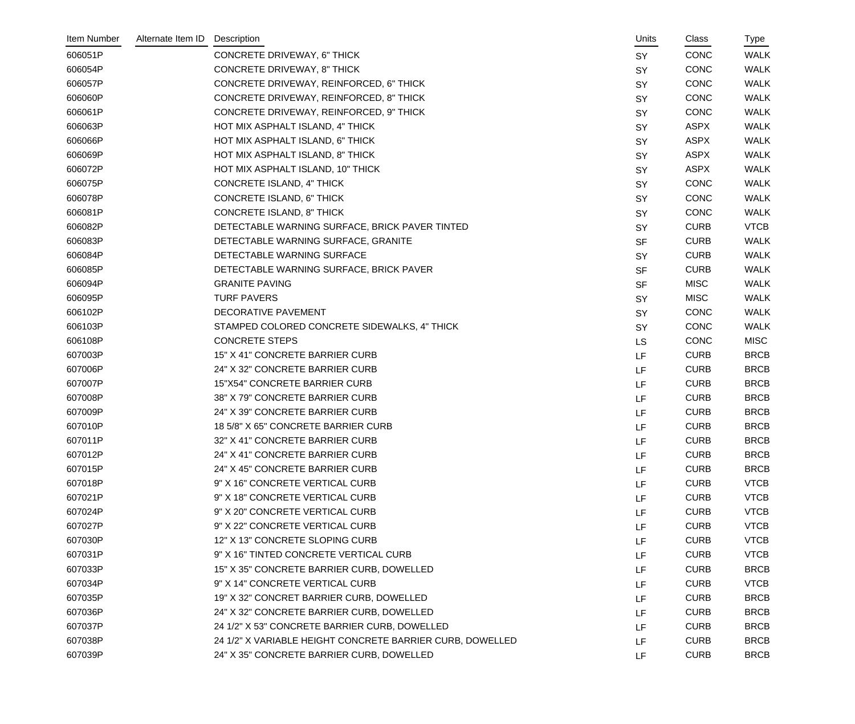| Item Number | Alternate Item ID | Description                                               |           | Units | Class       | Type        |
|-------------|-------------------|-----------------------------------------------------------|-----------|-------|-------------|-------------|
| 606051P     |                   | <b>CONCRETE DRIVEWAY, 6" THICK</b>                        | <b>SY</b> |       | <b>CONC</b> | <b>WALK</b> |
| 606054P     |                   | <b>CONCRETE DRIVEWAY, 8" THICK</b>                        | SY        |       | <b>CONC</b> | <b>WALK</b> |
| 606057P     |                   | CONCRETE DRIVEWAY, REINFORCED, 6" THICK                   | SY        |       | <b>CONC</b> | <b>WALK</b> |
| 606060P     |                   | CONCRETE DRIVEWAY, REINFORCED, 8" THICK                   | SY        |       | <b>CONC</b> | <b>WALK</b> |
| 606061P     |                   | CONCRETE DRIVEWAY, REINFORCED, 9" THICK                   | SY        |       | <b>CONC</b> | <b>WALK</b> |
| 606063P     |                   | HOT MIX ASPHALT ISLAND, 4" THICK                          | SY        |       | <b>ASPX</b> | <b>WALK</b> |
| 606066P     |                   | HOT MIX ASPHALT ISLAND, 6" THICK                          | SY        |       | <b>ASPX</b> | <b>WALK</b> |
| 606069P     |                   | HOT MIX ASPHALT ISLAND, 8" THICK                          | SY        |       | <b>ASPX</b> | <b>WALK</b> |
| 606072P     |                   | HOT MIX ASPHALT ISLAND, 10" THICK                         | SY        |       | <b>ASPX</b> | <b>WALK</b> |
| 606075P     |                   | CONCRETE ISLAND, 4" THICK                                 | SY        |       | <b>CONC</b> | <b>WALK</b> |
| 606078P     |                   | CONCRETE ISLAND, 6" THICK                                 | SY        |       | <b>CONC</b> | <b>WALK</b> |
| 606081P     |                   | CONCRETE ISLAND, 8" THICK                                 | SY        |       | <b>CONC</b> | <b>WALK</b> |
| 606082P     |                   | DETECTABLE WARNING SURFACE, BRICK PAVER TINTED            | SY        |       | <b>CURB</b> | <b>VTCB</b> |
| 606083P     |                   | DETECTABLE WARNING SURFACE, GRANITE                       | <b>SF</b> |       | <b>CURB</b> | <b>WALK</b> |
| 606084P     |                   | DETECTABLE WARNING SURFACE                                | SY        |       | <b>CURB</b> | <b>WALK</b> |
| 606085P     |                   | DETECTABLE WARNING SURFACE, BRICK PAVER                   | <b>SF</b> |       | <b>CURB</b> | <b>WALK</b> |
| 606094P     |                   | <b>GRANITE PAVING</b>                                     | <b>SF</b> |       | <b>MISC</b> | <b>WALK</b> |
| 606095P     |                   | <b>TURF PAVERS</b>                                        | SY        |       | <b>MISC</b> | <b>WALK</b> |
| 606102P     |                   | DECORATIVE PAVEMENT                                       | SY        |       | <b>CONC</b> | <b>WALK</b> |
| 606103P     |                   | STAMPED COLORED CONCRETE SIDEWALKS, 4" THICK              | SY        |       | CONC        | <b>WALK</b> |
| 606108P     |                   | <b>CONCRETE STEPS</b>                                     | <b>LS</b> |       | <b>CONC</b> | <b>MISC</b> |
| 607003P     |                   | 15" X 41" CONCRETE BARRIER CURB                           | LF        |       | <b>CURB</b> | <b>BRCB</b> |
| 607006P     |                   | 24" X 32" CONCRETE BARRIER CURB                           | LF        |       | <b>CURB</b> | <b>BRCB</b> |
| 607007P     |                   | 15"X54" CONCRETE BARRIER CURB                             | LF        |       | <b>CURB</b> | <b>BRCB</b> |
| 607008P     |                   | 38" X 79" CONCRETE BARRIER CURB                           | <b>LF</b> |       | <b>CURB</b> | <b>BRCB</b> |
| 607009P     |                   | 24" X 39" CONCRETE BARRIER CURB                           | LF        |       | <b>CURB</b> | <b>BRCB</b> |
| 607010P     |                   | 18 5/8" X 65" CONCRETE BARRIER CURB                       | <b>LF</b> |       | <b>CURB</b> | <b>BRCB</b> |
| 607011P     |                   | 32" X 41" CONCRETE BARRIER CURB                           | LF.       |       | <b>CURB</b> | <b>BRCB</b> |
| 607012P     |                   | 24" X 41" CONCRETE BARRIER CURB                           | LF        |       | <b>CURB</b> | <b>BRCB</b> |
| 607015P     |                   | 24" X 45" CONCRETE BARRIER CURB                           | LF        |       | <b>CURB</b> | <b>BRCB</b> |
| 607018P     |                   | 9" X 16" CONCRETE VERTICAL CURB                           | LF        |       | <b>CURB</b> | <b>VTCB</b> |
| 607021P     |                   | 9" X 18" CONCRETE VERTICAL CURB                           | LF        |       | <b>CURB</b> | <b>VTCB</b> |
| 607024P     |                   | 9" X 20" CONCRETE VERTICAL CURB                           | LF        |       | <b>CURB</b> | <b>VTCB</b> |
| 607027P     |                   | 9" X 22" CONCRETE VERTICAL CURB                           | LF        |       | <b>CURB</b> | <b>VTCB</b> |
| 607030P     |                   | 12" X 13" CONCRETE SLOPING CURB                           | LF        |       | <b>CURB</b> | <b>VTCB</b> |
| 607031P     |                   | 9" X 16" TINTED CONCRETE VERTICAL CURB                    | LF        |       | <b>CURB</b> | <b>VTCB</b> |
| 607033P     |                   | 15" X 35" CONCRETE BARRIER CURB, DOWELLED                 | LF        |       | <b>CURB</b> | <b>BRCB</b> |
| 607034P     |                   | 9" X 14" CONCRETE VERTICAL CURB                           | LF        |       | <b>CURB</b> | <b>VTCB</b> |
| 607035P     |                   | 19" X 32" CONCRET BARRIER CURB, DOWELLED                  | LF        |       | <b>CURB</b> | <b>BRCB</b> |
| 607036P     |                   | 24" X 32" CONCRETE BARRIER CURB, DOWELLED                 | LF        |       | <b>CURB</b> | <b>BRCB</b> |
| 607037P     |                   | 24 1/2" X 53" CONCRETE BARRIER CURB, DOWELLED             | LF        |       | <b>CURB</b> | <b>BRCB</b> |
| 607038P     |                   | 24 1/2" X VARIABLE HEIGHT CONCRETE BARRIER CURB, DOWELLED | LF        |       | <b>CURB</b> | <b>BRCB</b> |
| 607039P     |                   | 24" X 35" CONCRETE BARRIER CURB, DOWELLED                 | LF        |       | <b>CURB</b> | <b>BRCB</b> |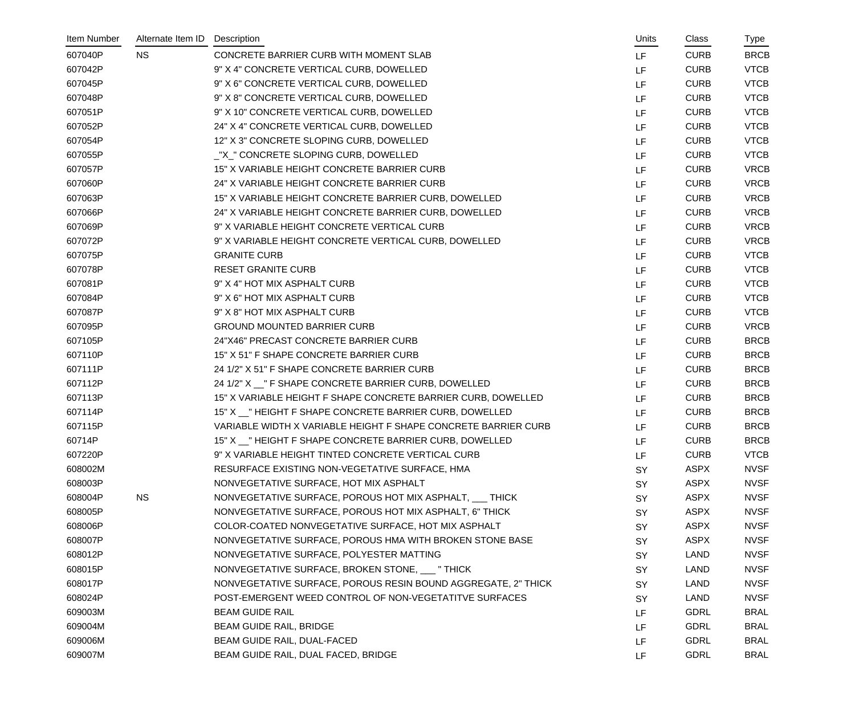| Item Number | Alternate Item ID | Description                                                    | Units     | Class       | Type        |
|-------------|-------------------|----------------------------------------------------------------|-----------|-------------|-------------|
| 607040P     | <b>NS</b>         | CONCRETE BARRIER CURB WITH MOMENT SLAB                         | <b>LF</b> | <b>CURB</b> | <b>BRCB</b> |
| 607042P     |                   | 9" X 4" CONCRETE VERTICAL CURB, DOWELLED                       | LF        | <b>CURB</b> | <b>VTCB</b> |
| 607045P     |                   | 9" X 6" CONCRETE VERTICAL CURB, DOWELLED                       | LF        | <b>CURB</b> | <b>VTCB</b> |
| 607048P     |                   | 9" X 8" CONCRETE VERTICAL CURB, DOWELLED                       | LF        | <b>CURB</b> | <b>VTCB</b> |
| 607051P     |                   | 9" X 10" CONCRETE VERTICAL CURB, DOWELLED                      | LF        | <b>CURB</b> | <b>VTCB</b> |
| 607052P     |                   | 24" X 4" CONCRETE VERTICAL CURB, DOWELLED                      | LF        | <b>CURB</b> | <b>VTCB</b> |
| 607054P     |                   | 12" X 3" CONCRETE SLOPING CURB, DOWELLED                       | LF        | <b>CURB</b> | <b>VTCB</b> |
| 607055P     |                   | _"X_" CONCRETE SLOPING CURB, DOWELLED                          | LF        | <b>CURB</b> | <b>VTCB</b> |
| 607057P     |                   | 15" X VARIABLE HEIGHT CONCRETE BARRIER CURB                    | LF        | <b>CURB</b> | <b>VRCB</b> |
| 607060P     |                   | 24" X VARIABLE HEIGHT CONCRETE BARRIER CURB                    | LF        | <b>CURB</b> | <b>VRCB</b> |
| 607063P     |                   | 15" X VARIABLE HEIGHT CONCRETE BARRIER CURB, DOWELLED          | LF        | <b>CURB</b> | <b>VRCB</b> |
| 607066P     |                   | 24" X VARIABLE HEIGHT CONCRETE BARRIER CURB, DOWELLED          | LF        | <b>CURB</b> | <b>VRCB</b> |
| 607069P     |                   | 9" X VARIABLE HEIGHT CONCRETE VERTICAL CURB                    | LF        | <b>CURB</b> | <b>VRCB</b> |
| 607072P     |                   | 9" X VARIABLE HEIGHT CONCRETE VERTICAL CURB, DOWELLED          | LF        | <b>CURB</b> | <b>VRCB</b> |
| 607075P     |                   | <b>GRANITE CURB</b>                                            | LF        | <b>CURB</b> | <b>VTCB</b> |
| 607078P     |                   | <b>RESET GRANITE CURB</b>                                      | LF        | <b>CURB</b> | <b>VTCB</b> |
| 607081P     |                   | 9" X 4" HOT MIX ASPHALT CURB                                   | LF        | <b>CURB</b> | <b>VTCB</b> |
| 607084P     |                   | 9" X 6" HOT MIX ASPHALT CURB                                   | LF        | <b>CURB</b> | <b>VTCB</b> |
| 607087P     |                   | 9" X 8" HOT MIX ASPHALT CURB                                   | LF        | <b>CURB</b> | <b>VTCB</b> |
| 607095P     |                   | <b>GROUND MOUNTED BARRIER CURB</b>                             | LF        | <b>CURB</b> | <b>VRCB</b> |
| 607105P     |                   | 24"X46" PRECAST CONCRETE BARRIER CURB                          | LF        | <b>CURB</b> | <b>BRCB</b> |
| 607110P     |                   | 15" X 51" F SHAPE CONCRETE BARRIER CURB                        | LF        | <b>CURB</b> | <b>BRCB</b> |
| 607111P     |                   | 24 1/2" X 51" F SHAPE CONCRETE BARRIER CURB                    | LF        | <b>CURB</b> | <b>BRCB</b> |
| 607112P     |                   | 24 1/2" X __ " F SHAPE CONCRETE BARRIER CURB, DOWELLED         | LF        | <b>CURB</b> | <b>BRCB</b> |
| 607113P     |                   | 15" X VARIABLE HEIGHT F SHAPE CONCRETE BARRIER CURB, DOWELLED  | LF        | <b>CURB</b> | <b>BRCB</b> |
| 607114P     |                   | 15" X _ " HEIGHT F SHAPE CONCRETE BARRIER CURB, DOWELLED       | LF        | <b>CURB</b> | <b>BRCB</b> |
| 607115P     |                   | VARIABLE WIDTH X VARIABLE HEIGHT F SHAPE CONCRETE BARRIER CURB | LF        | <b>CURB</b> | <b>BRCB</b> |
| 60714P      |                   | 15" X _ " HEIGHT F SHAPE CONCRETE BARRIER CURB, DOWELLED       | LF        | <b>CURB</b> | <b>BRCB</b> |
| 607220P     |                   | 9" X VARIABLE HEIGHT TINTED CONCRETE VERTICAL CURB             | LF        | <b>CURB</b> | <b>VTCB</b> |
| 608002M     |                   | RESURFACE EXISTING NON-VEGETATIVE SURFACE, HMA                 | SY        | <b>ASPX</b> | <b>NVSF</b> |
| 608003P     |                   | NONVEGETATIVE SURFACE, HOT MIX ASPHALT                         | <b>SY</b> | <b>ASPX</b> | <b>NVSF</b> |
| 608004P     | <b>NS</b>         | NONVEGETATIVE SURFACE, POROUS HOT MIX ASPHALT, THICK           | <b>SY</b> | <b>ASPX</b> | <b>NVSF</b> |
| 608005P     |                   | NONVEGETATIVE SURFACE, POROUS HOT MIX ASPHALT, 6" THICK        | SY        | <b>ASPX</b> | <b>NVSF</b> |
| 608006P     |                   | COLOR-COATED NONVEGETATIVE SURFACE, HOT MIX ASPHALT            | <b>SY</b> | <b>ASPX</b> | <b>NVSF</b> |
| 608007P     |                   | NONVEGETATIVE SURFACE, POROUS HMA WITH BROKEN STONE BASE       | <b>SY</b> | <b>ASPX</b> | <b>NVSF</b> |
| 608012P     |                   | NONVEGETATIVE SURFACE, POLYESTER MATTING                       | <b>SY</b> | <b>LAND</b> | <b>NVSF</b> |
| 608015P     |                   | NONVEGETATIVE SURFACE, BROKEN STONE, ___ "THICK                | <b>SY</b> | LAND        | <b>NVSF</b> |
| 608017P     |                   | NONVEGETATIVE SURFACE, POROUS RESIN BOUND AGGREGATE, 2" THICK  | SY        | LAND        | <b>NVSF</b> |
| 608024P     |                   | POST-EMERGENT WEED CONTROL OF NON-VEGETATITVE SURFACES         | <b>SY</b> | <b>LAND</b> | <b>NVSF</b> |
| 609003M     |                   | <b>BEAM GUIDE RAIL</b>                                         | LF        | <b>GDRL</b> | <b>BRAL</b> |
| 609004M     |                   | <b>BEAM GUIDE RAIL, BRIDGE</b>                                 | LF        | <b>GDRL</b> | <b>BRAL</b> |
| 609006M     |                   | BEAM GUIDE RAIL, DUAL-FACED                                    | LF        | <b>GDRL</b> | <b>BRAL</b> |
| 609007M     |                   | BEAM GUIDE RAIL, DUAL FACED, BRIDGE                            | LF        | GDRL        | <b>BRAL</b> |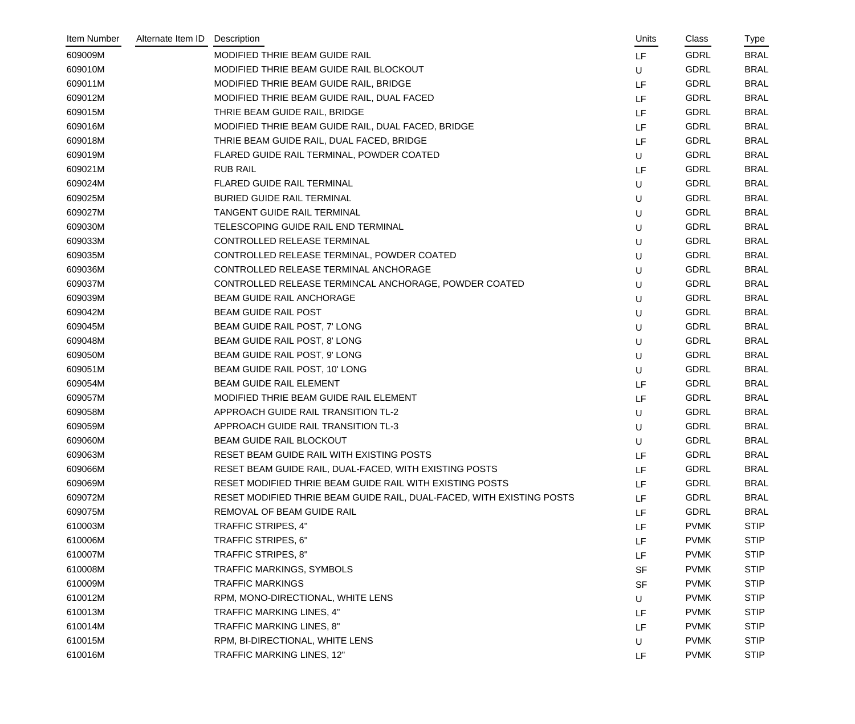| Item Number | Alternate Item ID | Description                                                           | Units     | Class       | Type        |
|-------------|-------------------|-----------------------------------------------------------------------|-----------|-------------|-------------|
| 609009M     |                   | MODIFIED THRIE BEAM GUIDE RAIL                                        | LF.       | <b>GDRL</b> | <b>BRAL</b> |
| 609010M     |                   | MODIFIED THRIE BEAM GUIDE RAIL BLOCKOUT                               | U         | <b>GDRL</b> | <b>BRAL</b> |
| 609011M     |                   | MODIFIED THRIE BEAM GUIDE RAIL, BRIDGE                                | LF        | <b>GDRL</b> | <b>BRAL</b> |
| 609012M     |                   | MODIFIED THRIE BEAM GUIDE RAIL, DUAL FACED                            | LF.       | <b>GDRL</b> | <b>BRAL</b> |
| 609015M     |                   | THRIE BEAM GUIDE RAIL, BRIDGE                                         | LF.       | <b>GDRL</b> | <b>BRAL</b> |
| 609016M     |                   | MODIFIED THRIE BEAM GUIDE RAIL, DUAL FACED, BRIDGE                    | LF        | <b>GDRL</b> | <b>BRAL</b> |
| 609018M     |                   | THRIE BEAM GUIDE RAIL, DUAL FACED, BRIDGE                             | LF        | <b>GDRL</b> | <b>BRAL</b> |
| 609019M     |                   | FLARED GUIDE RAIL TERMINAL, POWDER COATED                             | U         | <b>GDRL</b> | <b>BRAL</b> |
| 609021M     |                   | <b>RUB RAIL</b>                                                       | LF        | <b>GDRL</b> | <b>BRAL</b> |
| 609024M     |                   | FLARED GUIDE RAIL TERMINAL                                            | U         | <b>GDRL</b> | <b>BRAL</b> |
| 609025M     |                   | <b>BURIED GUIDE RAIL TERMINAL</b>                                     | U         | <b>GDRL</b> | <b>BRAL</b> |
| 609027M     |                   | TANGENT GUIDE RAIL TERMINAL                                           | U         | <b>GDRL</b> | <b>BRAL</b> |
| 609030M     |                   | TELESCOPING GUIDE RAIL END TERMINAL                                   | U         | <b>GDRL</b> | <b>BRAL</b> |
| 609033M     |                   | CONTROLLED RELEASE TERMINAL                                           | U         | <b>GDRL</b> | <b>BRAL</b> |
| 609035M     |                   | CONTROLLED RELEASE TERMINAL, POWDER COATED                            | U         | <b>GDRL</b> | <b>BRAL</b> |
| 609036M     |                   | CONTROLLED RELEASE TERMINAL ANCHORAGE                                 | U         | <b>GDRL</b> | <b>BRAL</b> |
| 609037M     |                   | CONTROLLED RELEASE TERMINCAL ANCHORAGE, POWDER COATED                 | U         | <b>GDRL</b> | <b>BRAL</b> |
| 609039M     |                   | BEAM GUIDE RAIL ANCHORAGE                                             | U         | <b>GDRL</b> | <b>BRAL</b> |
| 609042M     |                   | <b>BEAM GUIDE RAIL POST</b>                                           | U         | <b>GDRL</b> | <b>BRAL</b> |
| 609045M     |                   | BEAM GUIDE RAIL POST, 7' LONG                                         | U         | <b>GDRL</b> | <b>BRAL</b> |
| 609048M     |                   | BEAM GUIDE RAIL POST, 8' LONG                                         | U         | <b>GDRL</b> | <b>BRAL</b> |
| 609050M     |                   | BEAM GUIDE RAIL POST, 9' LONG                                         | U         | <b>GDRL</b> | <b>BRAL</b> |
| 609051M     |                   | BEAM GUIDE RAIL POST, 10' LONG                                        | U         | <b>GDRL</b> | <b>BRAL</b> |
| 609054M     |                   | BEAM GUIDE RAIL ELEMENT                                               | LF        | <b>GDRL</b> | <b>BRAL</b> |
| 609057M     |                   | MODIFIED THRIE BEAM GUIDE RAIL ELEMENT                                | LF.       | <b>GDRL</b> | <b>BRAL</b> |
| 609058M     |                   | APPROACH GUIDE RAIL TRANSITION TL-2                                   | U         | <b>GDRL</b> | <b>BRAL</b> |
| 609059M     |                   | APPROACH GUIDE RAIL TRANSITION TL-3                                   | U         | <b>GDRL</b> | <b>BRAL</b> |
| 609060M     |                   | <b>BEAM GUIDE RAIL BLOCKOUT</b>                                       | U         | <b>GDRL</b> | <b>BRAL</b> |
| 609063M     |                   | RESET BEAM GUIDE RAIL WITH EXISTING POSTS                             | LF.       | <b>GDRL</b> | <b>BRAL</b> |
| 609066M     |                   | RESET BEAM GUIDE RAIL, DUAL-FACED, WITH EXISTING POSTS                | LF        | <b>GDRL</b> | <b>BRAL</b> |
| 609069M     |                   | RESET MODIFIED THRIE BEAM GUIDE RAIL WITH EXISTING POSTS              | LF        | <b>GDRL</b> | <b>BRAL</b> |
| 609072M     |                   | RESET MODIFIED THRIE BEAM GUIDE RAIL, DUAL-FACED, WITH EXISTING POSTS | LF.       | <b>GDRL</b> | <b>BRAL</b> |
| 609075M     |                   | REMOVAL OF BEAM GUIDE RAIL                                            | LF        | <b>GDRL</b> | <b>BRAL</b> |
| 610003M     |                   | TRAFFIC STRIPES, 4"                                                   | LF.       | <b>PVMK</b> | <b>STIP</b> |
| 610006M     |                   | TRAFFIC STRIPES, 6"                                                   | LF.       | <b>PVMK</b> | <b>STIP</b> |
| 610007M     |                   | TRAFFIC STRIPES, 8"                                                   | LF        | <b>PVMK</b> | <b>STIP</b> |
| 610008M     |                   | TRAFFIC MARKINGS, SYMBOLS                                             | <b>SF</b> | <b>PVMK</b> | <b>STIP</b> |
| 610009M     |                   | <b>TRAFFIC MARKINGS</b>                                               | <b>SF</b> | <b>PVMK</b> | <b>STIP</b> |
| 610012M     |                   | RPM, MONO-DIRECTIONAL, WHITE LENS                                     | U         | <b>PVMK</b> | <b>STIP</b> |
| 610013M     |                   | TRAFFIC MARKING LINES, 4"                                             | LF        | <b>PVMK</b> | <b>STIP</b> |
| 610014M     |                   | TRAFFIC MARKING LINES, 8"                                             | LF        | <b>PVMK</b> | <b>STIP</b> |
| 610015M     |                   | RPM, BI-DIRECTIONAL, WHITE LENS                                       | U         | <b>PVMK</b> | <b>STIP</b> |
| 610016M     |                   | TRAFFIC MARKING LINES, 12"                                            | LF        | <b>PVMK</b> | <b>STIP</b> |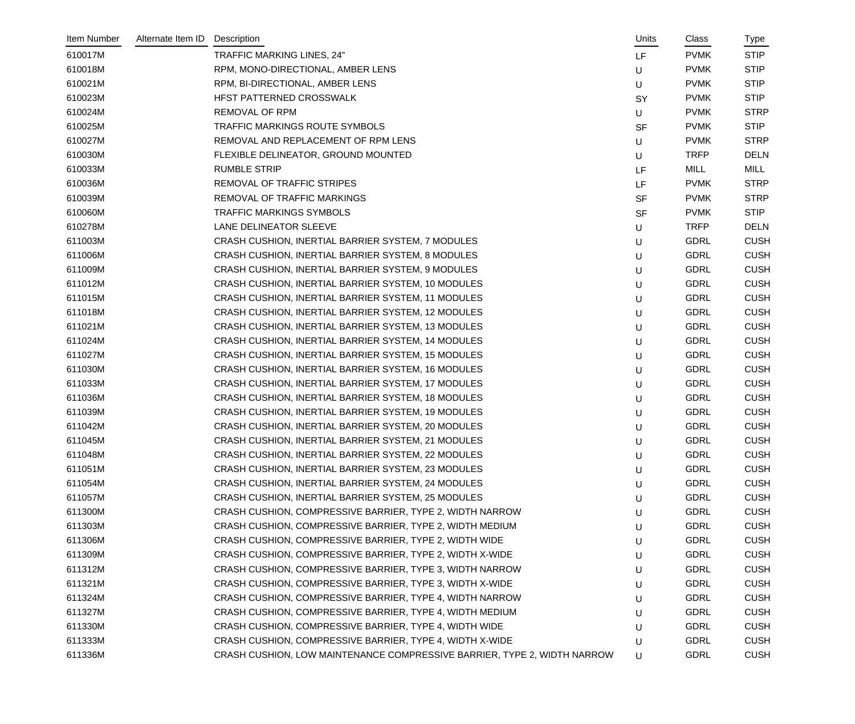| Item Number | Alternate Item ID | Description                                                              | Units     | Class       | Type        |
|-------------|-------------------|--------------------------------------------------------------------------|-----------|-------------|-------------|
| 610017M     |                   | TRAFFIC MARKING LINES, 24"                                               | LF.       | <b>PVMK</b> | <b>STIP</b> |
| 610018M     |                   | RPM, MONO-DIRECTIONAL, AMBER LENS                                        | U         | <b>PVMK</b> | <b>STIP</b> |
| 610021M     |                   | RPM, BI-DIRECTIONAL, AMBER LENS                                          | U         | <b>PVMK</b> | <b>STIP</b> |
| 610023M     |                   | HFST PATTERNED CROSSWALK                                                 | <b>SY</b> | <b>PVMK</b> | <b>STIP</b> |
| 610024M     |                   | <b>REMOVAL OF RPM</b>                                                    | U         | <b>PVMK</b> | <b>STRP</b> |
| 610025M     |                   | TRAFFIC MARKINGS ROUTE SYMBOLS                                           | <b>SF</b> | <b>PVMK</b> | <b>STIP</b> |
| 610027M     |                   | REMOVAL AND REPLACEMENT OF RPM LENS                                      | U         | <b>PVMK</b> | <b>STRP</b> |
| 610030M     |                   | FLEXIBLE DELINEATOR, GROUND MOUNTED                                      | U         | <b>TRFP</b> | <b>DELN</b> |
| 610033M     |                   | <b>RUMBLE STRIP</b>                                                      | LF        | MILL        | <b>MILL</b> |
| 610036M     |                   | REMOVAL OF TRAFFIC STRIPES                                               | LF        | <b>PVMK</b> | <b>STRP</b> |
| 610039M     |                   | REMOVAL OF TRAFFIC MARKINGS                                              | <b>SF</b> | <b>PVMK</b> | <b>STRP</b> |
| 610060M     |                   | <b>TRAFFIC MARKINGS SYMBOLS</b>                                          | <b>SF</b> | <b>PVMK</b> | <b>STIP</b> |
| 610278M     |                   | LANE DELINEATOR SLEEVE                                                   | U         | <b>TRFP</b> | <b>DELN</b> |
| 611003M     |                   | CRASH CUSHION, INERTIAL BARRIER SYSTEM, 7 MODULES                        | U         | <b>GDRL</b> | <b>CUSH</b> |
| 611006M     |                   | CRASH CUSHION, INERTIAL BARRIER SYSTEM, 8 MODULES                        | U         | <b>GDRL</b> | <b>CUSH</b> |
| 611009M     |                   | CRASH CUSHION, INERTIAL BARRIER SYSTEM, 9 MODULES                        | U         | <b>GDRL</b> | <b>CUSH</b> |
| 611012M     |                   | CRASH CUSHION, INERTIAL BARRIER SYSTEM, 10 MODULES                       | U         | <b>GDRL</b> | <b>CUSH</b> |
| 611015M     |                   | CRASH CUSHION, INERTIAL BARRIER SYSTEM, 11 MODULES                       | U         | <b>GDRL</b> | <b>CUSH</b> |
| 611018M     |                   | CRASH CUSHION, INERTIAL BARRIER SYSTEM, 12 MODULES                       | U         | <b>GDRL</b> | <b>CUSH</b> |
| 611021M     |                   | CRASH CUSHION, INERTIAL BARRIER SYSTEM, 13 MODULES                       | U         | <b>GDRL</b> | <b>CUSH</b> |
| 611024M     |                   | CRASH CUSHION, INERTIAL BARRIER SYSTEM, 14 MODULES                       | U         | <b>GDRL</b> | <b>CUSH</b> |
| 611027M     |                   | CRASH CUSHION, INERTIAL BARRIER SYSTEM, 15 MODULES                       | U         | <b>GDRL</b> | <b>CUSH</b> |
| 611030M     |                   | CRASH CUSHION, INERTIAL BARRIER SYSTEM, 16 MODULES                       | U         | <b>GDRL</b> | <b>CUSH</b> |
| 611033M     |                   | CRASH CUSHION, INERTIAL BARRIER SYSTEM, 17 MODULES                       | U         | <b>GDRL</b> | <b>CUSH</b> |
| 611036M     |                   | CRASH CUSHION, INERTIAL BARRIER SYSTEM, 18 MODULES                       | U         | <b>GDRL</b> | <b>CUSH</b> |
| 611039M     |                   | CRASH CUSHION, INERTIAL BARRIER SYSTEM, 19 MODULES                       | U         | <b>GDRL</b> | <b>CUSH</b> |
| 611042M     |                   | CRASH CUSHION, INERTIAL BARRIER SYSTEM, 20 MODULES                       | U         | <b>GDRL</b> | <b>CUSH</b> |
| 611045M     |                   | CRASH CUSHION, INERTIAL BARRIER SYSTEM, 21 MODULES                       | U         | <b>GDRL</b> | <b>CUSH</b> |
| 611048M     |                   | CRASH CUSHION, INERTIAL BARRIER SYSTEM, 22 MODULES                       | U         | <b>GDRL</b> | <b>CUSH</b> |
| 611051M     |                   | CRASH CUSHION, INERTIAL BARRIER SYSTEM, 23 MODULES                       | U         | <b>GDRL</b> | <b>CUSH</b> |
| 611054M     |                   | CRASH CUSHION, INERTIAL BARRIER SYSTEM, 24 MODULES                       | U         | <b>GDRL</b> | <b>CUSH</b> |
| 611057M     |                   | CRASH CUSHION, INERTIAL BARRIER SYSTEM, 25 MODULES                       | U         | <b>GDRL</b> | <b>CUSH</b> |
| 611300M     |                   | CRASH CUSHION, COMPRESSIVE BARRIER, TYPE 2, WIDTH NARROW                 | U         | <b>GDRL</b> | <b>CUSH</b> |
| 611303M     |                   | CRASH CUSHION, COMPRESSIVE BARRIER, TYPE 2, WIDTH MEDIUM                 | U         | <b>GDRL</b> | <b>CUSH</b> |
| 611306M     |                   | CRASH CUSHION, COMPRESSIVE BARRIER, TYPE 2, WIDTH WIDE                   | U         | <b>GDRL</b> | <b>CUSH</b> |
| 611309M     |                   | CRASH CUSHION, COMPRESSIVE BARRIER, TYPE 2, WIDTH X-WIDE                 | U         | <b>GDRL</b> | <b>CUSH</b> |
| 611312M     |                   | CRASH CUSHION, COMPRESSIVE BARRIER, TYPE 3, WIDTH NARROW                 | U         | <b>GDRL</b> | <b>CUSH</b> |
| 611321M     |                   | CRASH CUSHION, COMPRESSIVE BARRIER, TYPE 3, WIDTH X-WIDE                 | U         | <b>GDRL</b> | <b>CUSH</b> |
| 611324M     |                   | CRASH CUSHION, COMPRESSIVE BARRIER, TYPE 4, WIDTH NARROW                 | U         | <b>GDRL</b> | <b>CUSH</b> |
| 611327M     |                   | CRASH CUSHION, COMPRESSIVE BARRIER, TYPE 4, WIDTH MEDIUM                 | U         | <b>GDRL</b> | <b>CUSH</b> |
| 611330M     |                   | CRASH CUSHION, COMPRESSIVE BARRIER, TYPE 4, WIDTH WIDE                   | U         | <b>GDRL</b> | <b>CUSH</b> |
| 611333M     |                   | CRASH CUSHION, COMPRESSIVE BARRIER, TYPE 4, WIDTH X-WIDE                 | U         | <b>GDRL</b> | <b>CUSH</b> |
| 611336M     |                   | CRASH CUSHION, LOW MAINTENANCE COMPRESSIVE BARRIER, TYPE 2, WIDTH NARROW | U         | <b>GDRL</b> | <b>CUSH</b> |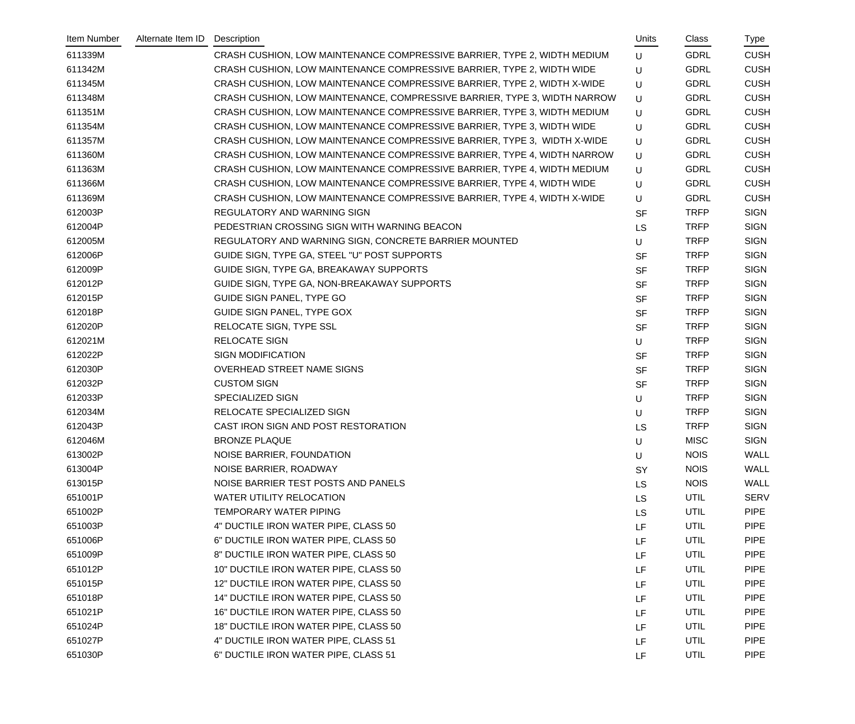| Item Number | Alternate Item ID | Description                                                               | Units     | Class       | Type        |
|-------------|-------------------|---------------------------------------------------------------------------|-----------|-------------|-------------|
| 611339M     |                   | CRASH CUSHION, LOW MAINTENANCE COMPRESSIVE BARRIER, TYPE 2, WIDTH MEDIUM  | U         | <b>GDRL</b> | <b>CUSH</b> |
| 611342M     |                   | CRASH CUSHION, LOW MAINTENANCE COMPRESSIVE BARRIER, TYPE 2, WIDTH WIDE    | U         | <b>GDRL</b> | <b>CUSH</b> |
| 611345M     |                   | CRASH CUSHION, LOW MAINTENANCE COMPRESSIVE BARRIER, TYPE 2, WIDTH X-WIDE  | U         | <b>GDRL</b> | <b>CUSH</b> |
| 611348M     |                   | CRASH CUSHION, LOW MAINTENANCE, COMPRESSIVE BARRIER, TYPE 3, WIDTH NARROW | U         | <b>GDRL</b> | <b>CUSH</b> |
| 611351M     |                   | CRASH CUSHION, LOW MAINTENANCE COMPRESSIVE BARRIER, TYPE 3, WIDTH MEDIUM  | U         | <b>GDRL</b> | <b>CUSH</b> |
| 611354M     |                   | CRASH CUSHION, LOW MAINTENANCE COMPRESSIVE BARRIER, TYPE 3, WIDTH WIDE    | U         | <b>GDRL</b> | <b>CUSH</b> |
| 611357M     |                   | CRASH CUSHION, LOW MAINTENANCE COMPRESSIVE BARRIER, TYPE 3, WIDTH X-WIDE  | U         | <b>GDRL</b> | <b>CUSH</b> |
| 611360M     |                   | CRASH CUSHION, LOW MAINTENANCE COMPRESSIVE BARRIER, TYPE 4, WIDTH NARROW  | U         | <b>GDRL</b> | <b>CUSH</b> |
| 611363M     |                   | CRASH CUSHION, LOW MAINTENANCE COMPRESSIVE BARRIER, TYPE 4, WIDTH MEDIUM  | U         | <b>GDRL</b> | <b>CUSH</b> |
| 611366M     |                   | CRASH CUSHION, LOW MAINTENANCE COMPRESSIVE BARRIER, TYPE 4, WIDTH WIDE    | U         | <b>GDRL</b> | <b>CUSH</b> |
| 611369M     |                   | CRASH CUSHION, LOW MAINTENANCE COMPRESSIVE BARRIER, TYPE 4, WIDTH X-WIDE  | U         | <b>GDRL</b> | <b>CUSH</b> |
| 612003P     |                   | REGULATORY AND WARNING SIGN                                               | <b>SF</b> | <b>TRFP</b> | <b>SIGN</b> |
| 612004P     |                   | PEDESTRIAN CROSSING SIGN WITH WARNING BEACON                              | <b>LS</b> | <b>TRFP</b> | <b>SIGN</b> |
| 612005M     |                   | REGULATORY AND WARNING SIGN, CONCRETE BARRIER MOUNTED                     | U         | <b>TRFP</b> | <b>SIGN</b> |
| 612006P     |                   | GUIDE SIGN, TYPE GA, STEEL "U" POST SUPPORTS                              | <b>SF</b> | <b>TRFP</b> | <b>SIGN</b> |
| 612009P     |                   | GUIDE SIGN, TYPE GA, BREAKAWAY SUPPORTS                                   | <b>SF</b> | <b>TRFP</b> | <b>SIGN</b> |
| 612012P     |                   | GUIDE SIGN, TYPE GA, NON-BREAKAWAY SUPPORTS                               | <b>SF</b> | <b>TRFP</b> | <b>SIGN</b> |
| 612015P     |                   | GUIDE SIGN PANEL, TYPE GO                                                 | <b>SF</b> | <b>TRFP</b> | <b>SIGN</b> |
| 612018P     |                   | GUIDE SIGN PANEL, TYPE GOX                                                | <b>SF</b> | <b>TRFP</b> | <b>SIGN</b> |
| 612020P     |                   | RELOCATE SIGN, TYPE SSL                                                   | <b>SF</b> | <b>TRFP</b> | <b>SIGN</b> |
| 612021M     |                   | <b>RELOCATE SIGN</b>                                                      | U         | <b>TRFP</b> | <b>SIGN</b> |
| 612022P     |                   | <b>SIGN MODIFICATION</b>                                                  | <b>SF</b> | <b>TRFP</b> | <b>SIGN</b> |
| 612030P     |                   | OVERHEAD STREET NAME SIGNS                                                | <b>SF</b> | <b>TRFP</b> | <b>SIGN</b> |
| 612032P     |                   | <b>CUSTOM SIGN</b>                                                        | <b>SF</b> | <b>TRFP</b> | <b>SIGN</b> |
| 612033P     |                   | <b>SPECIALIZED SIGN</b>                                                   | U         | <b>TRFP</b> | <b>SIGN</b> |
| 612034M     |                   | RELOCATE SPECIALIZED SIGN                                                 | U         | <b>TRFP</b> | <b>SIGN</b> |
| 612043P     |                   | CAST IRON SIGN AND POST RESTORATION                                       | <b>LS</b> | <b>TRFP</b> | <b>SIGN</b> |
| 612046M     |                   | <b>BRONZE PLAQUE</b>                                                      | U         | <b>MISC</b> | <b>SIGN</b> |
| 613002P     |                   | NOISE BARRIER, FOUNDATION                                                 | U         | <b>NOIS</b> | <b>WALL</b> |
| 613004P     |                   | NOISE BARRIER, ROADWAY                                                    | SY        | <b>NOIS</b> | <b>WALL</b> |
| 613015P     |                   | NOISE BARRIER TEST POSTS AND PANELS                                       | <b>LS</b> | <b>NOIS</b> | WALL        |
| 651001P     |                   | <b>WATER UTILITY RELOCATION</b>                                           | <b>LS</b> | UTIL        | <b>SERV</b> |
| 651002P     |                   | TEMPORARY WATER PIPING                                                    | <b>LS</b> | UTIL        | <b>PIPE</b> |
| 651003P     |                   | 4" DUCTILE IRON WATER PIPE, CLASS 50                                      | LF        | UTIL        | <b>PIPE</b> |
| 651006P     |                   | 6" DUCTILE IRON WATER PIPE, CLASS 50                                      | LF        | UTIL        | <b>PIPE</b> |
| 651009P     |                   | 8" DUCTILE IRON WATER PIPE, CLASS 50                                      | LF        | UTIL        | <b>PIPE</b> |
| 651012P     |                   | 10" DUCTILE IRON WATER PIPE, CLASS 50                                     | LF        | UTIL        | <b>PIPE</b> |
| 651015P     |                   | 12" DUCTILE IRON WATER PIPE, CLASS 50                                     | LF        | UTIL        | <b>PIPE</b> |
| 651018P     |                   | 14" DUCTILE IRON WATER PIPE, CLASS 50                                     | LF        | UTIL        | <b>PIPE</b> |
| 651021P     |                   | 16" DUCTILE IRON WATER PIPE, CLASS 50                                     | LF        | UTIL        | <b>PIPE</b> |
| 651024P     |                   | 18" DUCTILE IRON WATER PIPE, CLASS 50                                     | LF        | UTIL        | <b>PIPE</b> |
| 651027P     |                   | 4" DUCTILE IRON WATER PIPE, CLASS 51                                      | LF        | UTIL        | <b>PIPE</b> |
| 651030P     |                   | 6" DUCTILE IRON WATER PIPE, CLASS 51                                      | LF        | <b>UTIL</b> | <b>PIPE</b> |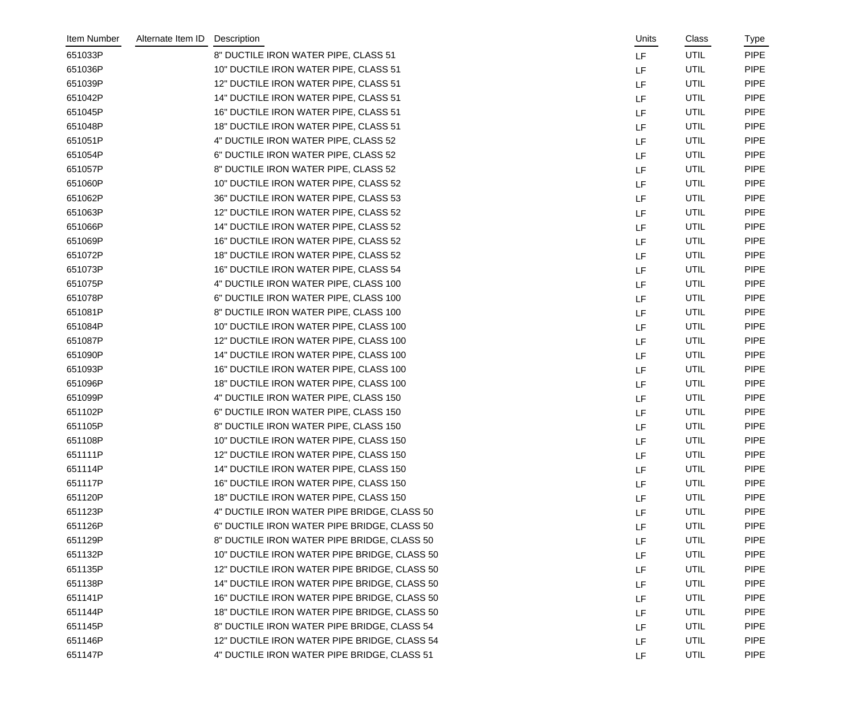| Item Number | Alternate Item ID | Description                                  | Units     | Class       | Type        |
|-------------|-------------------|----------------------------------------------|-----------|-------------|-------------|
| 651033P     |                   | 8" DUCTILE IRON WATER PIPE, CLASS 51         | LF        | <b>UTIL</b> | <b>PIPE</b> |
| 651036P     |                   | 10" DUCTILE IRON WATER PIPE, CLASS 51        | LF        | UTIL        | <b>PIPE</b> |
| 651039P     |                   | 12" DUCTILE IRON WATER PIPE, CLASS 51        | LF        | UTIL        | <b>PIPE</b> |
| 651042P     |                   | 14" DUCTILE IRON WATER PIPE, CLASS 51        | LF        | UTIL        | <b>PIPE</b> |
| 651045P     |                   | 16" DUCTILE IRON WATER PIPE, CLASS 51        | LF        | UTIL        | <b>PIPE</b> |
| 651048P     |                   | 18" DUCTILE IRON WATER PIPE, CLASS 51        | <b>LF</b> | UTIL        | <b>PIPE</b> |
| 651051P     |                   | 4" DUCTILE IRON WATER PIPE, CLASS 52         | LF        | UTIL        | <b>PIPE</b> |
| 651054P     |                   | 6" DUCTILE IRON WATER PIPE, CLASS 52         | LF        | UTIL        | <b>PIPE</b> |
| 651057P     |                   | 8" DUCTILE IRON WATER PIPE, CLASS 52         | LF        | UTIL        | <b>PIPE</b> |
| 651060P     |                   | 10" DUCTILE IRON WATER PIPE, CLASS 52        | LF        | UTIL        | <b>PIPE</b> |
| 651062P     |                   | 36" DUCTILE IRON WATER PIPE, CLASS 53        | <b>LF</b> | <b>UTIL</b> | <b>PIPE</b> |
| 651063P     |                   | 12" DUCTILE IRON WATER PIPE, CLASS 52        | LF        | UTIL        | <b>PIPE</b> |
| 651066P     |                   | 14" DUCTILE IRON WATER PIPE, CLASS 52        | LF        | UTIL        | <b>PIPE</b> |
| 651069P     |                   | 16" DUCTILE IRON WATER PIPE, CLASS 52        | LF        | UTIL        | <b>PIPE</b> |
| 651072P     |                   | 18" DUCTILE IRON WATER PIPE, CLASS 52        | LF        | UTIL        | <b>PIPE</b> |
| 651073P     |                   | 16" DUCTILE IRON WATER PIPE, CLASS 54        | <b>LF</b> | UTIL        | <b>PIPE</b> |
| 651075P     |                   | 4" DUCTILE IRON WATER PIPE, CLASS 100        | LF        | UTIL        | <b>PIPE</b> |
| 651078P     |                   | 6" DUCTILE IRON WATER PIPE, CLASS 100        | LF        | <b>UTIL</b> | <b>PIPE</b> |
| 651081P     |                   | 8" DUCTILE IRON WATER PIPE, CLASS 100        | LF        | UTIL        | <b>PIPE</b> |
| 651084P     |                   | 10" DUCTILE IRON WATER PIPE, CLASS 100       | LF        | UTIL        | <b>PIPE</b> |
| 651087P     |                   | 12" DUCTILE IRON WATER PIPE, CLASS 100       | LF        | UTIL        | <b>PIPE</b> |
| 651090P     |                   | 14" DUCTILE IRON WATER PIPE, CLASS 100       | LF        | UTIL        | <b>PIPE</b> |
| 651093P     |                   | 16" DUCTILE IRON WATER PIPE, CLASS 100       | LF        | UTIL        | <b>PIPE</b> |
| 651096P     |                   | 18" DUCTILE IRON WATER PIPE, CLASS 100       | LF        | UTIL        | <b>PIPE</b> |
| 651099P     |                   | 4" DUCTILE IRON WATER PIPE, CLASS 150        | LF.       | UTIL        | <b>PIPE</b> |
| 651102P     |                   | 6" DUCTILE IRON WATER PIPE, CLASS 150        | LF        | UTIL        | <b>PIPE</b> |
| 651105P     |                   | 8" DUCTILE IRON WATER PIPE, CLASS 150        | LF        | UTIL        | <b>PIPE</b> |
| 651108P     |                   | 10" DUCTILE IRON WATER PIPE, CLASS 150       | LF        | UTIL        | <b>PIPE</b> |
| 651111P     |                   | 12" DUCTILE IRON WATER PIPE, CLASS 150       | LF        | UTIL        | <b>PIPE</b> |
| 651114P     |                   | 14" DUCTILE IRON WATER PIPE, CLASS 150       | LF        | UTIL        | <b>PIPE</b> |
| 651117P     |                   | 16" DUCTILE IRON WATER PIPE, CLASS 150       | LF        | UTIL        | <b>PIPE</b> |
| 651120P     |                   | 18" DUCTILE IRON WATER PIPE, CLASS 150       | LF        | UTIL        | <b>PIPE</b> |
| 651123P     |                   | 4" DUCTILE IRON WATER PIPE BRIDGE, CLASS 50  | LF        | UTIL        | <b>PIPE</b> |
| 651126P     |                   | 6" DUCTILE IRON WATER PIPE BRIDGE, CLASS 50  | LF        | UTIL        | <b>PIPE</b> |
| 651129P     |                   | 8" DUCTILE IRON WATER PIPE BRIDGE, CLASS 50  | LF        | UTIL        | <b>PIPE</b> |
| 651132P     |                   | 10" DUCTILE IRON WATER PIPE BRIDGE, CLASS 50 | LF        | UTIL        | <b>PIPE</b> |
| 651135P     |                   | 12" DUCTILE IRON WATER PIPE BRIDGE, CLASS 50 | LF        | UTIL        | <b>PIPE</b> |
| 651138P     |                   | 14" DUCTILE IRON WATER PIPE BRIDGE, CLASS 50 | LF        | UTIL        | <b>PIPE</b> |
| 651141P     |                   | 16" DUCTILE IRON WATER PIPE BRIDGE, CLASS 50 | LF        | UTIL        | <b>PIPE</b> |
| 651144P     |                   | 18" DUCTILE IRON WATER PIPE BRIDGE, CLASS 50 | LF        | UTIL        | <b>PIPE</b> |
| 651145P     |                   | 8" DUCTILE IRON WATER PIPE BRIDGE, CLASS 54  | LF        | UTIL        | <b>PIPE</b> |
| 651146P     |                   | 12" DUCTILE IRON WATER PIPE BRIDGE, CLASS 54 | LF        | UTIL        | <b>PIPE</b> |
| 651147P     |                   | 4" DUCTILE IRON WATER PIPE BRIDGE, CLASS 51  | LF        | UTIL        | <b>PIPE</b> |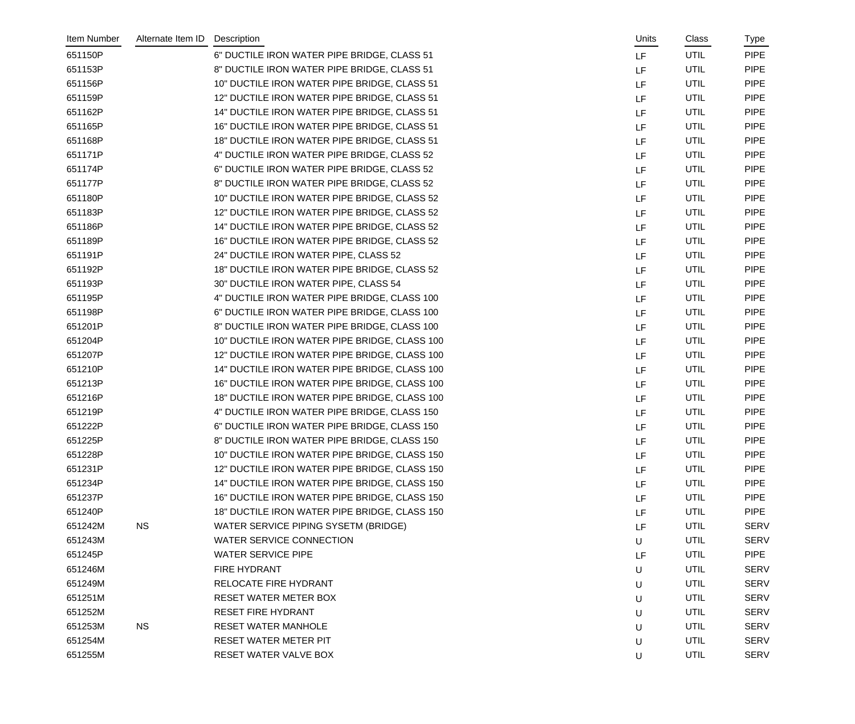| Item Number | Alternate Item ID | Description                                   | Units | Class       | Type        |
|-------------|-------------------|-----------------------------------------------|-------|-------------|-------------|
| 651150P     |                   | 6" DUCTILE IRON WATER PIPE BRIDGE, CLASS 51   | LF    | <b>UTIL</b> | <b>PIPE</b> |
| 651153P     |                   | 8" DUCTILE IRON WATER PIPE BRIDGE, CLASS 51   | LF    | UTIL        | <b>PIPE</b> |
| 651156P     |                   | 10" DUCTILE IRON WATER PIPE BRIDGE, CLASS 51  | LF    | <b>UTIL</b> | <b>PIPE</b> |
| 651159P     |                   | 12" DUCTILE IRON WATER PIPE BRIDGE, CLASS 51  | LF    | UTIL        | <b>PIPE</b> |
| 651162P     |                   | 14" DUCTILE IRON WATER PIPE BRIDGE, CLASS 51  | LF.   | UTIL        | <b>PIPE</b> |
| 651165P     |                   | 16" DUCTILE IRON WATER PIPE BRIDGE, CLASS 51  | LF    | UTIL        | <b>PIPE</b> |
| 651168P     |                   | 18" DUCTILE IRON WATER PIPE BRIDGE, CLASS 51  | LF    | UTIL        | <b>PIPE</b> |
| 651171P     |                   | 4" DUCTILE IRON WATER PIPE BRIDGE, CLASS 52   | LF    | <b>UTIL</b> | <b>PIPE</b> |
| 651174P     |                   | 6" DUCTILE IRON WATER PIPE BRIDGE, CLASS 52   | LF    | UTIL        | <b>PIPE</b> |
| 651177P     |                   | 8" DUCTILE IRON WATER PIPE BRIDGE, CLASS 52   | LF    | UTIL        | <b>PIPE</b> |
| 651180P     |                   | 10" DUCTILE IRON WATER PIPE BRIDGE, CLASS 52  | LF    | UTIL        | <b>PIPE</b> |
| 651183P     |                   | 12" DUCTILE IRON WATER PIPE BRIDGE, CLASS 52  | LF    | UTIL        | <b>PIPE</b> |
| 651186P     |                   | 14" DUCTILE IRON WATER PIPE BRIDGE, CLASS 52  | LF    | UTIL        | <b>PIPE</b> |
| 651189P     |                   | 16" DUCTILE IRON WATER PIPE BRIDGE, CLASS 52  | LF    | UTIL        | <b>PIPE</b> |
| 651191P     |                   | 24" DUCTILE IRON WATER PIPE, CLASS 52         | LF    | UTIL        | <b>PIPE</b> |
| 651192P     |                   | 18" DUCTILE IRON WATER PIPE BRIDGE, CLASS 52  | LF    | UTIL        | <b>PIPE</b> |
| 651193P     |                   | 30" DUCTILE IRON WATER PIPE, CLASS 54         | LF    | UTIL        | <b>PIPE</b> |
| 651195P     |                   | 4" DUCTILE IRON WATER PIPE BRIDGE, CLASS 100  | LF    | <b>UTIL</b> | <b>PIPE</b> |
| 651198P     |                   | 6" DUCTILE IRON WATER PIPE BRIDGE, CLASS 100  | LF    | UTIL        | <b>PIPE</b> |
| 651201P     |                   | 8" DUCTILE IRON WATER PIPE BRIDGE, CLASS 100  | LF    | UTIL        | <b>PIPE</b> |
| 651204P     |                   | 10" DUCTILE IRON WATER PIPE BRIDGE, CLASS 100 | LF    | UTIL        | <b>PIPE</b> |
| 651207P     |                   | 12" DUCTILE IRON WATER PIPE BRIDGE, CLASS 100 | LF    | UTIL        | <b>PIPE</b> |
| 651210P     |                   | 14" DUCTILE IRON WATER PIPE BRIDGE, CLASS 100 | LF    | <b>UTIL</b> | <b>PIPE</b> |
| 651213P     |                   | 16" DUCTILE IRON WATER PIPE BRIDGE, CLASS 100 | LF    | UTIL        | <b>PIPE</b> |
| 651216P     |                   | 18" DUCTILE IRON WATER PIPE BRIDGE, CLASS 100 | LF    | UTIL        | <b>PIPE</b> |
| 651219P     |                   | 4" DUCTILE IRON WATER PIPE BRIDGE, CLASS 150  | LF    | UTIL        | <b>PIPE</b> |
| 651222P     |                   | 6" DUCTILE IRON WATER PIPE BRIDGE, CLASS 150  | LF    | UTIL        | <b>PIPE</b> |
| 651225P     |                   | 8" DUCTILE IRON WATER PIPE BRIDGE, CLASS 150  | LF.   | UTIL        | <b>PIPE</b> |
| 651228P     |                   | 10" DUCTILE IRON WATER PIPE BRIDGE, CLASS 150 | LF    | UTIL        | <b>PIPE</b> |
| 651231P     |                   | 12" DUCTILE IRON WATER PIPE BRIDGE, CLASS 150 | LF    | UTIL        | <b>PIPE</b> |
| 651234P     |                   | 14" DUCTILE IRON WATER PIPE BRIDGE, CLASS 150 | LF    | UTIL        | <b>PIPE</b> |
| 651237P     |                   | 16" DUCTILE IRON WATER PIPE BRIDGE, CLASS 150 | LF    | UTIL        | <b>PIPE</b> |
| 651240P     |                   | 18" DUCTILE IRON WATER PIPE BRIDGE, CLASS 150 | LF    | UTIL        | <b>PIPE</b> |
| 651242M     | <b>NS</b>         | WATER SERVICE PIPING SYSETM (BRIDGE)          | LF    | UTIL        | <b>SERV</b> |
| 651243M     |                   | WATER SERVICE CONNECTION                      | U     | UTIL        | <b>SERV</b> |
| 651245P     |                   | <b>WATER SERVICE PIPE</b>                     | LF    | UTIL        | <b>PIPE</b> |
| 651246M     |                   | FIRE HYDRANT                                  | U     | UTIL        | <b>SERV</b> |
| 651249M     |                   | RELOCATE FIRE HYDRANT                         | U     | UTIL        | <b>SERV</b> |
| 651251M     |                   | RESET WATER METER BOX                         | U     | UTIL        | <b>SERV</b> |
| 651252M     |                   | <b>RESET FIRE HYDRANT</b>                     | U     | UTIL        | <b>SERV</b> |
| 651253M     | <b>NS</b>         | <b>RESET WATER MANHOLE</b>                    | U     | UTIL        | <b>SERV</b> |
| 651254M     |                   | RESET WATER METER PIT                         | U     | UTIL        | <b>SERV</b> |
| 651255M     |                   | RESET WATER VALVE BOX                         | U     | UTIL        | <b>SERV</b> |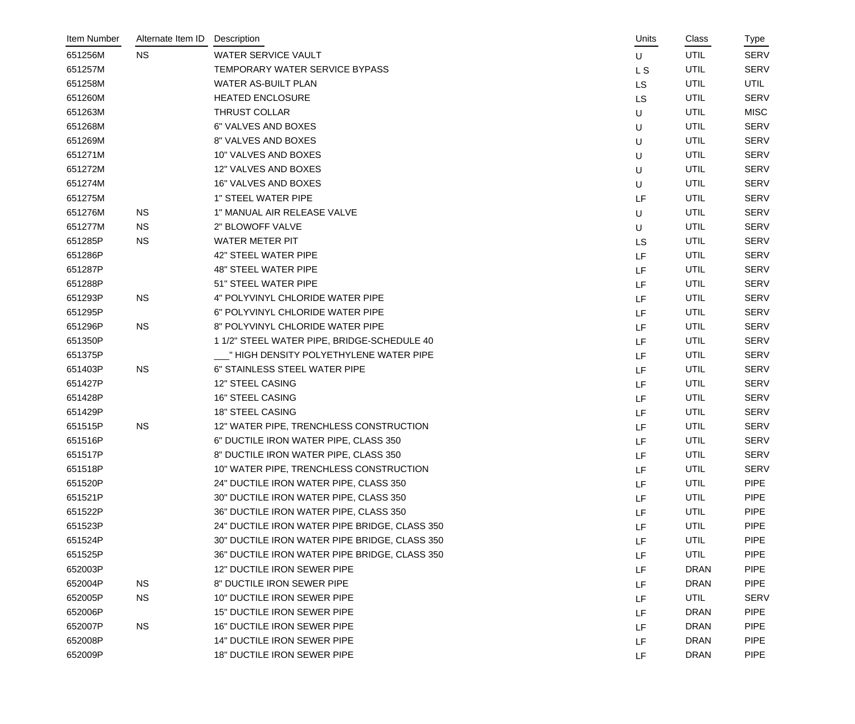| Item Number | Alternate Item ID | Description                                   | Units     | Class       | Type        |
|-------------|-------------------|-----------------------------------------------|-----------|-------------|-------------|
| 651256M     | <b>NS</b>         | <b>WATER SERVICE VAULT</b>                    | U         | <b>UTIL</b> | <b>SERV</b> |
| 651257M     |                   | TEMPORARY WATER SERVICE BYPASS                | L S       | <b>UTIL</b> | <b>SERV</b> |
| 651258M     |                   | WATER AS-BUILT PLAN                           | LS        | UTIL        | <b>UTIL</b> |
| 651260M     |                   | <b>HEATED ENCLOSURE</b>                       | LS        | UTIL        | <b>SERV</b> |
| 651263M     |                   | <b>THRUST COLLAR</b>                          | U         | UTIL        | <b>MISC</b> |
| 651268M     |                   | 6" VALVES AND BOXES                           | U         | UTIL        | <b>SERV</b> |
| 651269M     |                   | 8" VALVES AND BOXES                           | U         | UTIL        | <b>SERV</b> |
| 651271M     |                   | 10" VALVES AND BOXES                          | U         | UTIL        | <b>SERV</b> |
| 651272M     |                   | 12" VALVES AND BOXES                          | U         | UTIL        | <b>SERV</b> |
| 651274M     |                   | 16" VALVES AND BOXES                          | U         | UTIL        | <b>SERV</b> |
| 651275M     |                   | <b>1" STEEL WATER PIPE</b>                    | LF        | UTIL        | <b>SERV</b> |
| 651276M     | <b>NS</b>         | 1" MANUAL AIR RELEASE VALVE                   | U         | <b>UTIL</b> | <b>SERV</b> |
| 651277M     | <b>NS</b>         | 2" BLOWOFF VALVE                              | U         | UTIL        | <b>SERV</b> |
| 651285P     | <b>NS</b>         | WATER METER PIT                               | <b>LS</b> | UTIL        | <b>SERV</b> |
| 651286P     |                   | 42" STEEL WATER PIPE                          | LF        | UTIL        | <b>SERV</b> |
| 651287P     |                   | <b>48" STEEL WATER PIPE</b>                   | LF        | UTIL        | <b>SERV</b> |
| 651288P     |                   | 51" STEEL WATER PIPE                          | LF        | UTIL        | <b>SERV</b> |
| 651293P     | <b>NS</b>         | 4" POLYVINYL CHLORIDE WATER PIPE              | LF        | UTIL        | <b>SERV</b> |
| 651295P     |                   | 6" POLYVINYL CHLORIDE WATER PIPE              | LF        | UTIL        | <b>SERV</b> |
| 651296P     | <b>NS</b>         | 8" POLYVINYL CHLORIDE WATER PIPE              | LF        | UTIL        | <b>SERV</b> |
| 651350P     |                   | 1 1/2" STEEL WATER PIPE, BRIDGE-SCHEDULE 40   | LF        | UTIL        | <b>SERV</b> |
| 651375P     |                   | _" HIGH DENSITY POLYETHYLENE WATER PIPE       | LF        | UTIL        | <b>SERV</b> |
| 651403P     | <b>NS</b>         | 6" STAINLESS STEEL WATER PIPE                 | LF        | UTIL        | <b>SERV</b> |
| 651427P     |                   | 12" STEEL CASING                              | LF        | UTIL        | <b>SERV</b> |
| 651428P     |                   | <b>16" STEEL CASING</b>                       | LF        | UTIL        | <b>SERV</b> |
| 651429P     |                   | 18" STEEL CASING                              | LF        | UTIL        | <b>SERV</b> |
| 651515P     | <b>NS</b>         | 12" WATER PIPE, TRENCHLESS CONSTRUCTION       | LF        | UTIL        | <b>SERV</b> |
| 651516P     |                   | 6" DUCTILE IRON WATER PIPE, CLASS 350         | LF        | UTIL        | <b>SERV</b> |
| 651517P     |                   | 8" DUCTILE IRON WATER PIPE, CLASS 350         | LF        | UTIL        | <b>SERV</b> |
| 651518P     |                   | 10" WATER PIPE, TRENCHLESS CONSTRUCTION       | LF        | UTIL        | <b>SERV</b> |
| 651520P     |                   | 24" DUCTILE IRON WATER PIPE, CLASS 350        | LF        | UTIL        | <b>PIPE</b> |
| 651521P     |                   | 30" DUCTILE IRON WATER PIPE, CLASS 350        | LF        | UTIL        | <b>PIPE</b> |
| 651522P     |                   | 36" DUCTILE IRON WATER PIPE, CLASS 350        | LF        | UTIL        | <b>PIPE</b> |
| 651523P     |                   | 24" DUCTILE IRON WATER PIPE BRIDGE, CLASS 350 | LF        | UTIL        | <b>PIPE</b> |
| 651524P     |                   | 30" DUCTILE IRON WATER PIPE BRIDGE, CLASS 350 | LF        | UTIL        | <b>PIPE</b> |
| 651525P     |                   | 36" DUCTILE IRON WATER PIPE BRIDGE, CLASS 350 | LF        | UTIL        | <b>PIPE</b> |
| 652003P     |                   | 12" DUCTILE IRON SEWER PIPE                   | LF        | <b>DRAN</b> | <b>PIPE</b> |
| 652004P     | <b>NS</b>         | 8" DUCTILE IRON SEWER PIPE                    | LF        | <b>DRAN</b> | <b>PIPE</b> |
| 652005P     | <b>NS</b>         | 10" DUCTILE IRON SEWER PIPE                   | LF        | UTIL        | <b>SERV</b> |
| 652006P     |                   | 15" DUCTILE IRON SEWER PIPE                   | LF        | <b>DRAN</b> | <b>PIPE</b> |
| 652007P     | <b>NS</b>         | 16" DUCTILE IRON SEWER PIPE                   | LF        | <b>DRAN</b> | <b>PIPE</b> |
| 652008P     |                   | 14" DUCTILE IRON SEWER PIPE                   | LF        | <b>DRAN</b> | <b>PIPE</b> |
| 652009P     |                   | 18" DUCTILE IRON SEWER PIPE                   | LF        | <b>DRAN</b> | <b>PIPE</b> |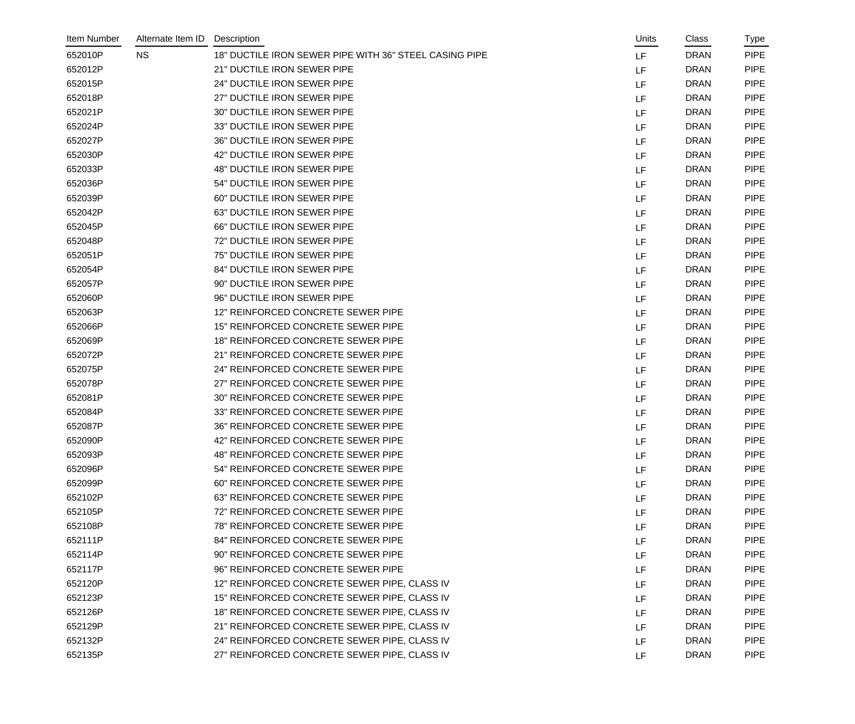| Item Number | Alternate Item ID | Description                                            | Units | Class       | Type        |
|-------------|-------------------|--------------------------------------------------------|-------|-------------|-------------|
| 652010P     | <b>NS</b>         | 18" DUCTILE IRON SEWER PIPE WITH 36" STEEL CASING PIPE | LF    | <b>DRAN</b> | <b>PIPE</b> |
| 652012P     |                   | 21" DUCTILE IRON SEWER PIPE                            | LF    | <b>DRAN</b> | <b>PIPE</b> |
| 652015P     |                   | 24" DUCTILE IRON SEWER PIPE                            | LF    | <b>DRAN</b> | <b>PIPE</b> |
| 652018P     |                   | 27" DUCTILE IRON SEWER PIPE                            | LF    | <b>DRAN</b> | <b>PIPE</b> |
| 652021P     |                   | 30" DUCTILE IRON SEWER PIPE                            | LF    | <b>DRAN</b> | <b>PIPE</b> |
| 652024P     |                   | 33" DUCTILE IRON SEWER PIPE                            | LF    | <b>DRAN</b> | <b>PIPE</b> |
| 652027P     |                   | 36" DUCTILE IRON SEWER PIPE                            | LF    | <b>DRAN</b> | <b>PIPE</b> |
| 652030P     |                   | 42" DUCTILE IRON SEWER PIPE                            | LF    | <b>DRAN</b> | <b>PIPE</b> |
| 652033P     |                   | 48" DUCTILE IRON SEWER PIPE                            | LF    | <b>DRAN</b> | <b>PIPE</b> |
| 652036P     |                   | 54" DUCTILE IRON SEWER PIPE                            | LF    | <b>DRAN</b> | <b>PIPE</b> |
| 652039P     |                   | 60" DUCTILE IRON SEWER PIPE                            | LF    | <b>DRAN</b> | <b>PIPE</b> |
| 652042P     |                   | <b>63" DUCTILE IRON SEWER PIPE</b>                     | LF    | <b>DRAN</b> | <b>PIPE</b> |
| 652045P     |                   | 66" DUCTILE IRON SEWER PIPE                            | LF    | <b>DRAN</b> | <b>PIPE</b> |
| 652048P     |                   | 72" DUCTILE IRON SEWER PIPE                            | LF    | <b>DRAN</b> | <b>PIPE</b> |
| 652051P     |                   | 75" DUCTILE IRON SEWER PIPE                            | LF    | <b>DRAN</b> | <b>PIPE</b> |
| 652054P     |                   | 84" DUCTILE IRON SEWER PIPE                            | LF    | <b>DRAN</b> | <b>PIPE</b> |
| 652057P     |                   | 90" DUCTILE IRON SEWER PIPE                            | LF    | <b>DRAN</b> | <b>PIPE</b> |
| 652060P     |                   | 96" DUCTILE IRON SEWER PIPE                            | LF    | <b>DRAN</b> | <b>PIPE</b> |
| 652063P     |                   | 12" REINFORCED CONCRETE SEWER PIPE                     | LF    | <b>DRAN</b> | <b>PIPE</b> |
| 652066P     |                   | 15" REINFORCED CONCRETE SEWER PIPE                     | LF    | <b>DRAN</b> | <b>PIPE</b> |
| 652069P     |                   | 18" REINFORCED CONCRETE SEWER PIPE                     | LF    | <b>DRAN</b> | <b>PIPE</b> |
| 652072P     |                   | 21" REINFORCED CONCRETE SEWER PIPE                     | LF    | <b>DRAN</b> | <b>PIPE</b> |
| 652075P     |                   | 24" REINFORCED CONCRETE SEWER PIPE                     | LF    | <b>DRAN</b> | <b>PIPE</b> |
| 652078P     |                   | 27" REINFORCED CONCRETE SEWER PIPE                     | LF    | <b>DRAN</b> | <b>PIPE</b> |
| 652081P     |                   | 30" REINFORCED CONCRETE SEWER PIPE                     | LF    | <b>DRAN</b> | <b>PIPE</b> |
| 652084P     |                   | 33" REINFORCED CONCRETE SEWER PIPE                     | LF    | <b>DRAN</b> | <b>PIPE</b> |
| 652087P     |                   | 36" REINFORCED CONCRETE SEWER PIPE                     | LF    | <b>DRAN</b> | <b>PIPE</b> |
| 652090P     |                   | 42" REINFORCED CONCRETE SEWER PIPE                     | LF    | <b>DRAN</b> | <b>PIPE</b> |
| 652093P     |                   | 48" REINFORCED CONCRETE SEWER PIPE                     | LF    | <b>DRAN</b> | <b>PIPE</b> |
| 652096P     |                   | 54" REINFORCED CONCRETE SEWER PIPE                     | LF    | <b>DRAN</b> | <b>PIPE</b> |
| 652099P     |                   | 60" REINFORCED CONCRETE SEWER PIPE                     | LF    | <b>DRAN</b> | <b>PIPE</b> |
| 652102P     |                   | 63" REINFORCED CONCRETE SEWER PIPE                     | LF    | <b>DRAN</b> | <b>PIPE</b> |
| 652105P     |                   | 72" REINFORCED CONCRETE SEWER PIPE                     | LF    | <b>DRAN</b> | <b>PIPE</b> |
| 652108P     |                   | 78" REINFORCED CONCRETE SEWER PIPE                     | LF    | <b>DRAN</b> | <b>PIPE</b> |
| 652111P     |                   | 84" REINFORCED CONCRETE SEWER PIPE                     | LF    | <b>DRAN</b> | <b>PIPE</b> |
| 652114P     |                   | 90" REINFORCED CONCRETE SEWER PIPE                     | LF    | <b>DRAN</b> | <b>PIPE</b> |
| 652117P     |                   | 96" REINFORCED CONCRETE SEWER PIPE                     | LF    | <b>DRAN</b> | <b>PIPE</b> |
| 652120P     |                   | 12" REINFORCED CONCRETE SEWER PIPE, CLASS IV           | LF    | <b>DRAN</b> | <b>PIPE</b> |
| 652123P     |                   | 15" REINFORCED CONCRETE SEWER PIPE, CLASS IV           | LF    | <b>DRAN</b> | <b>PIPE</b> |
| 652126P     |                   | 18" REINFORCED CONCRETE SEWER PIPE, CLASS IV           | LF    | <b>DRAN</b> | <b>PIPE</b> |
| 652129P     |                   | 21" REINFORCED CONCRETE SEWER PIPE, CLASS IV           | LF    | <b>DRAN</b> | <b>PIPE</b> |
| 652132P     |                   | 24" REINFORCED CONCRETE SEWER PIPE, CLASS IV           | LF    | <b>DRAN</b> | <b>PIPE</b> |
| 652135P     |                   | 27" REINFORCED CONCRETE SEWER PIPE, CLASS IV           | LF    | <b>DRAN</b> | <b>PIPE</b> |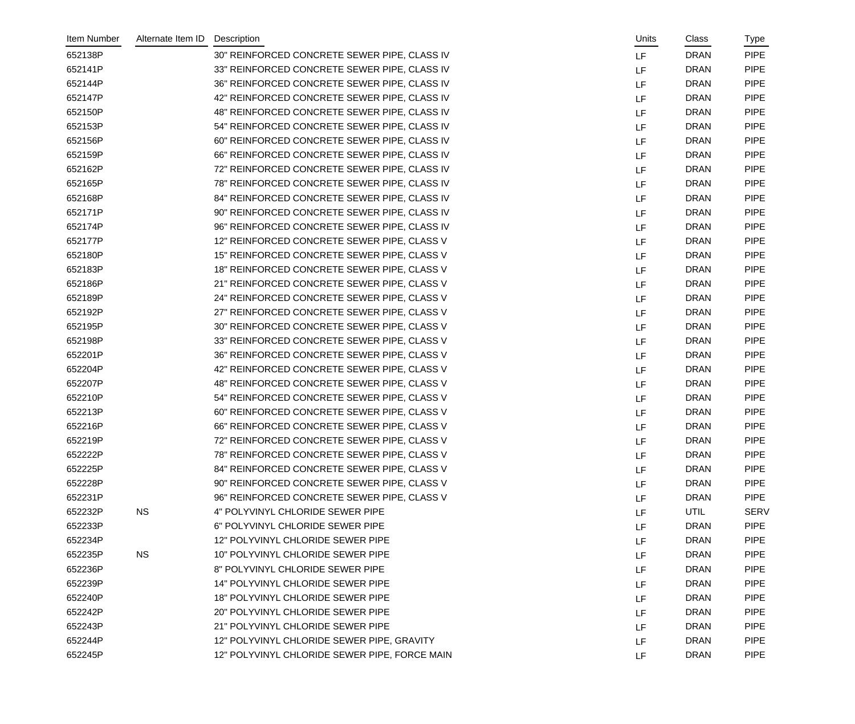| Item Number | Alternate Item ID | Description                                   | Units | Class       | Type        |
|-------------|-------------------|-----------------------------------------------|-------|-------------|-------------|
| 652138P     |                   | 30" REINFORCED CONCRETE SEWER PIPE, CLASS IV  | LF    | <b>DRAN</b> | <b>PIPE</b> |
| 652141P     |                   | 33" REINFORCED CONCRETE SEWER PIPE, CLASS IV  | LF    | <b>DRAN</b> | <b>PIPE</b> |
| 652144P     |                   | 36" REINFORCED CONCRETE SEWER PIPE, CLASS IV  | LF    | <b>DRAN</b> | <b>PIPE</b> |
| 652147P     |                   | 42" REINFORCED CONCRETE SEWER PIPE, CLASS IV  | LF    | <b>DRAN</b> | <b>PIPE</b> |
| 652150P     |                   | 48" REINFORCED CONCRETE SEWER PIPE, CLASS IV  | LF    | <b>DRAN</b> | <b>PIPE</b> |
| 652153P     |                   | 54" REINFORCED CONCRETE SEWER PIPE, CLASS IV  | LF    | <b>DRAN</b> | <b>PIPE</b> |
| 652156P     |                   | 60" REINFORCED CONCRETE SEWER PIPE, CLASS IV  | LF    | <b>DRAN</b> | <b>PIPE</b> |
| 652159P     |                   | 66" REINFORCED CONCRETE SEWER PIPE, CLASS IV  | LF    | <b>DRAN</b> | <b>PIPE</b> |
| 652162P     |                   | 72" REINFORCED CONCRETE SEWER PIPE, CLASS IV  | LF    | <b>DRAN</b> | <b>PIPE</b> |
| 652165P     |                   | 78" REINFORCED CONCRETE SEWER PIPE, CLASS IV  | LF    | <b>DRAN</b> | <b>PIPE</b> |
| 652168P     |                   | 84" REINFORCED CONCRETE SEWER PIPE, CLASS IV  | LF    | <b>DRAN</b> | <b>PIPE</b> |
| 652171P     |                   | 90" REINFORCED CONCRETE SEWER PIPE, CLASS IV  | LF    | <b>DRAN</b> | <b>PIPE</b> |
| 652174P     |                   | 96" REINFORCED CONCRETE SEWER PIPE, CLASS IV  | LF    | <b>DRAN</b> | <b>PIPE</b> |
| 652177P     |                   | 12" REINFORCED CONCRETE SEWER PIPE, CLASS V   | LF    | <b>DRAN</b> | <b>PIPE</b> |
| 652180P     |                   | 15" REINFORCED CONCRETE SEWER PIPE, CLASS V   | LF    | <b>DRAN</b> | <b>PIPE</b> |
| 652183P     |                   | 18" REINFORCED CONCRETE SEWER PIPE, CLASS V   | LF    | <b>DRAN</b> | <b>PIPE</b> |
| 652186P     |                   | 21" REINFORCED CONCRETE SEWER PIPE, CLASS V   | LF    | <b>DRAN</b> | <b>PIPE</b> |
| 652189P     |                   | 24" REINFORCED CONCRETE SEWER PIPE, CLASS V   | LF    | <b>DRAN</b> | <b>PIPE</b> |
| 652192P     |                   | 27" REINFORCED CONCRETE SEWER PIPE, CLASS V   | LF    | <b>DRAN</b> | <b>PIPE</b> |
| 652195P     |                   | 30" REINFORCED CONCRETE SEWER PIPE, CLASS V   | LF    | <b>DRAN</b> | <b>PIPE</b> |
| 652198P     |                   | 33" REINFORCED CONCRETE SEWER PIPE, CLASS V   | LF    | <b>DRAN</b> | <b>PIPE</b> |
| 652201P     |                   | 36" REINFORCED CONCRETE SEWER PIPE, CLASS V   | LF    | <b>DRAN</b> | <b>PIPE</b> |
| 652204P     |                   | 42" REINFORCED CONCRETE SEWER PIPE, CLASS V   | LF    | <b>DRAN</b> | <b>PIPE</b> |
| 652207P     |                   | 48" REINFORCED CONCRETE SEWER PIPE, CLASS V   | LF    | <b>DRAN</b> | <b>PIPE</b> |
| 652210P     |                   | 54" REINFORCED CONCRETE SEWER PIPE, CLASS V   | LF    | <b>DRAN</b> | <b>PIPE</b> |
| 652213P     |                   | 60" REINFORCED CONCRETE SEWER PIPE, CLASS V   | LF    | <b>DRAN</b> | <b>PIPE</b> |
| 652216P     |                   | 66" REINFORCED CONCRETE SEWER PIPE, CLASS V   | LF    | <b>DRAN</b> | <b>PIPE</b> |
| 652219P     |                   | 72" REINFORCED CONCRETE SEWER PIPE, CLASS V   | LF    | <b>DRAN</b> | <b>PIPE</b> |
| 652222P     |                   | 78" REINFORCED CONCRETE SEWER PIPE, CLASS V   | LF    | <b>DRAN</b> | <b>PIPE</b> |
| 652225P     |                   | 84" REINFORCED CONCRETE SEWER PIPE, CLASS V   | LF    | <b>DRAN</b> | <b>PIPE</b> |
| 652228P     |                   | 90" REINFORCED CONCRETE SEWER PIPE, CLASS V   | LF    | <b>DRAN</b> | <b>PIPE</b> |
| 652231P     |                   | 96" REINFORCED CONCRETE SEWER PIPE, CLASS V   | LF    | <b>DRAN</b> | <b>PIPE</b> |
| 652232P     | <b>NS</b>         | 4" POLYVINYL CHLORIDE SEWER PIPE              | LF    | <b>UTIL</b> | <b>SERV</b> |
| 652233P     |                   | 6" POLYVINYL CHLORIDE SEWER PIPE              | LF    | <b>DRAN</b> | <b>PIPE</b> |
| 652234P     |                   | 12" POLYVINYL CHLORIDE SEWER PIPE             | LF    | <b>DRAN</b> | <b>PIPE</b> |
| 652235P     | <b>NS</b>         | 10" POLYVINYL CHLORIDE SEWER PIPE             | LF    | <b>DRAN</b> | <b>PIPE</b> |
| 652236P     |                   | 8" POLYVINYL CHLORIDE SEWER PIPE              | LF    | <b>DRAN</b> | <b>PIPE</b> |
| 652239P     |                   | 14" POLYVINYL CHLORIDE SEWER PIPE             | LF    | <b>DRAN</b> | <b>PIPE</b> |
| 652240P     |                   | 18" POLYVINYL CHLORIDE SEWER PIPE             | LF    | <b>DRAN</b> | <b>PIPE</b> |
| 652242P     |                   | 20" POLYVINYL CHLORIDE SEWER PIPE             | LF    | <b>DRAN</b> | <b>PIPE</b> |
| 652243P     |                   | 21" POLYVINYL CHLORIDE SEWER PIPE             | LF    | <b>DRAN</b> | <b>PIPE</b> |
| 652244P     |                   | 12" POLYVINYL CHLORIDE SEWER PIPE, GRAVITY    | LF    | <b>DRAN</b> | <b>PIPE</b> |
| 652245P     |                   | 12" POLYVINYL CHLORIDE SEWER PIPE, FORCE MAIN | LF.   | <b>DRAN</b> | <b>PIPE</b> |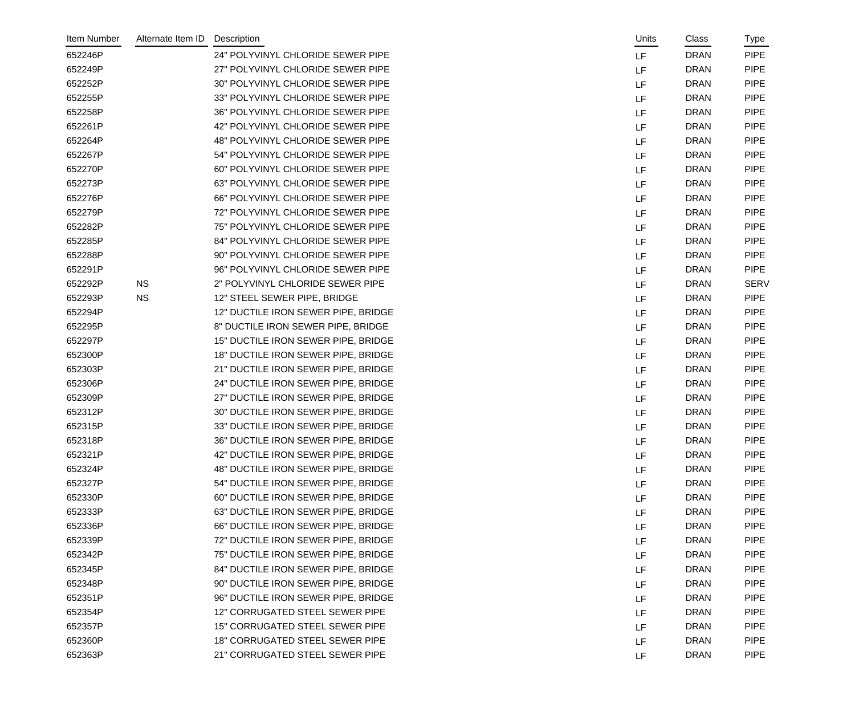| Item Number | Alternate Item ID | Description                         | Units | Class       | Type        |
|-------------|-------------------|-------------------------------------|-------|-------------|-------------|
| 652246P     |                   | 24" POLYVINYL CHLORIDE SEWER PIPE   | LF    | <b>DRAN</b> | <b>PIPE</b> |
| 652249P     |                   | 27" POLYVINYL CHLORIDE SEWER PIPE   | LF    | <b>DRAN</b> | <b>PIPE</b> |
| 652252P     |                   | 30" POLYVINYL CHLORIDE SEWER PIPE   | LF    | <b>DRAN</b> | <b>PIPE</b> |
| 652255P     |                   | 33" POLYVINYL CHLORIDE SEWER PIPE   | LF    | <b>DRAN</b> | <b>PIPE</b> |
| 652258P     |                   | 36" POLYVINYL CHLORIDE SEWER PIPE   | LF    | <b>DRAN</b> | <b>PIPE</b> |
| 652261P     |                   | 42" POLYVINYL CHLORIDE SEWER PIPE   | LF    | <b>DRAN</b> | <b>PIPE</b> |
| 652264P     |                   | 48" POLYVINYL CHLORIDE SEWER PIPE   | LF    | <b>DRAN</b> | <b>PIPE</b> |
| 652267P     |                   | 54" POLYVINYL CHLORIDE SEWER PIPE   | LF    | <b>DRAN</b> | <b>PIPE</b> |
| 652270P     |                   | 60" POLYVINYL CHLORIDE SEWER PIPE   | LF    | <b>DRAN</b> | <b>PIPE</b> |
| 652273P     |                   | 63" POLYVINYL CHLORIDE SEWER PIPE   | LF    | <b>DRAN</b> | <b>PIPE</b> |
| 652276P     |                   | 66" POLYVINYL CHLORIDE SEWER PIPE   | LF    | <b>DRAN</b> | <b>PIPE</b> |
| 652279P     |                   | 72" POLYVINYL CHLORIDE SEWER PIPE   | LF    | <b>DRAN</b> | <b>PIPE</b> |
| 652282P     |                   | 75" POLYVINYL CHLORIDE SEWER PIPE   | LF    | <b>DRAN</b> | <b>PIPE</b> |
| 652285P     |                   | 84" POLYVINYL CHLORIDE SEWER PIPE   | LF    | <b>DRAN</b> | <b>PIPE</b> |
| 652288P     |                   | 90" POLYVINYL CHLORIDE SEWER PIPE   | LF    | <b>DRAN</b> | <b>PIPE</b> |
| 652291P     |                   | 96" POLYVINYL CHLORIDE SEWER PIPE   | LF    | <b>DRAN</b> | <b>PIPE</b> |
| 652292P     | <b>NS</b>         | 2" POLYVINYL CHLORIDE SEWER PIPE    | LF    | <b>DRAN</b> | <b>SERV</b> |
| 652293P     | <b>NS</b>         | 12" STEEL SEWER PIPE, BRIDGE        | LF    | <b>DRAN</b> | <b>PIPE</b> |
| 652294P     |                   | 12" DUCTILE IRON SEWER PIPE, BRIDGE | LF    | <b>DRAN</b> | <b>PIPE</b> |
| 652295P     |                   | 8" DUCTILE IRON SEWER PIPE, BRIDGE  | LF    | <b>DRAN</b> | <b>PIPE</b> |
| 652297P     |                   | 15" DUCTILE IRON SEWER PIPE, BRIDGE | LF    | <b>DRAN</b> | <b>PIPE</b> |
| 652300P     |                   | 18" DUCTILE IRON SEWER PIPE, BRIDGE | LF    | <b>DRAN</b> | <b>PIPE</b> |
| 652303P     |                   | 21" DUCTILE IRON SEWER PIPE, BRIDGE | LF    | <b>DRAN</b> | <b>PIPE</b> |
| 652306P     |                   | 24" DUCTILE IRON SEWER PIPE, BRIDGE | LF    | <b>DRAN</b> | <b>PIPE</b> |
| 652309P     |                   | 27" DUCTILE IRON SEWER PIPE, BRIDGE | LF    | <b>DRAN</b> | <b>PIPE</b> |
| 652312P     |                   | 30" DUCTILE IRON SEWER PIPE, BRIDGE | LF    | <b>DRAN</b> | <b>PIPE</b> |
| 652315P     |                   | 33" DUCTILE IRON SEWER PIPE, BRIDGE | LF    | <b>DRAN</b> | <b>PIPE</b> |
| 652318P     |                   | 36" DUCTILE IRON SEWER PIPE, BRIDGE | LF    | <b>DRAN</b> | <b>PIPE</b> |
| 652321P     |                   | 42" DUCTILE IRON SEWER PIPE, BRIDGE | LF    | <b>DRAN</b> | <b>PIPE</b> |
| 652324P     |                   | 48" DUCTILE IRON SEWER PIPE, BRIDGE | LF    | <b>DRAN</b> | <b>PIPE</b> |
| 652327P     |                   | 54" DUCTILE IRON SEWER PIPE, BRIDGE | LF    | <b>DRAN</b> | <b>PIPE</b> |
| 652330P     |                   | 60" DUCTILE IRON SEWER PIPE, BRIDGE | LF    | <b>DRAN</b> | <b>PIPE</b> |
| 652333P     |                   | 63" DUCTILE IRON SEWER PIPE, BRIDGE | LF    | <b>DRAN</b> | <b>PIPE</b> |
| 652336P     |                   | 66" DUCTILE IRON SEWER PIPE, BRIDGE | LF    | <b>DRAN</b> | <b>PIPE</b> |
| 652339P     |                   | 72" DUCTILE IRON SEWER PIPE, BRIDGE | LF    | <b>DRAN</b> | <b>PIPE</b> |
| 652342P     |                   | 75" DUCTILE IRON SEWER PIPE, BRIDGE | LF    | <b>DRAN</b> | <b>PIPE</b> |
| 652345P     |                   | 84" DUCTILE IRON SEWER PIPE, BRIDGE | LF    | <b>DRAN</b> | <b>PIPE</b> |
| 652348P     |                   | 90" DUCTILE IRON SEWER PIPE, BRIDGE | LF    | <b>DRAN</b> | <b>PIPE</b> |
| 652351P     |                   | 96" DUCTILE IRON SEWER PIPE, BRIDGE | LF    | <b>DRAN</b> | <b>PIPE</b> |
| 652354P     |                   | 12" CORRUGATED STEEL SEWER PIPE     | LF    | <b>DRAN</b> | <b>PIPE</b> |
| 652357P     |                   | 15" CORRUGATED STEEL SEWER PIPE     | LF    | <b>DRAN</b> | <b>PIPE</b> |
| 652360P     |                   | 18" CORRUGATED STEEL SEWER PIPE     | LF    | <b>DRAN</b> | <b>PIPE</b> |
| 652363P     |                   | 21" CORRUGATED STEEL SEWER PIPE     | LF    | <b>DRAN</b> | <b>PIPE</b> |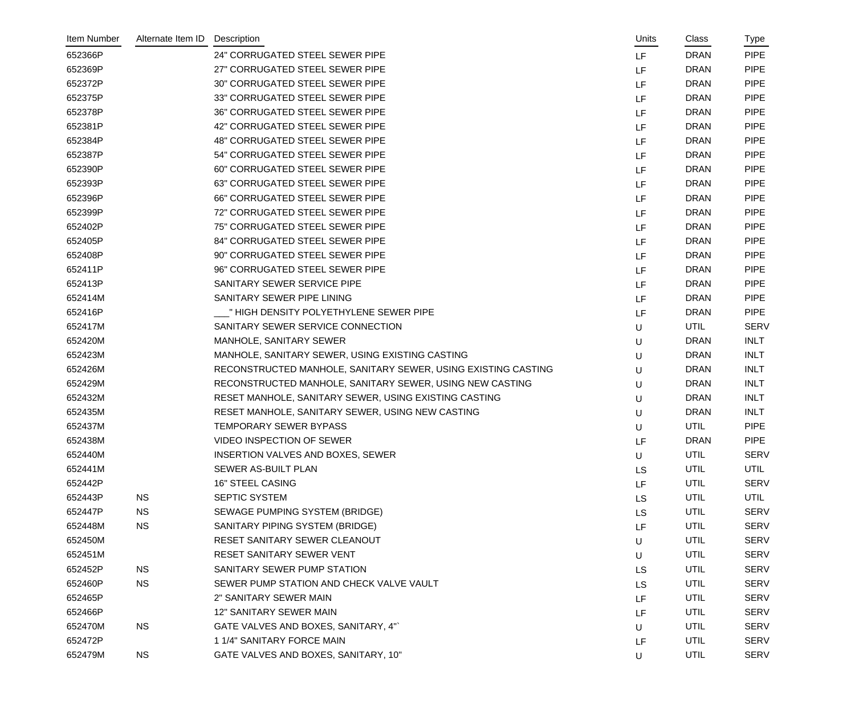| Item Number | Alternate Item ID | Description                                                   | Units     | Class       | Type        |
|-------------|-------------------|---------------------------------------------------------------|-----------|-------------|-------------|
| 652366P     |                   | <b>24" CORRUGATED STEEL SEWER PIPE</b>                        | LF        | <b>DRAN</b> | <b>PIPE</b> |
| 652369P     |                   | 27" CORRUGATED STEEL SEWER PIPE                               | LF        | <b>DRAN</b> | <b>PIPE</b> |
| 652372P     |                   | 30" CORRUGATED STEEL SEWER PIPE                               | LF        | <b>DRAN</b> | <b>PIPE</b> |
| 652375P     |                   | 33" CORRUGATED STEEL SEWER PIPE                               | LF        | <b>DRAN</b> | <b>PIPE</b> |
| 652378P     |                   | 36" CORRUGATED STEEL SEWER PIPE                               | LF        | <b>DRAN</b> | <b>PIPE</b> |
| 652381P     |                   | 42" CORRUGATED STEEL SEWER PIPE                               | LF        | <b>DRAN</b> | <b>PIPE</b> |
| 652384P     |                   | <b>48" CORRUGATED STEEL SEWER PIPE</b>                        | LF        | <b>DRAN</b> | <b>PIPE</b> |
| 652387P     |                   | 54" CORRUGATED STEEL SEWER PIPE                               | LF        | <b>DRAN</b> | <b>PIPE</b> |
| 652390P     |                   | 60" CORRUGATED STEEL SEWER PIPE                               | LF        | <b>DRAN</b> | <b>PIPE</b> |
| 652393P     |                   | 63" CORRUGATED STEEL SEWER PIPE                               | LF        | <b>DRAN</b> | <b>PIPE</b> |
| 652396P     |                   | 66" CORRUGATED STEEL SEWER PIPE                               | LF        | <b>DRAN</b> | <b>PIPE</b> |
| 652399P     |                   | 72" CORRUGATED STEEL SEWER PIPE                               | LF        | <b>DRAN</b> | <b>PIPE</b> |
| 652402P     |                   | 75" CORRUGATED STEEL SEWER PIPE                               | LF        | <b>DRAN</b> | <b>PIPE</b> |
| 652405P     |                   | 84" CORRUGATED STEEL SEWER PIPE                               | LF        | <b>DRAN</b> | <b>PIPE</b> |
| 652408P     |                   | 90" CORRUGATED STEEL SEWER PIPE                               | LF        | <b>DRAN</b> | <b>PIPE</b> |
| 652411P     |                   | 96" CORRUGATED STEEL SEWER PIPE                               | LF        | <b>DRAN</b> | <b>PIPE</b> |
| 652413P     |                   | SANITARY SEWER SERVICE PIPE                                   | LF        | <b>DRAN</b> | <b>PIPE</b> |
| 652414M     |                   | SANITARY SEWER PIPE LINING                                    | LF        | <b>DRAN</b> | <b>PIPE</b> |
| 652416P     |                   | " HIGH DENSITY POLYETHYLENE SEWER PIPE                        | LF        | <b>DRAN</b> | <b>PIPE</b> |
| 652417M     |                   | SANITARY SEWER SERVICE CONNECTION                             | U         | <b>UTIL</b> | <b>SERV</b> |
| 652420M     |                   | MANHOLE, SANITARY SEWER                                       | U         | <b>DRAN</b> | <b>INLT</b> |
| 652423M     |                   | MANHOLE, SANITARY SEWER, USING EXISTING CASTING               | U         | <b>DRAN</b> | <b>INLT</b> |
| 652426M     |                   | RECONSTRUCTED MANHOLE, SANITARY SEWER, USING EXISTING CASTING | U         | <b>DRAN</b> | <b>INLT</b> |
| 652429M     |                   | RECONSTRUCTED MANHOLE, SANITARY SEWER, USING NEW CASTING      | U         | <b>DRAN</b> | <b>INLT</b> |
| 652432M     |                   | RESET MANHOLE, SANITARY SEWER, USING EXISTING CASTING         | U         | <b>DRAN</b> | <b>INLT</b> |
| 652435M     |                   | RESET MANHOLE, SANITARY SEWER, USING NEW CASTING              | U         | <b>DRAN</b> | <b>INLT</b> |
| 652437M     |                   | <b>TEMPORARY SEWER BYPASS</b>                                 | U         | <b>UTIL</b> | <b>PIPE</b> |
| 652438M     |                   | VIDEO INSPECTION OF SEWER                                     | LF        | <b>DRAN</b> | <b>PIPE</b> |
| 652440M     |                   | INSERTION VALVES AND BOXES, SEWER                             | U         | UTIL        | <b>SERV</b> |
| 652441M     |                   | SEWER AS-BUILT PLAN                                           | <b>LS</b> | UTIL        | <b>UTIL</b> |
| 652442P     |                   | <b>16" STEEL CASING</b>                                       | LF        | UTIL        | <b>SERV</b> |
| 652443P     | <b>NS</b>         | SEPTIC SYSTEM                                                 | LS        | UTIL        | <b>UTIL</b> |
| 652447P     | <b>NS</b>         | SEWAGE PUMPING SYSTEM (BRIDGE)                                | LS        | UTIL        | <b>SERV</b> |
| 652448M     | <b>NS</b>         | SANITARY PIPING SYSTEM (BRIDGE)                               | LF        | UTIL        | <b>SERV</b> |
| 652450M     |                   | RESET SANITARY SEWER CLEANOUT                                 | U         | UTIL        | <b>SERV</b> |
| 652451M     |                   | RESET SANITARY SEWER VENT                                     | U         | UTIL        | <b>SERV</b> |
| 652452P     | <b>NS</b>         | SANITARY SEWER PUMP STATION                                   | LS        | UTIL        | <b>SERV</b> |
| 652460P     | <b>NS</b>         | SEWER PUMP STATION AND CHECK VALVE VAULT                      | LS        | UTIL        | <b>SERV</b> |
| 652465P     |                   | 2" SANITARY SEWER MAIN                                        | LF        | UTIL        | <b>SERV</b> |
| 652466P     |                   | 12" SANITARY SEWER MAIN                                       | LF        | UTIL        | <b>SERV</b> |
| 652470M     | <b>NS</b>         | GATE VALVES AND BOXES, SANITARY, 4"                           | U         | UTIL        | <b>SERV</b> |
| 652472P     |                   | 1 1/4" SANITARY FORCE MAIN                                    | LF        | UTIL        | <b>SERV</b> |
| 652479M     | <b>NS</b>         | GATE VALVES AND BOXES, SANITARY, 10"                          | U         | <b>UTIL</b> | SERV        |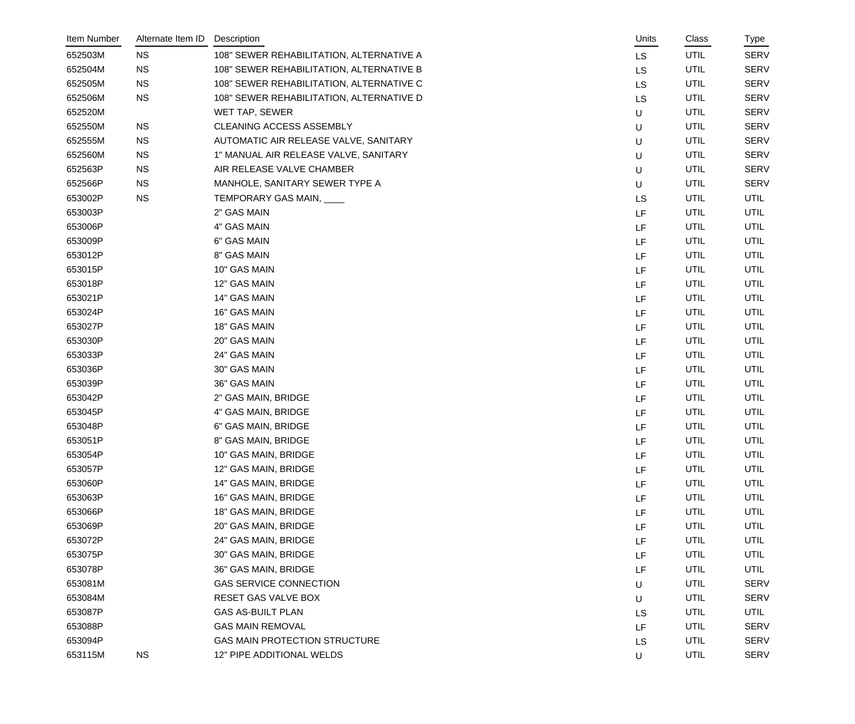| Item Number | Alternate Item ID | Description                              | Units     | Class       | <u>Type</u> |
|-------------|-------------------|------------------------------------------|-----------|-------------|-------------|
| 652503M     | <b>NS</b>         | 108" SEWER REHABILITATION, ALTERNATIVE A | LS        | <b>UTIL</b> | <b>SERV</b> |
| 652504M     | <b>NS</b>         | 108" SEWER REHABILITATION, ALTERNATIVE B | LS        | UTIL        | <b>SERV</b> |
| 652505M     | <b>NS</b>         | 108" SEWER REHABILITATION, ALTERNATIVE C | LS        | UTIL        | <b>SERV</b> |
| 652506M     | <b>NS</b>         | 108" SEWER REHABILITATION, ALTERNATIVE D | <b>LS</b> | UTIL        | <b>SERV</b> |
| 652520M     |                   | WET TAP, SEWER                           | U         | <b>UTIL</b> | <b>SERV</b> |
| 652550M     | <b>NS</b>         | CLEANING ACCESS ASSEMBLY                 | U         | UTIL        | <b>SERV</b> |
| 652555M     | <b>NS</b>         | AUTOMATIC AIR RELEASE VALVE, SANITARY    | U         | UTIL        | <b>SERV</b> |
| 652560M     | <b>NS</b>         | 1" MANUAL AIR RELEASE VALVE, SANITARY    | $\sf U$   | <b>UTIL</b> | <b>SERV</b> |
| 652563P     | <b>NS</b>         | AIR RELEASE VALVE CHAMBER                | U         | <b>UTIL</b> | <b>SERV</b> |
| 652566P     | <b>NS</b>         | MANHOLE, SANITARY SEWER TYPE A           | U         | <b>UTIL</b> | <b>SERV</b> |
| 653002P     | <b>NS</b>         | TEMPORARY GAS MAIN, ____                 | <b>LS</b> | UTIL        | UTIL        |
| 653003P     |                   | 2" GAS MAIN                              | LF        | UTIL        | UTIL        |
| 653006P     |                   | 4" GAS MAIN                              | LF        | UTIL        | UTIL        |
| 653009P     |                   | 6" GAS MAIN                              | LF        | UTIL        | UTIL        |
| 653012P     |                   | 8" GAS MAIN                              | LF        | <b>UTIL</b> | UTIL        |
| 653015P     |                   | 10" GAS MAIN                             | LF        | UTIL        | UTIL        |
| 653018P     |                   | 12" GAS MAIN                             | LF        | UTIL        | UTIL        |
| 653021P     |                   | 14" GAS MAIN                             | LF        | UTIL        | UTIL        |
| 653024P     |                   | 16" GAS MAIN                             | LF        | UTIL        | UTIL        |
| 653027P     |                   | 18" GAS MAIN                             | LF        | <b>UTIL</b> | UTIL        |
| 653030P     |                   | 20" GAS MAIN                             | LF        | UTIL        | UTIL        |
| 653033P     |                   | 24" GAS MAIN                             | LF        | UTIL        | UTIL        |
| 653036P     |                   | 30" GAS MAIN                             | LF        | UTIL        | UTIL        |
| 653039P     |                   | 36" GAS MAIN                             | LF        | UTIL        | <b>UTIL</b> |
| 653042P     |                   | 2" GAS MAIN, BRIDGE                      | LF        | UTIL        | UTIL        |
| 653045P     |                   | 4" GAS MAIN, BRIDGE                      | LF        | UTIL        | <b>UTIL</b> |
| 653048P     |                   | 6" GAS MAIN, BRIDGE                      | LF        | UTIL        | <b>UTIL</b> |
| 653051P     |                   | 8" GAS MAIN, BRIDGE                      | LF        | UTIL        | <b>UTIL</b> |
| 653054P     |                   | 10" GAS MAIN, BRIDGE                     | LF        | UTIL        | <b>UTIL</b> |
| 653057P     |                   | 12" GAS MAIN, BRIDGE                     | LF        | UTIL        | <b>UTIL</b> |
| 653060P     |                   | 14" GAS MAIN, BRIDGE                     | LF        | UTIL        | UTIL        |
| 653063P     |                   | 16" GAS MAIN, BRIDGE                     | LF        | UTIL        | UTIL        |
| 653066P     |                   | 18" GAS MAIN, BRIDGE                     | LF        | UTIL        | UTIL        |
| 653069P     |                   | 20" GAS MAIN, BRIDGE                     | LF        | UTIL        | UTIL        |
| 653072P     |                   | 24" GAS MAIN, BRIDGE                     | LF        | UTIL        | UTIL        |
| 653075P     |                   | 30" GAS MAIN, BRIDGE                     | LF        | UTIL        | UTIL        |
| 653078P     |                   | 36" GAS MAIN, BRIDGE                     | LF        | UTIL        | <b>UTIL</b> |
| 653081M     |                   | <b>GAS SERVICE CONNECTION</b>            | U         | UTIL        | <b>SERV</b> |
| 653084M     |                   | RESET GAS VALVE BOX                      | U         | UTIL        | <b>SERV</b> |
| 653087P     |                   | <b>GAS AS-BUILT PLAN</b>                 | <b>LS</b> | <b>UTIL</b> | UTIL        |
| 653088P     |                   | <b>GAS MAIN REMOVAL</b>                  | LF        | UTIL        | <b>SERV</b> |
| 653094P     |                   | <b>GAS MAIN PROTECTION STRUCTURE</b>     | LS        | UTIL        | <b>SERV</b> |
| 653115M     | <b>NS</b>         | 12" PIPE ADDITIONAL WELDS                | U         | <b>UTIL</b> | <b>SERV</b> |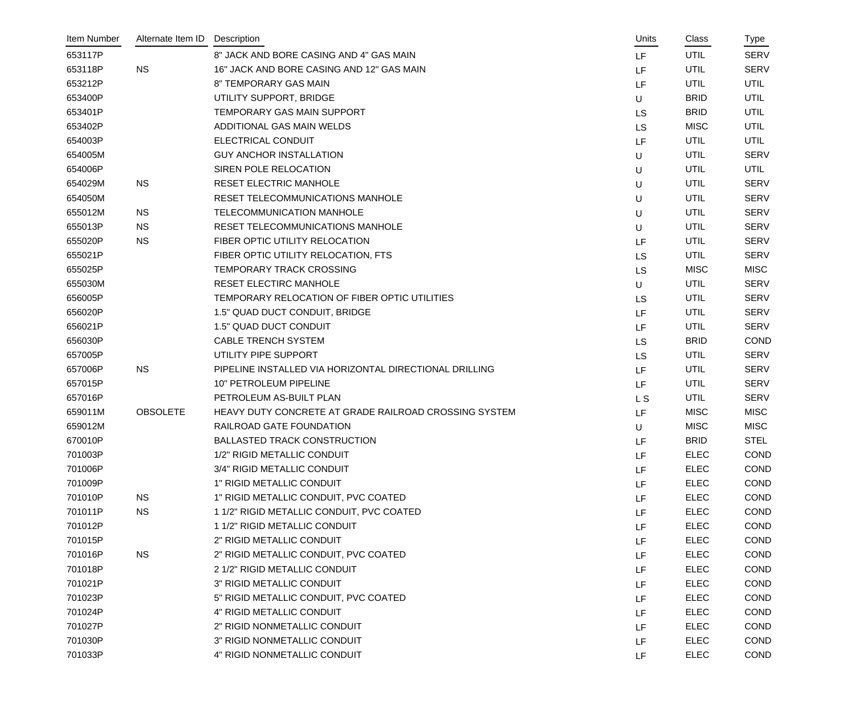| Item Number | Alternate Item ID | Description                                            | Units          | Class       | Type        |
|-------------|-------------------|--------------------------------------------------------|----------------|-------------|-------------|
| 653117P     |                   | 8" JACK AND BORE CASING AND 4" GAS MAIN                | LF.            | <b>UTIL</b> | <b>SERV</b> |
| 653118P     | <b>NS</b>         | 16" JACK AND BORE CASING AND 12" GAS MAIN              | LF             | UTIL        | <b>SERV</b> |
| 653212P     |                   | 8" TEMPORARY GAS MAIN                                  | LF             | UTIL        | <b>UTIL</b> |
| 653400P     |                   | UTILITY SUPPORT, BRIDGE                                | U              | <b>BRID</b> | UTIL        |
| 653401P     |                   | TEMPORARY GAS MAIN SUPPORT                             | <b>LS</b>      | <b>BRID</b> | UTIL        |
| 653402P     |                   | ADDITIONAL GAS MAIN WELDS                              | <b>LS</b>      | <b>MISC</b> | <b>UTIL</b> |
| 654003P     |                   | ELECTRICAL CONDUIT                                     | LF             | UTIL        | <b>UTIL</b> |
| 654005M     |                   | <b>GUY ANCHOR INSTALLATION</b>                         | U              | UTIL        | <b>SERV</b> |
| 654006P     |                   | SIREN POLE RELOCATION                                  | U              | UTIL        | <b>UTIL</b> |
| 654029M     | <b>NS</b>         | RESET ELECTRIC MANHOLE                                 | U              | UTIL        | <b>SERV</b> |
| 654050M     |                   | RESET TELECOMMUNICATIONS MANHOLE                       | U              | UTIL        | <b>SERV</b> |
| 655012M     | <b>NS</b>         | <b>TELECOMMUNICATION MANHOLE</b>                       | U              | UTIL        | <b>SERV</b> |
| 655013P     | <b>NS</b>         | RESET TELECOMMUNICATIONS MANHOLE                       | U              | UTIL        | <b>SERV</b> |
| 655020P     | <b>NS</b>         | FIBER OPTIC UTILITY RELOCATION                         | LF             | UTIL        | <b>SERV</b> |
| 655021P     |                   | FIBER OPTIC UTILITY RELOCATION, FTS                    | <b>LS</b>      | UTIL        | <b>SERV</b> |
| 655025P     |                   | TEMPORARY TRACK CROSSING                               | <b>LS</b>      | <b>MISC</b> | <b>MISC</b> |
| 655030M     |                   | RESET ELECTIRC MANHOLE                                 | U              | UTIL        | <b>SERV</b> |
| 656005P     |                   | TEMPORARY RELOCATION OF FIBER OPTIC UTILITIES          | <b>LS</b>      | UTIL        | <b>SERV</b> |
| 656020P     |                   | 1.5" QUAD DUCT CONDUIT, BRIDGE                         | LF             | UTIL        | <b>SERV</b> |
| 656021P     |                   | 1.5" QUAD DUCT CONDUIT                                 | LF             | UTIL        | <b>SERV</b> |
| 656030P     |                   | <b>CABLE TRENCH SYSTEM</b>                             | <b>LS</b>      | <b>BRID</b> | <b>COND</b> |
| 657005P     |                   | UTILITY PIPE SUPPORT                                   | <b>LS</b>      | UTIL        | <b>SERV</b> |
| 657006P     | <b>NS</b>         | PIPELINE INSTALLED VIA HORIZONTAL DIRECTIONAL DRILLING | LF             | UTIL        | <b>SERV</b> |
| 657015P     |                   | 10" PETROLEUM PIPELINE                                 | LF             | UTIL        | <b>SERV</b> |
| 657016P     |                   | PETROLEUM AS-BUILT PLAN                                | L <sub>S</sub> | UTIL        | <b>SERV</b> |
| 659011M     | <b>OBSOLETE</b>   | HEAVY DUTY CONCRETE AT GRADE RAILROAD CROSSING SYSTEM  | LF             | <b>MISC</b> | <b>MISC</b> |
| 659012M     |                   | RAILROAD GATE FOUNDATION                               | U              | <b>MISC</b> | <b>MISC</b> |
| 670010P     |                   | <b>BALLASTED TRACK CONSTRUCTION</b>                    | LF             | <b>BRID</b> | <b>STEL</b> |
| 701003P     |                   | 1/2" RIGID METALLIC CONDUIT                            | LF             | <b>ELEC</b> | <b>COND</b> |
| 701006P     |                   | 3/4" RIGID METALLIC CONDUIT                            | LF             | <b>ELEC</b> | COND        |
| 701009P     |                   | 1" RIGID METALLIC CONDUIT                              | LF             | <b>ELEC</b> | <b>COND</b> |
| 701010P     | <b>NS</b>         | 1" RIGID METALLIC CONDUIT, PVC COATED                  | LF             | <b>ELEC</b> | <b>COND</b> |
| 701011P     | <b>NS</b>         | 1 1/2" RIGID METALLIC CONDUIT, PVC COATED              | LF             | <b>ELEC</b> | COND        |
| 701012P     |                   | 1 1/2" RIGID METALLIC CONDUIT                          | LF             | <b>ELEC</b> | COND        |
| 701015P     |                   | 2" RIGID METALLIC CONDUIT                              | LF             | <b>ELEC</b> | COND        |
| 701016P     | <b>NS</b>         | 2" RIGID METALLIC CONDUIT, PVC COATED                  | LF             | <b>ELEC</b> | COND        |
| 701018P     |                   | 2 1/2" RIGID METALLIC CONDUIT                          | LF             | <b>ELEC</b> | COND        |
| 701021P     |                   | 3" RIGID METALLIC CONDUIT                              | LF             | <b>ELEC</b> | COND        |
| 701023P     |                   | 5" RIGID METALLIC CONDUIT, PVC COATED                  | LF             | <b>ELEC</b> | COND        |
| 701024P     |                   | 4" RIGID METALLIC CONDUIT                              | LF             | <b>ELEC</b> | <b>COND</b> |
| 701027P     |                   | 2" RIGID NONMETALLIC CONDUIT                           | LF             | <b>ELEC</b> | COND        |
| 701030P     |                   | 3" RIGID NONMETALLIC CONDUIT                           | LF             | <b>ELEC</b> | COND        |
| 701033P     |                   | 4" RIGID NONMETALLIC CONDUIT                           | LF             | <b>ELEC</b> | COND        |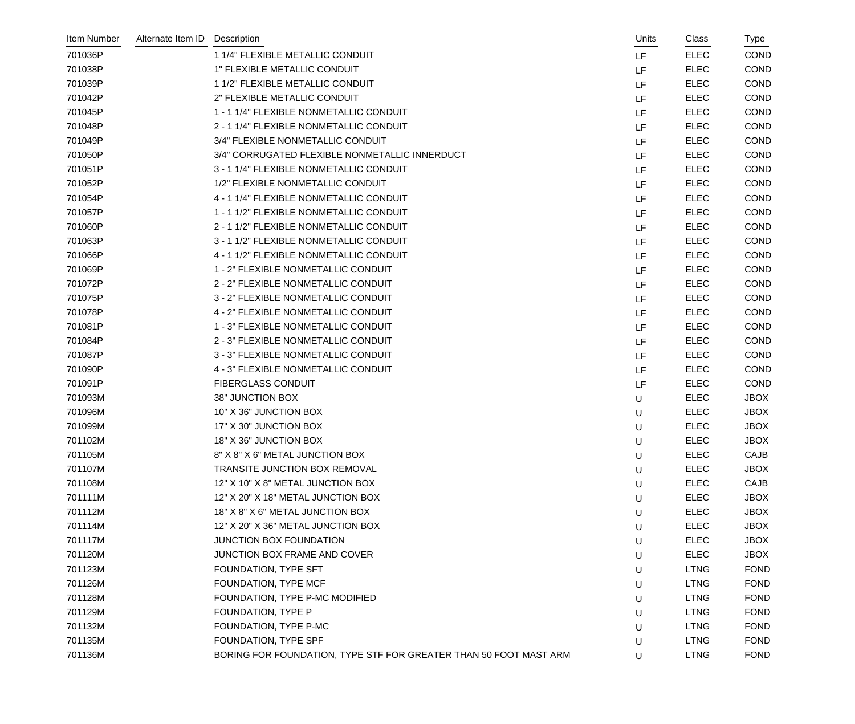| Item Number | Alternate Item ID | Description                                                       | Units     | Class       | Type        |
|-------------|-------------------|-------------------------------------------------------------------|-----------|-------------|-------------|
| 701036P     |                   | 1 1/4" FLEXIBLE METALLIC CONDUIT                                  | <b>LF</b> | <b>ELEC</b> | <b>COND</b> |
| 701038P     |                   | 1" FLEXIBLE METALLIC CONDUIT                                      | LF        | <b>ELEC</b> | <b>COND</b> |
| 701039P     |                   | 1 1/2" FLEXIBLE METALLIC CONDUIT                                  | LF        | <b>ELEC</b> | COND        |
| 701042P     |                   | 2" FLEXIBLE METALLIC CONDUIT                                      | LF        | <b>ELEC</b> | <b>COND</b> |
| 701045P     |                   | 1 - 1 1/4" FLEXIBLE NONMETALLIC CONDUIT                           | LF        | <b>ELEC</b> | <b>COND</b> |
| 701048P     |                   | 2 - 1 1/4" FLEXIBLE NONMETALLIC CONDUIT                           | LF        | <b>ELEC</b> | <b>COND</b> |
| 701049P     |                   | 3/4" FLEXIBLE NONMETALLIC CONDUIT                                 | LF        | <b>ELEC</b> | COND        |
| 701050P     |                   | 3/4" CORRUGATED FLEXIBLE NONMETALLIC INNERDUCT                    | LF        | <b>ELEC</b> | <b>COND</b> |
| 701051P     |                   | 3 - 1 1/4" FLEXIBLE NONMETALLIC CONDUIT                           | LF        | <b>ELEC</b> | <b>COND</b> |
| 701052P     |                   | 1/2" FLEXIBLE NONMETALLIC CONDUIT                                 | LF        | <b>ELEC</b> | COND        |
| 701054P     |                   | 4 - 1 1/4" FLEXIBLE NONMETALLIC CONDUIT                           | LF        | <b>ELEC</b> | COND        |
| 701057P     |                   | 1 - 1 1/2" FLEXIBLE NONMETALLIC CONDUIT                           | LF        | <b>ELEC</b> | COND        |
| 701060P     |                   | 2 - 1 1/2" FLEXIBLE NONMETALLIC CONDUIT                           | LF        | <b>ELEC</b> | <b>COND</b> |
| 701063P     |                   | 3 - 1 1/2" FLEXIBLE NONMETALLIC CONDUIT                           | LF        | <b>ELEC</b> | COND        |
| 701066P     |                   | 4 - 1 1/2" FLEXIBLE NONMETALLIC CONDUIT                           | LF        | <b>ELEC</b> | <b>COND</b> |
| 701069P     |                   | 1 - 2" FLEXIBLE NONMETALLIC CONDUIT                               | LF        | <b>ELEC</b> | <b>COND</b> |
| 701072P     |                   | 2 - 2" FLEXIBLE NONMETALLIC CONDUIT                               | LF        | <b>ELEC</b> | COND        |
| 701075P     |                   | 3 - 2" FLEXIBLE NONMETALLIC CONDUIT                               | LF        | <b>ELEC</b> | <b>COND</b> |
| 701078P     |                   | 4 - 2" FLEXIBLE NONMETALLIC CONDUIT                               | LF        | <b>ELEC</b> | <b>COND</b> |
| 701081P     |                   | 1 - 3" FLEXIBLE NONMETALLIC CONDUIT                               | LF        | <b>ELEC</b> | COND        |
| 701084P     |                   | 2 - 3" FLEXIBLE NONMETALLIC CONDUIT                               | LF        | <b>ELEC</b> | <b>COND</b> |
| 701087P     |                   | 3 - 3" FLEXIBLE NONMETALLIC CONDUIT                               | LF        | <b>ELEC</b> | <b>COND</b> |
| 701090P     |                   | 4 - 3" FLEXIBLE NONMETALLIC CONDUIT                               | LF        | <b>ELEC</b> | COND        |
| 701091P     |                   | <b>FIBERGLASS CONDUIT</b>                                         | LF        | <b>ELEC</b> | COND        |
| 701093M     |                   | 38" JUNCTION BOX                                                  | U         | <b>ELEC</b> | <b>JBOX</b> |
| 701096M     |                   | 10" X 36" JUNCTION BOX                                            | U         | <b>ELEC</b> | <b>JBOX</b> |
| 701099M     |                   | 17" X 30" JUNCTION BOX                                            | U         | <b>ELEC</b> | <b>JBOX</b> |
| 701102M     |                   | 18" X 36" JUNCTION BOX                                            | U         | <b>ELEC</b> | <b>JBOX</b> |
| 701105M     |                   | 8" X 8" X 6" METAL JUNCTION BOX                                   | U         | <b>ELEC</b> | <b>CAJB</b> |
| 701107M     |                   | TRANSITE JUNCTION BOX REMOVAL                                     | U         | <b>ELEC</b> | <b>JBOX</b> |
| 701108M     |                   | 12" X 10" X 8" METAL JUNCTION BOX                                 | U         | <b>ELEC</b> | <b>CAJB</b> |
| 701111M     |                   | 12" X 20" X 18" METAL JUNCTION BOX                                | U         | <b>ELEC</b> | <b>JBOX</b> |
| 701112M     |                   | 18" X 8" X 6" METAL JUNCTION BOX                                  | U         | <b>ELEC</b> | <b>JBOX</b> |
| 701114M     |                   | 12" X 20" X 36" METAL JUNCTION BOX                                | U         | <b>ELEC</b> | <b>JBOX</b> |
| 701117M     |                   | JUNCTION BOX FOUNDATION                                           | U         | <b>ELEC</b> | <b>JBOX</b> |
| 701120M     |                   | JUNCTION BOX FRAME AND COVER                                      | U         | <b>ELEC</b> | <b>JBOX</b> |
| 701123M     |                   | FOUNDATION, TYPE SFT                                              | U         | <b>LTNG</b> | <b>FOND</b> |
| 701126M     |                   | FOUNDATION, TYPE MCF                                              | U         | <b>LTNG</b> | <b>FOND</b> |
| 701128M     |                   | FOUNDATION, TYPE P-MC MODIFIED                                    | U         | <b>LTNG</b> | <b>FOND</b> |
| 701129M     |                   | FOUNDATION, TYPE P                                                | U         | <b>LTNG</b> | <b>FOND</b> |
| 701132M     |                   | FOUNDATION, TYPE P-MC                                             | U         | <b>LTNG</b> | <b>FOND</b> |
| 701135M     |                   | FOUNDATION, TYPE SPF                                              | U         | <b>LTNG</b> | <b>FOND</b> |
| 701136M     |                   | BORING FOR FOUNDATION, TYPE STF FOR GREATER THAN 50 FOOT MAST ARM | U         | <b>LTNG</b> | <b>FOND</b> |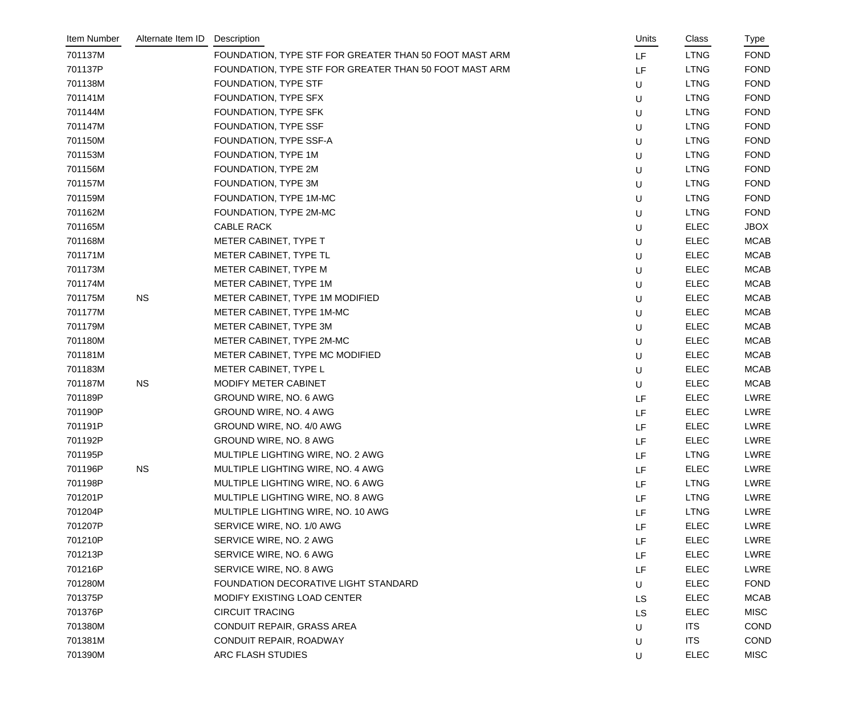| Item Number | Alternate Item ID | Description                                            | Units     | Class       | Type        |
|-------------|-------------------|--------------------------------------------------------|-----------|-------------|-------------|
| 701137M     |                   | FOUNDATION, TYPE STF FOR GREATER THAN 50 FOOT MAST ARM | LF        | <b>LTNG</b> | <b>FOND</b> |
| 701137P     |                   | FOUNDATION, TYPE STF FOR GREATER THAN 50 FOOT MAST ARM | LF        | <b>LTNG</b> | <b>FOND</b> |
| 701138M     |                   | FOUNDATION, TYPE STF                                   | U         | <b>LTNG</b> | <b>FOND</b> |
| 701141M     |                   | FOUNDATION, TYPE SFX                                   | U         | <b>LTNG</b> | <b>FOND</b> |
| 701144M     |                   | FOUNDATION, TYPE SFK                                   | U         | <b>LTNG</b> | <b>FOND</b> |
| 701147M     |                   | FOUNDATION, TYPE SSF                                   | U         | <b>LTNG</b> | <b>FOND</b> |
| 701150M     |                   | FOUNDATION, TYPE SSF-A                                 | U         | <b>LTNG</b> | <b>FOND</b> |
| 701153M     |                   | FOUNDATION, TYPE 1M                                    | U         | <b>LTNG</b> | <b>FOND</b> |
| 701156M     |                   | FOUNDATION, TYPE 2M                                    | U         | <b>LTNG</b> | <b>FOND</b> |
| 701157M     |                   | FOUNDATION, TYPE 3M                                    | U         | <b>LTNG</b> | <b>FOND</b> |
| 701159M     |                   | FOUNDATION, TYPE 1M-MC                                 | U         | <b>LTNG</b> | <b>FOND</b> |
| 701162M     |                   | FOUNDATION, TYPE 2M-MC                                 | U         | <b>LTNG</b> | <b>FOND</b> |
| 701165M     |                   | CABLE RACK                                             | U         | <b>ELEC</b> | <b>JBOX</b> |
| 701168M     |                   | METER CABINET, TYPE T                                  | U         | <b>ELEC</b> | <b>MCAB</b> |
| 701171M     |                   | METER CABINET, TYPE TL                                 | U         | <b>ELEC</b> | <b>MCAB</b> |
| 701173M     |                   | METER CABINET, TYPE M                                  | U         | <b>ELEC</b> | <b>MCAB</b> |
| 701174M     |                   | METER CABINET, TYPE 1M                                 | U         | <b>ELEC</b> | <b>MCAB</b> |
| 701175M     | <b>NS</b>         | METER CABINET, TYPE 1M MODIFIED                        | U         | <b>ELEC</b> | <b>MCAB</b> |
| 701177M     |                   | METER CABINET, TYPE 1M-MC                              | U         | <b>ELEC</b> | <b>MCAB</b> |
| 701179M     |                   | METER CABINET, TYPE 3M                                 | U         | <b>ELEC</b> | <b>MCAB</b> |
| 701180M     |                   | METER CABINET, TYPE 2M-MC                              | U         | <b>ELEC</b> | <b>MCAB</b> |
| 701181M     |                   | METER CABINET, TYPE MC MODIFIED                        | U         | <b>ELEC</b> | <b>MCAB</b> |
| 701183M     |                   | METER CABINET, TYPE L                                  | U         | <b>ELEC</b> | <b>MCAB</b> |
| 701187M     | <b>NS</b>         | MODIFY METER CABINET                                   | U         | <b>ELEC</b> | <b>MCAB</b> |
| 701189P     |                   | GROUND WIRE, NO. 6 AWG                                 | LF        | <b>ELEC</b> | <b>LWRE</b> |
| 701190P     |                   | GROUND WIRE, NO. 4 AWG                                 | LF        | <b>ELEC</b> | LWRE        |
| 701191P     |                   | GROUND WIRE, NO. 4/0 AWG                               | LF        | <b>ELEC</b> | LWRE        |
| 701192P     |                   | GROUND WIRE, NO. 8 AWG                                 | LF        | <b>ELEC</b> | LWRE        |
| 701195P     |                   | MULTIPLE LIGHTING WIRE, NO. 2 AWG                      | LF        | <b>LTNG</b> | <b>LWRE</b> |
| 701196P     | <b>NS</b>         | MULTIPLE LIGHTING WIRE, NO. 4 AWG                      | LF        | <b>ELEC</b> | LWRE        |
| 701198P     |                   | MULTIPLE LIGHTING WIRE, NO. 6 AWG                      | LF        | <b>LTNG</b> | LWRE        |
| 701201P     |                   | MULTIPLE LIGHTING WIRE, NO. 8 AWG                      | LF        | <b>LTNG</b> | LWRE        |
| 701204P     |                   | MULTIPLE LIGHTING WIRE, NO. 10 AWG                     | LF        | <b>LTNG</b> | LWRE        |
| 701207P     |                   | SERVICE WIRE, NO. 1/0 AWG                              | LF        | <b>ELEC</b> | <b>LWRE</b> |
| 701210P     |                   | SERVICE WIRE, NO. 2 AWG                                | LF        | <b>ELEC</b> | <b>LWRE</b> |
| 701213P     |                   | SERVICE WIRE, NO. 6 AWG                                | LF        | <b>ELEC</b> | <b>LWRE</b> |
| 701216P     |                   | SERVICE WIRE, NO. 8 AWG                                | LF        | <b>ELEC</b> | LWRE        |
| 701280M     |                   | FOUNDATION DECORATIVE LIGHT STANDARD                   | U         | <b>ELEC</b> | <b>FOND</b> |
| 701375P     |                   | MODIFY EXISTING LOAD CENTER                            | <b>LS</b> | <b>ELEC</b> | <b>MCAB</b> |
| 701376P     |                   | <b>CIRCUIT TRACING</b>                                 | <b>LS</b> | <b>ELEC</b> | <b>MISC</b> |
| 701380M     |                   | CONDUIT REPAIR, GRASS AREA                             | U         | <b>ITS</b>  | <b>COND</b> |
| 701381M     |                   | CONDUIT REPAIR, ROADWAY                                | $\sf U$   | <b>ITS</b>  | <b>COND</b> |
| 701390M     |                   | ARC FLASH STUDIES                                      | U         | <b>ELEC</b> | <b>MISC</b> |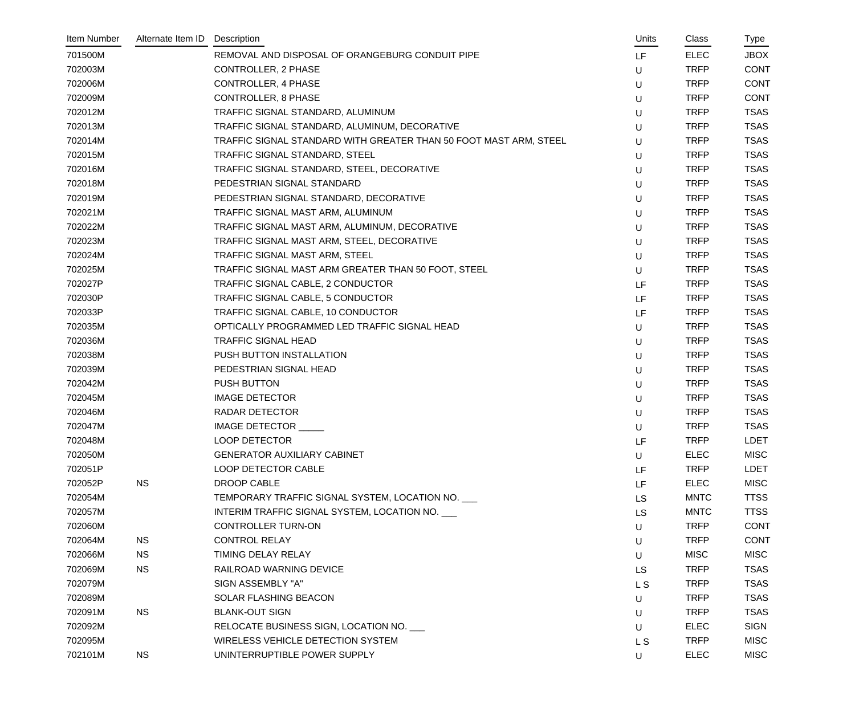| Item Number | Alternate Item ID | Description                                                       | Units          | Class       | Type        |
|-------------|-------------------|-------------------------------------------------------------------|----------------|-------------|-------------|
| 701500M     |                   | REMOVAL AND DISPOSAL OF ORANGEBURG CONDUIT PIPE                   | LF             | <b>ELEC</b> | <b>JBOX</b> |
| 702003M     |                   | CONTROLLER, 2 PHASE                                               | U              | <b>TRFP</b> | <b>CONT</b> |
| 702006M     |                   | <b>CONTROLLER, 4 PHASE</b>                                        | U              | <b>TRFP</b> | <b>CONT</b> |
| 702009M     |                   | <b>CONTROLLER, 8 PHASE</b>                                        | U              | <b>TRFP</b> | <b>CONT</b> |
| 702012M     |                   | TRAFFIC SIGNAL STANDARD, ALUMINUM                                 | U              | <b>TRFP</b> | <b>TSAS</b> |
| 702013M     |                   | TRAFFIC SIGNAL STANDARD, ALUMINUM, DECORATIVE                     | U              | <b>TRFP</b> | <b>TSAS</b> |
| 702014M     |                   | TRAFFIC SIGNAL STANDARD WITH GREATER THAN 50 FOOT MAST ARM, STEEL | U              | <b>TRFP</b> | <b>TSAS</b> |
| 702015M     |                   | TRAFFIC SIGNAL STANDARD, STEEL                                    | U              | <b>TRFP</b> | <b>TSAS</b> |
| 702016M     |                   | TRAFFIC SIGNAL STANDARD, STEEL, DECORATIVE                        | U              | <b>TRFP</b> | <b>TSAS</b> |
| 702018M     |                   | PEDESTRIAN SIGNAL STANDARD                                        | U              | <b>TRFP</b> | <b>TSAS</b> |
| 702019M     |                   | PEDESTRIAN SIGNAL STANDARD, DECORATIVE                            | U              | <b>TRFP</b> | <b>TSAS</b> |
| 702021M     |                   | TRAFFIC SIGNAL MAST ARM, ALUMINUM                                 | U              | <b>TRFP</b> | <b>TSAS</b> |
| 702022M     |                   | TRAFFIC SIGNAL MAST ARM, ALUMINUM, DECORATIVE                     | U              | <b>TRFP</b> | <b>TSAS</b> |
| 702023M     |                   | TRAFFIC SIGNAL MAST ARM, STEEL, DECORATIVE                        | U              | <b>TRFP</b> | <b>TSAS</b> |
| 702024M     |                   | TRAFFIC SIGNAL MAST ARM, STEEL                                    | U              | <b>TRFP</b> | <b>TSAS</b> |
| 702025M     |                   | TRAFFIC SIGNAL MAST ARM GREATER THAN 50 FOOT, STEEL               | U              | <b>TRFP</b> | <b>TSAS</b> |
| 702027P     |                   | TRAFFIC SIGNAL CABLE, 2 CONDUCTOR                                 | LF             | <b>TRFP</b> | <b>TSAS</b> |
| 702030P     |                   | TRAFFIC SIGNAL CABLE, 5 CONDUCTOR                                 | LF             | <b>TRFP</b> | <b>TSAS</b> |
| 702033P     |                   | TRAFFIC SIGNAL CABLE, 10 CONDUCTOR                                | LF             | <b>TRFP</b> | <b>TSAS</b> |
| 702035M     |                   | OPTICALLY PROGRAMMED LED TRAFFIC SIGNAL HEAD                      | U              | <b>TRFP</b> | <b>TSAS</b> |
| 702036M     |                   | <b>TRAFFIC SIGNAL HEAD</b>                                        | U              | <b>TRFP</b> | <b>TSAS</b> |
| 702038M     |                   | PUSH BUTTON INSTALLATION                                          | U              | <b>TRFP</b> | <b>TSAS</b> |
| 702039M     |                   | PEDESTRIAN SIGNAL HEAD                                            | U              | <b>TRFP</b> | <b>TSAS</b> |
| 702042M     |                   | <b>PUSH BUTTON</b>                                                | U              | <b>TRFP</b> | <b>TSAS</b> |
| 702045M     |                   | <b>IMAGE DETECTOR</b>                                             | U              | <b>TRFP</b> | <b>TSAS</b> |
| 702046M     |                   | RADAR DETECTOR                                                    | U              | <b>TRFP</b> | <b>TSAS</b> |
| 702047M     |                   | IMAGE DETECTOR                                                    | U              | <b>TRFP</b> | <b>TSAS</b> |
| 702048M     |                   | <b>LOOP DETECTOR</b>                                              | LF             | <b>TRFP</b> | <b>LDET</b> |
| 702050M     |                   | <b>GENERATOR AUXILIARY CABINET</b>                                | U              | <b>ELEC</b> | <b>MISC</b> |
| 702051P     |                   | LOOP DETECTOR CABLE                                               | LF             | <b>TRFP</b> | <b>LDET</b> |
| 702052P     | <b>NS</b>         | DROOP CABLE                                                       | LF             | <b>ELEC</b> | <b>MISC</b> |
| 702054M     |                   | TEMPORARY TRAFFIC SIGNAL SYSTEM, LOCATION NO.                     | <b>LS</b>      | <b>MNTC</b> | <b>TTSS</b> |
| 702057M     |                   | INTERIM TRAFFIC SIGNAL SYSTEM, LOCATION NO.                       | <b>LS</b>      | <b>MNTC</b> | <b>TTSS</b> |
| 702060M     |                   | <b>CONTROLLER TURN-ON</b>                                         | U              | <b>TRFP</b> | <b>CONT</b> |
| 702064M     | <b>NS</b>         | <b>CONTROL RELAY</b>                                              | U              | <b>TRFP</b> | <b>CONT</b> |
| 702066M     | <b>NS</b>         | TIMING DELAY RELAY                                                | U              | <b>MISC</b> | <b>MISC</b> |
| 702069M     | <b>NS</b>         | RAILROAD WARNING DEVICE                                           | <b>LS</b>      | <b>TRFP</b> | <b>TSAS</b> |
| 702079M     |                   | SIGN ASSEMBLY "A"                                                 | L <sub>S</sub> | <b>TRFP</b> | <b>TSAS</b> |
| 702089M     |                   | SOLAR FLASHING BEACON                                             | U              | <b>TRFP</b> | <b>TSAS</b> |
| 702091M     | <b>NS</b>         | <b>BLANK-OUT SIGN</b>                                             | U              | <b>TRFP</b> | <b>TSAS</b> |
| 702092M     |                   | RELOCATE BUSINESS SIGN, LOCATION NO.                              | U              | <b>ELEC</b> | <b>SIGN</b> |
| 702095M     |                   | WIRELESS VEHICLE DETECTION SYSTEM                                 | L <sub>S</sub> | <b>TRFP</b> | <b>MISC</b> |
| 702101M     | <b>NS</b>         | UNINTERRUPTIBLE POWER SUPPLY                                      | U              | <b>ELEC</b> | <b>MISC</b> |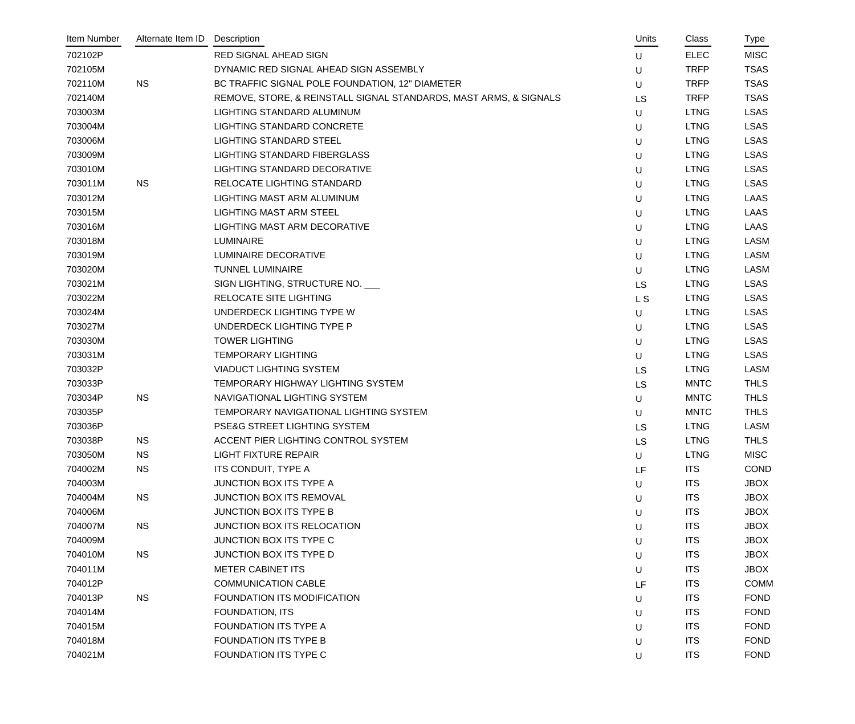| Item Number | Alternate Item ID | Description                                                       | Units          | Class       | Type        |
|-------------|-------------------|-------------------------------------------------------------------|----------------|-------------|-------------|
| 702102P     |                   | <b>RED SIGNAL AHEAD SIGN</b>                                      | U              | <b>ELEC</b> | <b>MISC</b> |
| 702105M     |                   | DYNAMIC RED SIGNAL AHEAD SIGN ASSEMBLY                            | U              | <b>TRFP</b> | <b>TSAS</b> |
| 702110M     | <b>NS</b>         | BC TRAFFIC SIGNAL POLE FOUNDATION, 12" DIAMETER                   | U              | <b>TRFP</b> | <b>TSAS</b> |
| 702140M     |                   | REMOVE, STORE, & REINSTALL SIGNAL STANDARDS, MAST ARMS, & SIGNALS | <b>LS</b>      | <b>TRFP</b> | <b>TSAS</b> |
| 703003M     |                   | LIGHTING STANDARD ALUMINUM                                        | U              | <b>LTNG</b> | <b>LSAS</b> |
| 703004M     |                   | <b>LIGHTING STANDARD CONCRETE</b>                                 | U              | <b>LTNG</b> | <b>LSAS</b> |
| 703006M     |                   | <b>LIGHTING STANDARD STEEL</b>                                    | U              | <b>LTNG</b> | <b>LSAS</b> |
| 703009M     |                   | LIGHTING STANDARD FIBERGLASS                                      | U              | <b>LTNG</b> | <b>LSAS</b> |
| 703010M     |                   | LIGHTING STANDARD DECORATIVE                                      | U              | <b>LTNG</b> | <b>LSAS</b> |
| 703011M     | <b>NS</b>         | RELOCATE LIGHTING STANDARD                                        | U              | <b>LTNG</b> | <b>LSAS</b> |
| 703012M     |                   | LIGHTING MAST ARM ALUMINUM                                        | U              | <b>LTNG</b> | <b>LAAS</b> |
| 703015M     |                   | <b>LIGHTING MAST ARM STEEL</b>                                    | U              | <b>LTNG</b> | <b>LAAS</b> |
| 703016M     |                   | LIGHTING MAST ARM DECORATIVE                                      | U              | <b>LTNG</b> | <b>LAAS</b> |
| 703018M     |                   | LUMINAIRE                                                         | U              | <b>LTNG</b> | <b>LASM</b> |
| 703019M     |                   | LUMINAIRE DECORATIVE                                              | U              | <b>LTNG</b> | <b>LASM</b> |
| 703020M     |                   | <b>TUNNEL LUMINAIRE</b>                                           | U              | <b>LTNG</b> | <b>LASM</b> |
| 703021M     |                   | SIGN LIGHTING, STRUCTURE NO.                                      | <b>LS</b>      | <b>LTNG</b> | <b>LSAS</b> |
| 703022M     |                   | RELOCATE SITE LIGHTING                                            | L <sub>S</sub> | <b>LTNG</b> | <b>LSAS</b> |
| 703024M     |                   | UNDERDECK LIGHTING TYPE W                                         | U              | <b>LTNG</b> | <b>LSAS</b> |
| 703027M     |                   | UNDERDECK LIGHTING TYPE P                                         | U              | <b>LTNG</b> | <b>LSAS</b> |
| 703030M     |                   | <b>TOWER LIGHTING</b>                                             | U              | <b>LTNG</b> | <b>LSAS</b> |
| 703031M     |                   | <b>TEMPORARY LIGHTING</b>                                         | U              | <b>LTNG</b> | <b>LSAS</b> |
| 703032P     |                   | <b>VIADUCT LIGHTING SYSTEM</b>                                    | <b>LS</b>      | <b>LTNG</b> | <b>LASM</b> |
| 703033P     |                   | TEMPORARY HIGHWAY LIGHTING SYSTEM                                 | <b>LS</b>      | <b>MNTC</b> | <b>THLS</b> |
| 703034P     | <b>NS</b>         | NAVIGATIONAL LIGHTING SYSTEM                                      | U              | <b>MNTC</b> | <b>THLS</b> |
| 703035P     |                   | TEMPORARY NAVIGATIONAL LIGHTING SYSTEM                            | U              | <b>MNTC</b> | <b>THLS</b> |
| 703036P     |                   | PSE&G STREET LIGHTING SYSTEM                                      | <b>LS</b>      | <b>LTNG</b> | <b>LASM</b> |
| 703038P     | <b>NS</b>         | ACCENT PIER LIGHTING CONTROL SYSTEM                               | <b>LS</b>      | <b>LTNG</b> | <b>THLS</b> |
| 703050M     | <b>NS</b>         | <b>LIGHT FIXTURE REPAIR</b>                                       | U              | <b>LTNG</b> | <b>MISC</b> |
| 704002M     | <b>NS</b>         | ITS CONDUIT, TYPE A                                               | LF             | <b>ITS</b>  | <b>COND</b> |
| 704003M     |                   | JUNCTION BOX ITS TYPE A                                           | U              | <b>ITS</b>  | <b>JBOX</b> |
| 704004M     | <b>NS</b>         | JUNCTION BOX ITS REMOVAL                                          | U              | <b>ITS</b>  | <b>JBOX</b> |
| 704006M     |                   | JUNCTION BOX ITS TYPE B                                           | U              | <b>ITS</b>  | <b>JBOX</b> |
| 704007M     | <b>NS</b>         | JUNCTION BOX ITS RELOCATION                                       | U              | <b>ITS</b>  | <b>JBOX</b> |
| 704009M     |                   | JUNCTION BOX ITS TYPE C                                           | U              | <b>ITS</b>  | <b>JBOX</b> |
| 704010M     | <b>NS</b>         | JUNCTION BOX ITS TYPE D                                           | U              | <b>ITS</b>  | <b>JBOX</b> |
| 704011M     |                   | <b>METER CABINET ITS</b>                                          | U              | <b>ITS</b>  | <b>JBOX</b> |
| 704012P     |                   | <b>COMMUNICATION CABLE</b>                                        | LF             | <b>ITS</b>  | <b>COMM</b> |
| 704013P     | <b>NS</b>         | FOUNDATION ITS MODIFICATION                                       | U              | <b>ITS</b>  | <b>FOND</b> |
| 704014M     |                   | FOUNDATION, ITS                                                   | U              | <b>ITS</b>  | <b>FOND</b> |
| 704015M     |                   | FOUNDATION ITS TYPE A                                             | U              | <b>ITS</b>  | <b>FOND</b> |
| 704018M     |                   | FOUNDATION ITS TYPE B                                             | U              | <b>ITS</b>  | <b>FOND</b> |
| 704021M     |                   | FOUNDATION ITS TYPE C                                             | U              | <b>ITS</b>  | <b>FOND</b> |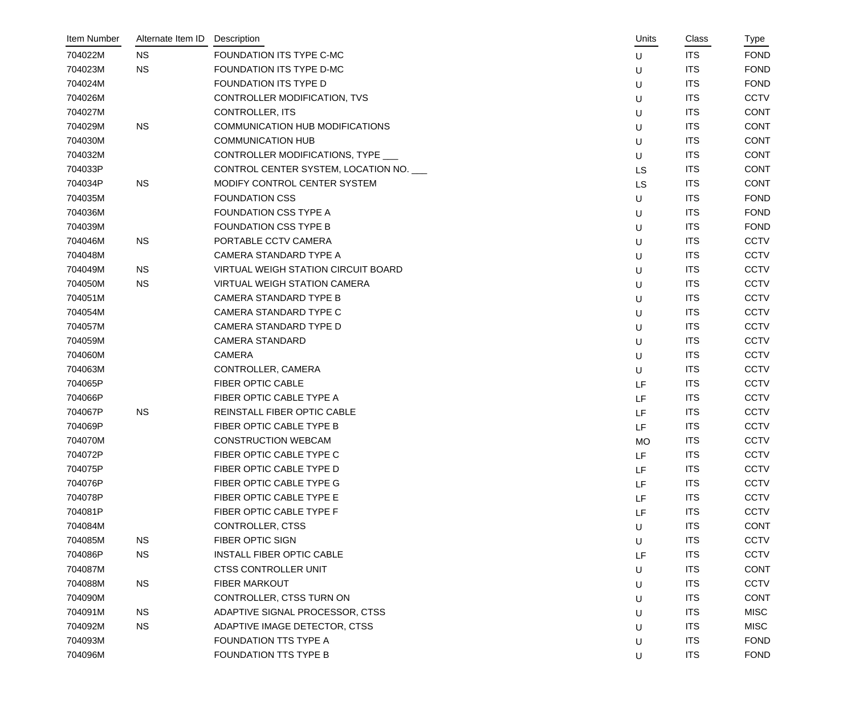| Item Number | Alternate Item ID | Description                                | Units     | Class      | Type        |
|-------------|-------------------|--------------------------------------------|-----------|------------|-------------|
| 704022M     | <b>NS</b>         | FOUNDATION ITS TYPE C-MC                   | U         | <b>ITS</b> | <b>FOND</b> |
| 704023M     | <b>NS</b>         | FOUNDATION ITS TYPE D-MC                   | $\sf U$   | <b>ITS</b> | <b>FOND</b> |
| 704024M     |                   | FOUNDATION ITS TYPE D                      | U         | <b>ITS</b> | <b>FOND</b> |
| 704026M     |                   | CONTROLLER MODIFICATION, TVS               | $\sf U$   | <b>ITS</b> | <b>CCTV</b> |
| 704027M     |                   | <b>CONTROLLER, ITS</b>                     | U         | <b>ITS</b> | <b>CONT</b> |
| 704029M     | <b>NS</b>         | COMMUNICATION HUB MODIFICATIONS            | U         | <b>ITS</b> | <b>CONT</b> |
| 704030M     |                   | <b>COMMUNICATION HUB</b>                   | $\sf U$   | <b>ITS</b> | <b>CONT</b> |
| 704032M     |                   | CONTROLLER MODIFICATIONS, TYPE __          | U         | <b>ITS</b> | <b>CONT</b> |
| 704033P     |                   | CONTROL CENTER SYSTEM, LOCATION NO.        | LS        | <b>ITS</b> | <b>CONT</b> |
| 704034P     | <b>NS</b>         | MODIFY CONTROL CENTER SYSTEM               | LS        | <b>ITS</b> | <b>CONT</b> |
| 704035M     |                   | <b>FOUNDATION CSS</b>                      | U         | <b>ITS</b> | <b>FOND</b> |
| 704036M     |                   | <b>FOUNDATION CSS TYPE A</b>               | $\sf U$   | <b>ITS</b> | <b>FOND</b> |
| 704039M     |                   | <b>FOUNDATION CSS TYPE B</b>               | U         | <b>ITS</b> | <b>FOND</b> |
| 704046M     | <b>NS</b>         | PORTABLE CCTV CAMERA                       | U         | <b>ITS</b> | <b>CCTV</b> |
| 704048M     |                   | CAMERA STANDARD TYPE A                     | U         | <b>ITS</b> | <b>CCTV</b> |
| 704049M     | <b>NS</b>         | <b>VIRTUAL WEIGH STATION CIRCUIT BOARD</b> | U         | <b>ITS</b> | <b>CCTV</b> |
| 704050M     | <b>NS</b>         | VIRTUAL WEIGH STATION CAMERA               | $\sf U$   | <b>ITS</b> | <b>CCTV</b> |
| 704051M     |                   | <b>CAMERA STANDARD TYPE B</b>              | U         | <b>ITS</b> | <b>CCTV</b> |
| 704054M     |                   | CAMERA STANDARD TYPE C                     | U         | <b>ITS</b> | <b>CCTV</b> |
| 704057M     |                   | CAMERA STANDARD TYPE D                     | $\sf U$   | <b>ITS</b> | <b>CCTV</b> |
| 704059M     |                   | <b>CAMERA STANDARD</b>                     | U         | <b>ITS</b> | <b>CCTV</b> |
| 704060M     |                   | <b>CAMERA</b>                              | $\sf U$   | <b>ITS</b> | <b>CCTV</b> |
| 704063M     |                   | CONTROLLER, CAMERA                         | U         | <b>ITS</b> | <b>CCTV</b> |
| 704065P     |                   | FIBER OPTIC CABLE                          | LF        | <b>ITS</b> | <b>CCTV</b> |
| 704066P     |                   | FIBER OPTIC CABLE TYPE A                   | LF        | <b>ITS</b> | <b>CCTV</b> |
| 704067P     | <b>NS</b>         | REINSTALL FIBER OPTIC CABLE                | LF        | <b>ITS</b> | <b>CCTV</b> |
| 704069P     |                   | FIBER OPTIC CABLE TYPE B                   | LF        | <b>ITS</b> | <b>CCTV</b> |
| 704070M     |                   | <b>CONSTRUCTION WEBCAM</b>                 | <b>MO</b> | <b>ITS</b> | <b>CCTV</b> |
| 704072P     |                   | FIBER OPTIC CABLE TYPE C                   | LF        | <b>ITS</b> | <b>CCTV</b> |
| 704075P     |                   | FIBER OPTIC CABLE TYPE D                   | LF        | <b>ITS</b> | <b>CCTV</b> |
| 704076P     |                   | FIBER OPTIC CABLE TYPE G                   | LF        | <b>ITS</b> | <b>CCTV</b> |
| 704078P     |                   | FIBER OPTIC CABLE TYPE E                   | LF        | <b>ITS</b> | <b>CCTV</b> |
| 704081P     |                   | FIBER OPTIC CABLE TYPE F                   | LF        | <b>ITS</b> | <b>CCTV</b> |
| 704084M     |                   | CONTROLLER, CTSS                           | U         | <b>ITS</b> | <b>CONT</b> |
| 704085M     | <b>NS</b>         | <b>FIBER OPTIC SIGN</b>                    | $\sf U$   | <b>ITS</b> | <b>CCTV</b> |
| 704086P     | <b>NS</b>         | <b>INSTALL FIBER OPTIC CABLE</b>           | LF        | <b>ITS</b> | <b>CCTV</b> |
| 704087M     |                   | <b>CTSS CONTROLLER UNIT</b>                | U         | <b>ITS</b> | <b>CONT</b> |
| 704088M     | <b>NS</b>         | <b>FIBER MARKOUT</b>                       | U         | <b>ITS</b> | <b>CCTV</b> |
| 704090M     |                   | CONTROLLER, CTSS TURN ON                   | U         | <b>ITS</b> | <b>CONT</b> |
| 704091M     | <b>NS</b>         | ADAPTIVE SIGNAL PROCESSOR, CTSS            | U         | <b>ITS</b> | <b>MISC</b> |
| 704092M     | <b>NS</b>         | ADAPTIVE IMAGE DETECTOR, CTSS              | U         | <b>ITS</b> | <b>MISC</b> |
| 704093M     |                   | FOUNDATION TTS TYPE A                      | U         | <b>ITS</b> | <b>FOND</b> |
| 704096M     |                   | FOUNDATION TTS TYPE B                      | U         | <b>ITS</b> | <b>FOND</b> |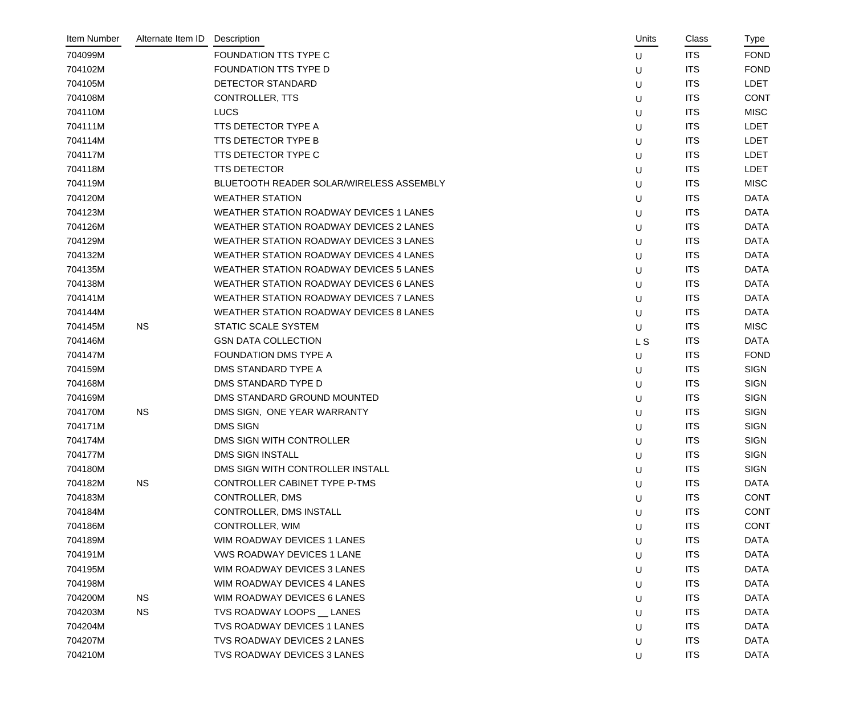| Item Number | Alternate Item ID | Description                                    | Units     | Class      | Type        |
|-------------|-------------------|------------------------------------------------|-----------|------------|-------------|
| 704099M     |                   | FOUNDATION TTS TYPE C                          | U         | <b>ITS</b> | <b>FOND</b> |
| 704102M     |                   | FOUNDATION TTS TYPE D                          | U         | <b>ITS</b> | <b>FOND</b> |
| 704105M     |                   | DETECTOR STANDARD                              | U         | <b>ITS</b> | <b>LDET</b> |
| 704108M     |                   | <b>CONTROLLER, TTS</b>                         | U         | <b>ITS</b> | <b>CONT</b> |
| 704110M     |                   | <b>LUCS</b>                                    | U         | <b>ITS</b> | <b>MISC</b> |
| 704111M     |                   | TTS DETECTOR TYPE A                            | U         | <b>ITS</b> | <b>LDET</b> |
| 704114M     |                   | TTS DETECTOR TYPE B                            | U         | <b>ITS</b> | <b>LDET</b> |
| 704117M     |                   | TTS DETECTOR TYPE C                            | U         | <b>ITS</b> | <b>LDET</b> |
| 704118M     |                   | <b>TTS DETECTOR</b>                            | U         | <b>ITS</b> | <b>LDET</b> |
| 704119M     |                   | BLUETOOTH READER SOLAR/WIRELESS ASSEMBLY       | U         | <b>ITS</b> | <b>MISC</b> |
| 704120M     |                   | <b>WEATHER STATION</b>                         | U         | <b>ITS</b> | <b>DATA</b> |
| 704123M     |                   | <b>WEATHER STATION ROADWAY DEVICES 1 LANES</b> | U         | <b>ITS</b> | <b>DATA</b> |
| 704126M     |                   | WEATHER STATION ROADWAY DEVICES 2 LANES        | U         | <b>ITS</b> | <b>DATA</b> |
| 704129M     |                   | <b>WEATHER STATION ROADWAY DEVICES 3 LANES</b> | U         | <b>ITS</b> | <b>DATA</b> |
| 704132M     |                   | WEATHER STATION ROADWAY DEVICES 4 LANES        | U         | <b>ITS</b> | <b>DATA</b> |
| 704135M     |                   | WEATHER STATION ROADWAY DEVICES 5 LANES        | U         | <b>ITS</b> | <b>DATA</b> |
| 704138M     |                   | <b>WEATHER STATION ROADWAY DEVICES 6 LANES</b> | U         | <b>ITS</b> | <b>DATA</b> |
| 704141M     |                   | WEATHER STATION ROADWAY DEVICES 7 LANES        | U         | <b>ITS</b> | <b>DATA</b> |
| 704144M     |                   | <b>WEATHER STATION ROADWAY DEVICES 8 LANES</b> | U         | <b>ITS</b> | <b>DATA</b> |
| 704145M     | <b>NS</b>         | STATIC SCALE SYSTEM                            | U         | <b>ITS</b> | <b>MISC</b> |
| 704146M     |                   | <b>GSN DATA COLLECTION</b>                     | <b>LS</b> | <b>ITS</b> | <b>DATA</b> |
| 704147M     |                   | FOUNDATION DMS TYPE A                          | U         | <b>ITS</b> | <b>FOND</b> |
| 704159M     |                   | DMS STANDARD TYPE A                            | U         | <b>ITS</b> | <b>SIGN</b> |
| 704168M     |                   | DMS STANDARD TYPE D                            | U         | <b>ITS</b> | <b>SIGN</b> |
| 704169M     |                   | DMS STANDARD GROUND MOUNTED                    | U         | <b>ITS</b> | <b>SIGN</b> |
| 704170M     | <b>NS</b>         | DMS SIGN, ONE YEAR WARRANTY                    | U         | <b>ITS</b> | <b>SIGN</b> |
| 704171M     |                   | <b>DMS SIGN</b>                                | U         | <b>ITS</b> | <b>SIGN</b> |
| 704174M     |                   | DMS SIGN WITH CONTROLLER                       | U         | <b>ITS</b> | <b>SIGN</b> |
| 704177M     |                   | <b>DMS SIGN INSTALL</b>                        | U         | <b>ITS</b> | <b>SIGN</b> |
| 704180M     |                   | DMS SIGN WITH CONTROLLER INSTALL               | $\sf U$   | <b>ITS</b> | <b>SIGN</b> |
| 704182M     | <b>NS</b>         | CONTROLLER CABINET TYPE P-TMS                  | U         | <b>ITS</b> | <b>DATA</b> |
| 704183M     |                   | CONTROLLER, DMS                                | U         | <b>ITS</b> | <b>CONT</b> |
| 704184M     |                   | CONTROLLER, DMS INSTALL                        | U         | <b>ITS</b> | <b>CONT</b> |
| 704186M     |                   | CONTROLLER, WIM                                | U         | <b>ITS</b> | <b>CONT</b> |
| 704189M     |                   | WIM ROADWAY DEVICES 1 LANES                    | U         | <b>ITS</b> | <b>DATA</b> |
| 704191M     |                   | <b>VWS ROADWAY DEVICES 1 LANE</b>              | U         | <b>ITS</b> | <b>DATA</b> |
| 704195M     |                   | WIM ROADWAY DEVICES 3 LANES                    | U         | <b>ITS</b> | <b>DATA</b> |
| 704198M     |                   | WIM ROADWAY DEVICES 4 LANES                    | U         | <b>ITS</b> | <b>DATA</b> |
| 704200M     | <b>NS</b>         | WIM ROADWAY DEVICES 6 LANES                    | U         | <b>ITS</b> | <b>DATA</b> |
| 704203M     | <b>NS</b>         | TVS ROADWAY LOOPS __ LANES                     | U         | <b>ITS</b> | <b>DATA</b> |
| 704204M     |                   | TVS ROADWAY DEVICES 1 LANES                    | U         | <b>ITS</b> | <b>DATA</b> |
| 704207M     |                   | TVS ROADWAY DEVICES 2 LANES                    | U         | <b>ITS</b> | <b>DATA</b> |
| 704210M     |                   | TVS ROADWAY DEVICES 3 LANES                    | U         | <b>ITS</b> | <b>DATA</b> |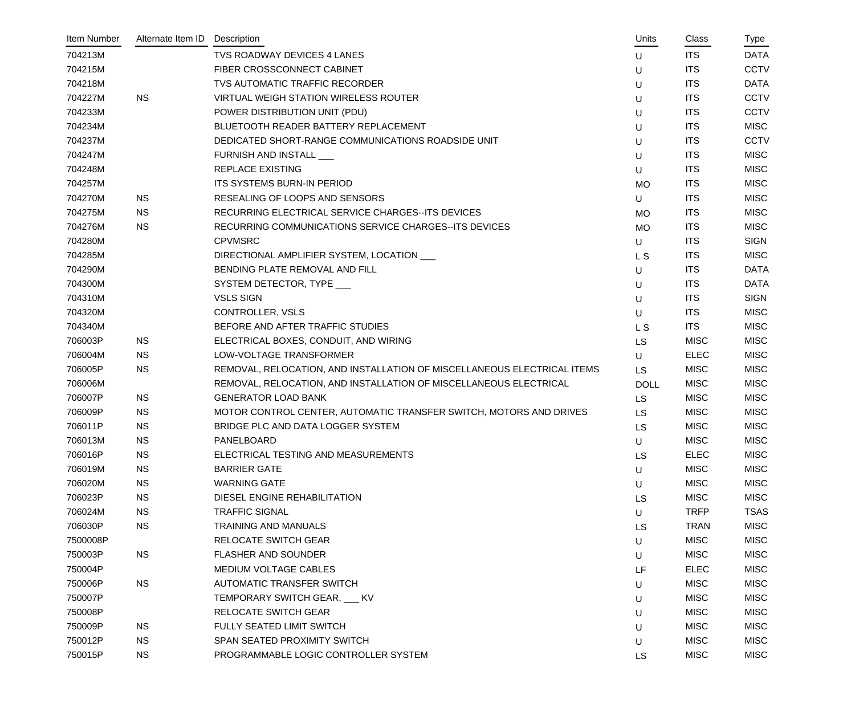| Item Number | Alternate Item ID | Description                                                             | Units          | Class       | Type        |
|-------------|-------------------|-------------------------------------------------------------------------|----------------|-------------|-------------|
| 704213M     |                   | <b>TVS ROADWAY DEVICES 4 LANES</b>                                      | U              | <b>ITS</b>  | <b>DATA</b> |
| 704215M     |                   | FIBER CROSSCONNECT CABINET                                              | U              | <b>ITS</b>  | <b>CCTV</b> |
| 704218M     |                   | TVS AUTOMATIC TRAFFIC RECORDER                                          | U              | <b>ITS</b>  | <b>DATA</b> |
| 704227M     | <b>NS</b>         | <b>VIRTUAL WEIGH STATION WIRELESS ROUTER</b>                            | U              | <b>ITS</b>  | <b>CCTV</b> |
| 704233M     |                   | POWER DISTRIBUTION UNIT (PDU)                                           | U              | <b>ITS</b>  | <b>CCTV</b> |
| 704234M     |                   | BLUETOOTH READER BATTERY REPLACEMENT                                    | U              | <b>ITS</b>  | <b>MISC</b> |
| 704237M     |                   | DEDICATED SHORT-RANGE COMMUNICATIONS ROADSIDE UNIT                      | U              | <b>ITS</b>  | <b>CCTV</b> |
| 704247M     |                   | FURNISH AND INSTALL                                                     | U              | <b>ITS</b>  | <b>MISC</b> |
| 704248M     |                   | <b>REPLACE EXISTING</b>                                                 | U              | <b>ITS</b>  | <b>MISC</b> |
| 704257M     |                   | ITS SYSTEMS BURN-IN PERIOD                                              | <b>MO</b>      | <b>ITS</b>  | <b>MISC</b> |
| 704270M     | <b>NS</b>         | RESEALING OF LOOPS AND SENSORS                                          | U              | <b>ITS</b>  | <b>MISC</b> |
| 704275M     | <b>NS</b>         | RECURRING ELECTRICAL SERVICE CHARGES--ITS DEVICES                       | <b>MO</b>      | <b>ITS</b>  | <b>MISC</b> |
| 704276M     | <b>NS</b>         | RECURRING COMMUNICATIONS SERVICE CHARGES--ITS DEVICES                   | <b>MO</b>      | <b>ITS</b>  | <b>MISC</b> |
| 704280M     |                   | <b>CPVMSRC</b>                                                          | U              | <b>ITS</b>  | <b>SIGN</b> |
| 704285M     |                   | DIRECTIONAL AMPLIFIER SYSTEM, LOCATION                                  | L <sub>S</sub> | <b>ITS</b>  | <b>MISC</b> |
| 704290M     |                   | BENDING PLATE REMOVAL AND FILL                                          | U              | <b>ITS</b>  | <b>DATA</b> |
| 704300M     |                   | SYSTEM DETECTOR, TYPE ___                                               | U              | <b>ITS</b>  | <b>DATA</b> |
| 704310M     |                   | <b>VSLS SIGN</b>                                                        | U              | <b>ITS</b>  | <b>SIGN</b> |
| 704320M     |                   | <b>CONTROLLER, VSLS</b>                                                 | U              | <b>ITS</b>  | <b>MISC</b> |
| 704340M     |                   | BEFORE AND AFTER TRAFFIC STUDIES                                        | L S            | <b>ITS</b>  | <b>MISC</b> |
| 706003P     | <b>NS</b>         | ELECTRICAL BOXES, CONDUIT, AND WIRING                                   | <b>LS</b>      | <b>MISC</b> | <b>MISC</b> |
| 706004M     | <b>NS</b>         | LOW-VOLTAGE TRANSFORMER                                                 | U              | <b>ELEC</b> | <b>MISC</b> |
| 706005P     | <b>NS</b>         | REMOVAL, RELOCATION, AND INSTALLATION OF MISCELLANEOUS ELECTRICAL ITEMS | <b>LS</b>      | <b>MISC</b> | <b>MISC</b> |
| 706006M     |                   | REMOVAL, RELOCATION, AND INSTALLATION OF MISCELLANEOUS ELECTRICAL       | <b>DOLL</b>    | <b>MISC</b> | <b>MISC</b> |
| 706007P     | <b>NS</b>         | <b>GENERATOR LOAD BANK</b>                                              | <b>LS</b>      | <b>MISC</b> | <b>MISC</b> |
| 706009P     | <b>NS</b>         | MOTOR CONTROL CENTER, AUTOMATIC TRANSFER SWITCH, MOTORS AND DRIVES      | <b>LS</b>      | <b>MISC</b> | <b>MISC</b> |
| 706011P     | <b>NS</b>         | BRIDGE PLC AND DATA LOGGER SYSTEM                                       | <b>LS</b>      | <b>MISC</b> | <b>MISC</b> |
| 706013M     | <b>NS</b>         | <b>PANELBOARD</b>                                                       | U              | <b>MISC</b> | <b>MISC</b> |
| 706016P     | <b>NS</b>         | ELECTRICAL TESTING AND MEASUREMENTS                                     | <b>LS</b>      | <b>ELEC</b> | <b>MISC</b> |
| 706019M     | <b>NS</b>         | <b>BARRIER GATE</b>                                                     | U              | <b>MISC</b> | <b>MISC</b> |
| 706020M     | <b>NS</b>         | <b>WARNING GATE</b>                                                     | U              | <b>MISC</b> | <b>MISC</b> |
| 706023P     | <b>NS</b>         | DIESEL ENGINE REHABILITATION                                            | <b>LS</b>      | <b>MISC</b> | <b>MISC</b> |
| 706024M     | <b>NS</b>         | <b>TRAFFIC SIGNAL</b>                                                   | U              | <b>TRFP</b> | <b>TSAS</b> |
| 706030P     | <b>NS</b>         | <b>TRAINING AND MANUALS</b>                                             | <b>LS</b>      | <b>TRAN</b> | <b>MISC</b> |
| 7500008P    |                   | <b>RELOCATE SWITCH GEAR</b>                                             | U              | <b>MISC</b> | <b>MISC</b> |
| 750003P     | <b>NS</b>         | <b>FLASHER AND SOUNDER</b>                                              | U              | <b>MISC</b> | <b>MISC</b> |
| 750004P     |                   | <b>MEDIUM VOLTAGE CABLES</b>                                            | LF             | <b>ELEC</b> | <b>MISC</b> |
| 750006P     | <b>NS</b>         | <b>AUTOMATIC TRANSFER SWITCH</b>                                        | U              | <b>MISC</b> | <b>MISC</b> |
| 750007P     |                   | TEMPORARY SWITCH GEAR, CAV                                              | U              | <b>MISC</b> | <b>MISC</b> |
| 750008P     |                   | <b>RELOCATE SWITCH GEAR</b>                                             | U              | <b>MISC</b> | <b>MISC</b> |
| 750009P     | <b>NS</b>         | FULLY SEATED LIMIT SWITCH                                               | U              | <b>MISC</b> | <b>MISC</b> |
| 750012P     | <b>NS</b>         | SPAN SEATED PROXIMITY SWITCH                                            | U              | <b>MISC</b> | <b>MISC</b> |
| 750015P     | <b>NS</b>         | PROGRAMMABLE LOGIC CONTROLLER SYSTEM                                    | <b>LS</b>      | <b>MISC</b> | <b>MISC</b> |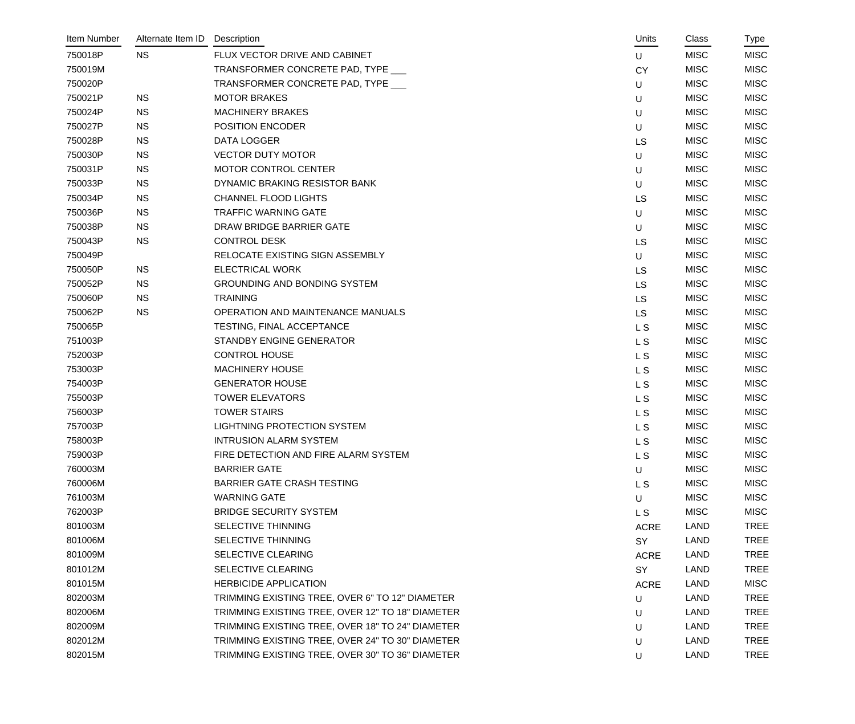| Item Number | Alternate Item ID | Description                                      | Units          | Class       | Type        |
|-------------|-------------------|--------------------------------------------------|----------------|-------------|-------------|
| 750018P     | <b>NS</b>         | FLUX VECTOR DRIVE AND CABINET                    | U              | <b>MISC</b> | <b>MISC</b> |
| 750019M     |                   | TRANSFORMER CONCRETE PAD, TYPE                   | <b>CY</b>      | <b>MISC</b> | <b>MISC</b> |
| 750020P     |                   | TRANSFORMER CONCRETE PAD, TYPE ___               | U              | <b>MISC</b> | <b>MISC</b> |
| 750021P     | <b>NS</b>         | <b>MOTOR BRAKES</b>                              | U              | <b>MISC</b> | <b>MISC</b> |
| 750024P     | <b>NS</b>         | <b>MACHINERY BRAKES</b>                          | U              | <b>MISC</b> | <b>MISC</b> |
| 750027P     | <b>NS</b>         | <b>POSITION ENCODER</b>                          | U              | <b>MISC</b> | <b>MISC</b> |
| 750028P     | <b>NS</b>         | DATA LOGGER                                      | LS             | <b>MISC</b> | <b>MISC</b> |
| 750030P     | <b>NS</b>         | <b>VECTOR DUTY MOTOR</b>                         | U              | <b>MISC</b> | <b>MISC</b> |
| 750031P     | <b>NS</b>         | <b>MOTOR CONTROL CENTER</b>                      | U              | <b>MISC</b> | <b>MISC</b> |
| 750033P     | <b>NS</b>         | DYNAMIC BRAKING RESISTOR BANK                    | U              | <b>MISC</b> | <b>MISC</b> |
| 750034P     | <b>NS</b>         | <b>CHANNEL FLOOD LIGHTS</b>                      | LS             | <b>MISC</b> | <b>MISC</b> |
| 750036P     | <b>NS</b>         | <b>TRAFFIC WARNING GATE</b>                      | U              | <b>MISC</b> | <b>MISC</b> |
| 750038P     | <b>NS</b>         | DRAW BRIDGE BARRIER GATE                         | U              | <b>MISC</b> | <b>MISC</b> |
| 750043P     | <b>NS</b>         | <b>CONTROL DESK</b>                              | <b>LS</b>      | <b>MISC</b> | <b>MISC</b> |
| 750049P     |                   | RELOCATE EXISTING SIGN ASSEMBLY                  | U              | <b>MISC</b> | <b>MISC</b> |
| 750050P     | <b>NS</b>         | <b>ELECTRICAL WORK</b>                           | <b>LS</b>      | <b>MISC</b> | <b>MISC</b> |
| 750052P     | <b>NS</b>         | <b>GROUNDING AND BONDING SYSTEM</b>              | LS             | <b>MISC</b> | <b>MISC</b> |
| 750060P     | <b>NS</b>         | <b>TRAINING</b>                                  | <b>LS</b>      | <b>MISC</b> | <b>MISC</b> |
| 750062P     | <b>NS</b>         | OPERATION AND MAINTENANCE MANUALS                | <b>LS</b>      | <b>MISC</b> | <b>MISC</b> |
| 750065P     |                   | TESTING, FINAL ACCEPTANCE                        | L <sub>S</sub> | <b>MISC</b> | <b>MISC</b> |
| 751003P     |                   | STANDBY ENGINE GENERATOR                         | <b>LS</b>      | <b>MISC</b> | <b>MISC</b> |
| 752003P     |                   | <b>CONTROL HOUSE</b>                             | L S            | <b>MISC</b> | <b>MISC</b> |
| 753003P     |                   | <b>MACHINERY HOUSE</b>                           | L <sub>S</sub> | <b>MISC</b> | <b>MISC</b> |
| 754003P     |                   | <b>GENERATOR HOUSE</b>                           | L <sub>S</sub> | <b>MISC</b> | <b>MISC</b> |
| 755003P     |                   | <b>TOWER ELEVATORS</b>                           | L S            | <b>MISC</b> | <b>MISC</b> |
| 756003P     |                   | <b>TOWER STAIRS</b>                              | L S            | <b>MISC</b> | <b>MISC</b> |
| 757003P     |                   | <b>LIGHTNING PROTECTION SYSTEM</b>               | L <sub>S</sub> | <b>MISC</b> | <b>MISC</b> |
| 758003P     |                   | <b>INTRUSION ALARM SYSTEM</b>                    | L S            | <b>MISC</b> | <b>MISC</b> |
| 759003P     |                   | FIRE DETECTION AND FIRE ALARM SYSTEM             | L S            | <b>MISC</b> | MISC        |
| 760003M     |                   | <b>BARRIER GATE</b>                              | $\sf U$        | <b>MISC</b> | <b>MISC</b> |
| 760006M     |                   | <b>BARRIER GATE CRASH TESTING</b>                | L <sub>S</sub> | <b>MISC</b> | <b>MISC</b> |
| 761003M     |                   | <b>WARNING GATE</b>                              | U              | <b>MISC</b> | <b>MISC</b> |
| 762003P     |                   | <b>BRIDGE SECURITY SYSTEM</b>                    | L S            | <b>MISC</b> | <b>MISC</b> |
| 801003M     |                   | SELECTIVE THINNING                               | <b>ACRE</b>    | LAND        | <b>TREE</b> |
| 801006M     |                   | SELECTIVE THINNING                               | SY             | <b>LAND</b> | <b>TREE</b> |
| 801009M     |                   | SELECTIVE CLEARING                               | <b>ACRE</b>    | <b>LAND</b> | <b>TREE</b> |
| 801012M     |                   | SELECTIVE CLEARING                               | SY             | <b>LAND</b> | <b>TREE</b> |
| 801015M     |                   | <b>HERBICIDE APPLICATION</b>                     | <b>ACRE</b>    | <b>LAND</b> | <b>MISC</b> |
| 802003M     |                   | TRIMMING EXISTING TREE, OVER 6" TO 12" DIAMETER  | U              | <b>LAND</b> | <b>TREE</b> |
| 802006M     |                   | TRIMMING EXISTING TREE, OVER 12" TO 18" DIAMETER | U              | <b>LAND</b> | <b>TREE</b> |
| 802009M     |                   | TRIMMING EXISTING TREE, OVER 18" TO 24" DIAMETER | U              | <b>LAND</b> | <b>TREE</b> |
| 802012M     |                   | TRIMMING EXISTING TREE, OVER 24" TO 30" DIAMETER | U              | <b>LAND</b> | <b>TREE</b> |
| 802015M     |                   | TRIMMING EXISTING TREE, OVER 30" TO 36" DIAMETER | U              | LAND        | <b>TREE</b> |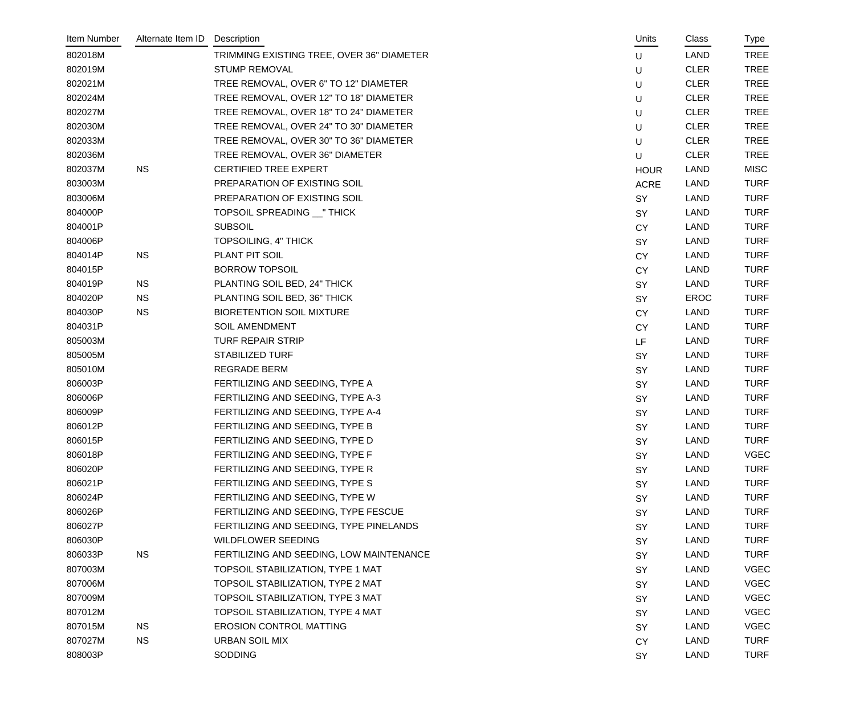| Item Number | Alternate Item ID | Description                               | Units       | Class       | Type        |
|-------------|-------------------|-------------------------------------------|-------------|-------------|-------------|
| 802018M     |                   | TRIMMING EXISTING TREE, OVER 36" DIAMETER | U           | <b>LAND</b> | <b>TREE</b> |
| 802019M     |                   | <b>STUMP REMOVAL</b>                      | U           | <b>CLER</b> | <b>TREE</b> |
| 802021M     |                   | TREE REMOVAL, OVER 6" TO 12" DIAMETER     | U           | <b>CLER</b> | <b>TREE</b> |
| 802024M     |                   | TREE REMOVAL, OVER 12" TO 18" DIAMETER    | U           | <b>CLER</b> | <b>TREE</b> |
| 802027M     |                   | TREE REMOVAL, OVER 18" TO 24" DIAMETER    | U           | <b>CLER</b> | <b>TREE</b> |
| 802030M     |                   | TREE REMOVAL, OVER 24" TO 30" DIAMETER    | U           | <b>CLER</b> | <b>TREE</b> |
| 802033M     |                   | TREE REMOVAL, OVER 30" TO 36" DIAMETER    | U           | <b>CLER</b> | <b>TREE</b> |
| 802036M     |                   | TREE REMOVAL, OVER 36" DIAMETER           | U           | <b>CLER</b> | <b>TREE</b> |
| 802037M     | <b>NS</b>         | CERTIFIED TREE EXPERT                     | <b>HOUR</b> | <b>LAND</b> | <b>MISC</b> |
| 803003M     |                   | PREPARATION OF EXISTING SOIL              | <b>ACRE</b> | LAND        | <b>TURF</b> |
| 803006M     |                   | PREPARATION OF EXISTING SOIL              | SY          | LAND        | <b>TURF</b> |
| 804000P     |                   | TOPSOIL SPREADING __ " THICK              | SY          | LAND        | <b>TURF</b> |
| 804001P     |                   | <b>SUBSOIL</b>                            | <b>CY</b>   | LAND        | <b>TURF</b> |
| 804006P     |                   | TOPSOILING, 4" THICK                      | SY          | LAND        | <b>TURF</b> |
| 804014P     | <b>NS</b>         | PLANT PIT SOIL                            | <b>CY</b>   | LAND        | <b>TURF</b> |
| 804015P     |                   | <b>BORROW TOPSOIL</b>                     | <b>CY</b>   | LAND        | <b>TURF</b> |
| 804019P     | <b>NS</b>         | PLANTING SOIL BED, 24" THICK              | SY          | LAND        | <b>TURF</b> |
| 804020P     | <b>NS</b>         | PLANTING SOIL BED, 36" THICK              | SY          | EROC        | <b>TURF</b> |
| 804030P     | <b>NS</b>         | <b>BIORETENTION SOIL MIXTURE</b>          | <b>CY</b>   | LAND        | <b>TURF</b> |
| 804031P     |                   | SOIL AMENDMENT                            | <b>CY</b>   | LAND        | <b>TURF</b> |
| 805003M     |                   | <b>TURF REPAIR STRIP</b>                  | LF          | <b>LAND</b> | <b>TURF</b> |
| 805005M     |                   | <b>STABILIZED TURF</b>                    | SY          | LAND        | <b>TURF</b> |
| 805010M     |                   | <b>REGRADE BERM</b>                       | SY          | LAND        | <b>TURF</b> |
| 806003P     |                   | FERTILIZING AND SEEDING, TYPE A           | SY          | LAND        | <b>TURF</b> |
| 806006P     |                   | FERTILIZING AND SEEDING, TYPE A-3         | SY          | LAND        | <b>TURF</b> |
| 806009P     |                   | FERTILIZING AND SEEDING, TYPE A-4         | SY          | <b>LAND</b> | <b>TURF</b> |
| 806012P     |                   | FERTILIZING AND SEEDING, TYPE B           | SY          | LAND        | <b>TURF</b> |
| 806015P     |                   | FERTILIZING AND SEEDING, TYPE D           | SY          | LAND        | <b>TURF</b> |
| 806018P     |                   | FERTILIZING AND SEEDING, TYPE F           | SY          | <b>LAND</b> | <b>VGEC</b> |
| 806020P     |                   | FERTILIZING AND SEEDING, TYPE R           | SY          | <b>LAND</b> | <b>TURF</b> |
| 806021P     |                   | FERTILIZING AND SEEDING, TYPE S           | <b>SY</b>   | <b>LAND</b> | <b>TURF</b> |
| 806024P     |                   | FERTILIZING AND SEEDING, TYPE W           | <b>SY</b>   | <b>LAND</b> | <b>TURF</b> |
| 806026P     |                   | FERTILIZING AND SEEDING, TYPE FESCUE      | SY          | <b>LAND</b> | <b>TURF</b> |
| 806027P     |                   | FERTILIZING AND SEEDING, TYPE PINELANDS   | <b>SY</b>   | <b>LAND</b> | <b>TURF</b> |
| 806030P     |                   | <b>WILDFLOWER SEEDING</b>                 | SY          | <b>LAND</b> | <b>TURF</b> |
| 806033P     | <b>NS</b>         | FERTILIZING AND SEEDING, LOW MAINTENANCE  | <b>SY</b>   | <b>LAND</b> | <b>TURF</b> |
| 807003M     |                   | TOPSOIL STABILIZATION, TYPE 1 MAT         | <b>SY</b>   | <b>LAND</b> | <b>VGEC</b> |
| 807006M     |                   | TOPSOIL STABILIZATION, TYPE 2 MAT         | SY          | <b>LAND</b> | <b>VGEC</b> |
| 807009M     |                   | TOPSOIL STABILIZATION, TYPE 3 MAT         | <b>SY</b>   | <b>LAND</b> | <b>VGEC</b> |
| 807012M     |                   | TOPSOIL STABILIZATION, TYPE 4 MAT         | <b>SY</b>   | <b>LAND</b> | <b>VGEC</b> |
| 807015M     | <b>NS</b>         | <b>EROSION CONTROL MATTING</b>            | <b>SY</b>   | <b>LAND</b> | <b>VGEC</b> |
| 807027M     | <b>NS</b>         | <b>URBAN SOIL MIX</b>                     | <b>CY</b>   | <b>LAND</b> | <b>TURF</b> |
| 808003P     |                   | <b>SODDING</b>                            | SY          | <b>LAND</b> | <b>TURF</b> |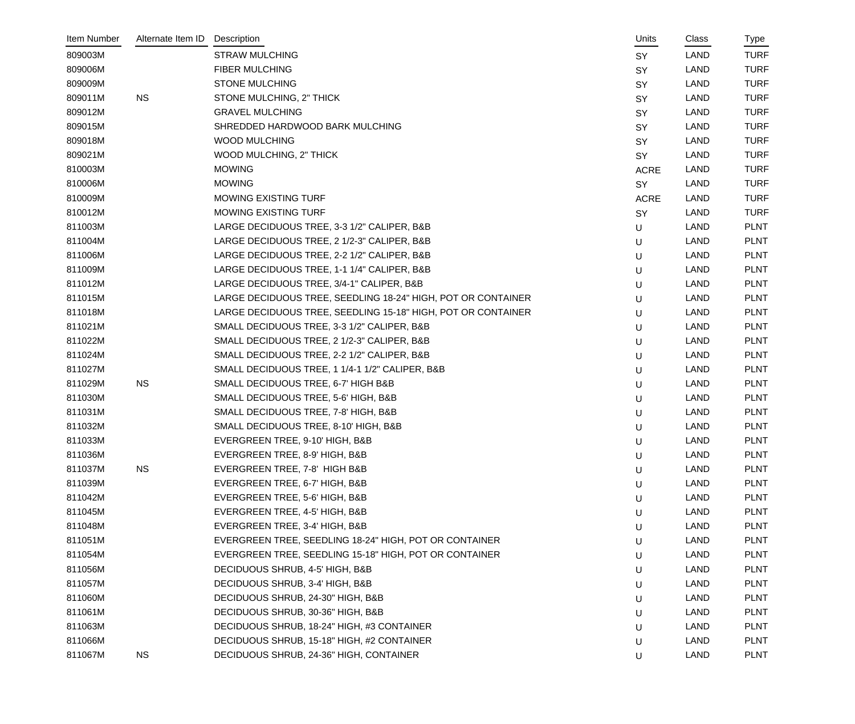| Item Number | Alternate Item ID | Description                                                  | Units       | Class       | Type        |
|-------------|-------------------|--------------------------------------------------------------|-------------|-------------|-------------|
| 809003M     |                   | <b>STRAW MULCHING</b>                                        | <b>SY</b>   | <b>LAND</b> | <b>TURF</b> |
| 809006M     |                   | <b>FIBER MULCHING</b>                                        | SY          | LAND        | <b>TURF</b> |
| 809009M     |                   | <b>STONE MULCHING</b>                                        | <b>SY</b>   | <b>LAND</b> | <b>TURF</b> |
| 809011M     | <b>NS</b>         | STONE MULCHING, 2" THICK                                     | <b>SY</b>   | LAND        | <b>TURF</b> |
| 809012M     |                   | <b>GRAVEL MULCHING</b>                                       | SY          | LAND        | <b>TURF</b> |
| 809015M     |                   | SHREDDED HARDWOOD BARK MULCHING                              | SY          | <b>LAND</b> | <b>TURF</b> |
| 809018M     |                   | <b>WOOD MULCHING</b>                                         | <b>SY</b>   | <b>LAND</b> | <b>TURF</b> |
| 809021M     |                   | WOOD MULCHING, 2" THICK                                      | SY          | <b>LAND</b> | <b>TURF</b> |
| 810003M     |                   | <b>MOWING</b>                                                | <b>ACRE</b> | <b>LAND</b> | <b>TURF</b> |
| 810006M     |                   | <b>MOWING</b>                                                | SY          | <b>LAND</b> | <b>TURF</b> |
| 810009M     |                   | <b>MOWING EXISTING TURF</b>                                  | <b>ACRE</b> | <b>LAND</b> | <b>TURF</b> |
| 810012M     |                   | <b>MOWING EXISTING TURF</b>                                  | SY          | <b>LAND</b> | <b>TURF</b> |
| 811003M     |                   | LARGE DECIDUOUS TREE, 3-3 1/2" CALIPER, B&B                  | U           | <b>LAND</b> | <b>PLNT</b> |
| 811004M     |                   | LARGE DECIDUOUS TREE, 2 1/2-3" CALIPER, B&B                  | U           | LAND        | <b>PLNT</b> |
| 811006M     |                   | LARGE DECIDUOUS TREE, 2-2 1/2" CALIPER, B&B                  | U           | <b>LAND</b> | <b>PLNT</b> |
| 811009M     |                   | LARGE DECIDUOUS TREE, 1-1 1/4" CALIPER, B&B                  | U           | <b>LAND</b> | <b>PLNT</b> |
| 811012M     |                   | LARGE DECIDUOUS TREE, 3/4-1" CALIPER, B&B                    | U           | <b>LAND</b> | <b>PLNT</b> |
| 811015M     |                   | LARGE DECIDUOUS TREE, SEEDLING 18-24" HIGH, POT OR CONTAINER | U           | <b>LAND</b> | <b>PLNT</b> |
| 811018M     |                   | LARGE DECIDUOUS TREE, SEEDLING 15-18" HIGH, POT OR CONTAINER | U           | <b>LAND</b> | <b>PLNT</b> |
| 811021M     |                   | SMALL DECIDUOUS TREE, 3-3 1/2" CALIPER, B&B                  | U           | <b>LAND</b> | <b>PLNT</b> |
| 811022M     |                   | SMALL DECIDUOUS TREE, 2 1/2-3" CALIPER, B&B                  | U           | <b>LAND</b> | <b>PLNT</b> |
| 811024M     |                   | SMALL DECIDUOUS TREE, 2-2 1/2" CALIPER, B&B                  | U           | <b>LAND</b> | <b>PLNT</b> |
| 811027M     |                   | SMALL DECIDUOUS TREE, 1 1/4-1 1/2" CALIPER, B&B              | U           | <b>LAND</b> | <b>PLNT</b> |
| 811029M     | <b>NS</b>         | SMALL DECIDUOUS TREE, 6-7' HIGH B&B                          | U           | LAND        | <b>PLNT</b> |
| 811030M     |                   | SMALL DECIDUOUS TREE, 5-6' HIGH, B&B                         | U           | LAND        | <b>PLNT</b> |
| 811031M     |                   | SMALL DECIDUOUS TREE, 7-8' HIGH, B&B                         | U           | <b>LAND</b> | <b>PLNT</b> |
| 811032M     |                   | SMALL DECIDUOUS TREE, 8-10' HIGH, B&B                        | $\mathsf U$ | LAND        | <b>PLNT</b> |
| 811033M     |                   | EVERGREEN TREE, 9-10' HIGH, B&B                              | U           | <b>LAND</b> | <b>PLNT</b> |
| 811036M     |                   | EVERGREEN TREE, 8-9' HIGH, B&B                               | U           | LAND        | PLNT        |
| 811037M     | <b>NS</b>         | EVERGREEN TREE, 7-8' HIGH B&B                                | U           | <b>LAND</b> | <b>PLNT</b> |
| 811039M     |                   | EVERGREEN TREE, 6-7' HIGH, B&B                               | U           | <b>LAND</b> | <b>PLNT</b> |
| 811042M     |                   | EVERGREEN TREE, 5-6' HIGH, B&B                               | U           | LAND        | <b>PLNT</b> |
| 811045M     |                   | EVERGREEN TREE, 4-5' HIGH, B&B                               | U           | LAND        | <b>PLNT</b> |
| 811048M     |                   | EVERGREEN TREE, 3-4' HIGH, B&B                               | U           | LAND        | <b>PLNT</b> |
| 811051M     |                   | EVERGREEN TREE, SEEDLING 18-24" HIGH, POT OR CONTAINER       | U           | LAND        | <b>PLNT</b> |
| 811054M     |                   | EVERGREEN TREE, SEEDLING 15-18" HIGH, POT OR CONTAINER       | U           | <b>LAND</b> | <b>PLNT</b> |
| 811056M     |                   | DECIDUOUS SHRUB, 4-5' HIGH, B&B                              | U           | <b>LAND</b> | <b>PLNT</b> |
| 811057M     |                   | DECIDUOUS SHRUB, 3-4' HIGH, B&B                              | U           | LAND        | <b>PLNT</b> |
| 811060M     |                   | DECIDUOUS SHRUB, 24-30" HIGH, B&B                            | U           | LAND        | <b>PLNT</b> |
| 811061M     |                   | DECIDUOUS SHRUB, 30-36" HIGH, B&B                            | U           | LAND        | <b>PLNT</b> |
| 811063M     |                   | DECIDUOUS SHRUB, 18-24" HIGH, #3 CONTAINER                   | U           | LAND        | <b>PLNT</b> |
| 811066M     |                   | DECIDUOUS SHRUB, 15-18" HIGH, #2 CONTAINER                   | U           | <b>LAND</b> | <b>PLNT</b> |
| 811067M     | <b>NS</b>         | DECIDUOUS SHRUB, 24-36" HIGH, CONTAINER                      | U           | <b>LAND</b> | <b>PLNT</b> |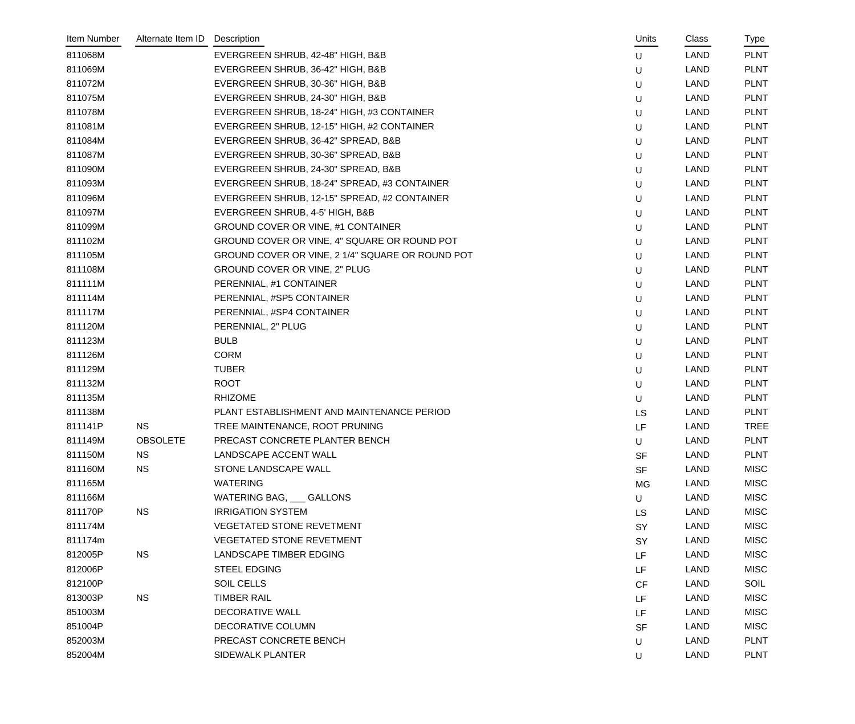| Item Number | Alternate Item ID | Description                                      | Units     | Class       | Type        |
|-------------|-------------------|--------------------------------------------------|-----------|-------------|-------------|
| 811068M     |                   | EVERGREEN SHRUB, 42-48" HIGH, B&B                | U         | LAND        | <b>PLNT</b> |
| 811069M     |                   | EVERGREEN SHRUB, 36-42" HIGH, B&B                | U         | LAND        | <b>PLNT</b> |
| 811072M     |                   | EVERGREEN SHRUB, 30-36" HIGH, B&B                | U         | LAND        | <b>PLNT</b> |
| 811075M     |                   | EVERGREEN SHRUB, 24-30" HIGH, B&B                | U         | LAND        | <b>PLNT</b> |
| 811078M     |                   | EVERGREEN SHRUB, 18-24" HIGH, #3 CONTAINER       | U         | LAND        | <b>PLNT</b> |
| 811081M     |                   | EVERGREEN SHRUB, 12-15" HIGH, #2 CONTAINER       | U         | LAND        | <b>PLNT</b> |
| 811084M     |                   | EVERGREEN SHRUB, 36-42" SPREAD, B&B              | U         | LAND        | <b>PLNT</b> |
| 811087M     |                   | EVERGREEN SHRUB, 30-36" SPREAD, B&B              | U         | LAND        | <b>PLNT</b> |
| 811090M     |                   | EVERGREEN SHRUB, 24-30" SPREAD, B&B              | U         | LAND        | <b>PLNT</b> |
| 811093M     |                   | EVERGREEN SHRUB, 18-24" SPREAD, #3 CONTAINER     | U         | LAND        | <b>PLNT</b> |
| 811096M     |                   | EVERGREEN SHRUB, 12-15" SPREAD, #2 CONTAINER     | U         | LAND        | <b>PLNT</b> |
| 811097M     |                   | EVERGREEN SHRUB, 4-5' HIGH, B&B                  | U         | LAND        | <b>PLNT</b> |
| 811099M     |                   | GROUND COVER OR VINE, #1 CONTAINER               | U         | LAND        | <b>PLNT</b> |
| 811102M     |                   | GROUND COVER OR VINE, 4" SQUARE OR ROUND POT     | U         | LAND        | <b>PLNT</b> |
| 811105M     |                   | GROUND COVER OR VINE, 2 1/4" SQUARE OR ROUND POT | U         | LAND        | <b>PLNT</b> |
| 811108M     |                   | GROUND COVER OR VINE, 2" PLUG                    | U         | LAND        | <b>PLNT</b> |
| 811111M     |                   | PERENNIAL, #1 CONTAINER                          | U         | LAND        | <b>PLNT</b> |
| 811114M     |                   | PERENNIAL, #SP5 CONTAINER                        | U         | LAND        | <b>PLNT</b> |
| 811117M     |                   | PERENNIAL, #SP4 CONTAINER                        | U         | LAND        | <b>PLNT</b> |
| 811120M     |                   | PERENNIAL, 2" PLUG                               | U         | <b>LAND</b> | <b>PLNT</b> |
| 811123M     |                   | <b>BULB</b>                                      | U         | <b>LAND</b> | <b>PLNT</b> |
| 811126M     |                   | <b>CORM</b>                                      | U         | LAND        | <b>PLNT</b> |
| 811129M     |                   | <b>TUBER</b>                                     | U         | LAND        | <b>PLNT</b> |
| 811132M     |                   | <b>ROOT</b>                                      | U         | LAND        | <b>PLNT</b> |
| 811135M     |                   | <b>RHIZOME</b>                                   | U         | LAND        | <b>PLNT</b> |
| 811138M     |                   | PLANT ESTABLISHMENT AND MAINTENANCE PERIOD       | <b>LS</b> | LAND        | <b>PLNT</b> |
| 811141P     | <b>NS</b>         | TREE MAINTENANCE, ROOT PRUNING                   | LF        | LAND        | <b>TREE</b> |
| 811149M     | <b>OBSOLETE</b>   | PRECAST CONCRETE PLANTER BENCH                   | U         | LAND        | <b>PLNT</b> |
| 811150M     | <b>NS</b>         | LANDSCAPE ACCENT WALL                            | <b>SF</b> | <b>LAND</b> | <b>PLNT</b> |
| 811160M     | <b>NS</b>         | STONE LANDSCAPE WALL                             | <b>SF</b> | <b>LAND</b> | <b>MISC</b> |
| 811165M     |                   | <b>WATERING</b>                                  | MG        | <b>LAND</b> | <b>MISC</b> |
| 811166M     |                   | WATERING BAG, CALLONS                            | U         | <b>LAND</b> | <b>MISC</b> |
| 811170P     | <b>NS</b>         | <b>IRRIGATION SYSTEM</b>                         | <b>LS</b> | LAND        | <b>MISC</b> |
| 811174M     |                   | <b>VEGETATED STONE REVETMENT</b>                 | <b>SY</b> | <b>LAND</b> | <b>MISC</b> |
| 811174m     |                   | <b>VEGETATED STONE REVETMENT</b>                 | <b>SY</b> | <b>LAND</b> | <b>MISC</b> |
| 812005P     | <b>NS</b>         | <b>LANDSCAPE TIMBER EDGING</b>                   | LF        | <b>LAND</b> | <b>MISC</b> |
| 812006P     |                   | <b>STEEL EDGING</b>                              | LF        | <b>LAND</b> | MISC        |
| 812100P     |                   | <b>SOIL CELLS</b>                                | <b>CF</b> | LAND        | SOIL        |
| 813003P     | <b>NS</b>         | <b>TIMBER RAIL</b>                               | LF        | <b>LAND</b> | <b>MISC</b> |
| 851003M     |                   | <b>DECORATIVE WALL</b>                           | LF        | <b>LAND</b> | <b>MISC</b> |
| 851004P     |                   | DECORATIVE COLUMN                                | <b>SF</b> | <b>LAND</b> | <b>MISC</b> |
| 852003M     |                   | PRECAST CONCRETE BENCH                           | U         | LAND        | <b>PLNT</b> |
| 852004M     |                   | SIDEWALK PLANTER                                 | U         | <b>LAND</b> | <b>PLNT</b> |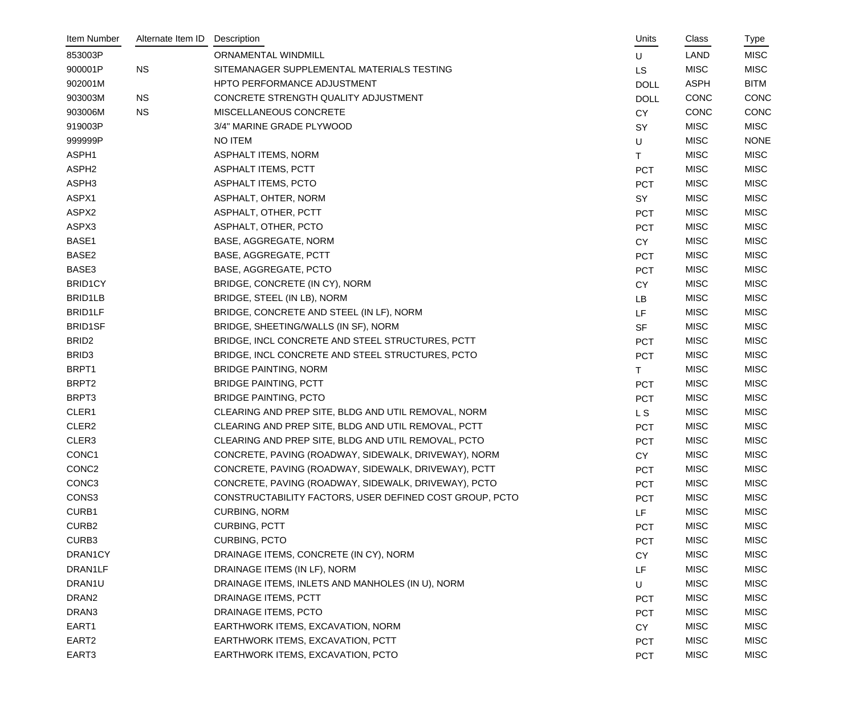| Item Number       | Alternate Item ID | Description                                             | Units       | Class       | Type        |
|-------------------|-------------------|---------------------------------------------------------|-------------|-------------|-------------|
| 853003P           |                   | ORNAMENTAL WINDMILL                                     | U           | <b>LAND</b> | <b>MISC</b> |
| 900001P           | <b>NS</b>         | SITEMANAGER SUPPLEMENTAL MATERIALS TESTING              | <b>LS</b>   | <b>MISC</b> | <b>MISC</b> |
| 902001M           |                   | HPTO PERFORMANCE ADJUSTMENT                             | <b>DOLL</b> | <b>ASPH</b> | <b>BITM</b> |
| 903003M           | <b>NS</b>         | CONCRETE STRENGTH QUALITY ADJUSTMENT                    | <b>DOLL</b> | <b>CONC</b> | CONC        |
| 903006M           | <b>NS</b>         | MISCELLANEOUS CONCRETE                                  | <b>CY</b>   | <b>CONC</b> | CONC        |
| 919003P           |                   | 3/4" MARINE GRADE PLYWOOD                               | SY          | <b>MISC</b> | <b>MISC</b> |
| 999999P           |                   | <b>NO ITEM</b>                                          | U           | <b>MISC</b> | <b>NONE</b> |
| ASPH1             |                   | <b>ASPHALT ITEMS, NORM</b>                              | T.          | <b>MISC</b> | <b>MISC</b> |
| ASPH <sub>2</sub> |                   | ASPHALT ITEMS, PCTT                                     | <b>PCT</b>  | <b>MISC</b> | <b>MISC</b> |
| ASPH3             |                   | <b>ASPHALT ITEMS, PCTO</b>                              | <b>PCT</b>  | <b>MISC</b> | <b>MISC</b> |
| ASPX1             |                   | ASPHALT, OHTER, NORM                                    | SY          | <b>MISC</b> | <b>MISC</b> |
| ASPX2             |                   | ASPHALT, OTHER, PCTT                                    | <b>PCT</b>  | <b>MISC</b> | <b>MISC</b> |
| ASPX3             |                   | ASPHALT, OTHER, PCTO                                    | <b>PCT</b>  | <b>MISC</b> | <b>MISC</b> |
| BASE1             |                   | BASE, AGGREGATE, NORM                                   | <b>CY</b>   | <b>MISC</b> | <b>MISC</b> |
| BASE2             |                   | BASE, AGGREGATE, PCTT                                   | <b>PCT</b>  | <b>MISC</b> | <b>MISC</b> |
| BASE3             |                   | BASE, AGGREGATE, PCTO                                   | <b>PCT</b>  | <b>MISC</b> | <b>MISC</b> |
| <b>BRID1CY</b>    |                   | BRIDGE, CONCRETE (IN CY), NORM                          | <b>CY</b>   | <b>MISC</b> | <b>MISC</b> |
| BRID1LB           |                   | BRIDGE, STEEL (IN LB), NORM                             | <b>LB</b>   | <b>MISC</b> | <b>MISC</b> |
| <b>BRID1LF</b>    |                   | BRIDGE, CONCRETE AND STEEL (IN LF), NORM                | LF.         | <b>MISC</b> | <b>MISC</b> |
| <b>BRID1SF</b>    |                   | BRIDGE, SHEETING/WALLS (IN SF), NORM                    | <b>SF</b>   | <b>MISC</b> | <b>MISC</b> |
| BRID <sub>2</sub> |                   | BRIDGE, INCL CONCRETE AND STEEL STRUCTURES, PCTT        | <b>PCT</b>  | <b>MISC</b> | <b>MISC</b> |
| BRID <sub>3</sub> |                   | BRIDGE, INCL CONCRETE AND STEEL STRUCTURES, PCTO        | <b>PCT</b>  | <b>MISC</b> | <b>MISC</b> |
| BRPT1             |                   | <b>BRIDGE PAINTING, NORM</b>                            | T.          | <b>MISC</b> | <b>MISC</b> |
| BRPT2             |                   | <b>BRIDGE PAINTING, PCTT</b>                            | <b>PCT</b>  | <b>MISC</b> | <b>MISC</b> |
| BRPT3             |                   | <b>BRIDGE PAINTING, PCTO</b>                            | <b>PCT</b>  | <b>MISC</b> | <b>MISC</b> |
| CLER1             |                   | CLEARING AND PREP SITE, BLDG AND UTIL REMOVAL, NORM     | L S         | <b>MISC</b> | <b>MISC</b> |
| CLER2             |                   | CLEARING AND PREP SITE, BLDG AND UTIL REMOVAL, PCTT     | <b>PCT</b>  | <b>MISC</b> | <b>MISC</b> |
| CLER3             |                   | CLEARING AND PREP SITE, BLDG AND UTIL REMOVAL, PCTO     | PCT         | <b>MISC</b> | <b>MISC</b> |
| CONC <sub>1</sub> |                   | CONCRETE, PAVING (ROADWAY, SIDEWALK, DRIVEWAY), NORM    | <b>CY</b>   | <b>MISC</b> | <b>MISC</b> |
| CONC <sub>2</sub> |                   | CONCRETE, PAVING (ROADWAY, SIDEWALK, DRIVEWAY), PCTT    | <b>PCT</b>  | <b>MISC</b> | <b>MISC</b> |
| CONC <sub>3</sub> |                   | CONCRETE, PAVING (ROADWAY, SIDEWALK, DRIVEWAY), PCTO    | <b>PCT</b>  | <b>MISC</b> | <b>MISC</b> |
| CONS3             |                   | CONSTRUCTABILITY FACTORS, USER DEFINED COST GROUP, PCTO | <b>PCT</b>  | <b>MISC</b> | <b>MISC</b> |
| CURB1             |                   | <b>CURBING, NORM</b>                                    | LF          | <b>MISC</b> | <b>MISC</b> |
| CURB <sub>2</sub> |                   | <b>CURBING, PCTT</b>                                    | <b>PCT</b>  | <b>MISC</b> | <b>MISC</b> |
| CURB3             |                   | <b>CURBING, PCTO</b>                                    | <b>PCT</b>  | <b>MISC</b> | <b>MISC</b> |
| DRAN1CY           |                   | DRAINAGE ITEMS, CONCRETE (IN CY), NORM                  | <b>CY</b>   | <b>MISC</b> | <b>MISC</b> |
| DRAN1LF           |                   | DRAINAGE ITEMS (IN LF), NORM                            | LF          | <b>MISC</b> | <b>MISC</b> |
| DRAN1U            |                   | DRAINAGE ITEMS, INLETS AND MANHOLES (IN U), NORM        | U           | <b>MISC</b> | <b>MISC</b> |
| DRAN <sub>2</sub> |                   | DRAINAGE ITEMS, PCTT                                    | <b>PCT</b>  | <b>MISC</b> | <b>MISC</b> |
| DRAN3             |                   | DRAINAGE ITEMS, PCTO                                    | <b>PCT</b>  | <b>MISC</b> | <b>MISC</b> |
| EART1             |                   | EARTHWORK ITEMS, EXCAVATION, NORM                       | <b>CY</b>   | <b>MISC</b> | <b>MISC</b> |
| EART <sub>2</sub> |                   | EARTHWORK ITEMS, EXCAVATION, PCTT                       | <b>PCT</b>  | <b>MISC</b> | <b>MISC</b> |
| EART3             |                   | EARTHWORK ITEMS, EXCAVATION, PCTO                       | PCT         | <b>MISC</b> | <b>MISC</b> |
|                   |                   |                                                         |             |             |             |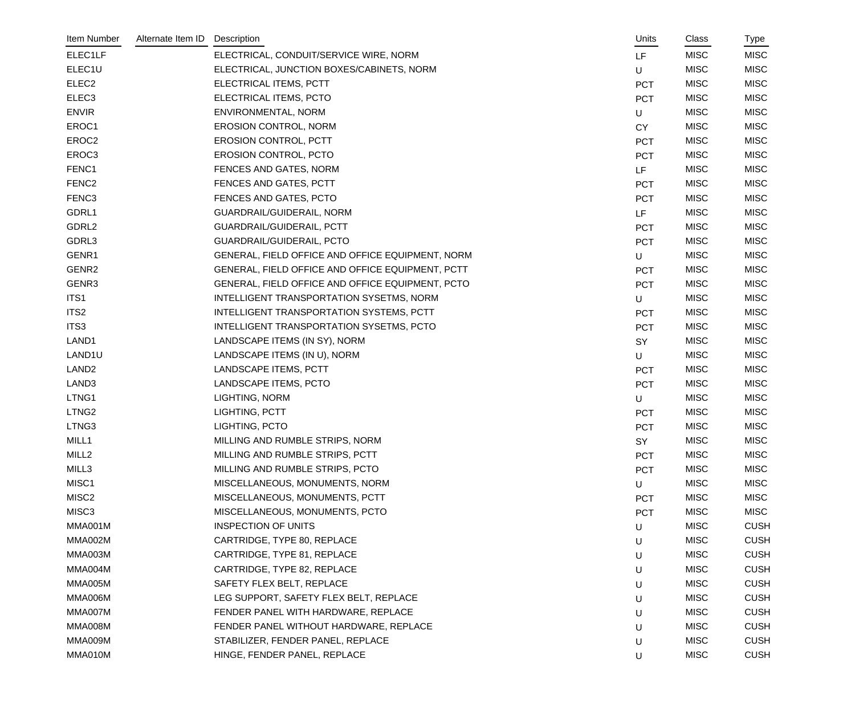| Item Number       | Alternate Item ID | Description                                      | Units      | Class       | Type        |
|-------------------|-------------------|--------------------------------------------------|------------|-------------|-------------|
| ELEC1LF           |                   | ELECTRICAL, CONDUIT/SERVICE WIRE, NORM           | LF.        | <b>MISC</b> | <b>MISC</b> |
| ELEC1U            |                   | ELECTRICAL, JUNCTION BOXES/CABINETS, NORM        | U          | <b>MISC</b> | <b>MISC</b> |
| ELEC <sub>2</sub> |                   | ELECTRICAL ITEMS, PCTT                           | <b>PCT</b> | <b>MISC</b> | <b>MISC</b> |
| ELEC <sub>3</sub> |                   | ELECTRICAL ITEMS, PCTO                           | <b>PCT</b> | <b>MISC</b> | <b>MISC</b> |
| <b>ENVIR</b>      |                   | ENVIRONMENTAL, NORM                              | $\sf U$    | <b>MISC</b> | <b>MISC</b> |
| EROC1             |                   | <b>EROSION CONTROL, NORM</b>                     | <b>CY</b>  | <b>MISC</b> | <b>MISC</b> |
| EROC2             |                   | <b>EROSION CONTROL, PCTT</b>                     | <b>PCT</b> | <b>MISC</b> | <b>MISC</b> |
| EROC <sub>3</sub> |                   | EROSION CONTROL, PCTO                            | <b>PCT</b> | <b>MISC</b> | <b>MISC</b> |
| FENC1             |                   | FENCES AND GATES, NORM                           | LF         | <b>MISC</b> | <b>MISC</b> |
| FENC <sub>2</sub> |                   | FENCES AND GATES, PCTT                           | <b>PCT</b> | <b>MISC</b> | <b>MISC</b> |
| FENC <sub>3</sub> |                   | FENCES AND GATES, PCTO                           | <b>PCT</b> | <b>MISC</b> | <b>MISC</b> |
| GDRL1             |                   | GUARDRAIL/GUIDERAIL, NORM                        | LF.        | <b>MISC</b> | <b>MISC</b> |
| GDRL2             |                   | GUARDRAIL/GUIDERAIL, PCTT                        | <b>PCT</b> | <b>MISC</b> | <b>MISC</b> |
| GDRL3             |                   | <b>GUARDRAIL/GUIDERAIL, PCTO</b>                 | <b>PCT</b> | <b>MISC</b> | <b>MISC</b> |
| GENR1             |                   | GENERAL, FIELD OFFICE AND OFFICE EQUIPMENT, NORM | U          | <b>MISC</b> | <b>MISC</b> |
| GENR2             |                   | GENERAL, FIELD OFFICE AND OFFICE EQUIPMENT, PCTT | <b>PCT</b> | <b>MISC</b> | <b>MISC</b> |
| GENR3             |                   | GENERAL, FIELD OFFICE AND OFFICE EQUIPMENT, PCTO | <b>PCT</b> | <b>MISC</b> | <b>MISC</b> |
| ITS1              |                   | INTELLIGENT TRANSPORTATION SYSETMS, NORM         | U          | <b>MISC</b> | <b>MISC</b> |
| ITS <sub>2</sub>  |                   | INTELLIGENT TRANSPORTATION SYSTEMS, PCTT         | <b>PCT</b> | <b>MISC</b> | <b>MISC</b> |
| ITS3              |                   | INTELLIGENT TRANSPORTATION SYSETMS, PCTO         | <b>PCT</b> | <b>MISC</b> | <b>MISC</b> |
| LAND1             |                   | LANDSCAPE ITEMS (IN SY), NORM                    | SY         | <b>MISC</b> | <b>MISC</b> |
| LAND1U            |                   | LANDSCAPE ITEMS (IN U), NORM                     | U          | <b>MISC</b> | <b>MISC</b> |
| LAND <sub>2</sub> |                   | LANDSCAPE ITEMS, PCTT                            | <b>PCT</b> | <b>MISC</b> | <b>MISC</b> |
| LAND3             |                   | LANDSCAPE ITEMS, PCTO                            | <b>PCT</b> | <b>MISC</b> | <b>MISC</b> |
| LTNG1             |                   | LIGHTING, NORM                                   | U          | <b>MISC</b> | <b>MISC</b> |
| LTNG <sub>2</sub> |                   | LIGHTING, PCTT                                   | <b>PCT</b> | <b>MISC</b> | <b>MISC</b> |
| LTNG3             |                   | LIGHTING, PCTO                                   | <b>PCT</b> | <b>MISC</b> | <b>MISC</b> |
| MILL1             |                   | MILLING AND RUMBLE STRIPS, NORM                  | SY         | <b>MISC</b> | <b>MISC</b> |
| MILL <sub>2</sub> |                   | MILLING AND RUMBLE STRIPS, PCTT                  | <b>PCT</b> | <b>MISC</b> | <b>MISC</b> |
| MILL3             |                   | MILLING AND RUMBLE STRIPS, PCTO                  | <b>PCT</b> | <b>MISC</b> | <b>MISC</b> |
| MISC1             |                   | MISCELLANEOUS, MONUMENTS, NORM                   | U          | <b>MISC</b> | <b>MISC</b> |
| MISC <sub>2</sub> |                   | MISCELLANEOUS, MONUMENTS, PCTT                   | <b>PCT</b> | <b>MISC</b> | <b>MISC</b> |
| MISC <sub>3</sub> |                   | MISCELLANEOUS, MONUMENTS, PCTO                   | <b>PCT</b> | <b>MISC</b> | <b>MISC</b> |
| MMA001M           |                   | <b>INSPECTION OF UNITS</b>                       | U          | <b>MISC</b> | <b>CUSH</b> |
| MMA002M           |                   | CARTRIDGE, TYPE 80, REPLACE                      | U          | <b>MISC</b> | <b>CUSH</b> |
| MMA003M           |                   | CARTRIDGE, TYPE 81, REPLACE                      | U          | <b>MISC</b> | <b>CUSH</b> |
| MMA004M           |                   | CARTRIDGE, TYPE 82, REPLACE                      | U          | <b>MISC</b> | <b>CUSH</b> |
| MMA005M           |                   | SAFETY FLEX BELT, REPLACE                        | U          | <b>MISC</b> | <b>CUSH</b> |
| MMA006M           |                   | LEG SUPPORT, SAFETY FLEX BELT, REPLACE           | U          | <b>MISC</b> | <b>CUSH</b> |
| MMA007M           |                   | FENDER PANEL WITH HARDWARE, REPLACE              | U          | <b>MISC</b> | <b>CUSH</b> |
| MMA008M           |                   | FENDER PANEL WITHOUT HARDWARE, REPLACE           | U          | <b>MISC</b> | <b>CUSH</b> |
| MMA009M           |                   | STABILIZER, FENDER PANEL, REPLACE                | U          | <b>MISC</b> | <b>CUSH</b> |
| MMA010M           |                   | HINGE, FENDER PANEL, REPLACE                     | U          | <b>MISC</b> | <b>CUSH</b> |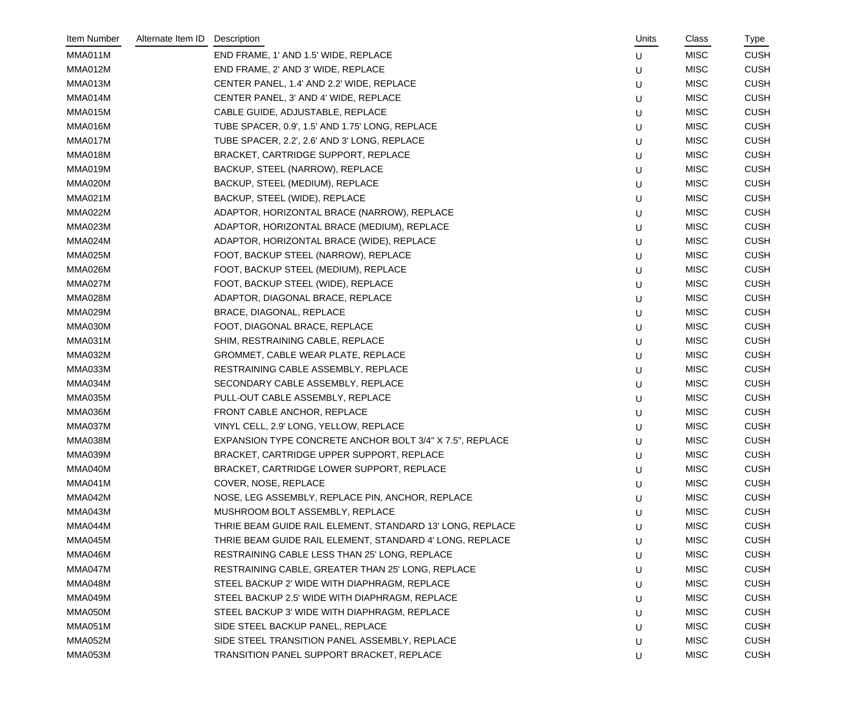| Item Number    | Alternate Item ID | Description                                               | Units | Class       | Type        |
|----------------|-------------------|-----------------------------------------------------------|-------|-------------|-------------|
| MMA011M        |                   | END FRAME, 1' AND 1.5' WIDE, REPLACE                      | U     | <b>MISC</b> | <b>CUSH</b> |
| MMA012M        |                   | END FRAME, 2' AND 3' WIDE, REPLACE                        | U     | <b>MISC</b> | <b>CUSH</b> |
| MMA013M        |                   | CENTER PANEL, 1.4' AND 2.2' WIDE, REPLACE                 | U     | <b>MISC</b> | <b>CUSH</b> |
| MMA014M        |                   | CENTER PANEL, 3' AND 4' WIDE, REPLACE                     | U     | <b>MISC</b> | <b>CUSH</b> |
| MMA015M        |                   | CABLE GUIDE, ADJUSTABLE, REPLACE                          | U     | <b>MISC</b> | <b>CUSH</b> |
| MMA016M        |                   | TUBE SPACER, 0.9', 1.5' AND 1.75' LONG, REPLACE           | U     | <b>MISC</b> | <b>CUSH</b> |
| MMA017M        |                   | TUBE SPACER, 2.2', 2.6' AND 3' LONG, REPLACE              | U     | <b>MISC</b> | <b>CUSH</b> |
| MMA018M        |                   | BRACKET, CARTRIDGE SUPPORT, REPLACE                       | U     | <b>MISC</b> | <b>CUSH</b> |
| MMA019M        |                   | BACKUP, STEEL (NARROW), REPLACE                           | U     | <b>MISC</b> | <b>CUSH</b> |
| MMA020M        |                   | BACKUP, STEEL (MEDIUM), REPLACE                           | U     | <b>MISC</b> | <b>CUSH</b> |
| <b>MMA021M</b> |                   | BACKUP, STEEL (WIDE), REPLACE                             | U     | <b>MISC</b> | <b>CUSH</b> |
| MMA022M        |                   | ADAPTOR, HORIZONTAL BRACE (NARROW), REPLACE               | U     | <b>MISC</b> | <b>CUSH</b> |
| MMA023M        |                   | ADAPTOR, HORIZONTAL BRACE (MEDIUM), REPLACE               | U     | <b>MISC</b> | <b>CUSH</b> |
| MMA024M        |                   | ADAPTOR, HORIZONTAL BRACE (WIDE), REPLACE                 | U     | <b>MISC</b> | <b>CUSH</b> |
| MMA025M        |                   | FOOT, BACKUP STEEL (NARROW), REPLACE                      | U     | <b>MISC</b> | <b>CUSH</b> |
| MMA026M        |                   | FOOT, BACKUP STEEL (MEDIUM), REPLACE                      | U     | <b>MISC</b> | <b>CUSH</b> |
| MMA027M        |                   | FOOT, BACKUP STEEL (WIDE), REPLACE                        | U     | <b>MISC</b> | <b>CUSH</b> |
| MMA028M        |                   | ADAPTOR, DIAGONAL BRACE, REPLACE                          | U     | <b>MISC</b> | <b>CUSH</b> |
| MMA029M        |                   | BRACE, DIAGONAL, REPLACE                                  | U     | <b>MISC</b> | <b>CUSH</b> |
| MMA030M        |                   | FOOT, DIAGONAL BRACE, REPLACE                             | U     | <b>MISC</b> | <b>CUSH</b> |
| MMA031M        |                   | SHIM, RESTRAINING CABLE, REPLACE                          | U     | <b>MISC</b> | <b>CUSH</b> |
| MMA032M        |                   | GROMMET, CABLE WEAR PLATE, REPLACE                        | U     | <b>MISC</b> | <b>CUSH</b> |
| MMA033M        |                   | RESTRAINING CABLE ASSEMBLY, REPLACE                       | U     | <b>MISC</b> | <b>CUSH</b> |
| MMA034M        |                   | SECONDARY CABLE ASSEMBLY, REPLACE                         | U     | <b>MISC</b> | <b>CUSH</b> |
| MMA035M        |                   | PULL-OUT CABLE ASSEMBLY, REPLACE                          | U     | <b>MISC</b> | <b>CUSH</b> |
| MMA036M        |                   | FRONT CABLE ANCHOR, REPLACE                               | U     | <b>MISC</b> | <b>CUSH</b> |
| MMA037M        |                   | VINYL CELL, 2.9' LONG, YELLOW, REPLACE                    | U     | <b>MISC</b> | <b>CUSH</b> |
| MMA038M        |                   | EXPANSION TYPE CONCRETE ANCHOR BOLT 3/4" X 7.5", REPLACE  | U     | <b>MISC</b> | <b>CUSH</b> |
| MMA039M        |                   | BRACKET, CARTRIDGE UPPER SUPPORT, REPLACE                 | U     | <b>MISC</b> | <b>CUSH</b> |
| MMA040M        |                   | BRACKET, CARTRIDGE LOWER SUPPORT, REPLACE                 | U     | <b>MISC</b> | <b>CUSH</b> |
| MMA041M        |                   | COVER, NOSE, REPLACE                                      | U     | <b>MISC</b> | <b>CUSH</b> |
| MMA042M        |                   | NOSE, LEG ASSEMBLY, REPLACE PIN, ANCHOR, REPLACE          | U     | <b>MISC</b> | <b>CUSH</b> |
| MMA043M        |                   | MUSHROOM BOLT ASSEMBLY, REPLACE                           | U     | <b>MISC</b> | <b>CUSH</b> |
| MMA044M        |                   | THRIE BEAM GUIDE RAIL ELEMENT, STANDARD 13' LONG, REPLACE | U     | <b>MISC</b> | <b>CUSH</b> |
| MMA045M        |                   | THRIE BEAM GUIDE RAIL ELEMENT, STANDARD 4' LONG, REPLACE  | U     | <b>MISC</b> | <b>CUSH</b> |
| MMA046M        |                   | RESTRAINING CABLE LESS THAN 25' LONG, REPLACE             | U     | <b>MISC</b> | <b>CUSH</b> |
| MMA047M        |                   | RESTRAINING CABLE, GREATER THAN 25' LONG, REPLACE         | U     | <b>MISC</b> | <b>CUSH</b> |
| MMA048M        |                   | STEEL BACKUP 2' WIDE WITH DIAPHRAGM, REPLACE              | U     | <b>MISC</b> | <b>CUSH</b> |
| MMA049M        |                   | STEEL BACKUP 2.5' WIDE WITH DIAPHRAGM, REPLACE            | U     | <b>MISC</b> | <b>CUSH</b> |
| MMA050M        |                   | STEEL BACKUP 3' WIDE WITH DIAPHRAGM, REPLACE              | U     | <b>MISC</b> | <b>CUSH</b> |
| MMA051M        |                   | SIDE STEEL BACKUP PANEL, REPLACE                          | U     | <b>MISC</b> | <b>CUSH</b> |
| MMA052M        |                   | SIDE STEEL TRANSITION PANEL ASSEMBLY, REPLACE             | U     | <b>MISC</b> | <b>CUSH</b> |
| MMA053M        |                   | TRANSITION PANEL SUPPORT BRACKET, REPLACE                 | U     | <b>MISC</b> | <b>CUSH</b> |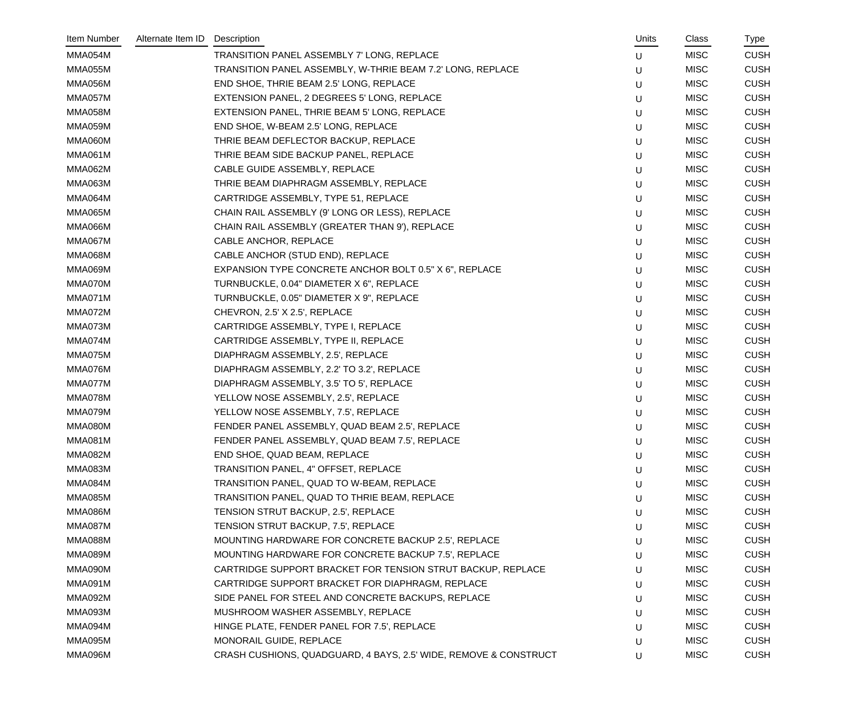| Item Number    | Alternate Item ID | Description                                                      | Units | Class       | Type        |
|----------------|-------------------|------------------------------------------------------------------|-------|-------------|-------------|
| MMA054M        |                   | TRANSITION PANEL ASSEMBLY 7' LONG, REPLACE                       | U     | <b>MISC</b> | <b>CUSH</b> |
| MMA055M        |                   | TRANSITION PANEL ASSEMBLY, W-THRIE BEAM 7.2' LONG, REPLACE       | U     | <b>MISC</b> | <b>CUSH</b> |
| MMA056M        |                   | END SHOE, THRIE BEAM 2.5' LONG, REPLACE                          | U     | <b>MISC</b> | <b>CUSH</b> |
| MMA057M        |                   | EXTENSION PANEL, 2 DEGREES 5' LONG, REPLACE                      | U     | <b>MISC</b> | <b>CUSH</b> |
| MMA058M        |                   | EXTENSION PANEL, THRIE BEAM 5' LONG, REPLACE                     | U     | <b>MISC</b> | <b>CUSH</b> |
| MMA059M        |                   | END SHOE, W-BEAM 2.5' LONG, REPLACE                              | U     | <b>MISC</b> | <b>CUSH</b> |
| MMA060M        |                   | THRIE BEAM DEFLECTOR BACKUP, REPLACE                             | U     | <b>MISC</b> | <b>CUSH</b> |
| <b>MMA061M</b> |                   | THRIE BEAM SIDE BACKUP PANEL, REPLACE                            | U     | <b>MISC</b> | <b>CUSH</b> |
| MMA062M        |                   | CABLE GUIDE ASSEMBLY, REPLACE                                    | U     | <b>MISC</b> | <b>CUSH</b> |
| <b>MMA063M</b> |                   | THRIE BEAM DIAPHRAGM ASSEMBLY, REPLACE                           | U     | <b>MISC</b> | <b>CUSH</b> |
| MMA064M        |                   | CARTRIDGE ASSEMBLY, TYPE 51, REPLACE                             | U     | <b>MISC</b> | <b>CUSH</b> |
| MMA065M        |                   | CHAIN RAIL ASSEMBLY (9' LONG OR LESS), REPLACE                   | U     | <b>MISC</b> | <b>CUSH</b> |
| MMA066M        |                   | CHAIN RAIL ASSEMBLY (GREATER THAN 9'), REPLACE                   | U     | <b>MISC</b> | <b>CUSH</b> |
| MMA067M        |                   | CABLE ANCHOR, REPLACE                                            | U     | <b>MISC</b> | <b>CUSH</b> |
| MMA068M        |                   | CABLE ANCHOR (STUD END), REPLACE                                 | U     | <b>MISC</b> | <b>CUSH</b> |
| MMA069M        |                   | EXPANSION TYPE CONCRETE ANCHOR BOLT 0.5" X 6", REPLACE           | U     | <b>MISC</b> | <b>CUSH</b> |
| MMA070M        |                   | TURNBUCKLE, 0.04" DIAMETER X 6", REPLACE                         | U     | <b>MISC</b> | <b>CUSH</b> |
| MMA071M        |                   | TURNBUCKLE, 0.05" DIAMETER X 9", REPLACE                         | U     | <b>MISC</b> | <b>CUSH</b> |
| MMA072M        |                   | CHEVRON, 2.5' X 2.5', REPLACE                                    | U     | <b>MISC</b> | <b>CUSH</b> |
| MMA073M        |                   | CARTRIDGE ASSEMBLY, TYPE I, REPLACE                              | U     | <b>MISC</b> | <b>CUSH</b> |
| MMA074M        |                   | CARTRIDGE ASSEMBLY, TYPE II, REPLACE                             | U     | <b>MISC</b> | <b>CUSH</b> |
| MMA075M        |                   | DIAPHRAGM ASSEMBLY, 2.5', REPLACE                                | U     | <b>MISC</b> | <b>CUSH</b> |
| MMA076M        |                   | DIAPHRAGM ASSEMBLY, 2.2' TO 3.2', REPLACE                        | U     | <b>MISC</b> | <b>CUSH</b> |
| MMA077M        |                   | DIAPHRAGM ASSEMBLY, 3.5' TO 5', REPLACE                          | U     | <b>MISC</b> | <b>CUSH</b> |
| MMA078M        |                   | YELLOW NOSE ASSEMBLY, 2.5', REPLACE                              | U     | <b>MISC</b> | <b>CUSH</b> |
| MMA079M        |                   | YELLOW NOSE ASSEMBLY, 7.5', REPLACE                              | U     | <b>MISC</b> | <b>CUSH</b> |
| MMA080M        |                   | FENDER PANEL ASSEMBLY, QUAD BEAM 2.5', REPLACE                   | U     | <b>MISC</b> | <b>CUSH</b> |
| MMA081M        |                   | FENDER PANEL ASSEMBLY, QUAD BEAM 7.5', REPLACE                   | U     | <b>MISC</b> | <b>CUSH</b> |
| MMA082M        |                   | END SHOE, QUAD BEAM, REPLACE                                     | U     | <b>MISC</b> | <b>CUSH</b> |
| MMA083M        |                   | TRANSITION PANEL, 4" OFFSET, REPLACE                             | U     | <b>MISC</b> | <b>CUSH</b> |
| MMA084M        |                   | TRANSITION PANEL, QUAD TO W-BEAM, REPLACE                        | U     | <b>MISC</b> | <b>CUSH</b> |
| MMA085M        |                   | TRANSITION PANEL, QUAD TO THRIE BEAM, REPLACE                    | U     | <b>MISC</b> | <b>CUSH</b> |
| MMA086M        |                   | TENSION STRUT BACKUP, 2.5', REPLACE                              | U     | <b>MISC</b> | <b>CUSH</b> |
| MMA087M        |                   | TENSION STRUT BACKUP, 7.5', REPLACE                              | U     | <b>MISC</b> | <b>CUSH</b> |
| MMA088M        |                   | MOUNTING HARDWARE FOR CONCRETE BACKUP 2.5', REPLACE              | U     | <b>MISC</b> | <b>CUSH</b> |
| MMA089M        |                   | MOUNTING HARDWARE FOR CONCRETE BACKUP 7.5', REPLACE              | U     | <b>MISC</b> | <b>CUSH</b> |
| MMA090M        |                   | CARTRIDGE SUPPORT BRACKET FOR TENSION STRUT BACKUP, REPLACE      | U     | <b>MISC</b> | <b>CUSH</b> |
| MMA091M        |                   | CARTRIDGE SUPPORT BRACKET FOR DIAPHRAGM, REPLACE                 | U     | <b>MISC</b> | <b>CUSH</b> |
| MMA092M        |                   | SIDE PANEL FOR STEEL AND CONCRETE BACKUPS, REPLACE               | U     | <b>MISC</b> | <b>CUSH</b> |
| MMA093M        |                   | MUSHROOM WASHER ASSEMBLY, REPLACE                                | U     | <b>MISC</b> | <b>CUSH</b> |
| MMA094M        |                   | HINGE PLATE, FENDER PANEL FOR 7.5', REPLACE                      | U     | <b>MISC</b> | <b>CUSH</b> |
| MMA095M        |                   | MONORAIL GUIDE, REPLACE                                          | U     | <b>MISC</b> | <b>CUSH</b> |
| MMA096M        |                   | CRASH CUSHIONS, QUADGUARD, 4 BAYS, 2.5' WIDE, REMOVE & CONSTRUCT | U     | <b>MISC</b> | <b>CUSH</b> |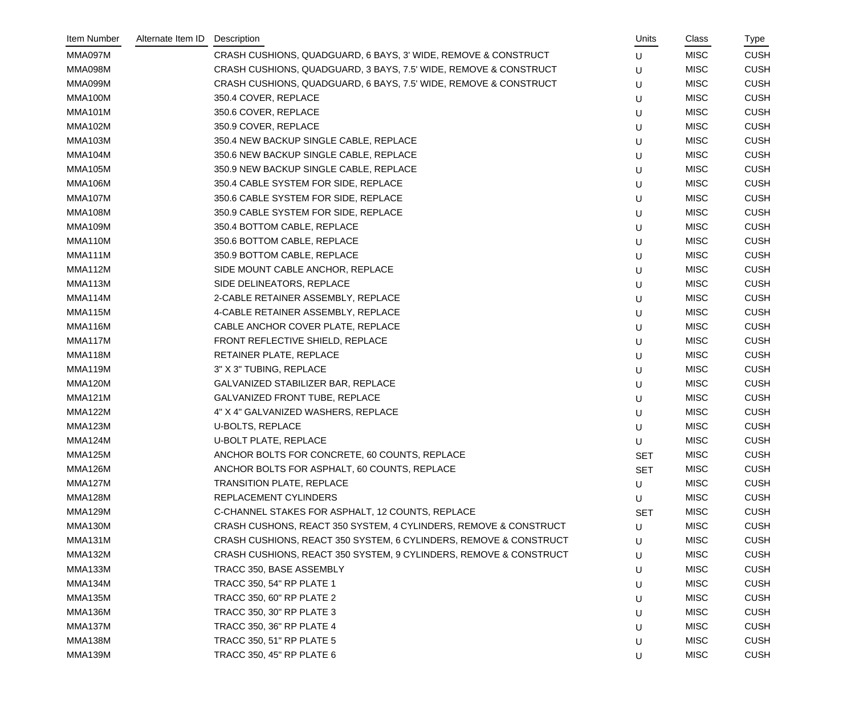| Item Number    | Alternate Item ID | Description                                                       | Units      | Class       | Type        |
|----------------|-------------------|-------------------------------------------------------------------|------------|-------------|-------------|
| MMA097M        |                   | CRASH CUSHIONS, QUADGUARD, 6 BAYS, 3' WIDE, REMOVE & CONSTRUCT    | U          | <b>MISC</b> | <b>CUSH</b> |
| MMA098M        |                   | CRASH CUSHIONS, QUADGUARD, 3 BAYS, 7.5' WIDE, REMOVE & CONSTRUCT  | U          | <b>MISC</b> | <b>CUSH</b> |
| MMA099M        |                   | CRASH CUSHIONS, QUADGUARD, 6 BAYS, 7.5' WIDE, REMOVE & CONSTRUCT  | U          | <b>MISC</b> | <b>CUSH</b> |
| MMA100M        |                   | 350.4 COVER, REPLACE                                              | U          | <b>MISC</b> | <b>CUSH</b> |
| MMA101M        |                   | 350.6 COVER, REPLACE                                              | U          | <b>MISC</b> | <b>CUSH</b> |
| <b>MMA102M</b> |                   | 350.9 COVER, REPLACE                                              | U          | <b>MISC</b> | <b>CUSH</b> |
| MMA103M        |                   | 350.4 NEW BACKUP SINGLE CABLE, REPLACE                            | U          | <b>MISC</b> | <b>CUSH</b> |
| MMA104M        |                   | 350.6 NEW BACKUP SINGLE CABLE, REPLACE                            | U          | <b>MISC</b> | <b>CUSH</b> |
| <b>MMA105M</b> |                   | 350.9 NEW BACKUP SINGLE CABLE, REPLACE                            | U          | <b>MISC</b> | <b>CUSH</b> |
| <b>MMA106M</b> |                   | 350.4 CABLE SYSTEM FOR SIDE, REPLACE                              | U          | <b>MISC</b> | <b>CUSH</b> |
| MMA107M        |                   | 350.6 CABLE SYSTEM FOR SIDE, REPLACE                              | U          | <b>MISC</b> | <b>CUSH</b> |
| MMA108M        |                   | 350.9 CABLE SYSTEM FOR SIDE, REPLACE                              | U          | <b>MISC</b> | <b>CUSH</b> |
| MMA109M        |                   | 350.4 BOTTOM CABLE, REPLACE                                       | U          | <b>MISC</b> | <b>CUSH</b> |
| MMA110M        |                   | 350.6 BOTTOM CABLE, REPLACE                                       | U          | <b>MISC</b> | <b>CUSH</b> |
| MMA111M        |                   | 350.9 BOTTOM CABLE, REPLACE                                       | U          | <b>MISC</b> | <b>CUSH</b> |
| MMA112M        |                   | SIDE MOUNT CABLE ANCHOR, REPLACE                                  | U          | <b>MISC</b> | <b>CUSH</b> |
| MMA113M        |                   | SIDE DELINEATORS, REPLACE                                         | U          | <b>MISC</b> | <b>CUSH</b> |
| MMA114M        |                   | 2-CABLE RETAINER ASSEMBLY, REPLACE                                | U          | <b>MISC</b> | <b>CUSH</b> |
| MMA115M        |                   | 4-CABLE RETAINER ASSEMBLY, REPLACE                                | U          | <b>MISC</b> | <b>CUSH</b> |
| MMA116M        |                   | CABLE ANCHOR COVER PLATE, REPLACE                                 | U          | <b>MISC</b> | <b>CUSH</b> |
| MMA117M        |                   | FRONT REFLECTIVE SHIELD, REPLACE                                  | U          | <b>MISC</b> | <b>CUSH</b> |
| MMA118M        |                   | RETAINER PLATE, REPLACE                                           | U          | <b>MISC</b> | <b>CUSH</b> |
| MMA119M        |                   | 3" X 3" TUBING, REPLACE                                           | U          | <b>MISC</b> | <b>CUSH</b> |
| MMA120M        |                   | GALVANIZED STABILIZER BAR, REPLACE                                | U          | <b>MISC</b> | <b>CUSH</b> |
| <b>MMA121M</b> |                   | <b>GALVANIZED FRONT TUBE, REPLACE</b>                             | U          | <b>MISC</b> | <b>CUSH</b> |
| <b>MMA122M</b> |                   | 4" X 4" GALVANIZED WASHERS, REPLACE                               | U          | <b>MISC</b> | <b>CUSH</b> |
| <b>MMA123M</b> |                   | <b>U-BOLTS, REPLACE</b>                                           | U          | <b>MISC</b> | <b>CUSH</b> |
| MMA124M        |                   | <b>U-BOLT PLATE, REPLACE</b>                                      | U          | <b>MISC</b> | <b>CUSH</b> |
| MMA125M        |                   | ANCHOR BOLTS FOR CONCRETE, 60 COUNTS, REPLACE                     | <b>SET</b> | <b>MISC</b> | <b>CUSH</b> |
| MMA126M        |                   | ANCHOR BOLTS FOR ASPHALT, 60 COUNTS, REPLACE                      | <b>SET</b> | <b>MISC</b> | <b>CUSH</b> |
| MMA127M        |                   | <b>TRANSITION PLATE, REPLACE</b>                                  | U          | <b>MISC</b> | <b>CUSH</b> |
| MMA128M        |                   | REPLACEMENT CYLINDERS                                             | U          | <b>MISC</b> | <b>CUSH</b> |
| <b>MMA129M</b> |                   | C-CHANNEL STAKES FOR ASPHALT, 12 COUNTS, REPLACE                  | <b>SET</b> | <b>MISC</b> | <b>CUSH</b> |
| MMA130M        |                   | CRASH CUSHONS, REACT 350 SYSTEM, 4 CYLINDERS, REMOVE & CONSTRUCT  | U          | <b>MISC</b> | <b>CUSH</b> |
| MMA131M        |                   | CRASH CUSHIONS, REACT 350 SYSTEM, 6 CYLINDERS, REMOVE & CONSTRUCT | U          | <b>MISC</b> | <b>CUSH</b> |
| MMA132M        |                   | CRASH CUSHIONS, REACT 350 SYSTEM, 9 CYLINDERS, REMOVE & CONSTRUCT | U          | <b>MISC</b> | <b>CUSH</b> |
| MMA133M        |                   | TRACC 350, BASE ASSEMBLY                                          | U          | <b>MISC</b> | <b>CUSH</b> |
| MMA134M        |                   | <b>TRACC 350, 54" RP PLATE 1</b>                                  | U          | <b>MISC</b> | <b>CUSH</b> |
| <b>MMA135M</b> |                   | TRACC 350, 60" RP PLATE 2                                         | U          | <b>MISC</b> | <b>CUSH</b> |
| MMA136M        |                   | TRACC 350, 30" RP PLATE 3                                         | U          | <b>MISC</b> | <b>CUSH</b> |
| MMA137M        |                   | <b>TRACC 350, 36" RP PLATE 4</b>                                  | U          | <b>MISC</b> | <b>CUSH</b> |
| MMA138M        |                   | <b>TRACC 350, 51" RP PLATE 5</b>                                  | U          | <b>MISC</b> | <b>CUSH</b> |
| MMA139M        |                   | TRACC 350, 45" RP PLATE 6                                         | U          | <b>MISC</b> | <b>CUSH</b> |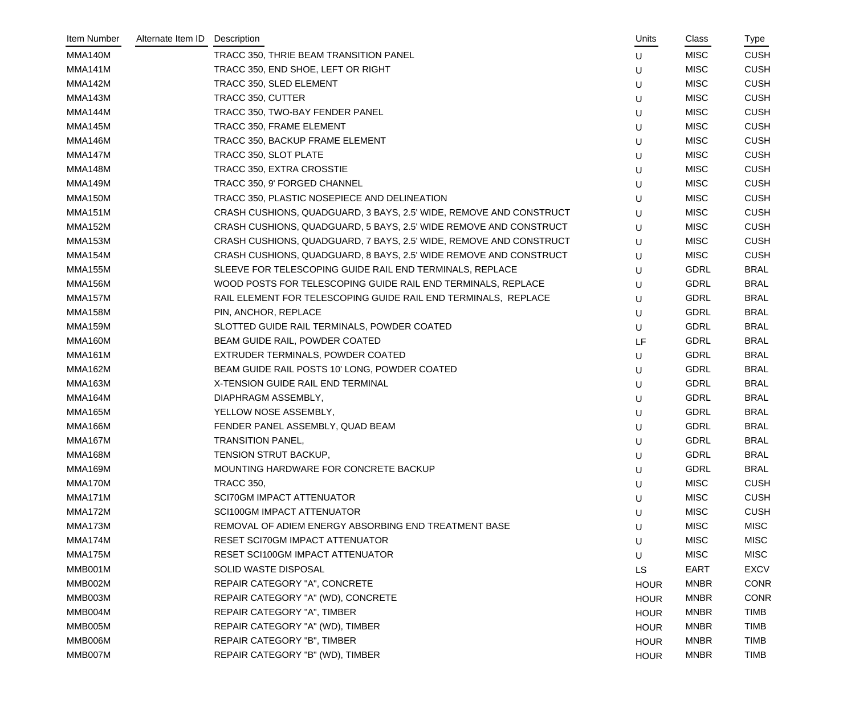| Item Number    | Alternate Item ID | Description                                                        | Units       | Class       | Type        |
|----------------|-------------------|--------------------------------------------------------------------|-------------|-------------|-------------|
| MMA140M        |                   | TRACC 350, THRIE BEAM TRANSITION PANEL                             | U           | <b>MISC</b> | <b>CUSH</b> |
| MMA141M        |                   | TRACC 350, END SHOE, LEFT OR RIGHT                                 | U           | <b>MISC</b> | <b>CUSH</b> |
| MMA142M        |                   | TRACC 350, SLED ELEMENT                                            | U           | <b>MISC</b> | <b>CUSH</b> |
| MMA143M        |                   | TRACC 350, CUTTER                                                  | U           | <b>MISC</b> | <b>CUSH</b> |
| MMA144M        |                   | TRACC 350, TWO-BAY FENDER PANEL                                    | U           | <b>MISC</b> | <b>CUSH</b> |
| MMA145M        |                   | TRACC 350, FRAME ELEMENT                                           | U           | <b>MISC</b> | <b>CUSH</b> |
| MMA146M        |                   | TRACC 350, BACKUP FRAME ELEMENT                                    | U           | <b>MISC</b> | <b>CUSH</b> |
| MMA147M        |                   | TRACC 350, SLOT PLATE                                              | U           | <b>MISC</b> | <b>CUSH</b> |
| MMA148M        |                   | TRACC 350, EXTRA CROSSTIE                                          | U           | <b>MISC</b> | <b>CUSH</b> |
| <b>MMA149M</b> |                   | TRACC 350, 9' FORGED CHANNEL                                       | U           | <b>MISC</b> | <b>CUSH</b> |
| MMA150M        |                   | TRACC 350, PLASTIC NOSEPIECE AND DELINEATION                       | U           | <b>MISC</b> | <b>CUSH</b> |
| MMA151M        |                   | CRASH CUSHIONS, QUADGUARD, 3 BAYS, 2.5' WIDE, REMOVE AND CONSTRUCT | U           | <b>MISC</b> | <b>CUSH</b> |
| <b>MMA152M</b> |                   | CRASH CUSHIONS, QUADGUARD, 5 BAYS, 2.5' WIDE REMOVE AND CONSTRUCT  | U           | <b>MISC</b> | <b>CUSH</b> |
| MMA153M        |                   | CRASH CUSHIONS, QUADGUARD, 7 BAYS, 2.5' WIDE, REMOVE AND CONSTRUCT | U           | <b>MISC</b> | <b>CUSH</b> |
| MMA154M        |                   | CRASH CUSHIONS, QUADGUARD, 8 BAYS, 2.5' WIDE REMOVE AND CONSTRUCT  | U           | <b>MISC</b> | <b>CUSH</b> |
| <b>MMA155M</b> |                   | SLEEVE FOR TELESCOPING GUIDE RAIL END TERMINALS, REPLACE           | U           | <b>GDRL</b> | <b>BRAL</b> |
| <b>MMA156M</b> |                   | WOOD POSTS FOR TELESCOPING GUIDE RAIL END TERMINALS, REPLACE       | U           | <b>GDRL</b> | <b>BRAL</b> |
| MMA157M        |                   | RAIL ELEMENT FOR TELESCOPING GUIDE RAIL END TERMINALS, REPLACE     | U           | <b>GDRL</b> | <b>BRAL</b> |
| <b>MMA158M</b> |                   | PIN, ANCHOR, REPLACE                                               | U           | <b>GDRL</b> | <b>BRAL</b> |
| <b>MMA159M</b> |                   | SLOTTED GUIDE RAIL TERMINALS, POWDER COATED                        | U           | <b>GDRL</b> | <b>BRAL</b> |
| MMA160M        |                   | BEAM GUIDE RAIL, POWDER COATED                                     | LF          | <b>GDRL</b> | <b>BRAL</b> |
| MMA161M        |                   | EXTRUDER TERMINALS, POWDER COATED                                  | U           | <b>GDRL</b> | <b>BRAL</b> |
| <b>MMA162M</b> |                   | BEAM GUIDE RAIL POSTS 10' LONG, POWDER COATED                      | U           | <b>GDRL</b> | <b>BRAL</b> |
| MMA163M        |                   | X-TENSION GUIDE RAIL END TERMINAL                                  | U           | <b>GDRL</b> | <b>BRAL</b> |
| MMA164M        |                   | DIAPHRAGM ASSEMBLY,                                                | U           | <b>GDRL</b> | <b>BRAL</b> |
| <b>MMA165M</b> |                   | YELLOW NOSE ASSEMBLY,                                              | U           | <b>GDRL</b> | <b>BRAL</b> |
| <b>MMA166M</b> |                   | FENDER PANEL ASSEMBLY, QUAD BEAM                                   | U           | <b>GDRL</b> | <b>BRAL</b> |
| MMA167M        |                   | <b>TRANSITION PANEL,</b>                                           | U           | <b>GDRL</b> | <b>BRAL</b> |
| MMA168M        |                   | TENSION STRUT BACKUP,                                              | U           | <b>GDRL</b> | <b>BRAL</b> |
| MMA169M        |                   | MOUNTING HARDWARE FOR CONCRETE BACKUP                              | U           | <b>GDRL</b> | <b>BRAL</b> |
| MMA170M        |                   | <b>TRACC 350,</b>                                                  | U           | <b>MISC</b> | <b>CUSH</b> |
| MMA171M        |                   | <b>SCI70GM IMPACT ATTENUATOR</b>                                   | U           | <b>MISC</b> | <b>CUSH</b> |
| MMA172M        |                   | <b>SCI100GM IMPACT ATTENUATOR</b>                                  | U           | <b>MISC</b> | <b>CUSH</b> |
| MMA173M        |                   | REMOVAL OF ADIEM ENERGY ABSORBING END TREATMENT BASE               | U           | <b>MISC</b> | <b>MISC</b> |
| MMA174M        |                   | RESET SCI70GM IMPACT ATTENUATOR                                    | U           | <b>MISC</b> | <b>MISC</b> |
| MMA175M        |                   | RESET SCI100GM IMPACT ATTENUATOR                                   | U           | <b>MISC</b> | <b>MISC</b> |
| MMB001M        |                   | SOLID WASTE DISPOSAL                                               | <b>LS</b>   | EART        | <b>EXCV</b> |
| MMB002M        |                   | REPAIR CATEGORY "A", CONCRETE                                      | <b>HOUR</b> | <b>MNBR</b> | <b>CONR</b> |
| MMB003M        |                   | REPAIR CATEGORY "A" (WD), CONCRETE                                 | <b>HOUR</b> | <b>MNBR</b> | <b>CONR</b> |
| MMB004M        |                   | REPAIR CATEGORY "A", TIMBER                                        | <b>HOUR</b> | <b>MNBR</b> | <b>TIMB</b> |
| MMB005M        |                   | REPAIR CATEGORY "A" (WD), TIMBER                                   | <b>HOUR</b> | <b>MNBR</b> | <b>TIMB</b> |
| MMB006M        |                   | REPAIR CATEGORY "B", TIMBER                                        | <b>HOUR</b> | <b>MNBR</b> | <b>TIMB</b> |
| MMB007M        |                   | REPAIR CATEGORY "B" (WD), TIMBER                                   | <b>HOUR</b> | <b>MNBR</b> | <b>TIMB</b> |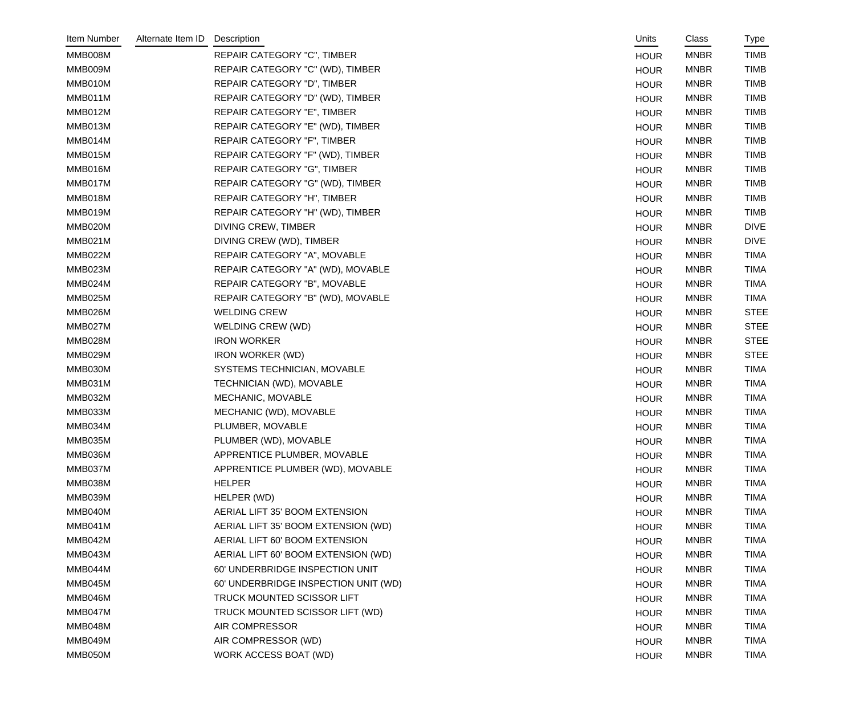| Item Number | Alternate Item ID | Description                          | Units       | Class       | Type        |
|-------------|-------------------|--------------------------------------|-------------|-------------|-------------|
| MMB008M     |                   | <b>REPAIR CATEGORY "C", TIMBER</b>   | <b>HOUR</b> | <b>MNBR</b> | <b>TIMB</b> |
| MMB009M     |                   | REPAIR CATEGORY "C" (WD), TIMBER     | <b>HOUR</b> | <b>MNBR</b> | <b>TIMB</b> |
| MMB010M     |                   | REPAIR CATEGORY "D", TIMBER          | <b>HOUR</b> | <b>MNBR</b> | <b>TIMB</b> |
| MMB011M     |                   | REPAIR CATEGORY "D" (WD), TIMBER     | <b>HOUR</b> | <b>MNBR</b> | <b>TIMB</b> |
| MMB012M     |                   | REPAIR CATEGORY "E", TIMBER          | <b>HOUR</b> | <b>MNBR</b> | <b>TIMB</b> |
| MMB013M     |                   | REPAIR CATEGORY "E" (WD), TIMBER     | <b>HOUR</b> | <b>MNBR</b> | <b>TIMB</b> |
| MMB014M     |                   | REPAIR CATEGORY "F", TIMBER          | <b>HOUR</b> | <b>MNBR</b> | <b>TIMB</b> |
| MMB015M     |                   | REPAIR CATEGORY "F" (WD), TIMBER     | <b>HOUR</b> | <b>MNBR</b> | <b>TIMB</b> |
| MMB016M     |                   | REPAIR CATEGORY "G", TIMBER          | <b>HOUR</b> | <b>MNBR</b> | <b>TIMB</b> |
| MMB017M     |                   | REPAIR CATEGORY "G" (WD), TIMBER     | <b>HOUR</b> | <b>MNBR</b> | <b>TIMB</b> |
| MMB018M     |                   | REPAIR CATEGORY "H", TIMBER          | <b>HOUR</b> | <b>MNBR</b> | <b>TIMB</b> |
| MMB019M     |                   | REPAIR CATEGORY "H" (WD), TIMBER     | <b>HOUR</b> | <b>MNBR</b> | <b>TIMB</b> |
| MMB020M     |                   | <b>DIVING CREW, TIMBER</b>           | <b>HOUR</b> | <b>MNBR</b> | <b>DIVE</b> |
| MMB021M     |                   | DIVING CREW (WD), TIMBER             | <b>HOUR</b> | <b>MNBR</b> | <b>DIVE</b> |
| MMB022M     |                   | REPAIR CATEGORY "A", MOVABLE         | <b>HOUR</b> | <b>MNBR</b> | <b>TIMA</b> |
| MMB023M     |                   | REPAIR CATEGORY "A" (WD), MOVABLE    | <b>HOUR</b> | <b>MNBR</b> | <b>TIMA</b> |
| MMB024M     |                   | REPAIR CATEGORY "B", MOVABLE         | <b>HOUR</b> | <b>MNBR</b> | <b>TIMA</b> |
| MMB025M     |                   | REPAIR CATEGORY "B" (WD), MOVABLE    | <b>HOUR</b> | <b>MNBR</b> | <b>TIMA</b> |
| MMB026M     |                   | <b>WELDING CREW</b>                  | <b>HOUR</b> | <b>MNBR</b> | <b>STEE</b> |
| MMB027M     |                   | WELDING CREW (WD)                    | <b>HOUR</b> | <b>MNBR</b> | <b>STEE</b> |
| MMB028M     |                   | <b>IRON WORKER</b>                   | <b>HOUR</b> | <b>MNBR</b> | <b>STEE</b> |
| MMB029M     |                   | <b>IRON WORKER (WD)</b>              | <b>HOUR</b> | <b>MNBR</b> | <b>STEE</b> |
| MMB030M     |                   | SYSTEMS TECHNICIAN, MOVABLE          | <b>HOUR</b> | <b>MNBR</b> | <b>TIMA</b> |
| MMB031M     |                   | TECHNICIAN (WD), MOVABLE             | <b>HOUR</b> | <b>MNBR</b> | <b>TIMA</b> |
| MMB032M     |                   | MECHANIC, MOVABLE                    | <b>HOUR</b> | <b>MNBR</b> | <b>TIMA</b> |
| MMB033M     |                   | MECHANIC (WD), MOVABLE               | <b>HOUR</b> | <b>MNBR</b> | <b>TIMA</b> |
| MMB034M     |                   | PLUMBER, MOVABLE                     | <b>HOUR</b> | <b>MNBR</b> | <b>TIMA</b> |
| MMB035M     |                   | PLUMBER (WD), MOVABLE                | <b>HOUR</b> | <b>MNBR</b> | TIMA        |
| MMB036M     |                   | APPRENTICE PLUMBER, MOVABLE          | <b>HOUR</b> | <b>MNBR</b> | TIMA        |
| MMB037M     |                   | APPRENTICE PLUMBER (WD), MOVABLE     | <b>HOUR</b> | <b>MNBR</b> | <b>TIMA</b> |
| MMB038M     |                   | <b>HELPER</b>                        | <b>HOUR</b> | <b>MNBR</b> | <b>TIMA</b> |
| MMB039M     |                   | HELPER (WD)                          | <b>HOUR</b> | <b>MNBR</b> | <b>TIMA</b> |
| MMB040M     |                   | AERIAL LIFT 35' BOOM EXTENSION       | <b>HOUR</b> | <b>MNBR</b> | <b>TIMA</b> |
| MMB041M     |                   | AERIAL LIFT 35' BOOM EXTENSION (WD)  | <b>HOUR</b> | <b>MNBR</b> | <b>TIMA</b> |
| MMB042M     |                   | AERIAL LIFT 60' BOOM EXTENSION       | <b>HOUR</b> | <b>MNBR</b> | <b>TIMA</b> |
| MMB043M     |                   | AERIAL LIFT 60' BOOM EXTENSION (WD)  | <b>HOUR</b> | <b>MNBR</b> | <b>TIMA</b> |
| MMB044M     |                   | 60' UNDERBRIDGE INSPECTION UNIT      | <b>HOUR</b> | <b>MNBR</b> | <b>TIMA</b> |
| MMB045M     |                   | 60' UNDERBRIDGE INSPECTION UNIT (WD) | <b>HOUR</b> | <b>MNBR</b> | <b>TIMA</b> |
| MMB046M     |                   | TRUCK MOUNTED SCISSOR LIFT           | <b>HOUR</b> | <b>MNBR</b> | <b>TIMA</b> |
| MMB047M     |                   | TRUCK MOUNTED SCISSOR LIFT (WD)      | <b>HOUR</b> | <b>MNBR</b> | <b>TIMA</b> |
| MMB048M     |                   | AIR COMPRESSOR                       | <b>HOUR</b> | <b>MNBR</b> | <b>TIMA</b> |
| MMB049M     |                   | AIR COMPRESSOR (WD)                  | <b>HOUR</b> | <b>MNBR</b> | <b>TIMA</b> |
| MMB050M     |                   | WORK ACCESS BOAT (WD)                | <b>HOUR</b> | <b>MNBR</b> | <b>TIMA</b> |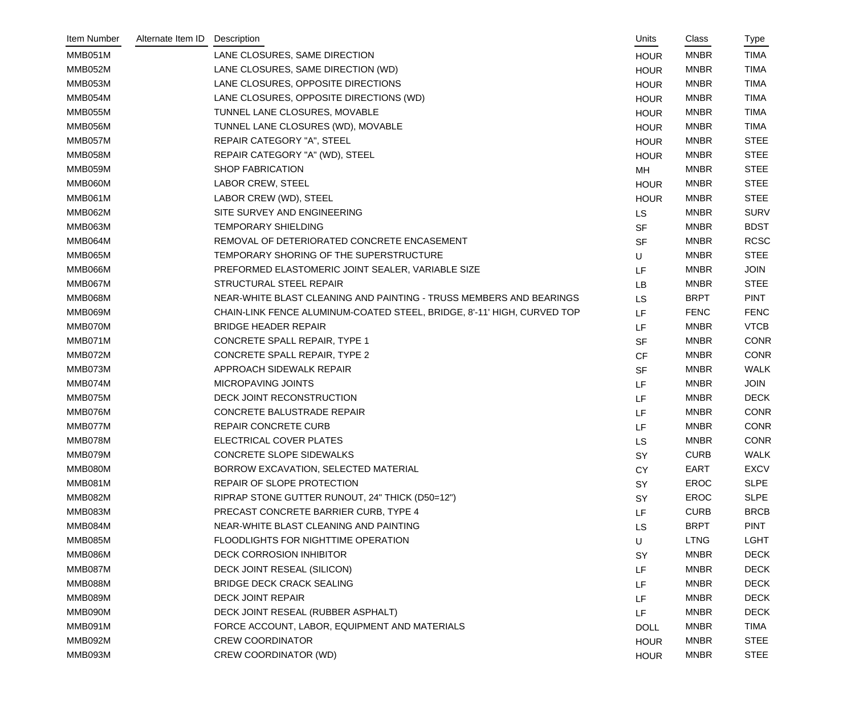| Item Number    | Alternate Item ID | Description                                                             | Units       | Class       | Type        |
|----------------|-------------------|-------------------------------------------------------------------------|-------------|-------------|-------------|
| MMB051M        |                   | LANE CLOSURES, SAME DIRECTION                                           | <b>HOUR</b> | <b>MNBR</b> | <b>TIMA</b> |
| MMB052M        |                   | LANE CLOSURES, SAME DIRECTION (WD)                                      | <b>HOUR</b> | <b>MNBR</b> | <b>TIMA</b> |
| MMB053M        |                   | LANE CLOSURES, OPPOSITE DIRECTIONS                                      | <b>HOUR</b> | <b>MNBR</b> | <b>TIMA</b> |
| MMB054M        |                   | LANE CLOSURES, OPPOSITE DIRECTIONS (WD)                                 | <b>HOUR</b> | <b>MNBR</b> | <b>TIMA</b> |
| MMB055M        |                   | TUNNEL LANE CLOSURES, MOVABLE                                           | <b>HOUR</b> | <b>MNBR</b> | <b>TIMA</b> |
| MMB056M        |                   | TUNNEL LANE CLOSURES (WD), MOVABLE                                      | <b>HOUR</b> | <b>MNBR</b> | <b>TIMA</b> |
| MMB057M        |                   | REPAIR CATEGORY "A", STEEL                                              | <b>HOUR</b> | <b>MNBR</b> | <b>STEE</b> |
| MMB058M        |                   | REPAIR CATEGORY "A" (WD), STEEL                                         | <b>HOUR</b> | <b>MNBR</b> | <b>STEE</b> |
| MMB059M        |                   | <b>SHOP FABRICATION</b>                                                 | MH          | <b>MNBR</b> | <b>STEE</b> |
| MMB060M        |                   | <b>LABOR CREW, STEEL</b>                                                | <b>HOUR</b> | <b>MNBR</b> | <b>STEE</b> |
| <b>MMB061M</b> |                   | LABOR CREW (WD), STEEL                                                  | <b>HOUR</b> | <b>MNBR</b> | <b>STEE</b> |
| MMB062M        |                   | SITE SURVEY AND ENGINEERING                                             | LS          | <b>MNBR</b> | <b>SURV</b> |
| MMB063M        |                   | <b>TEMPORARY SHIELDING</b>                                              | <b>SF</b>   | <b>MNBR</b> | <b>BDST</b> |
| MMB064M        |                   | REMOVAL OF DETERIORATED CONCRETE ENCASEMENT                             | <b>SF</b>   | <b>MNBR</b> | <b>RCSC</b> |
| MMB065M        |                   | TEMPORARY SHORING OF THE SUPERSTRUCTURE                                 | $\cup$      | <b>MNBR</b> | <b>STEE</b> |
| MMB066M        |                   | PREFORMED ELASTOMERIC JOINT SEALER, VARIABLE SIZE                       | LF          | <b>MNBR</b> | <b>JOIN</b> |
| MMB067M        |                   | <b>STRUCTURAL STEEL REPAIR</b>                                          | <b>LB</b>   | <b>MNBR</b> | <b>STEE</b> |
| <b>MMB068M</b> |                   | NEAR-WHITE BLAST CLEANING AND PAINTING - TRUSS MEMBERS AND BEARINGS     | LS          | <b>BRPT</b> | <b>PINT</b> |
| MMB069M        |                   | CHAIN-LINK FENCE ALUMINUM-COATED STEEL, BRIDGE, 8'-11' HIGH, CURVED TOP | LF          | <b>FENC</b> | <b>FENC</b> |
| MMB070M        |                   | <b>BRIDGE HEADER REPAIR</b>                                             | LF          | <b>MNBR</b> | <b>VTCB</b> |
| MMB071M        |                   | CONCRETE SPALL REPAIR, TYPE 1                                           | <b>SF</b>   | <b>MNBR</b> | <b>CONR</b> |
| MMB072M        |                   | CONCRETE SPALL REPAIR, TYPE 2                                           | <b>CF</b>   | <b>MNBR</b> | <b>CONR</b> |
| MMB073M        |                   | APPROACH SIDEWALK REPAIR                                                | <b>SF</b>   | <b>MNBR</b> | <b>WALK</b> |
| MMB074M        |                   | MICROPAVING JOINTS                                                      | LF          | <b>MNBR</b> | <b>JOIN</b> |
| MMB075M        |                   | DECK JOINT RECONSTRUCTION                                               | LF          | <b>MNBR</b> | <b>DECK</b> |
| MMB076M        |                   | CONCRETE BALUSTRADE REPAIR                                              | LF          | <b>MNBR</b> | <b>CONR</b> |
| MMB077M        |                   | REPAIR CONCRETE CURB                                                    | LF          | <b>MNBR</b> | <b>CONR</b> |
| MMB078M        |                   | ELECTRICAL COVER PLATES                                                 | LS          | <b>MNBR</b> | <b>CONR</b> |
| MMB079M        |                   | CONCRETE SLOPE SIDEWALKS                                                | <b>SY</b>   | <b>CURB</b> | <b>WALK</b> |
| MMB080M        |                   | BORROW EXCAVATION, SELECTED MATERIAL                                    | <b>CY</b>   | EART        | <b>EXCV</b> |
| MMB081M        |                   | REPAIR OF SLOPE PROTECTION                                              | <b>SY</b>   | EROC        | <b>SLPE</b> |
| MMB082M        |                   | RIPRAP STONE GUTTER RUNOUT, 24" THICK (D50=12")                         | SY          | EROC        | <b>SLPE</b> |
| MMB083M        |                   | PRECAST CONCRETE BARRIER CURB, TYPE 4                                   | LF          | <b>CURB</b> | <b>BRCB</b> |
| MMB084M        |                   | NEAR-WHITE BLAST CLEANING AND PAINTING                                  | LS          | <b>BRPT</b> | <b>PINT</b> |
| MMB085M        |                   | FLOODLIGHTS FOR NIGHTTIME OPERATION                                     | U           | <b>LTNG</b> | <b>LGHT</b> |
| MMB086M        |                   | <b>DECK CORROSION INHIBITOR</b>                                         | SY          | <b>MNBR</b> | <b>DECK</b> |
| MMB087M        |                   | DECK JOINT RESEAL (SILICON)                                             | LF          | <b>MNBR</b> | <b>DECK</b> |
| MMB088M        |                   | <b>BRIDGE DECK CRACK SEALING</b>                                        | LF          | <b>MNBR</b> | <b>DECK</b> |
| MMB089M        |                   | <b>DECK JOINT REPAIR</b>                                                | LF          | <b>MNBR</b> | <b>DECK</b> |
| MMB090M        |                   | DECK JOINT RESEAL (RUBBER ASPHALT)                                      | LF          | <b>MNBR</b> | <b>DECK</b> |
| MMB091M        |                   | FORCE ACCOUNT, LABOR, EQUIPMENT AND MATERIALS                           | <b>DOLL</b> | <b>MNBR</b> | <b>TIMA</b> |
| MMB092M        |                   | <b>CREW COORDINATOR</b>                                                 | <b>HOUR</b> | <b>MNBR</b> | <b>STEE</b> |
| MMB093M        |                   | <b>CREW COORDINATOR (WD)</b>                                            | <b>HOUR</b> | <b>MNBR</b> | <b>STEE</b> |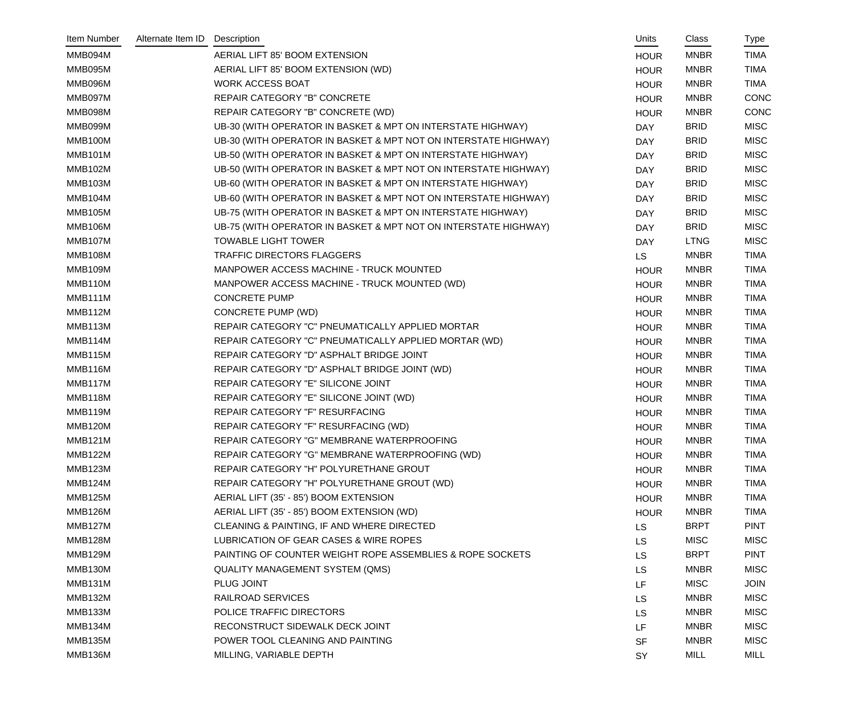| Item Number    | Alternate Item ID | Description                                                     | Units       | Class       | Type        |
|----------------|-------------------|-----------------------------------------------------------------|-------------|-------------|-------------|
| MMB094M        |                   | AERIAL LIFT 85' BOOM EXTENSION                                  | <b>HOUR</b> | <b>MNBR</b> | <b>TIMA</b> |
| MMB095M        |                   | AERIAL LIFT 85' BOOM EXTENSION (WD)                             | <b>HOUR</b> | <b>MNBR</b> | <b>TIMA</b> |
| MMB096M        |                   | <b>WORK ACCESS BOAT</b>                                         | <b>HOUR</b> | <b>MNBR</b> | <b>TIMA</b> |
| MMB097M        |                   | REPAIR CATEGORY "B" CONCRETE                                    | <b>HOUR</b> | <b>MNBR</b> | CONC        |
| MMB098M        |                   | REPAIR CATEGORY "B" CONCRETE (WD)                               | <b>HOUR</b> | <b>MNBR</b> | CONC        |
| MMB099M        |                   | UB-30 (WITH OPERATOR IN BASKET & MPT ON INTERSTATE HIGHWAY)     | DAY         | <b>BRID</b> | <b>MISC</b> |
| MMB100M        |                   | UB-30 (WITH OPERATOR IN BASKET & MPT NOT ON INTERSTATE HIGHWAY) | <b>DAY</b>  | <b>BRID</b> | <b>MISC</b> |
| <b>MMB101M</b> |                   | UB-50 (WITH OPERATOR IN BASKET & MPT ON INTERSTATE HIGHWAY)     | <b>DAY</b>  | <b>BRID</b> | <b>MISC</b> |
| MMB102M        |                   | UB-50 (WITH OPERATOR IN BASKET & MPT NOT ON INTERSTATE HIGHWAY) | <b>DAY</b>  | <b>BRID</b> | <b>MISC</b> |
| <b>MMB103M</b> |                   | UB-60 (WITH OPERATOR IN BASKET & MPT ON INTERSTATE HIGHWAY)     | <b>DAY</b>  | <b>BRID</b> | <b>MISC</b> |
| MMB104M        |                   | UB-60 (WITH OPERATOR IN BASKET & MPT NOT ON INTERSTATE HIGHWAY) | <b>DAY</b>  | <b>BRID</b> | <b>MISC</b> |
| MMB105M        |                   | UB-75 (WITH OPERATOR IN BASKET & MPT ON INTERSTATE HIGHWAY)     | <b>DAY</b>  | <b>BRID</b> | <b>MISC</b> |
| <b>MMB106M</b> |                   | UB-75 (WITH OPERATOR IN BASKET & MPT NOT ON INTERSTATE HIGHWAY) | <b>DAY</b>  | <b>BRID</b> | <b>MISC</b> |
| MMB107M        |                   | <b>TOWABLE LIGHT TOWER</b>                                      | <b>DAY</b>  | <b>LTNG</b> | <b>MISC</b> |
| <b>MMB108M</b> |                   | TRAFFIC DIRECTORS FLAGGERS                                      | <b>LS</b>   | <b>MNBR</b> | <b>TIMA</b> |
| MMB109M        |                   | MANPOWER ACCESS MACHINE - TRUCK MOUNTED                         | <b>HOUR</b> | <b>MNBR</b> | <b>TIMA</b> |
| MMB110M        |                   | MANPOWER ACCESS MACHINE - TRUCK MOUNTED (WD)                    | <b>HOUR</b> | <b>MNBR</b> | <b>TIMA</b> |
| MMB111M        |                   | <b>CONCRETE PUMP</b>                                            | <b>HOUR</b> | <b>MNBR</b> | <b>TIMA</b> |
| MMB112M        |                   | <b>CONCRETE PUMP (WD)</b>                                       | <b>HOUR</b> | <b>MNBR</b> | <b>TIMA</b> |
| MMB113M        |                   | REPAIR CATEGORY "C" PNEUMATICALLY APPLIED MORTAR                | <b>HOUR</b> | <b>MNBR</b> | <b>TIMA</b> |
| MMB114M        |                   | REPAIR CATEGORY "C" PNEUMATICALLY APPLIED MORTAR (WD)           | <b>HOUR</b> | <b>MNBR</b> | <b>TIMA</b> |
| MMB115M        |                   | REPAIR CATEGORY "D" ASPHALT BRIDGE JOINT                        | <b>HOUR</b> | <b>MNBR</b> | <b>TIMA</b> |
| MMB116M        |                   | REPAIR CATEGORY "D" ASPHALT BRIDGE JOINT (WD)                   | <b>HOUR</b> | <b>MNBR</b> | <b>TIMA</b> |
| MMB117M        |                   | REPAIR CATEGORY "E" SILICONE JOINT                              | <b>HOUR</b> | <b>MNBR</b> | <b>TIMA</b> |
| MMB118M        |                   | REPAIR CATEGORY "E" SILICONE JOINT (WD)                         | <b>HOUR</b> | <b>MNBR</b> | <b>TIMA</b> |
| MMB119M        |                   | REPAIR CATEGORY "F" RESURFACING                                 | <b>HOUR</b> | <b>MNBR</b> | <b>TIMA</b> |
| <b>MMB120M</b> |                   | REPAIR CATEGORY "F" RESURFACING (WD)                            | <b>HOUR</b> | <b>MNBR</b> | <b>TIMA</b> |
| MMB121M        |                   | REPAIR CATEGORY "G" MEMBRANE WATERPROOFING                      | <b>HOUR</b> | <b>MNBR</b> | TIMA        |
| MMB122M        |                   | REPAIR CATEGORY "G" MEMBRANE WATERPROOFING (WD)                 | <b>HOUR</b> | <b>MNBR</b> | TIMA        |
| <b>MMB123M</b> |                   | REPAIR CATEGORY "H" POLYURETHANE GROUT                          | <b>HOUR</b> | <b>MNBR</b> | <b>TIMA</b> |
| MMB124M        |                   | REPAIR CATEGORY "H" POLYURETHANE GROUT (WD)                     | <b>HOUR</b> | <b>MNBR</b> | <b>TIMA</b> |
| MMB125M        |                   | AERIAL LIFT (35' - 85') BOOM EXTENSION                          | <b>HOUR</b> | <b>MNBR</b> | <b>TIMA</b> |
| <b>MMB126M</b> |                   | AERIAL LIFT (35' - 85') BOOM EXTENSION (WD)                     | <b>HOUR</b> | <b>MNBR</b> | <b>TIMA</b> |
| MMB127M        |                   | CLEANING & PAINTING, IF AND WHERE DIRECTED                      | <b>LS</b>   | <b>BRPT</b> | <b>PINT</b> |
| MMB128M        |                   | LUBRICATION OF GEAR CASES & WIRE ROPES                          | <b>LS</b>   | <b>MISC</b> | <b>MISC</b> |
| MMB129M        |                   | PAINTING OF COUNTER WEIGHT ROPE ASSEMBLIES & ROPE SOCKETS       | LS          | <b>BRPT</b> | <b>PINT</b> |
| MMB130M        |                   | <b>QUALITY MANAGEMENT SYSTEM (QMS)</b>                          | LS          | <b>MNBR</b> | <b>MISC</b> |
| MMB131M        |                   | PLUG JOINT                                                      | LF          | <b>MISC</b> | <b>JOIN</b> |
| MMB132M        |                   | RAILROAD SERVICES                                               | LS          | <b>MNBR</b> | <b>MISC</b> |
| <b>MMB133M</b> |                   | POLICE TRAFFIC DIRECTORS                                        | LS          | <b>MNBR</b> | <b>MISC</b> |
| MMB134M        |                   | RECONSTRUCT SIDEWALK DECK JOINT                                 | LF          | <b>MNBR</b> | <b>MISC</b> |
| <b>MMB135M</b> |                   | POWER TOOL CLEANING AND PAINTING                                | <b>SF</b>   | <b>MNBR</b> | <b>MISC</b> |
| <b>MMB136M</b> |                   | MILLING, VARIABLE DEPTH                                         | SY          | <b>MILL</b> | MILL        |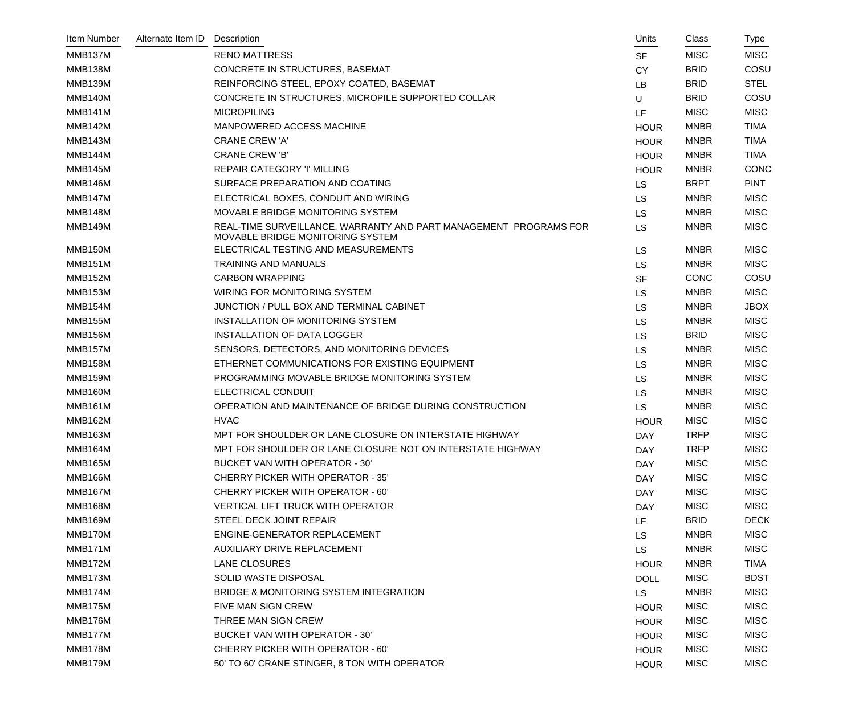| Item Number    | Alternate Item ID | Description                                                                                           | Units       | Class       | Type        |
|----------------|-------------------|-------------------------------------------------------------------------------------------------------|-------------|-------------|-------------|
| MMB137M        |                   | <b>RENO MATTRESS</b>                                                                                  | <b>SF</b>   | <b>MISC</b> | <b>MISC</b> |
| MMB138M        |                   | CONCRETE IN STRUCTURES, BASEMAT                                                                       | <b>CY</b>   | <b>BRID</b> | COSU        |
| MMB139M        |                   | REINFORCING STEEL, EPOXY COATED, BASEMAT                                                              | LB          | <b>BRID</b> | <b>STEL</b> |
| MMB140M        |                   | CONCRETE IN STRUCTURES, MICROPILE SUPPORTED COLLAR                                                    | U           | <b>BRID</b> | COSU        |
| MMB141M        |                   | <b>MICROPILING</b>                                                                                    | LF          | <b>MISC</b> | <b>MISC</b> |
| MMB142M        |                   | MANPOWERED ACCESS MACHINE                                                                             | <b>HOUR</b> | <b>MNBR</b> | <b>TIMA</b> |
| MMB143M        |                   | <b>CRANE CREW 'A'</b>                                                                                 | <b>HOUR</b> | <b>MNBR</b> | <b>TIMA</b> |
| MMB144M        |                   | <b>CRANE CREW 'B'</b>                                                                                 | <b>HOUR</b> | <b>MNBR</b> | <b>TIMA</b> |
| MMB145M        |                   | REPAIR CATEGORY 'I' MILLING                                                                           | <b>HOUR</b> | <b>MNBR</b> | <b>CONC</b> |
| MMB146M        |                   | SURFACE PREPARATION AND COATING                                                                       | <b>LS</b>   | <b>BRPT</b> | <b>PINT</b> |
| MMB147M        |                   | ELECTRICAL BOXES, CONDUIT AND WIRING                                                                  | <b>LS</b>   | <b>MNBR</b> | <b>MISC</b> |
| MMB148M        |                   | MOVABLE BRIDGE MONITORING SYSTEM                                                                      | <b>LS</b>   | <b>MNBR</b> | <b>MISC</b> |
| <b>MMB149M</b> |                   | REAL-TIME SURVEILLANCE, WARRANTY AND PART MANAGEMENT PROGRAMS FOR<br>MOVABLE BRIDGE MONITORING SYSTEM | <b>LS</b>   | <b>MNBR</b> | <b>MISC</b> |
| MMB150M        |                   | ELECTRICAL TESTING AND MEASUREMENTS                                                                   | <b>LS</b>   | <b>MNBR</b> | <b>MISC</b> |
| MMB151M        |                   | <b>TRAINING AND MANUALS</b>                                                                           | <b>LS</b>   | <b>MNBR</b> | <b>MISC</b> |
| MMB152M        |                   | <b>CARBON WRAPPING</b>                                                                                | <b>SF</b>   | <b>CONC</b> | COSU        |
| MMB153M        |                   | WIRING FOR MONITORING SYSTEM                                                                          | <b>LS</b>   | <b>MNBR</b> | <b>MISC</b> |
| MMB154M        |                   | JUNCTION / PULL BOX AND TERMINAL CABINET                                                              | <b>LS</b>   | <b>MNBR</b> | <b>JBOX</b> |
| <b>MMB155M</b> |                   | INSTALLATION OF MONITORING SYSTEM                                                                     | <b>LS</b>   | <b>MNBR</b> | <b>MISC</b> |
| MMB156M        |                   | <b>INSTALLATION OF DATA LOGGER</b>                                                                    | <b>LS</b>   | <b>BRID</b> | <b>MISC</b> |
| MMB157M        |                   | SENSORS, DETECTORS, AND MONITORING DEVICES                                                            | <b>LS</b>   | <b>MNBR</b> | <b>MISC</b> |
| MMB158M        |                   | ETHERNET COMMUNICATIONS FOR EXISTING EQUIPMENT                                                        | <b>LS</b>   | <b>MNBR</b> | <b>MISC</b> |
| MMB159M        |                   | PROGRAMMING MOVABLE BRIDGE MONITORING SYSTEM                                                          | <b>LS</b>   | <b>MNBR</b> | <b>MISC</b> |
| MMB160M        |                   | <b>ELECTRICAL CONDUIT</b>                                                                             | <b>LS</b>   | <b>MNBR</b> | <b>MISC</b> |
| <b>MMB161M</b> |                   | OPERATION AND MAINTENANCE OF BRIDGE DURING CONSTRUCTION                                               | <b>LS</b>   | <b>MNBR</b> | <b>MISC</b> |
| MMB162M        |                   | <b>HVAC</b>                                                                                           | <b>HOUR</b> | <b>MISC</b> | <b>MISC</b> |
| <b>MMB163M</b> |                   | MPT FOR SHOULDER OR LANE CLOSURE ON INTERSTATE HIGHWAY                                                | <b>DAY</b>  | <b>TRFP</b> | <b>MISC</b> |
| MMB164M        |                   | MPT FOR SHOULDER OR LANE CLOSURE NOT ON INTERSTATE HIGHWAY                                            | <b>DAY</b>  | <b>TRFP</b> | <b>MISC</b> |
| <b>MMB165M</b> |                   | <b>BUCKET VAN WITH OPERATOR - 30'</b>                                                                 | <b>DAY</b>  | <b>MISC</b> | <b>MISC</b> |
| <b>MMB166M</b> |                   | <b>CHERRY PICKER WITH OPERATOR - 35'</b>                                                              | <b>DAY</b>  | <b>MISC</b> | <b>MISC</b> |
| MMB167M        |                   | <b>CHERRY PICKER WITH OPERATOR - 60'</b>                                                              | <b>DAY</b>  | <b>MISC</b> | <b>MISC</b> |
| MMB168M        |                   | <b>VERTICAL LIFT TRUCK WITH OPERATOR</b>                                                              | <b>DAY</b>  | <b>MISC</b> | <b>MISC</b> |
| MMB169M        |                   | STEEL DECK JOINT REPAIR                                                                               | LF          | <b>BRID</b> | <b>DECK</b> |
| MMB170M        |                   | ENGINE-GENERATOR REPLACEMENT                                                                          | <b>LS</b>   | <b>MNBR</b> | <b>MISC</b> |
| MMB171M        |                   | AUXILIARY DRIVE REPLACEMENT                                                                           | <b>LS</b>   | <b>MNBR</b> | <b>MISC</b> |
| MMB172M        |                   | <b>LANE CLOSURES</b>                                                                                  | <b>HOUR</b> | <b>MNBR</b> | TIMA        |
| MMB173M        |                   | SOLID WASTE DISPOSAL                                                                                  | <b>DOLL</b> | <b>MISC</b> | <b>BDST</b> |
| MMB174M        |                   | BRIDGE & MONITORING SYSTEM INTEGRATION                                                                | <b>LS</b>   | <b>MNBR</b> | <b>MISC</b> |
| MMB175M        |                   | FIVE MAN SIGN CREW                                                                                    | <b>HOUR</b> | <b>MISC</b> | <b>MISC</b> |
| MMB176M        |                   | THREE MAN SIGN CREW                                                                                   | <b>HOUR</b> | <b>MISC</b> | <b>MISC</b> |
| MMB177M        |                   | <b>BUCKET VAN WITH OPERATOR - 30'</b>                                                                 | <b>HOUR</b> | <b>MISC</b> | <b>MISC</b> |
| MMB178M        |                   | <b>CHERRY PICKER WITH OPERATOR - 60'</b>                                                              | <b>HOUR</b> | <b>MISC</b> | <b>MISC</b> |
| MMB179M        |                   | 50' TO 60' CRANE STINGER, 8 TON WITH OPERATOR                                                         | <b>HOUR</b> | <b>MISC</b> | <b>MISC</b> |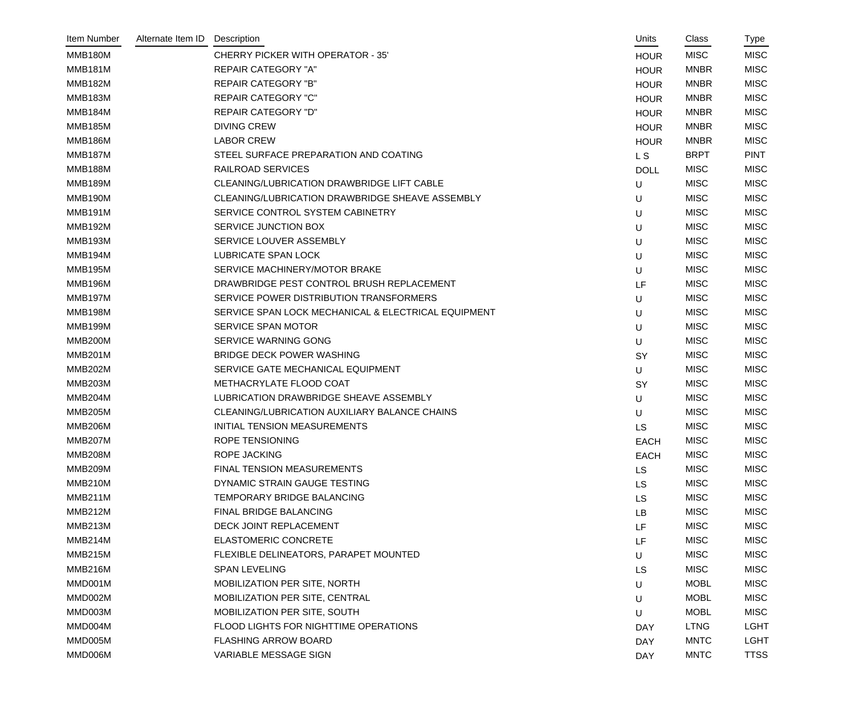| Item Number    | Alternate Item ID | Description                                         | Units          | Class       | Type        |
|----------------|-------------------|-----------------------------------------------------|----------------|-------------|-------------|
| MMB180M        |                   | <b>CHERRY PICKER WITH OPERATOR - 35'</b>            | <b>HOUR</b>    | <b>MISC</b> | <b>MISC</b> |
| <b>MMB181M</b> |                   | <b>REPAIR CATEGORY "A"</b>                          | <b>HOUR</b>    | <b>MNBR</b> | <b>MISC</b> |
| <b>MMB182M</b> |                   | <b>REPAIR CATEGORY "B"</b>                          | <b>HOUR</b>    | <b>MNBR</b> | <b>MISC</b> |
| <b>MMB183M</b> |                   | <b>REPAIR CATEGORY "C"</b>                          | <b>HOUR</b>    | <b>MNBR</b> | <b>MISC</b> |
| MMB184M        |                   | <b>REPAIR CATEGORY "D"</b>                          | <b>HOUR</b>    | <b>MNBR</b> | <b>MISC</b> |
| <b>MMB185M</b> |                   | <b>DIVING CREW</b>                                  | <b>HOUR</b>    | <b>MNBR</b> | <b>MISC</b> |
| <b>MMB186M</b> |                   | <b>LABOR CREW</b>                                   | <b>HOUR</b>    | <b>MNBR</b> | <b>MISC</b> |
| <b>MMB187M</b> |                   | STEEL SURFACE PREPARATION AND COATING               | L <sub>S</sub> | <b>BRPT</b> | <b>PINT</b> |
| MMB188M        |                   | <b>RAILROAD SERVICES</b>                            | <b>DOLL</b>    | <b>MISC</b> | <b>MISC</b> |
| MMB189M        |                   | <b>CLEANING/LUBRICATION DRAWBRIDGE LIFT CABLE</b>   | U              | <b>MISC</b> | <b>MISC</b> |
| MMB190M        |                   | CLEANING/LUBRICATION DRAWBRIDGE SHEAVE ASSEMBLY     | U              | <b>MISC</b> | <b>MISC</b> |
| <b>MMB191M</b> |                   | SERVICE CONTROL SYSTEM CABINETRY                    | U              | <b>MISC</b> | <b>MISC</b> |
| <b>MMB192M</b> |                   | SERVICE JUNCTION BOX                                | U              | <b>MISC</b> | <b>MISC</b> |
| <b>MMB193M</b> |                   | SERVICE LOUVER ASSEMBLY                             | U              | <b>MISC</b> | <b>MISC</b> |
| MMB194M        |                   | LUBRICATE SPAN LOCK                                 | U              | <b>MISC</b> | <b>MISC</b> |
| <b>MMB195M</b> |                   | SERVICE MACHINERY/MOTOR BRAKE                       | U              | <b>MISC</b> | <b>MISC</b> |
| MMB196M        |                   | DRAWBRIDGE PEST CONTROL BRUSH REPLACEMENT           | LF             | <b>MISC</b> | <b>MISC</b> |
| <b>MMB197M</b> |                   | SERVICE POWER DISTRIBUTION TRANSFORMERS             | U              | <b>MISC</b> | <b>MISC</b> |
| MMB198M        |                   | SERVICE SPAN LOCK MECHANICAL & ELECTRICAL EQUIPMENT | U              | <b>MISC</b> | <b>MISC</b> |
| MMB199M        |                   | SERVICE SPAN MOTOR                                  | U              | <b>MISC</b> | <b>MISC</b> |
| <b>MMB200M</b> |                   | SERVICE WARNING GONG                                | U              | <b>MISC</b> | <b>MISC</b> |
| <b>MMB201M</b> |                   | <b>BRIDGE DECK POWER WASHING</b>                    | SY             | <b>MISC</b> | <b>MISC</b> |
| <b>MMB202M</b> |                   | SERVICE GATE MECHANICAL EQUIPMENT                   | U              | <b>MISC</b> | <b>MISC</b> |
| MMB203M        |                   | METHACRYLATE FLOOD COAT                             | SY             | <b>MISC</b> | <b>MISC</b> |
| <b>MMB204M</b> |                   | LUBRICATION DRAWBRIDGE SHEAVE ASSEMBLY              | U              | <b>MISC</b> | <b>MISC</b> |
| <b>MMB205M</b> |                   | CLEANING/LUBRICATION AUXILIARY BALANCE CHAINS       | U              | <b>MISC</b> | <b>MISC</b> |
| <b>MMB206M</b> |                   | <b>INITIAL TENSION MEASUREMENTS</b>                 | <b>LS</b>      | <b>MISC</b> | <b>MISC</b> |
| MMB207M        |                   | ROPE TENSIONING                                     | <b>EACH</b>    | <b>MISC</b> | <b>MISC</b> |
| <b>MMB208M</b> |                   | <b>ROPE JACKING</b>                                 | <b>EACH</b>    | <b>MISC</b> | <b>MISC</b> |
| <b>MMB209M</b> |                   | FINAL TENSION MEASUREMENTS                          | <b>LS</b>      | <b>MISC</b> | <b>MISC</b> |
| MMB210M        |                   | DYNAMIC STRAIN GAUGE TESTING                        | <b>LS</b>      | <b>MISC</b> | <b>MISC</b> |
| MMB211M        |                   | TEMPORARY BRIDGE BALANCING                          | <b>LS</b>      | <b>MISC</b> | <b>MISC</b> |
| MMB212M        |                   | FINAL BRIDGE BALANCING                              | LB             | <b>MISC</b> | <b>MISC</b> |
| MMB213M        |                   | DECK JOINT REPLACEMENT                              | LF             | <b>MISC</b> | <b>MISC</b> |
| MMB214M        |                   | <b>ELASTOMERIC CONCRETE</b>                         | LF             | <b>MISC</b> | <b>MISC</b> |
| MMB215M        |                   | FLEXIBLE DELINEATORS, PARAPET MOUNTED               | U              | <b>MISC</b> | <b>MISC</b> |
| MMB216M        |                   | <b>SPAN LEVELING</b>                                | <b>LS</b>      | <b>MISC</b> | <b>MISC</b> |
| MMD001M        |                   | MOBILIZATION PER SITE, NORTH                        | U              | <b>MOBL</b> | <b>MISC</b> |
| MMD002M        |                   | MOBILIZATION PER SITE, CENTRAL                      | U              | <b>MOBL</b> | <b>MISC</b> |
| MMD003M        |                   | MOBILIZATION PER SITE, SOUTH                        | U              | <b>MOBL</b> | <b>MISC</b> |
| MMD004M        |                   | FLOOD LIGHTS FOR NIGHTTIME OPERATIONS               | <b>DAY</b>     | <b>LTNG</b> | <b>LGHT</b> |
| MMD005M        |                   | <b>FLASHING ARROW BOARD</b>                         | <b>DAY</b>     | <b>MNTC</b> | <b>LGHT</b> |
| MMD006M        |                   | VARIABLE MESSAGE SIGN                               | <b>DAY</b>     | <b>MNTC</b> | <b>TTSS</b> |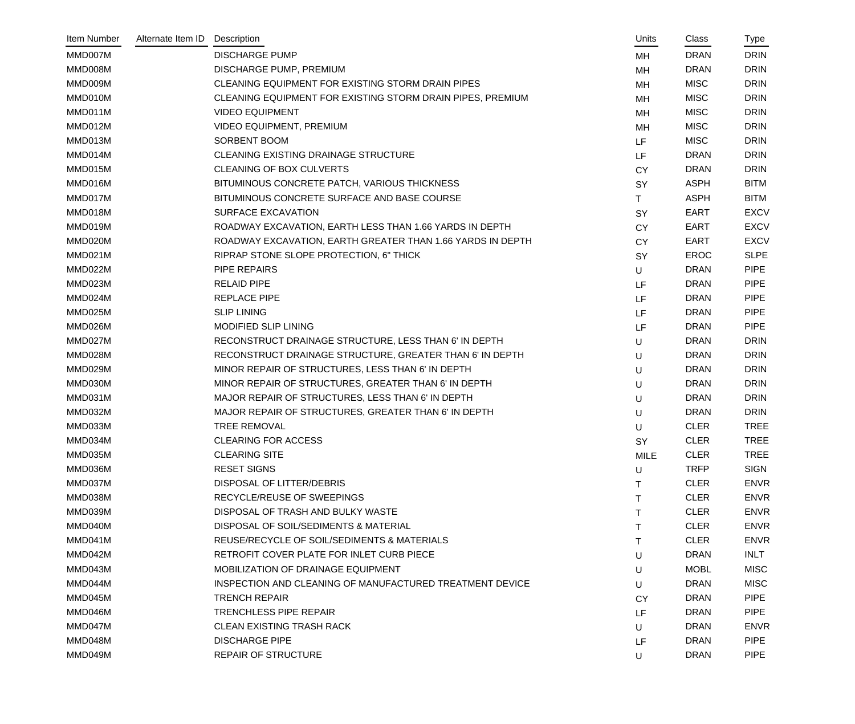| Item Number | Alternate Item ID | Description                                                | Units     | Class       | Type        |
|-------------|-------------------|------------------------------------------------------------|-----------|-------------|-------------|
| MMD007M     |                   | <b>DISCHARGE PUMP</b>                                      | MH        | <b>DRAN</b> | <b>DRIN</b> |
| MMD008M     |                   | DISCHARGE PUMP, PREMIUM                                    | MH        | <b>DRAN</b> | <b>DRIN</b> |
| MMD009M     |                   | CLEANING EQUIPMENT FOR EXISTING STORM DRAIN PIPES          | MH        | <b>MISC</b> | <b>DRIN</b> |
| MMD010M     |                   | CLEANING EQUIPMENT FOR EXISTING STORM DRAIN PIPES, PREMIUM | MH        | <b>MISC</b> | <b>DRIN</b> |
| MMD011M     |                   | <b>VIDEO EQUIPMENT</b>                                     | MH        | <b>MISC</b> | <b>DRIN</b> |
| MMD012M     |                   | <b>VIDEO EQUIPMENT, PREMIUM</b>                            | MH        | <b>MISC</b> | <b>DRIN</b> |
| MMD013M     |                   | SORBENT BOOM                                               | <b>LF</b> | <b>MISC</b> | <b>DRIN</b> |
| MMD014M     |                   | CLEANING EXISTING DRAINAGE STRUCTURE                       | LF        | <b>DRAN</b> | <b>DRIN</b> |
| MMD015M     |                   | <b>CLEANING OF BOX CULVERTS</b>                            | <b>CY</b> | <b>DRAN</b> | <b>DRIN</b> |
| MMD016M     |                   | BITUMINOUS CONCRETE PATCH, VARIOUS THICKNESS               | SY        | <b>ASPH</b> | <b>BITM</b> |
| MMD017M     |                   | BITUMINOUS CONCRETE SURFACE AND BASE COURSE                | T.        | <b>ASPH</b> | <b>BITM</b> |
| MMD018M     |                   | SURFACE EXCAVATION                                         | SY        | <b>EART</b> | <b>EXCV</b> |
| MMD019M     |                   | ROADWAY EXCAVATION, EARTH LESS THAN 1.66 YARDS IN DEPTH    | <b>CY</b> | EART        | <b>EXCV</b> |
| MMD020M     |                   | ROADWAY EXCAVATION, EARTH GREATER THAN 1.66 YARDS IN DEPTH | <b>CY</b> | <b>EART</b> | <b>EXCV</b> |
| MMD021M     |                   | RIPRAP STONE SLOPE PROTECTION, 6" THICK                    | <b>SY</b> | <b>EROC</b> | <b>SLPE</b> |
| MMD022M     |                   | <b>PIPE REPAIRS</b>                                        | U         | <b>DRAN</b> | <b>PIPE</b> |
| MMD023M     |                   | <b>RELAID PIPE</b>                                         | LF        | <b>DRAN</b> | <b>PIPE</b> |
| MMD024M     |                   | <b>REPLACE PIPE</b>                                        | LF        | <b>DRAN</b> | <b>PIPE</b> |
| MMD025M     |                   | <b>SLIP LINING</b>                                         | LF        | <b>DRAN</b> | <b>PIPE</b> |
| MMD026M     |                   | MODIFIED SLIP LINING                                       | LF        | <b>DRAN</b> | <b>PIPE</b> |
| MMD027M     |                   | RECONSTRUCT DRAINAGE STRUCTURE, LESS THAN 6' IN DEPTH      | U         | <b>DRAN</b> | <b>DRIN</b> |
| MMD028M     |                   | RECONSTRUCT DRAINAGE STRUCTURE, GREATER THAN 6' IN DEPTH   | U         | <b>DRAN</b> | <b>DRIN</b> |
| MMD029M     |                   | MINOR REPAIR OF STRUCTURES, LESS THAN 6' IN DEPTH          | U         | <b>DRAN</b> | <b>DRIN</b> |
| MMD030M     |                   | MINOR REPAIR OF STRUCTURES, GREATER THAN 6' IN DEPTH       | U         | <b>DRAN</b> | <b>DRIN</b> |
| MMD031M     |                   | MAJOR REPAIR OF STRUCTURES, LESS THAN 6' IN DEPTH          | U         | <b>DRAN</b> | <b>DRIN</b> |
| MMD032M     |                   | MAJOR REPAIR OF STRUCTURES, GREATER THAN 6' IN DEPTH       | U         | <b>DRAN</b> | <b>DRIN</b> |
| MMD033M     |                   | <b>TREE REMOVAL</b>                                        | U         | <b>CLER</b> | <b>TREE</b> |
| MMD034M     |                   | <b>CLEARING FOR ACCESS</b>                                 | SY        | <b>CLER</b> | <b>TREE</b> |
| MMD035M     |                   | <b>CLEARING SITE</b>                                       | MILE      | <b>CLER</b> | <b>TREE</b> |
| MMD036M     |                   | <b>RESET SIGNS</b>                                         | U         | <b>TRFP</b> | <b>SIGN</b> |
| MMD037M     |                   | DISPOSAL OF LITTER/DEBRIS                                  |           | <b>CLER</b> | <b>ENVR</b> |
| MMD038M     |                   | RECYCLE/REUSE OF SWEEPINGS                                 | т         | <b>CLER</b> | <b>ENVR</b> |
| MMD039M     |                   | DISPOSAL OF TRASH AND BULKY WASTE                          | т         | <b>CLER</b> | <b>ENVR</b> |
| MMD040M     |                   | DISPOSAL OF SOIL/SEDIMENTS & MATERIAL                      | т         | <b>CLER</b> | <b>ENVR</b> |
| MMD041M     |                   | REUSE/RECYCLE OF SOIL/SEDIMENTS & MATERIALS                |           | <b>CLER</b> | <b>ENVR</b> |
| MMD042M     |                   | RETROFIT COVER PLATE FOR INLET CURB PIECE                  | U         | <b>DRAN</b> | <b>INLT</b> |
| MMD043M     |                   | MOBILIZATION OF DRAINAGE EQUIPMENT                         | U         | <b>MOBL</b> | <b>MISC</b> |
| MMD044M     |                   | INSPECTION AND CLEANING OF MANUFACTURED TREATMENT DEVICE   | U         | <b>DRAN</b> | <b>MISC</b> |
| MMD045M     |                   | <b>TRENCH REPAIR</b>                                       | <b>CY</b> | <b>DRAN</b> | <b>PIPE</b> |
| MMD046M     |                   | <b>TRENCHLESS PIPE REPAIR</b>                              | LF.       | <b>DRAN</b> | <b>PIPE</b> |
| MMD047M     |                   | <b>CLEAN EXISTING TRASH RACK</b>                           | U         | <b>DRAN</b> | <b>ENVR</b> |
| MMD048M     |                   | <b>DISCHARGE PIPE</b>                                      | LF        | <b>DRAN</b> | <b>PIPE</b> |
| MMD049M     |                   | <b>REPAIR OF STRUCTURE</b>                                 | U         | <b>DRAN</b> | <b>PIPE</b> |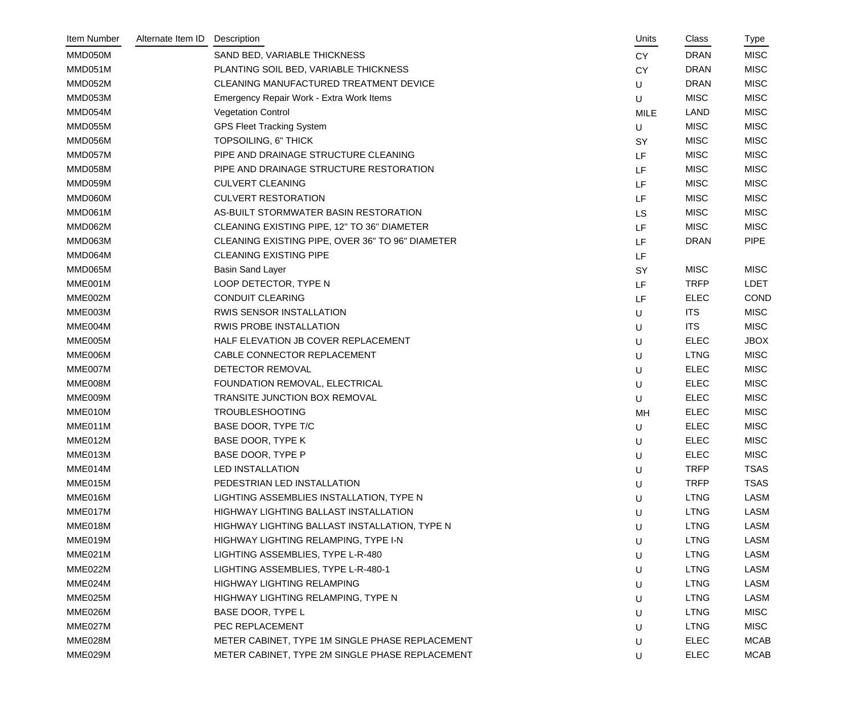| Item Number | Alternate Item ID | Description                                      | Units       | Class       | Type        |
|-------------|-------------------|--------------------------------------------------|-------------|-------------|-------------|
| MMD050M     |                   | SAND BED, VARIABLE THICKNESS                     | <b>CY</b>   | <b>DRAN</b> | <b>MISC</b> |
| MMD051M     |                   | PLANTING SOIL BED, VARIABLE THICKNESS            | <b>CY</b>   | <b>DRAN</b> | <b>MISC</b> |
| MMD052M     |                   | CLEANING MANUFACTURED TREATMENT DEVICE           | U           | <b>DRAN</b> | <b>MISC</b> |
| MMD053M     |                   | Emergency Repair Work - Extra Work Items         | U           | <b>MISC</b> | <b>MISC</b> |
| MMD054M     |                   | <b>Vegetation Control</b>                        | <b>MILE</b> | <b>LAND</b> | <b>MISC</b> |
| MMD055M     |                   | <b>GPS Fleet Tracking System</b>                 | U           | <b>MISC</b> | <b>MISC</b> |
| MMD056M     |                   | TOPSOILING, 6" THICK                             | <b>SY</b>   | <b>MISC</b> | <b>MISC</b> |
| MMD057M     |                   | PIPE AND DRAINAGE STRUCTURE CLEANING             | LF          | <b>MISC</b> | <b>MISC</b> |
| MMD058M     |                   | PIPE AND DRAINAGE STRUCTURE RESTORATION          | LF          | <b>MISC</b> | <b>MISC</b> |
| MMD059M     |                   | <b>CULVERT CLEANING</b>                          | LF          | <b>MISC</b> | <b>MISC</b> |
| MMD060M     |                   | <b>CULVERT RESTORATION</b>                       | LF          | <b>MISC</b> | <b>MISC</b> |
| MMD061M     |                   | AS-BUILT STORMWATER BASIN RESTORATION            | LS          | <b>MISC</b> | <b>MISC</b> |
| MMD062M     |                   | CLEANING EXISTING PIPE, 12" TO 36" DIAMETER      | LF          | <b>MISC</b> | <b>MISC</b> |
| MMD063M     |                   | CLEANING EXISTING PIPE, OVER 36" TO 96" DIAMETER | LF          | <b>DRAN</b> | <b>PIPE</b> |
| MMD064M     |                   | <b>CLEANING EXISTING PIPE</b>                    | LF          |             |             |
| MMD065M     |                   | <b>Basin Sand Layer</b>                          | <b>SY</b>   | <b>MISC</b> | <b>MISC</b> |
| MME001M     |                   | LOOP DETECTOR, TYPE N                            | LF          | <b>TRFP</b> | <b>LDET</b> |
| MME002M     |                   | <b>CONDUIT CLEARING</b>                          | LF          | <b>ELEC</b> | <b>COND</b> |
| MME003M     |                   | RWIS SENSOR INSTALLATION                         | U           | <b>ITS</b>  | <b>MISC</b> |
| MME004M     |                   | <b>RWIS PROBE INSTALLATION</b>                   | U           | <b>ITS</b>  | <b>MISC</b> |
| MME005M     |                   | HALF ELEVATION JB COVER REPLACEMENT              | U           | <b>ELEC</b> | <b>JBOX</b> |
| MME006M     |                   | CABLE CONNECTOR REPLACEMENT                      | U           | <b>LTNG</b> | <b>MISC</b> |
| MME007M     |                   | DETECTOR REMOVAL                                 | U           | <b>ELEC</b> | <b>MISC</b> |
| MME008M     |                   | FOUNDATION REMOVAL, ELECTRICAL                   | U           | <b>ELEC</b> | <b>MISC</b> |
| MME009M     |                   | TRANSITE JUNCTION BOX REMOVAL                    | U           | <b>ELEC</b> | <b>MISC</b> |
| MME010M     |                   | <b>TROUBLESHOOTING</b>                           | MH          | <b>ELEC</b> | <b>MISC</b> |
| MME011M     |                   | BASE DOOR, TYPE T/C                              | U           | <b>ELEC</b> | <b>MISC</b> |
| MME012M     |                   | BASE DOOR, TYPE K                                | U           | <b>ELEC</b> | <b>MISC</b> |
| MME013M     |                   | BASE DOOR, TYPE P                                | U           | <b>ELEC</b> | <b>MISC</b> |
| MME014M     |                   | <b>LED INSTALLATION</b>                          | U           | <b>TRFP</b> | <b>TSAS</b> |
| MME015M     |                   | PEDESTRIAN LED INSTALLATION                      | U           | <b>TRFP</b> | <b>TSAS</b> |
| MME016M     |                   | LIGHTING ASSEMBLIES INSTALLATION, TYPE N         | U           | <b>LTNG</b> | <b>LASM</b> |
| MME017M     |                   | HIGHWAY LIGHTING BALLAST INSTALLATION            | U           | <b>LTNG</b> | <b>LASM</b> |
| MME018M     |                   | HIGHWAY LIGHTING BALLAST INSTALLATION, TYPE N    | U           | <b>LTNG</b> | <b>LASM</b> |
| MME019M     |                   | HIGHWAY LIGHTING RELAMPING, TYPE I-N             | U           | <b>LTNG</b> | LASM        |
| MME021M     |                   | LIGHTING ASSEMBLIES, TYPE L-R-480                | U           | <b>LTNG</b> | <b>LASM</b> |
| MME022M     |                   | LIGHTING ASSEMBLIES, TYPE L-R-480-1              | U           | <b>LTNG</b> | <b>LASM</b> |
| MME024M     |                   | <b>HIGHWAY LIGHTING RELAMPING</b>                | U           | <b>LTNG</b> | <b>LASM</b> |
| MME025M     |                   | HIGHWAY LIGHTING RELAMPING, TYPE N               | U           | <b>LTNG</b> | <b>LASM</b> |
| MME026M     |                   | BASE DOOR, TYPE L                                | U           | <b>LTNG</b> | <b>MISC</b> |
| MME027M     |                   | PEC REPLACEMENT                                  | U           | <b>LTNG</b> | <b>MISC</b> |
| MME028M     |                   | METER CABINET, TYPE 1M SINGLE PHASE REPLACEMENT  | U           | <b>ELEC</b> | <b>MCAB</b> |
| MME029M     |                   | METER CABINET, TYPE 2M SINGLE PHASE REPLACEMENT  | U           | <b>ELEC</b> | <b>MCAB</b> |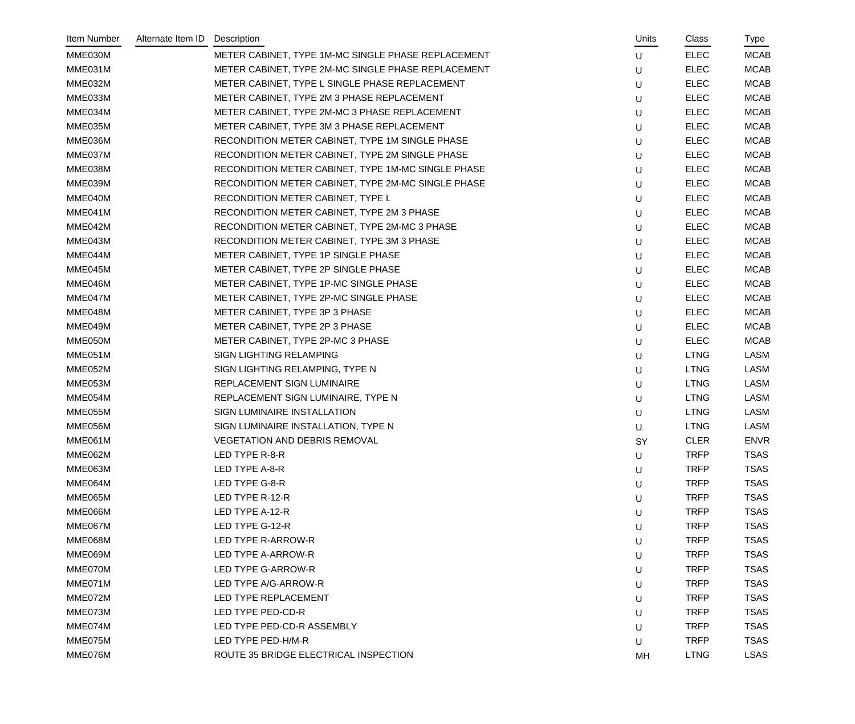| Item Number | Alternate Item ID | Description                                        | Units | Class       | Type        |
|-------------|-------------------|----------------------------------------------------|-------|-------------|-------------|
| MME030M     |                   | METER CABINET, TYPE 1M-MC SINGLE PHASE REPLACEMENT | U     | <b>ELEC</b> | <b>MCAB</b> |
| MME031M     |                   | METER CABINET, TYPE 2M-MC SINGLE PHASE REPLACEMENT | U     | <b>ELEC</b> | <b>MCAB</b> |
| MME032M     |                   | METER CABINET, TYPE L SINGLE PHASE REPLACEMENT     | U     | <b>ELEC</b> | <b>MCAB</b> |
| MME033M     |                   | METER CABINET, TYPE 2M 3 PHASE REPLACEMENT         | U     | <b>ELEC</b> | <b>MCAB</b> |
| MME034M     |                   | METER CABINET, TYPE 2M-MC 3 PHASE REPLACEMENT      | U     | <b>ELEC</b> | <b>MCAB</b> |
| MME035M     |                   | METER CABINET, TYPE 3M 3 PHASE REPLACEMENT         | U     | <b>ELEC</b> | <b>MCAB</b> |
| MME036M     |                   | RECONDITION METER CABINET, TYPE 1M SINGLE PHASE    | U     | <b>ELEC</b> | <b>MCAB</b> |
| MME037M     |                   | RECONDITION METER CABINET, TYPE 2M SINGLE PHASE    | U     | <b>ELEC</b> | <b>MCAB</b> |
| MME038M     |                   | RECONDITION METER CABINET, TYPE 1M-MC SINGLE PHASE | U     | <b>ELEC</b> | <b>MCAB</b> |
| MME039M     |                   | RECONDITION METER CABINET, TYPE 2M-MC SINGLE PHASE | U     | <b>ELEC</b> | <b>MCAB</b> |
| MME040M     |                   | RECONDITION METER CABINET, TYPE L                  | U     | <b>ELEC</b> | <b>MCAB</b> |
| MME041M     |                   | RECONDITION METER CABINET, TYPE 2M 3 PHASE         | U     | <b>ELEC</b> | <b>MCAB</b> |
| MME042M     |                   | RECONDITION METER CABINET, TYPE 2M-MC 3 PHASE      | U     | <b>ELEC</b> | <b>MCAB</b> |
| MME043M     |                   | RECONDITION METER CABINET, TYPE 3M 3 PHASE         | U     | <b>ELEC</b> | <b>MCAB</b> |
| MME044M     |                   | METER CABINET, TYPE 1P SINGLE PHASE                | U     | <b>ELEC</b> | <b>MCAB</b> |
| MME045M     |                   | METER CABINET, TYPE 2P SINGLE PHASE                | U     | <b>ELEC</b> | <b>MCAB</b> |
| MME046M     |                   | METER CABINET, TYPE 1P-MC SINGLE PHASE             | U     | <b>ELEC</b> | <b>MCAB</b> |
| MME047M     |                   | METER CABINET, TYPE 2P-MC SINGLE PHASE             | U     | <b>ELEC</b> | <b>MCAB</b> |
| MME048M     |                   | METER CABINET, TYPE 3P 3 PHASE                     | U     | <b>ELEC</b> | <b>MCAB</b> |
| MME049M     |                   | METER CABINET, TYPE 2P 3 PHASE                     | U     | <b>ELEC</b> | <b>MCAB</b> |
| MME050M     |                   | METER CABINET, TYPE 2P-MC 3 PHASE                  | U     | <b>ELEC</b> | <b>MCAB</b> |
| MME051M     |                   | SIGN LIGHTING RELAMPING                            | U     | <b>LTNG</b> | LASM        |
| MME052M     |                   | SIGN LIGHTING RELAMPING, TYPE N                    | U     | <b>LTNG</b> | LASM        |
| MME053M     |                   | REPLACEMENT SIGN LUMINAIRE                         | U     | <b>LTNG</b> | <b>LASM</b> |
| MME054M     |                   | REPLACEMENT SIGN LUMINAIRE, TYPE N                 | U     | <b>LTNG</b> | LASM        |
| MME055M     |                   | SIGN LUMINAIRE INSTALLATION                        | U     | <b>LTNG</b> | LASM        |
| MME056M     |                   | SIGN LUMINAIRE INSTALLATION, TYPE N                | U     | <b>LTNG</b> | <b>LASM</b> |
| MME061M     |                   | <b>VEGETATION AND DEBRIS REMOVAL</b>               | SY    | <b>CLER</b> | <b>ENVR</b> |
| MME062M     |                   | LED TYPE R-8-R                                     | U     | <b>TRFP</b> | <b>TSAS</b> |
| MME063M     |                   | LED TYPE A-8-R                                     | U     | <b>TRFP</b> | <b>TSAS</b> |
| MME064M     |                   | LED TYPE G-8-R                                     | U     | <b>TRFP</b> | <b>TSAS</b> |
| MME065M     |                   | LED TYPE R-12-R                                    | U     | <b>TRFP</b> | <b>TSAS</b> |
| MME066M     |                   | LED TYPE A-12-R                                    | U     | <b>TRFP</b> | <b>TSAS</b> |
| MME067M     |                   | LED TYPE G-12-R                                    | U     | <b>TRFP</b> | <b>TSAS</b> |
| MME068M     |                   | LED TYPE R-ARROW-R                                 | U     | <b>TRFP</b> | <b>TSAS</b> |
| MME069M     |                   | LED TYPE A-ARROW-R                                 | U     | <b>TRFP</b> | <b>TSAS</b> |
| MME070M     |                   | LED TYPE G-ARROW-R                                 | U     | <b>TRFP</b> | <b>TSAS</b> |
| MME071M     |                   | LED TYPE A/G-ARROW-R                               | U     | <b>TRFP</b> | <b>TSAS</b> |
| MME072M     |                   | LED TYPE REPLACEMENT                               | U     | <b>TRFP</b> | <b>TSAS</b> |
| MME073M     |                   | LED TYPE PED-CD-R                                  | U     | <b>TRFP</b> | <b>TSAS</b> |
| MME074M     |                   | LED TYPE PED-CD-R ASSEMBLY                         | U     | <b>TRFP</b> | <b>TSAS</b> |
| MME075M     |                   | LED TYPE PED-H/M-R                                 | U     | <b>TRFP</b> | <b>TSAS</b> |
| MME076M     |                   | ROUTE 35 BRIDGE ELECTRICAL INSPECTION              | MH    | <b>LTNG</b> | <b>LSAS</b> |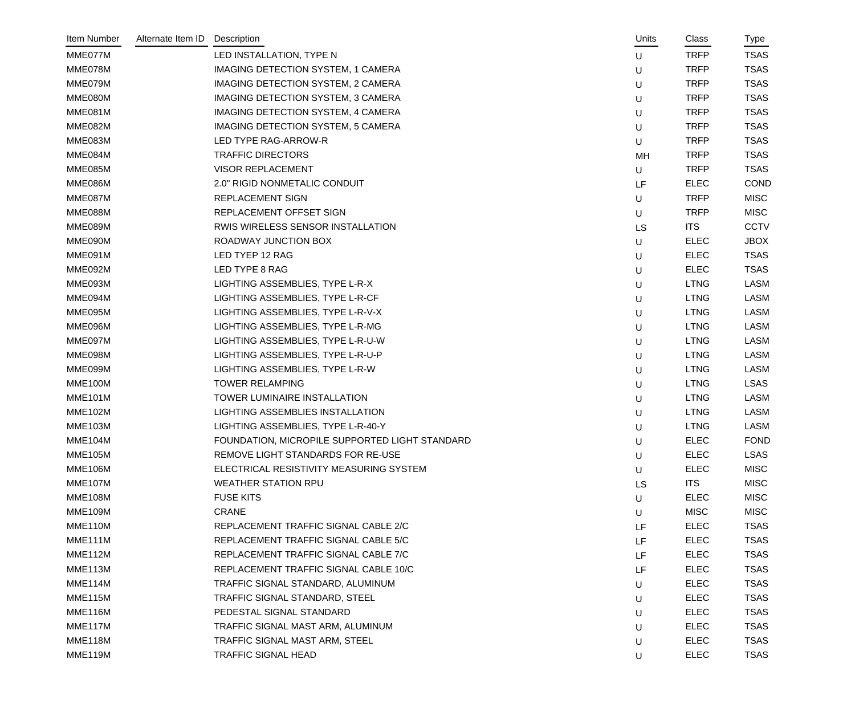| Item Number    | Alternate Item ID | Description                                    | Units | Class       | Type        |
|----------------|-------------------|------------------------------------------------|-------|-------------|-------------|
| MME077M        |                   | LED INSTALLATION, TYPE N                       | U     | <b>TRFP</b> | <b>TSAS</b> |
| MME078M        |                   | IMAGING DETECTION SYSTEM, 1 CAMERA             | U     | <b>TRFP</b> | <b>TSAS</b> |
| MME079M        |                   | IMAGING DETECTION SYSTEM, 2 CAMERA             | U     | <b>TRFP</b> | <b>TSAS</b> |
| MME080M        |                   | <b>IMAGING DETECTION SYSTEM, 3 CAMERA</b>      | U     | <b>TRFP</b> | <b>TSAS</b> |
| MME081M        |                   | IMAGING DETECTION SYSTEM, 4 CAMERA             | U     | <b>TRFP</b> | <b>TSAS</b> |
| MME082M        |                   | IMAGING DETECTION SYSTEM, 5 CAMERA             | U     | <b>TRFP</b> | <b>TSAS</b> |
| MME083M        |                   | LED TYPE RAG-ARROW-R                           | U     | <b>TRFP</b> | <b>TSAS</b> |
| MME084M        |                   | <b>TRAFFIC DIRECTORS</b>                       | MH    | <b>TRFP</b> | <b>TSAS</b> |
| MME085M        |                   | <b>VISOR REPLACEMENT</b>                       | U     | <b>TRFP</b> | <b>TSAS</b> |
| MME086M        |                   | 2.0" RIGID NONMETALIC CONDUIT                  | LF    | <b>ELEC</b> | COND        |
| MME087M        |                   | REPLACEMENT SIGN                               | U     | <b>TRFP</b> | <b>MISC</b> |
| MME088M        |                   | REPLACEMENT OFFSET SIGN                        | U     | <b>TRFP</b> | <b>MISC</b> |
| MME089M        |                   | RWIS WIRELESS SENSOR INSTALLATION              | LS    | <b>ITS</b>  | <b>CCTV</b> |
| MME090M        |                   | ROADWAY JUNCTION BOX                           | U     | <b>ELEC</b> | <b>JBOX</b> |
| MME091M        |                   | LED TYEP 12 RAG                                | U     | <b>ELEC</b> | <b>TSAS</b> |
| MME092M        |                   | LED TYPE 8 RAG                                 | U     | <b>ELEC</b> | <b>TSAS</b> |
| MME093M        |                   | LIGHTING ASSEMBLIES, TYPE L-R-X                | U     | <b>LTNG</b> | LASM        |
| MME094M        |                   | LIGHTING ASSEMBLIES, TYPE L-R-CF               | U     | <b>LTNG</b> | <b>LASM</b> |
| MME095M        |                   | LIGHTING ASSEMBLIES, TYPE L-R-V-X              | U     | <b>LTNG</b> | <b>LASM</b> |
| MME096M        |                   | LIGHTING ASSEMBLIES, TYPE L-R-MG               | U     | <b>LTNG</b> | <b>LASM</b> |
| MME097M        |                   | LIGHTING ASSEMBLIES, TYPE L-R-U-W              | U     | <b>LTNG</b> | <b>LASM</b> |
| MME098M        |                   | LIGHTING ASSEMBLIES, TYPE L-R-U-P              | U     | <b>LTNG</b> | LASM        |
| MME099M        |                   | LIGHTING ASSEMBLIES, TYPE L-R-W                | U     | <b>LTNG</b> | LASM        |
| MME100M        |                   | <b>TOWER RELAMPING</b>                         | U     | <b>LTNG</b> | <b>LSAS</b> |
| MME101M        |                   | TOWER LUMINAIRE INSTALLATION                   | U     | <b>LTNG</b> | <b>LASM</b> |
| <b>MME102M</b> |                   | LIGHTING ASSEMBLIES INSTALLATION               | U     | <b>LTNG</b> | LASM        |
| <b>MME103M</b> |                   | LIGHTING ASSEMBLIES, TYPE L-R-40-Y             | U     | <b>LTNG</b> | <b>LASM</b> |
| <b>MME104M</b> |                   | FOUNDATION, MICROPILE SUPPORTED LIGHT STANDARD | U     | <b>ELEC</b> | <b>FOND</b> |
| <b>MME105M</b> |                   | REMOVE LIGHT STANDARDS FOR RE-USE              | U     | <b>ELEC</b> | <b>LSAS</b> |
| <b>MME106M</b> |                   | ELECTRICAL RESISTIVITY MEASURING SYSTEM        | U     | <b>ELEC</b> | <b>MISC</b> |
| <b>MME107M</b> |                   | <b>WEATHER STATION RPU</b>                     | LS    | <b>ITS</b>  | <b>MISC</b> |
| MME108M        |                   | <b>FUSE KITS</b>                               | U     | <b>ELEC</b> | <b>MISC</b> |
| <b>MME109M</b> |                   | <b>CRANE</b>                                   | U     | <b>MISC</b> | <b>MISC</b> |
| MME110M        |                   | REPLACEMENT TRAFFIC SIGNAL CABLE 2/C           | LF    | <b>ELEC</b> | <b>TSAS</b> |
| MME111M        |                   | REPLACEMENT TRAFFIC SIGNAL CABLE 5/C           | LF    | <b>ELEC</b> | <b>TSAS</b> |
| MME112M        |                   | REPLACEMENT TRAFFIC SIGNAL CABLE 7/C           | LF    | <b>ELEC</b> | <b>TSAS</b> |
| MME113M        |                   | REPLACEMENT TRAFFIC SIGNAL CABLE 10/C          | LF    | <b>ELEC</b> | <b>TSAS</b> |
| MME114M        |                   | TRAFFIC SIGNAL STANDARD, ALUMINUM              | U     | <b>ELEC</b> | <b>TSAS</b> |
| MME115M        |                   | TRAFFIC SIGNAL STANDARD, STEEL                 | U     | <b>ELEC</b> | <b>TSAS</b> |
| MME116M        |                   | PEDESTAL SIGNAL STANDARD                       | U     | <b>ELEC</b> | <b>TSAS</b> |
| MME117M        |                   | TRAFFIC SIGNAL MAST ARM, ALUMINUM              | U     | <b>ELEC</b> | <b>TSAS</b> |
| MME118M        |                   | TRAFFIC SIGNAL MAST ARM, STEEL                 | U     | <b>ELEC</b> | <b>TSAS</b> |
| <b>MME119M</b> |                   | <b>TRAFFIC SIGNAL HEAD</b>                     | U     | <b>ELEC</b> | <b>TSAS</b> |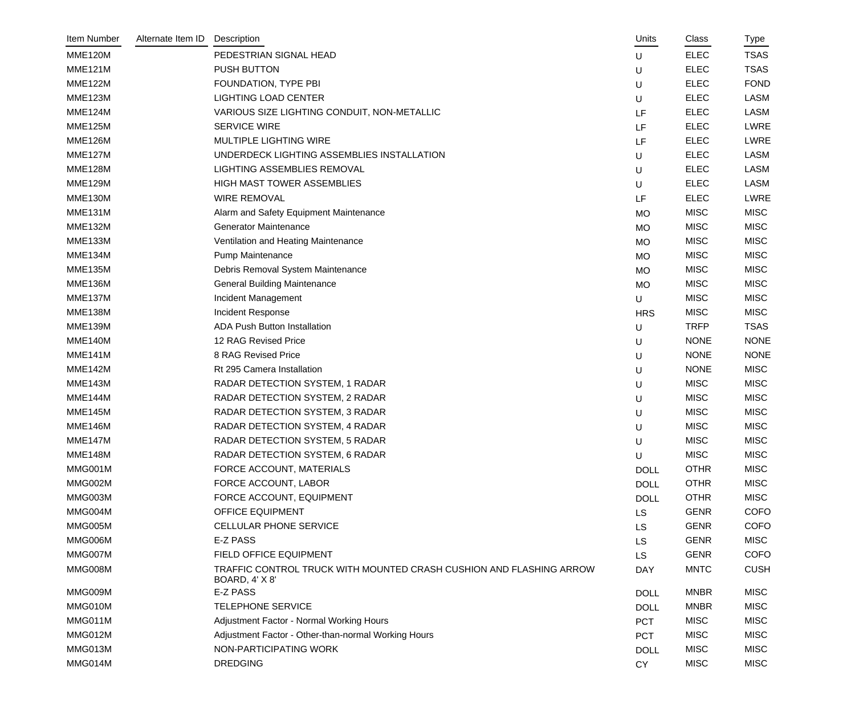| Item Number    | Alternate Item ID | Description                                                                           | Units       | Class       | Type        |
|----------------|-------------------|---------------------------------------------------------------------------------------|-------------|-------------|-------------|
| <b>MME120M</b> |                   | PEDESTRIAN SIGNAL HEAD                                                                | U           | <b>ELEC</b> | <b>TSAS</b> |
| <b>MME121M</b> |                   | PUSH BUTTON                                                                           | U           | <b>ELEC</b> | <b>TSAS</b> |
| <b>MME122M</b> |                   | FOUNDATION, TYPE PBI                                                                  | U           | <b>ELEC</b> | <b>FOND</b> |
| <b>MME123M</b> |                   | <b>LIGHTING LOAD CENTER</b>                                                           | U           | <b>ELEC</b> | <b>LASM</b> |
| <b>MME124M</b> |                   | VARIOUS SIZE LIGHTING CONDUIT, NON-METALLIC                                           | LF          | <b>ELEC</b> | <b>LASM</b> |
| <b>MME125M</b> |                   | <b>SERVICE WIRE</b>                                                                   | LF          | <b>ELEC</b> | <b>LWRE</b> |
| <b>MME126M</b> |                   | MULTIPLE LIGHTING WIRE                                                                | LF          | <b>ELEC</b> | LWRE        |
| <b>MME127M</b> |                   | UNDERDECK LIGHTING ASSEMBLIES INSTALLATION                                            | U           | <b>ELEC</b> | <b>LASM</b> |
| <b>MME128M</b> |                   | LIGHTING ASSEMBLIES REMOVAL                                                           | U           | <b>ELEC</b> | <b>LASM</b> |
| <b>MME129M</b> |                   | HIGH MAST TOWER ASSEMBLIES                                                            | U           | <b>ELEC</b> | <b>LASM</b> |
| <b>MME130M</b> |                   | <b>WIRE REMOVAL</b>                                                                   | LF          | <b>ELEC</b> | <b>LWRE</b> |
| MME131M        |                   | Alarm and Safety Equipment Maintenance                                                | <b>MO</b>   | <b>MISC</b> | <b>MISC</b> |
| <b>MME132M</b> |                   | <b>Generator Maintenance</b>                                                          | <b>MO</b>   | <b>MISC</b> | <b>MISC</b> |
| <b>MME133M</b> |                   | Ventilation and Heating Maintenance                                                   | <b>MO</b>   | <b>MISC</b> | <b>MISC</b> |
| MME134M        |                   | Pump Maintenance                                                                      | <b>MO</b>   | <b>MISC</b> | <b>MISC</b> |
| <b>MME135M</b> |                   | Debris Removal System Maintenance                                                     | <b>MO</b>   | <b>MISC</b> | <b>MISC</b> |
| <b>MME136M</b> |                   | <b>General Building Maintenance</b>                                                   | <b>MO</b>   | <b>MISC</b> | <b>MISC</b> |
| <b>MME137M</b> |                   | Incident Management                                                                   | U           | <b>MISC</b> | <b>MISC</b> |
| <b>MME138M</b> |                   | Incident Response                                                                     | <b>HRS</b>  | <b>MISC</b> | <b>MISC</b> |
| <b>MME139M</b> |                   | <b>ADA Push Button Installation</b>                                                   | $\mathsf U$ | <b>TRFP</b> | <b>TSAS</b> |
| <b>MME140M</b> |                   | 12 RAG Revised Price                                                                  | U           | <b>NONE</b> | <b>NONE</b> |
| <b>MME141M</b> |                   | 8 RAG Revised Price                                                                   | U           | <b>NONE</b> | <b>NONE</b> |
| <b>MME142M</b> |                   | Rt 295 Camera Installation                                                            | U           | <b>NONE</b> | <b>MISC</b> |
| <b>MME143M</b> |                   | RADAR DETECTION SYSTEM, 1 RADAR                                                       | U           | <b>MISC</b> | <b>MISC</b> |
| <b>MME144M</b> |                   | RADAR DETECTION SYSTEM, 2 RADAR                                                       | U           | <b>MISC</b> | <b>MISC</b> |
| <b>MME145M</b> |                   | RADAR DETECTION SYSTEM, 3 RADAR                                                       | U           | <b>MISC</b> | <b>MISC</b> |
| <b>MME146M</b> |                   | RADAR DETECTION SYSTEM, 4 RADAR                                                       | U           | <b>MISC</b> | <b>MISC</b> |
| <b>MME147M</b> |                   | RADAR DETECTION SYSTEM, 5 RADAR                                                       | U           | <b>MISC</b> | <b>MISC</b> |
| MME148M        |                   | RADAR DETECTION SYSTEM, 6 RADAR                                                       | U           | <b>MISC</b> | <b>MISC</b> |
| MMG001M        |                   | FORCE ACCOUNT, MATERIALS                                                              | <b>DOLL</b> | <b>OTHR</b> | <b>MISC</b> |
| MMG002M        |                   | FORCE ACCOUNT, LABOR                                                                  | <b>DOLL</b> | <b>OTHR</b> | <b>MISC</b> |
| MMG003M        |                   | FORCE ACCOUNT, EQUIPMENT                                                              | <b>DOLL</b> | <b>OTHR</b> | <b>MISC</b> |
| MMG004M        |                   | <b>OFFICE EQUIPMENT</b>                                                               | LS          | <b>GENR</b> | <b>COFO</b> |
| MMG005M        |                   | CELLULAR PHONE SERVICE                                                                | LS          | <b>GENR</b> | <b>COFO</b> |
| MMG006M        |                   | E-Z PASS                                                                              | <b>LS</b>   | <b>GENR</b> | <b>MISC</b> |
| MMG007M        |                   | FIELD OFFICE EQUIPMENT                                                                | <b>LS</b>   | <b>GENR</b> | <b>COFO</b> |
| MMG008M        |                   | TRAFFIC CONTROL TRUCK WITH MOUNTED CRASH CUSHION AND FLASHING ARROW<br>BOARD, 4' X 8' | <b>DAY</b>  | <b>MNTC</b> | <b>CUSH</b> |
| MMG009M        |                   | E-Z PASS                                                                              | <b>DOLL</b> | <b>MNBR</b> | <b>MISC</b> |
| MMG010M        |                   | <b>TELEPHONE SERVICE</b>                                                              | <b>DOLL</b> | <b>MNBR</b> | <b>MISC</b> |
| MMG011M        |                   | Adjustment Factor - Normal Working Hours                                              | <b>PCT</b>  | <b>MISC</b> | <b>MISC</b> |
| MMG012M        |                   | Adjustment Factor - Other-than-normal Working Hours                                   | <b>PCT</b>  | <b>MISC</b> | <b>MISC</b> |
| MMG013M        |                   | NON-PARTICIPATING WORK                                                                | <b>DOLL</b> | <b>MISC</b> | <b>MISC</b> |
| MMG014M        |                   | <b>DREDGING</b>                                                                       | <b>CY</b>   | <b>MISC</b> | <b>MISC</b> |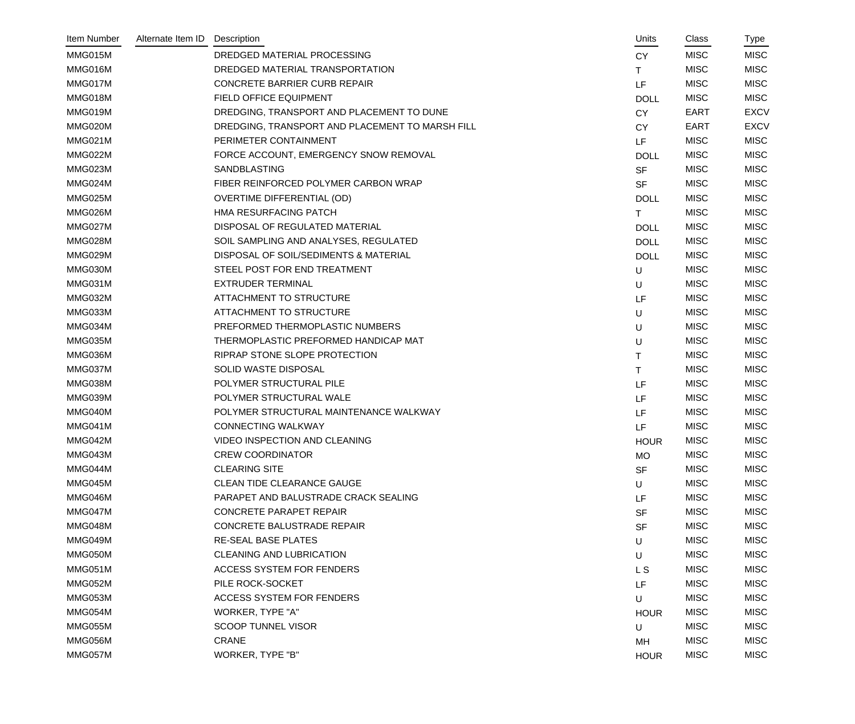| Item Number | Alternate Item ID | Description                                     |           | Units       | Class<br>Type              |  |
|-------------|-------------------|-------------------------------------------------|-----------|-------------|----------------------------|--|
| MMG015M     |                   | DREDGED MATERIAL PROCESSING                     | <b>CY</b> |             | <b>MISC</b><br><b>MISC</b> |  |
| MMG016M     |                   | DREDGED MATERIAL TRANSPORTATION                 | T.        |             | <b>MISC</b><br><b>MISC</b> |  |
| MMG017M     |                   | CONCRETE BARRIER CURB REPAIR                    | LF        |             | <b>MISC</b><br><b>MISC</b> |  |
| MMG018M     |                   | FIELD OFFICE EQUIPMENT                          |           | <b>DOLL</b> | <b>MISC</b><br><b>MISC</b> |  |
| MMG019M     |                   | DREDGING, TRANSPORT AND PLACEMENT TO DUNE       | <b>CY</b> |             | <b>EXCV</b><br><b>EART</b> |  |
| MMG020M     |                   | DREDGING, TRANSPORT AND PLACEMENT TO MARSH FILL | <b>CY</b> |             | <b>EXCV</b><br><b>EART</b> |  |
| MMG021M     |                   | PERIMETER CONTAINMENT                           | LF        |             | <b>MISC</b><br><b>MISC</b> |  |
| MMG022M     |                   | FORCE ACCOUNT, EMERGENCY SNOW REMOVAL           |           | <b>DOLL</b> | <b>MISC</b><br><b>MISC</b> |  |
| MMG023M     |                   | SANDBLASTING                                    | <b>SF</b> |             | <b>MISC</b><br><b>MISC</b> |  |
| MMG024M     |                   | FIBER REINFORCED POLYMER CARBON WRAP            | <b>SF</b> |             | <b>MISC</b><br><b>MISC</b> |  |
| MMG025M     |                   | <b>OVERTIME DIFFERENTIAL (OD)</b>               |           | <b>DOLL</b> | <b>MISC</b><br><b>MISC</b> |  |
| MMG026M     |                   | HMA RESURFACING PATCH                           | Τ         |             | <b>MISC</b><br><b>MISC</b> |  |
| MMG027M     |                   | DISPOSAL OF REGULATED MATERIAL                  |           | <b>DOLL</b> | <b>MISC</b><br><b>MISC</b> |  |
| MMG028M     |                   | SOIL SAMPLING AND ANALYSES, REGULATED           |           | <b>DOLL</b> | <b>MISC</b><br><b>MISC</b> |  |
| MMG029M     |                   | DISPOSAL OF SOIL/SEDIMENTS & MATERIAL           |           | <b>DOLL</b> | <b>MISC</b><br><b>MISC</b> |  |
| MMG030M     |                   | STEEL POST FOR END TREATMENT                    | U         |             | <b>MISC</b><br><b>MISC</b> |  |
| MMG031M     |                   | <b>EXTRUDER TERMINAL</b>                        | U         |             | <b>MISC</b><br><b>MISC</b> |  |
| MMG032M     |                   | <b>ATTACHMENT TO STRUCTURE</b>                  | LF        |             | <b>MISC</b><br><b>MISC</b> |  |
| MMG033M     |                   | <b>ATTACHMENT TO STRUCTURE</b>                  | U         |             | <b>MISC</b><br><b>MISC</b> |  |
| MMG034M     |                   | PREFORMED THERMOPLASTIC NUMBERS                 | U         |             | <b>MISC</b><br><b>MISC</b> |  |
| MMG035M     |                   | THERMOPLASTIC PREFORMED HANDICAP MAT            | U         |             | <b>MISC</b><br><b>MISC</b> |  |
| MMG036M     |                   | RIPRAP STONE SLOPE PROTECTION                   | Τ         |             | <b>MISC</b><br><b>MISC</b> |  |
| MMG037M     |                   | SOLID WASTE DISPOSAL                            | T.        |             | <b>MISC</b><br><b>MISC</b> |  |
| MMG038M     |                   | POLYMER STRUCTURAL PILE                         | LF        |             | <b>MISC</b><br><b>MISC</b> |  |
| MMG039M     |                   | POLYMER STRUCTURAL WALE                         | LF        |             | <b>MISC</b><br><b>MISC</b> |  |
| MMG040M     |                   | POLYMER STRUCTURAL MAINTENANCE WALKWAY          | LF        |             | <b>MISC</b><br><b>MISC</b> |  |
| MMG041M     |                   | <b>CONNECTING WALKWAY</b>                       | LF        |             | <b>MISC</b><br><b>MISC</b> |  |
| MMG042M     |                   | VIDEO INSPECTION AND CLEANING                   |           | <b>HOUR</b> | <b>MISC</b><br><b>MISC</b> |  |
| MMG043M     |                   | <b>CREW COORDINATOR</b>                         | <b>MO</b> |             | <b>MISC</b><br><b>MISC</b> |  |
| MMG044M     |                   | <b>CLEARING SITE</b>                            | <b>SF</b> |             | <b>MISC</b><br><b>MISC</b> |  |
| MMG045M     |                   | CLEAN TIDE CLEARANCE GAUGE                      | U         |             | <b>MISC</b><br><b>MISC</b> |  |
| MMG046M     |                   | PARAPET AND BALUSTRADE CRACK SEALING            | LF        |             | <b>MISC</b><br><b>MISC</b> |  |
| MMG047M     |                   | <b>CONCRETE PARAPET REPAIR</b>                  | <b>SF</b> |             | <b>MISC</b><br><b>MISC</b> |  |
| MMG048M     |                   | CONCRETE BALUSTRADE REPAIR                      | <b>SF</b> |             | <b>MISC</b><br><b>MISC</b> |  |
| MMG049M     |                   | <b>RE-SEAL BASE PLATES</b>                      | U         |             | <b>MISC</b><br><b>MISC</b> |  |
| MMG050M     |                   | <b>CLEANING AND LUBRICATION</b>                 | U         |             | <b>MISC</b><br><b>MISC</b> |  |
| MMG051M     |                   | <b>ACCESS SYSTEM FOR FENDERS</b>                | L S       |             | <b>MISC</b><br><b>MISC</b> |  |
| MMG052M     |                   | PILE ROCK-SOCKET                                | LF        |             | <b>MISC</b><br><b>MISC</b> |  |
| MMG053M     |                   | <b>ACCESS SYSTEM FOR FENDERS</b>                | U         |             | <b>MISC</b><br><b>MISC</b> |  |
| MMG054M     |                   | WORKER, TYPE "A"                                |           | <b>HOUR</b> | <b>MISC</b><br><b>MISC</b> |  |
| MMG055M     |                   | <b>SCOOP TUNNEL VISOR</b>                       | U         |             | <b>MISC</b><br><b>MISC</b> |  |
| MMG056M     |                   | <b>CRANE</b>                                    | MH        |             | <b>MISC</b><br><b>MISC</b> |  |
| MMG057M     |                   | <b>WORKER, TYPE "B"</b>                         |           | <b>HOUR</b> | <b>MISC</b><br><b>MISC</b> |  |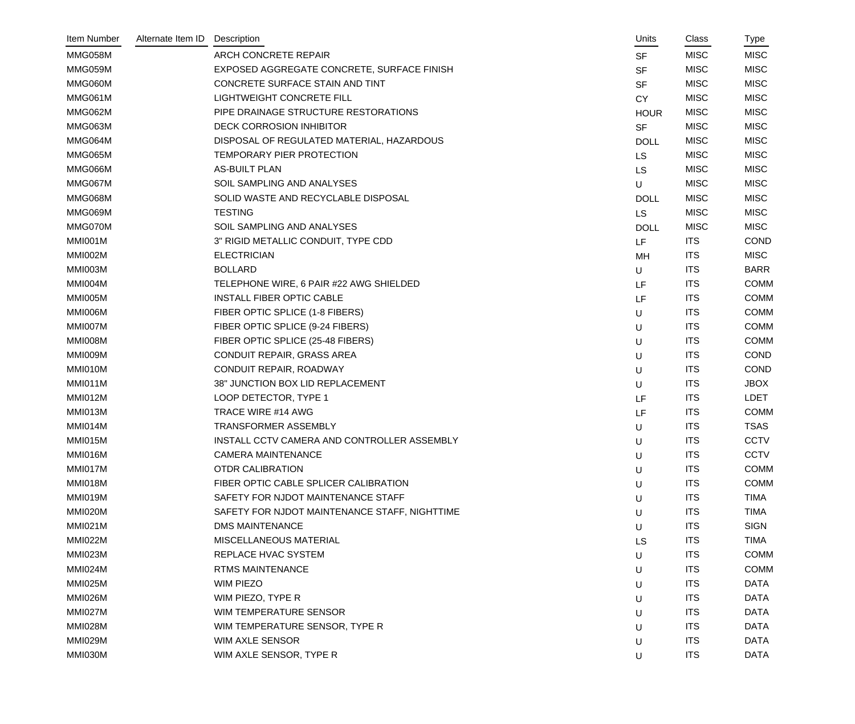| Item Number    | Alternate Item ID | Description                                   | Units       | Class       | Type        |
|----------------|-------------------|-----------------------------------------------|-------------|-------------|-------------|
| MMG058M        |                   | <b>ARCH CONCRETE REPAIR</b>                   | <b>SF</b>   | <b>MISC</b> | <b>MISC</b> |
| MMG059M        |                   | EXPOSED AGGREGATE CONCRETE, SURFACE FINISH    | <b>SF</b>   | <b>MISC</b> | <b>MISC</b> |
| MMG060M        |                   | CONCRETE SURFACE STAIN AND TINT               | <b>SF</b>   | <b>MISC</b> | <b>MISC</b> |
| MMG061M        |                   | <b>LIGHTWEIGHT CONCRETE FILL</b>              | <b>CY</b>   | <b>MISC</b> | <b>MISC</b> |
| MMG062M        |                   | PIPE DRAINAGE STRUCTURE RESTORATIONS          | <b>HOUR</b> | <b>MISC</b> | <b>MISC</b> |
| MMG063M        |                   | <b>DECK CORROSION INHIBITOR</b>               | <b>SF</b>   | <b>MISC</b> | <b>MISC</b> |
| MMG064M        |                   | DISPOSAL OF REGULATED MATERIAL, HAZARDOUS     | <b>DOLL</b> | <b>MISC</b> | <b>MISC</b> |
| MMG065M        |                   | TEMPORARY PIER PROTECTION                     | <b>LS</b>   | <b>MISC</b> | <b>MISC</b> |
| MMG066M        |                   | <b>AS-BUILT PLAN</b>                          | <b>LS</b>   | <b>MISC</b> | <b>MISC</b> |
| MMG067M        |                   | SOIL SAMPLING AND ANALYSES                    | $\sf U$     | <b>MISC</b> | <b>MISC</b> |
| MMG068M        |                   | SOLID WASTE AND RECYCLABLE DISPOSAL           | <b>DOLL</b> | <b>MISC</b> | <b>MISC</b> |
| MMG069M        |                   | <b>TESTING</b>                                | <b>LS</b>   | <b>MISC</b> | <b>MISC</b> |
| MMG070M        |                   | SOIL SAMPLING AND ANALYSES                    | <b>DOLL</b> | <b>MISC</b> | <b>MISC</b> |
| MMI001M        |                   | 3" RIGID METALLIC CONDUIT, TYPE CDD           | LF          | <b>ITS</b>  | <b>COND</b> |
| MMI002M        |                   | <b>ELECTRICIAN</b>                            | MH          | <b>ITS</b>  | <b>MISC</b> |
| MMI003M        |                   | <b>BOLLARD</b>                                | U           | <b>ITS</b>  | <b>BARR</b> |
| MMI004M        |                   | TELEPHONE WIRE, 6 PAIR #22 AWG SHIELDED       | LF          | <b>ITS</b>  | <b>COMM</b> |
| MMI005M        |                   | <b>INSTALL FIBER OPTIC CABLE</b>              | LF          | <b>ITS</b>  | <b>COMM</b> |
| MMI006M        |                   | FIBER OPTIC SPLICE (1-8 FIBERS)               | U           | <b>ITS</b>  | <b>COMM</b> |
| MMI007M        |                   | FIBER OPTIC SPLICE (9-24 FIBERS)              | U           | <b>ITS</b>  | <b>COMM</b> |
| MMI008M        |                   | FIBER OPTIC SPLICE (25-48 FIBERS)             | U           | <b>ITS</b>  | <b>COMM</b> |
| MMI009M        |                   | CONDUIT REPAIR, GRASS AREA                    | U           | <b>ITS</b>  | <b>COND</b> |
| MMI010M        |                   | CONDUIT REPAIR, ROADWAY                       | U           | <b>ITS</b>  | <b>COND</b> |
| MMI011M        |                   | 38" JUNCTION BOX LID REPLACEMENT              | U           | <b>ITS</b>  | <b>JBOX</b> |
| MMI012M        |                   | LOOP DETECTOR, TYPE 1                         | LF          | <b>ITS</b>  | <b>LDET</b> |
| MMI013M        |                   | TRACE WIRE #14 AWG                            | LF          | <b>ITS</b>  | <b>COMM</b> |
| MMI014M        |                   | <b>TRANSFORMER ASSEMBLY</b>                   | U           | <b>ITS</b>  | <b>TSAS</b> |
| MMI015M        |                   | INSTALL CCTV CAMERA AND CONTROLLER ASSEMBLY   | U           | <b>ITS</b>  | CCTV        |
| MMI016M        |                   | <b>CAMERA MAINTENANCE</b>                     | U           | <b>ITS</b>  | <b>CCTV</b> |
| MMI017M        |                   | <b>OTDR CALIBRATION</b>                       | U           | <b>ITS</b>  | <b>COMM</b> |
| MMI018M        |                   | FIBER OPTIC CABLE SPLICER CALIBRATION         | U           | <b>ITS</b>  | <b>COMM</b> |
| MMI019M        |                   | SAFETY FOR NJDOT MAINTENANCE STAFF            | U           | <b>ITS</b>  | <b>TIMA</b> |
| MMI020M        |                   | SAFETY FOR NJDOT MAINTENANCE STAFF, NIGHTTIME | U           | <b>ITS</b>  | <b>TIMA</b> |
| <b>MMI021M</b> |                   | <b>DMS MAINTENANCE</b>                        | U           | <b>ITS</b>  | <b>SIGN</b> |
| <b>MMI022M</b> |                   | MISCELLANEOUS MATERIAL                        | LS          | <b>ITS</b>  | <b>TIMA</b> |
| MMI023M        |                   | REPLACE HVAC SYSTEM                           | U           | <b>ITS</b>  | <b>COMM</b> |
| MMI024M        |                   | <b>RTMS MAINTENANCE</b>                       | U           | <b>ITS</b>  | <b>COMM</b> |
| MMI025M        |                   | WIM PIEZO                                     | U           | <b>ITS</b>  | DATA        |
| <b>MMI026M</b> |                   | WIM PIEZO, TYPE R                             | U           | <b>ITS</b>  | <b>DATA</b> |
| MMI027M        |                   | WIM TEMPERATURE SENSOR                        | U           | <b>ITS</b>  | <b>DATA</b> |
| MMI028M        |                   | WIM TEMPERATURE SENSOR, TYPE R                | U           | <b>ITS</b>  | <b>DATA</b> |
| MMI029M        |                   | WIM AXLE SENSOR                               | U           | <b>ITS</b>  | <b>DATA</b> |
| MMI030M        |                   | WIM AXLE SENSOR, TYPE R                       | U           | <b>ITS</b>  | <b>DATA</b> |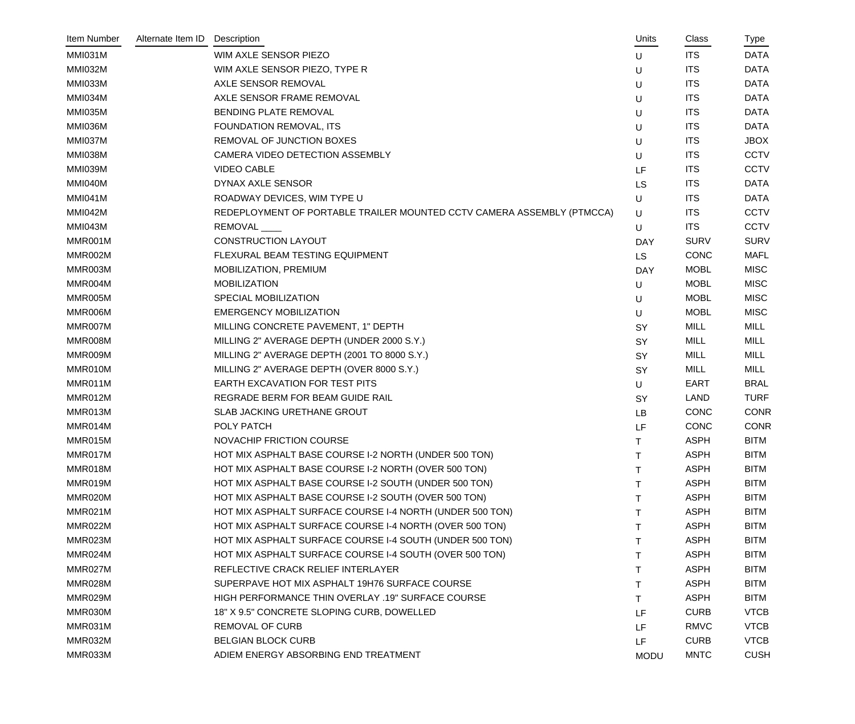| Item Number    | Alternate Item ID | Description                                                            | Units        | Class       | Type        |
|----------------|-------------------|------------------------------------------------------------------------|--------------|-------------|-------------|
| MMI031M        |                   | WIM AXLE SENSOR PIEZO                                                  | U            | <b>ITS</b>  | <b>DATA</b> |
| <b>MMI032M</b> |                   | WIM AXLE SENSOR PIEZO, TYPE R                                          | U            | <b>ITS</b>  | <b>DATA</b> |
| MMI033M        |                   | AXLE SENSOR REMOVAL                                                    | U            | <b>ITS</b>  | <b>DATA</b> |
| MMI034M        |                   | AXLE SENSOR FRAME REMOVAL                                              | U            | <b>ITS</b>  | <b>DATA</b> |
| MMI035M        |                   | BENDING PLATE REMOVAL                                                  | U            | <b>ITS</b>  | <b>DATA</b> |
| MMI036M        |                   | <b>FOUNDATION REMOVAL, ITS</b>                                         | U            | <b>ITS</b>  | <b>DATA</b> |
| MMI037M        |                   | REMOVAL OF JUNCTION BOXES                                              | U            | <b>ITS</b>  | <b>JBOX</b> |
| MMI038M        |                   | CAMERA VIDEO DETECTION ASSEMBLY                                        | U            | <b>ITS</b>  | <b>CCTV</b> |
| MMI039M        |                   | <b>VIDEO CABLE</b>                                                     | LF           | <b>ITS</b>  | <b>CCTV</b> |
| MMI040M        |                   | DYNAX AXLE SENSOR                                                      | LS           | <b>ITS</b>  | <b>DATA</b> |
| <b>MMI041M</b> |                   | ROADWAY DEVICES, WIM TYPE U                                            | U            | <b>ITS</b>  | <b>DATA</b> |
| <b>MMI042M</b> |                   | REDEPLOYMENT OF PORTABLE TRAILER MOUNTED CCTV CAMERA ASSEMBLY (PTMCCA) | $\sf U$      | <b>ITS</b>  | <b>CCTV</b> |
| MMI043M        |                   | REMOVAL                                                                | U            | <b>ITS</b>  | <b>CCTV</b> |
| MMR001M        |                   | <b>CONSTRUCTION LAYOUT</b>                                             | <b>DAY</b>   | <b>SURV</b> | <b>SURV</b> |
| MMR002M        |                   | FLEXURAL BEAM TESTING EQUIPMENT                                        | <b>LS</b>    | <b>CONC</b> | <b>MAFL</b> |
| MMR003M        |                   | MOBILIZATION, PREMIUM                                                  | <b>DAY</b>   | <b>MOBL</b> | <b>MISC</b> |
| MMR004M        |                   | <b>MOBILIZATION</b>                                                    | U            | <b>MOBL</b> | <b>MISC</b> |
| MMR005M        |                   | SPECIAL MOBILIZATION                                                   | U            | <b>MOBL</b> | <b>MISC</b> |
| MMR006M        |                   | <b>EMERGENCY MOBILIZATION</b>                                          | U            | <b>MOBL</b> | <b>MISC</b> |
| MMR007M        |                   | MILLING CONCRETE PAVEMENT, 1" DEPTH                                    | SY           | MILL        | MILL        |
| MMR008M        |                   | MILLING 2" AVERAGE DEPTH (UNDER 2000 S.Y.)                             | SY           | <b>MILL</b> | <b>MILL</b> |
| MMR009M        |                   | MILLING 2" AVERAGE DEPTH (2001 TO 8000 S.Y.)                           | <b>SY</b>    | MILL        | MILL        |
| MMR010M        |                   | MILLING 2" AVERAGE DEPTH (OVER 8000 S.Y.)                              | SY           | <b>MILL</b> | <b>MILL</b> |
| MMR011M        |                   | EARTH EXCAVATION FOR TEST PITS                                         | U            | EART        | <b>BRAL</b> |
| MMR012M        |                   | REGRADE BERM FOR BEAM GUIDE RAIL                                       | <b>SY</b>    | LAND        | <b>TURF</b> |
| MMR013M        |                   | SLAB JACKING URETHANE GROUT                                            | LB           | <b>CONC</b> | <b>CONR</b> |
| MMR014M        |                   | POLY PATCH                                                             | LF           | <b>CONC</b> | <b>CONR</b> |
| MMR015M        |                   | NOVACHIP FRICTION COURSE                                               | $\mathsf{T}$ | <b>ASPH</b> | <b>BITM</b> |
| MMR017M        |                   | HOT MIX ASPHALT BASE COURSE I-2 NORTH (UNDER 500 TON)                  | т            | <b>ASPH</b> | <b>BITM</b> |
| MMR018M        |                   | HOT MIX ASPHALT BASE COURSE I-2 NORTH (OVER 500 TON)                   | Τ            | <b>ASPH</b> | <b>BITM</b> |
| MMR019M        |                   | HOT MIX ASPHALT BASE COURSE I-2 SOUTH (UNDER 500 TON)                  | т            | <b>ASPH</b> | <b>BITM</b> |
| MMR020M        |                   | HOT MIX ASPHALT BASE COURSE I-2 SOUTH (OVER 500 TON)                   | т            | <b>ASPH</b> | <b>BITM</b> |
| MMR021M        |                   | HOT MIX ASPHALT SURFACE COURSE I-4 NORTH (UNDER 500 TON)               | Τ            | <b>ASPH</b> | <b>BITM</b> |
| MMR022M        |                   | HOT MIX ASPHALT SURFACE COURSE I-4 NORTH (OVER 500 TON)                | т            | <b>ASPH</b> | <b>BITM</b> |
| MMR023M        |                   | HOT MIX ASPHALT SURFACE COURSE I-4 SOUTH (UNDER 500 TON)               | Τ            | <b>ASPH</b> | <b>BITM</b> |
| MMR024M        |                   | HOT MIX ASPHALT SURFACE COURSE I-4 SOUTH (OVER 500 TON)                | Τ            | <b>ASPH</b> | <b>BITM</b> |
| MMR027M        |                   | REFLECTIVE CRACK RELIEF INTERLAYER                                     | т            | <b>ASPH</b> | <b>BITM</b> |
| MMR028M        |                   | SUPERPAVE HOT MIX ASPHALT 19H76 SURFACE COURSE                         | Τ            | <b>ASPH</b> | <b>BITM</b> |
| MMR029M        |                   | HIGH PERFORMANCE THIN OVERLAY .19" SURFACE COURSE                      | T.           | <b>ASPH</b> | <b>BITM</b> |
| MMR030M        |                   | 18" X 9.5" CONCRETE SLOPING CURB, DOWELLED                             | LF           | <b>CURB</b> | <b>VTCB</b> |
| MMR031M        |                   | <b>REMOVAL OF CURB</b>                                                 | LF           | <b>RMVC</b> | <b>VTCB</b> |
| MMR032M        |                   | <b>BELGIAN BLOCK CURB</b>                                              | LF           | <b>CURB</b> | <b>VTCB</b> |
| MMR033M        |                   | ADIEM ENERGY ABSORBING END TREATMENT                                   | <b>MODU</b>  | <b>MNTC</b> | <b>CUSH</b> |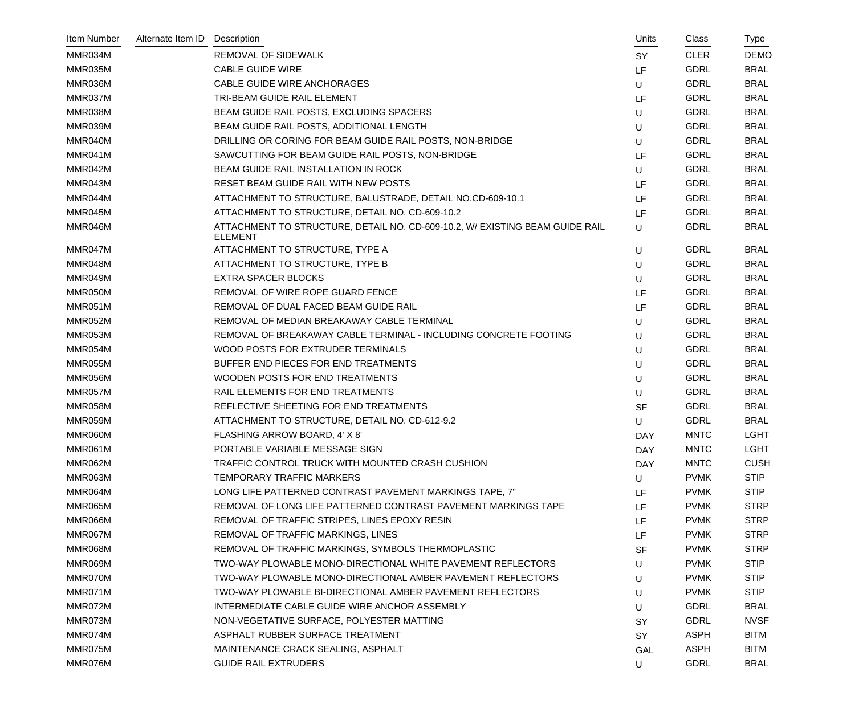| Item Number | Alternate Item ID | Description                                                                                    | Units      | Class       | Type        |
|-------------|-------------------|------------------------------------------------------------------------------------------------|------------|-------------|-------------|
| MMR034M     |                   | <b>REMOVAL OF SIDEWALK</b>                                                                     | <b>SY</b>  | <b>CLER</b> | <b>DEMO</b> |
| MMR035M     |                   | <b>CABLE GUIDE WIRE</b>                                                                        | LF         | <b>GDRL</b> | <b>BRAL</b> |
| MMR036M     |                   | <b>CABLE GUIDE WIRE ANCHORAGES</b>                                                             | U          | <b>GDRL</b> | <b>BRAL</b> |
| MMR037M     |                   | TRI-BEAM GUIDE RAIL ELEMENT                                                                    | LF         | <b>GDRL</b> | <b>BRAL</b> |
| MMR038M     |                   | BEAM GUIDE RAIL POSTS, EXCLUDING SPACERS                                                       | U          | <b>GDRL</b> | <b>BRAL</b> |
| MMR039M     |                   | BEAM GUIDE RAIL POSTS, ADDITIONAL LENGTH                                                       | U          | <b>GDRL</b> | <b>BRAL</b> |
| MMR040M     |                   | DRILLING OR CORING FOR BEAM GUIDE RAIL POSTS, NON-BRIDGE                                       | U          | <b>GDRL</b> | <b>BRAL</b> |
| MMR041M     |                   | SAWCUTTING FOR BEAM GUIDE RAIL POSTS, NON-BRIDGE                                               | LF         | <b>GDRL</b> | <b>BRAL</b> |
| MMR042M     |                   | BEAM GUIDE RAIL INSTALLATION IN ROCK                                                           | U          | <b>GDRL</b> | <b>BRAL</b> |
| MMR043M     |                   | RESET BEAM GUIDE RAIL WITH NEW POSTS                                                           | <b>LF</b>  | <b>GDRL</b> | <b>BRAL</b> |
| MMR044M     |                   | ATTACHMENT TO STRUCTURE, BALUSTRADE, DETAIL NO.CD-609-10.1                                     | LF         | <b>GDRL</b> | <b>BRAL</b> |
| MMR045M     |                   | ATTACHMENT TO STRUCTURE, DETAIL NO. CD-609-10.2                                                | LF         | <b>GDRL</b> | <b>BRAL</b> |
| MMR046M     |                   | ATTACHMENT TO STRUCTURE, DETAIL NO. CD-609-10.2, W/ EXISTING BEAM GUIDE RAIL<br><b>ELEMENT</b> | U          | GDRL        | <b>BRAL</b> |
| MMR047M     |                   | ATTACHMENT TO STRUCTURE, TYPE A                                                                | U          | <b>GDRL</b> | <b>BRAL</b> |
| MMR048M     |                   | ATTACHMENT TO STRUCTURE, TYPE B                                                                | U          | <b>GDRL</b> | <b>BRAL</b> |
| MMR049M     |                   | <b>EXTRA SPACER BLOCKS</b>                                                                     | U          | <b>GDRL</b> | <b>BRAL</b> |
| MMR050M     |                   | REMOVAL OF WIRE ROPE GUARD FENCE                                                               | LF         | <b>GDRL</b> | <b>BRAL</b> |
| MMR051M     |                   | REMOVAL OF DUAL FACED BEAM GUIDE RAIL                                                          | LF         | <b>GDRL</b> | <b>BRAL</b> |
| MMR052M     |                   | REMOVAL OF MEDIAN BREAKAWAY CABLE TERMINAL                                                     | U          | <b>GDRL</b> | <b>BRAL</b> |
| MMR053M     |                   | REMOVAL OF BREAKAWAY CABLE TERMINAL - INCLUDING CONCRETE FOOTING                               | U          | <b>GDRL</b> | <b>BRAL</b> |
| MMR054M     |                   | WOOD POSTS FOR EXTRUDER TERMINALS                                                              | U          | <b>GDRL</b> | <b>BRAL</b> |
| MMR055M     |                   | BUFFER END PIECES FOR END TREATMENTS                                                           | U          | <b>GDRL</b> | <b>BRAL</b> |
| MMR056M     |                   | WOODEN POSTS FOR END TREATMENTS                                                                | U          | <b>GDRL</b> | <b>BRAL</b> |
| MMR057M     |                   | RAIL ELEMENTS FOR END TREATMENTS                                                               | U          | <b>GDRL</b> | <b>BRAL</b> |
| MMR058M     |                   | REFLECTIVE SHEETING FOR END TREATMENTS                                                         | <b>SF</b>  | <b>GDRL</b> | <b>BRAL</b> |
| MMR059M     |                   | ATTACHMENT TO STRUCTURE, DETAIL NO. CD-612-9.2                                                 | U          | <b>GDRL</b> | <b>BRAL</b> |
| MMR060M     |                   | FLASHING ARROW BOARD, 4' X 8'                                                                  | <b>DAY</b> | <b>MNTC</b> | <b>LGHT</b> |
| MMR061M     |                   | PORTABLE VARIABLE MESSAGE SIGN                                                                 | <b>DAY</b> | <b>MNTC</b> | <b>LGHT</b> |
| MMR062M     |                   | TRAFFIC CONTROL TRUCK WITH MOUNTED CRASH CUSHION                                               | <b>DAY</b> | <b>MNTC</b> | <b>CUSH</b> |
| MMR063M     |                   | TEMPORARY TRAFFIC MARKERS                                                                      | U          | <b>PVMK</b> | <b>STIP</b> |
| MMR064M     |                   | LONG LIFE PATTERNED CONTRAST PAVEMENT MARKINGS TAPE, 7"                                        | LF         | <b>PVMK</b> | <b>STIP</b> |
| MMR065M     |                   | REMOVAL OF LONG LIFE PATTERNED CONTRAST PAVEMENT MARKINGS TAPE                                 | LF         | <b>PVMK</b> | <b>STRP</b> |
| MMR066M     |                   | REMOVAL OF TRAFFIC STRIPES, LINES EPOXY RESIN                                                  | LF.        | <b>PVMK</b> | <b>STRP</b> |
| MMR067M     |                   | REMOVAL OF TRAFFIC MARKINGS, LINES                                                             | LF         | <b>PVMK</b> | <b>STRP</b> |
| MMR068M     |                   | REMOVAL OF TRAFFIC MARKINGS, SYMBOLS THERMOPLASTIC                                             | <b>SF</b>  | <b>PVMK</b> | <b>STRP</b> |
| MMR069M     |                   | TWO-WAY PLOWABLE MONO-DIRECTIONAL WHITE PAVEMENT REFLECTORS                                    | U          | <b>PVMK</b> | <b>STIP</b> |
| MMR070M     |                   | TWO-WAY PLOWABLE MONO-DIRECTIONAL AMBER PAVEMENT REFLECTORS                                    | U          | <b>PVMK</b> | <b>STIP</b> |
| MMR071M     |                   | TWO-WAY PLOWABLE BI-DIRECTIONAL AMBER PAVEMENT REFLECTORS                                      | U          | <b>PVMK</b> | <b>STIP</b> |
| MMR072M     |                   | INTERMEDIATE CABLE GUIDE WIRE ANCHOR ASSEMBLY                                                  | U          | <b>GDRL</b> | <b>BRAL</b> |
| MMR073M     |                   | NON-VEGETATIVE SURFACE, POLYESTER MATTING                                                      | SY         | <b>GDRL</b> | <b>NVSF</b> |
| MMR074M     |                   | ASPHALT RUBBER SURFACE TREATMENT                                                               | SY         | <b>ASPH</b> | <b>BITM</b> |
| MMR075M     |                   | MAINTENANCE CRACK SEALING, ASPHALT                                                             | <b>GAL</b> | <b>ASPH</b> | <b>BITM</b> |
| MMR076M     |                   | <b>GUIDE RAIL EXTRUDERS</b>                                                                    | U          | <b>GDRL</b> | <b>BRAL</b> |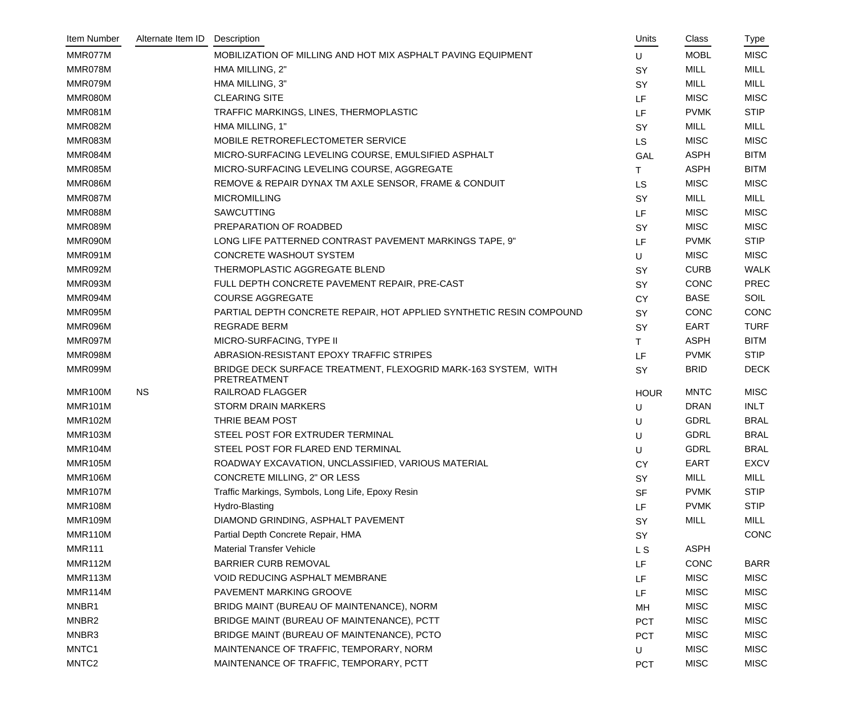| Item Number       | Alternate Item ID | Description                                                                    | Units       | Class       | Type        |
|-------------------|-------------------|--------------------------------------------------------------------------------|-------------|-------------|-------------|
| MMR077M           |                   | MOBILIZATION OF MILLING AND HOT MIX ASPHALT PAVING EQUIPMENT                   | U           | <b>MOBL</b> | <b>MISC</b> |
| MMR078M           |                   | HMA MILLING, 2"                                                                | SY          | <b>MILL</b> | <b>MILL</b> |
| MMR079M           |                   | HMA MILLING, 3"                                                                | SY          | <b>MILL</b> | <b>MILL</b> |
| MMR080M           |                   | <b>CLEARING SITE</b>                                                           | <b>LF</b>   | <b>MISC</b> | <b>MISC</b> |
| MMR081M           |                   | TRAFFIC MARKINGS, LINES, THERMOPLASTIC                                         | LF.         | <b>PVMK</b> | <b>STIP</b> |
| MMR082M           |                   | HMA MILLING, 1"                                                                | SY          | <b>MILL</b> | <b>MILL</b> |
| MMR083M           |                   | MOBILE RETROREFLECTOMETER SERVICE                                              | <b>LS</b>   | <b>MISC</b> | <b>MISC</b> |
| MMR084M           |                   | MICRO-SURFACING LEVELING COURSE, EMULSIFIED ASPHALT                            | <b>GAL</b>  | <b>ASPH</b> | <b>BITM</b> |
| MMR085M           |                   | MICRO-SURFACING LEVELING COURSE, AGGREGATE                                     | Т           | <b>ASPH</b> | <b>BITM</b> |
| MMR086M           |                   | REMOVE & REPAIR DYNAX TM AXLE SENSOR, FRAME & CONDUIT                          | <b>LS</b>   | <b>MISC</b> | <b>MISC</b> |
| MMR087M           |                   | <b>MICROMILLING</b>                                                            | SY          | <b>MILL</b> | <b>MILL</b> |
| MMR088M           |                   | SAWCUTTING                                                                     | LF.         | <b>MISC</b> | <b>MISC</b> |
| MMR089M           |                   | PREPARATION OF ROADBED                                                         | SY          | <b>MISC</b> | <b>MISC</b> |
| MMR090M           |                   | LONG LIFE PATTERNED CONTRAST PAVEMENT MARKINGS TAPE, 9"                        | LF.         | <b>PVMK</b> | <b>STIP</b> |
| MMR091M           |                   | <b>CONCRETE WASHOUT SYSTEM</b>                                                 | U           | <b>MISC</b> | <b>MISC</b> |
| MMR092M           |                   | THERMOPLASTIC AGGREGATE BLEND                                                  | SY          | <b>CURB</b> | <b>WALK</b> |
| MMR093M           |                   | FULL DEPTH CONCRETE PAVEMENT REPAIR, PRE-CAST                                  | SY          | <b>CONC</b> | <b>PREC</b> |
| MMR094M           |                   | <b>COURSE AGGREGATE</b>                                                        | <b>CY</b>   | <b>BASE</b> | <b>SOIL</b> |
| MMR095M           |                   | PARTIAL DEPTH CONCRETE REPAIR, HOT APPLIED SYNTHETIC RESIN COMPOUND            | SY          | <b>CONC</b> | <b>CONC</b> |
| MMR096M           |                   | <b>REGRADE BERM</b>                                                            | <b>SY</b>   | <b>EART</b> | <b>TURF</b> |
| MMR097M           |                   | MICRO-SURFACING, TYPE II                                                       | T.          | <b>ASPH</b> | <b>BITM</b> |
| MMR098M           |                   | ABRASION-RESISTANT EPOXY TRAFFIC STRIPES                                       | LF.         | <b>PVMK</b> | <b>STIP</b> |
| MMR099M           |                   | BRIDGE DECK SURFACE TREATMENT, FLEXOGRID MARK-163 SYSTEM, WITH<br>PRETREATMENT | <b>SY</b>   | <b>BRID</b> | <b>DECK</b> |
| MMR100M           | <b>NS</b>         | <b>RAILROAD FLAGGER</b>                                                        | <b>HOUR</b> | <b>MNTC</b> | <b>MISC</b> |
| <b>MMR101M</b>    |                   | <b>STORM DRAIN MARKERS</b>                                                     | U           | <b>DRAN</b> | <b>INLT</b> |
| <b>MMR102M</b>    |                   | THRIE BEAM POST                                                                | U           | <b>GDRL</b> | <b>BRAL</b> |
| <b>MMR103M</b>    |                   | STEEL POST FOR EXTRUDER TERMINAL                                               | U           | <b>GDRL</b> | <b>BRAL</b> |
| <b>MMR104M</b>    |                   | STEEL POST FOR FLARED END TERMINAL                                             | U           | <b>GDRL</b> | <b>BRAL</b> |
| <b>MMR105M</b>    |                   | ROADWAY EXCAVATION, UNCLASSIFIED, VARIOUS MATERIAL                             | <b>CY</b>   | <b>EART</b> | <b>EXCV</b> |
| <b>MMR106M</b>    |                   | CONCRETE MILLING, 2" OR LESS                                                   | <b>SY</b>   | <b>MILL</b> | <b>MILL</b> |
| <b>MMR107M</b>    |                   | Traffic Markings, Symbols, Long Life, Epoxy Resin                              | <b>SF</b>   | <b>PVMK</b> | <b>STIP</b> |
| <b>MMR108M</b>    |                   | Hydro-Blasting                                                                 | LF.         | <b>PVMK</b> | <b>STIP</b> |
| <b>MMR109M</b>    |                   | DIAMOND GRINDING, ASPHALT PAVEMENT                                             | SY          | <b>MILL</b> | MILL        |
| MMR110M           |                   | Partial Depth Concrete Repair, HMA                                             | SY          |             | CONC        |
| <b>MMR111</b>     |                   | <b>Material Transfer Vehicle</b>                                               | L S         | <b>ASPH</b> |             |
| MMR112M           |                   | <b>BARRIER CURB REMOVAL</b>                                                    | LF          | <b>CONC</b> | <b>BARR</b> |
| MMR113M           |                   | <b>VOID REDUCING ASPHALT MEMBRANE</b>                                          | LF.         | <b>MISC</b> | <b>MISC</b> |
| MMR114M           |                   | PAVEMENT MARKING GROOVE                                                        | LF          | <b>MISC</b> | <b>MISC</b> |
| MNBR1             |                   | BRIDG MAINT (BUREAU OF MAINTENANCE), NORM                                      | MH          | <b>MISC</b> | <b>MISC</b> |
| MNBR2             |                   | BRIDGE MAINT (BUREAU OF MAINTENANCE), PCTT                                     | <b>PCT</b>  | <b>MISC</b> | <b>MISC</b> |
| MNBR3             |                   | BRIDGE MAINT (BUREAU OF MAINTENANCE), PCTO                                     | <b>PCT</b>  | <b>MISC</b> | <b>MISC</b> |
| MNTC1             |                   | MAINTENANCE OF TRAFFIC, TEMPORARY, NORM                                        | U           | <b>MISC</b> | <b>MISC</b> |
| MNTC <sub>2</sub> |                   | MAINTENANCE OF TRAFFIC, TEMPORARY, PCTT                                        | <b>PCT</b>  | <b>MISC</b> | <b>MISC</b> |